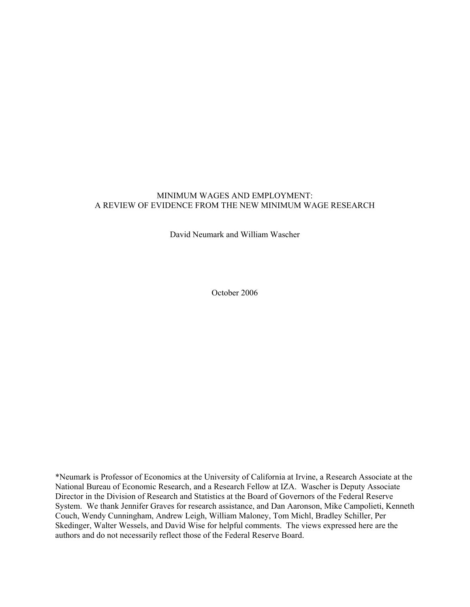# MINIMUM WAGES AND EMPLOYMENT: A REVIEW OF EVIDENCE FROM THE NEW MINIMUM WAGE RESEARCH

David Neumark and William Wascher

October 2006

\*Neumark is Professor of Economics at the University of California at Irvine, a Research Associate at the National Bureau of Economic Research, and a Research Fellow at IZA. Wascher is Deputy Associate Director in the Division of Research and Statistics at the Board of Governors of the Federal Reserve System. We thank Jennifer Graves for research assistance, and Dan Aaronson, Mike Campolieti, Kenneth Couch, Wendy Cunningham, Andrew Leigh, William Maloney, Tom Michl, Bradley Schiller, Per Skedinger, Walter Wessels, and David Wise for helpful comments. The views expressed here are the authors and do not necessarily reflect those of the Federal Reserve Board.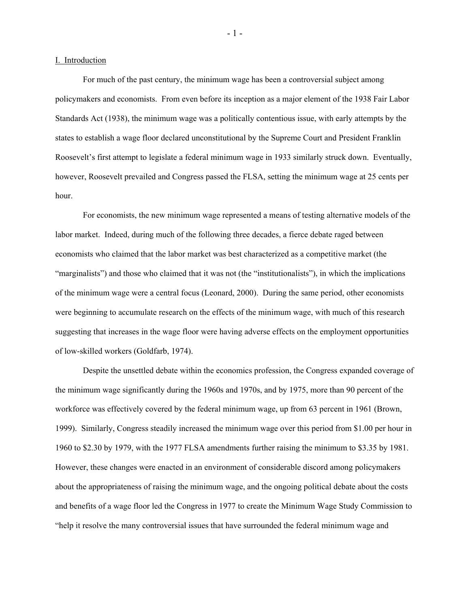### I. Introduction

 For much of the past century, the minimum wage has been a controversial subject among policymakers and economists. From even before its inception as a major element of the 1938 Fair Labor Standards Act (1938), the minimum wage was a politically contentious issue, with early attempts by the states to establish a wage floor declared unconstitutional by the Supreme Court and President Franklin Roosevelt's first attempt to legislate a federal minimum wage in 1933 similarly struck down. Eventually, however, Roosevelt prevailed and Congress passed the FLSA, setting the minimum wage at 25 cents per hour.

 For economists, the new minimum wage represented a means of testing alternative models of the labor market. Indeed, during much of the following three decades, a fierce debate raged between economists who claimed that the labor market was best characterized as a competitive market (the "marginalists") and those who claimed that it was not (the "institutionalists"), in which the implications of the minimum wage were a central focus (Leonard, 2000). During the same period, other economists were beginning to accumulate research on the effects of the minimum wage, with much of this research suggesting that increases in the wage floor were having adverse effects on the employment opportunities of low-skilled workers (Goldfarb, 1974).

Despite the unsettled debate within the economics profession, the Congress expanded coverage of the minimum wage significantly during the 1960s and 1970s, and by 1975, more than 90 percent of the workforce was effectively covered by the federal minimum wage, up from 63 percent in 1961 (Brown, 1999). Similarly, Congress steadily increased the minimum wage over this period from \$1.00 per hour in 1960 to \$2.30 by 1979, with the 1977 FLSA amendments further raising the minimum to \$3.35 by 1981. However, these changes were enacted in an environment of considerable discord among policymakers about the appropriateness of raising the minimum wage, and the ongoing political debate about the costs and benefits of a wage floor led the Congress in 1977 to create the Minimum Wage Study Commission to "help it resolve the many controversial issues that have surrounded the federal minimum wage and

- 1 -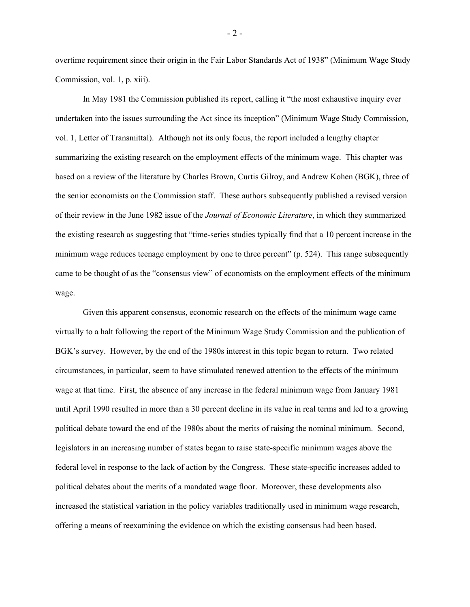overtime requirement since their origin in the Fair Labor Standards Act of 1938" (Minimum Wage Study Commission, vol. 1, p. xiii).

In May 1981 the Commission published its report, calling it "the most exhaustive inquiry ever undertaken into the issues surrounding the Act since its inception" (Minimum Wage Study Commission, vol. 1, Letter of Transmittal). Although not its only focus, the report included a lengthy chapter summarizing the existing research on the employment effects of the minimum wage. This chapter was based on a review of the literature by Charles Brown, Curtis Gilroy, and Andrew Kohen (BGK), three of the senior economists on the Commission staff. These authors subsequently published a revised version of their review in the June 1982 issue of the *Journal of Economic Literature*, in which they summarized the existing research as suggesting that "time-series studies typically find that a 10 percent increase in the minimum wage reduces teenage employment by one to three percent" (p. 524). This range subsequently came to be thought of as the "consensus view" of economists on the employment effects of the minimum wage.

Given this apparent consensus, economic research on the effects of the minimum wage came virtually to a halt following the report of the Minimum Wage Study Commission and the publication of BGK's survey. However, by the end of the 1980s interest in this topic began to return. Two related circumstances, in particular, seem to have stimulated renewed attention to the effects of the minimum wage at that time. First, the absence of any increase in the federal minimum wage from January 1981 until April 1990 resulted in more than a 30 percent decline in its value in real terms and led to a growing political debate toward the end of the 1980s about the merits of raising the nominal minimum. Second, legislators in an increasing number of states began to raise state-specific minimum wages above the federal level in response to the lack of action by the Congress. These state-specific increases added to political debates about the merits of a mandated wage floor. Moreover, these developments also increased the statistical variation in the policy variables traditionally used in minimum wage research, offering a means of reexamining the evidence on which the existing consensus had been based.

- 2 -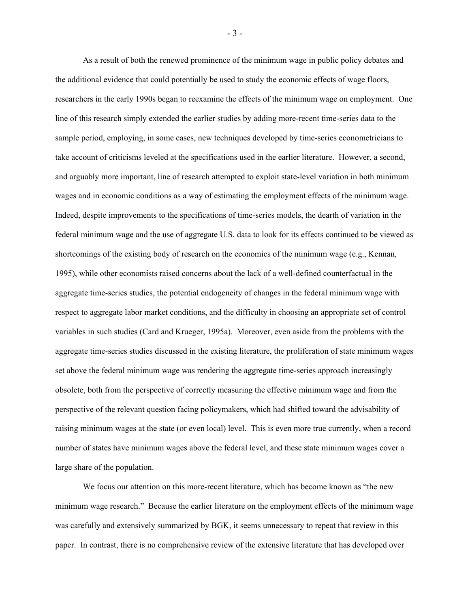As a result of both the renewed prominence of the minimum wage in public policy debates and the additional evidence that could potentially be used to study the economic effects of wage floors, researchers in the early 1990s began to reexamine the effects of the minimum wage on employment. One line of this research simply extended the earlier studies by adding more-recent time-series data to the sample period, employing, in some cases, new techniques developed by time-series econometricians to take account of criticisms leveled at the specifications used in the earlier literature. However, a second, and arguably more important, line of research attempted to exploit state-level variation in both minimum wages and in economic conditions as a way of estimating the employment effects of the minimum wage. Indeed, despite improvements to the specifications of time-series models, the dearth of variation in the federal minimum wage and the use of aggregate U.S. data to look for its effects continued to be viewed as shortcomings of the existing body of research on the economics of the minimum wage (e.g., Kennan, 1995), while other economists raised concerns about the lack of a well-defined counterfactual in the aggregate time-series studies, the potential endogeneity of changes in the federal minimum wage with respect to aggregate labor market conditions, and the difficulty in choosing an appropriate set of control variables in such studies (Card and Krueger, 1995a). Moreover, even aside from the problems with the aggregate time-series studies discussed in the existing literature, the proliferation of state minimum wages set above the federal minimum wage was rendering the aggregate time-series approach increasingly obsolete, both from the perspective of correctly measuring the effective minimum wage and from the perspective of the relevant question facing policymakers, which had shifted toward the advisability of raising minimum wages at the state (or even local) level. This is even more true currently, when a record number of states have minimum wages above the federal level, and these state minimum wages cover a large share of the population.

 We focus our attention on this more-recent literature, which has become known as "the new minimum wage research." Because the earlier literature on the employment effects of the minimum wage was carefully and extensively summarized by BGK, it seems unnecessary to repeat that review in this paper. In contrast, there is no comprehensive review of the extensive literature that has developed over

- 3 -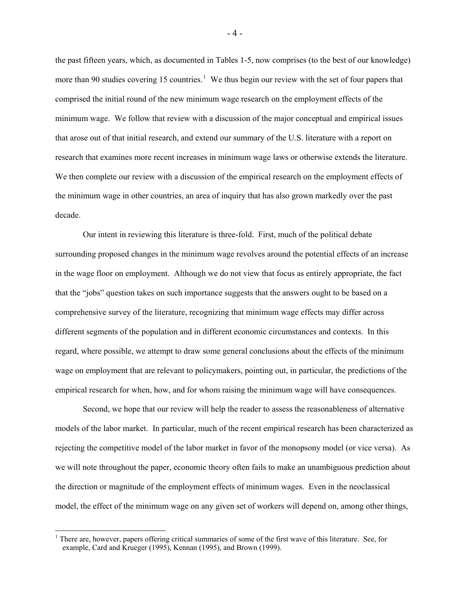the past fifteen years, which, as documented in Tables 1-5, now comprises (to the best of our knowledge) more than 90 studies covering [1](#page-4-0)5 countries.<sup>1</sup> We thus begin our review with the set of four papers that comprised the initial round of the new minimum wage research on the employment effects of the minimum wage. We follow that review with a discussion of the major conceptual and empirical issues that arose out of that initial research, and extend our summary of the U.S. literature with a report on research that examines more recent increases in minimum wage laws or otherwise extends the literature. We then complete our review with a discussion of the empirical research on the employment effects of the minimum wage in other countries, an area of inquiry that has also grown markedly over the past decade.

 Our intent in reviewing this literature is three-fold. First, much of the political debate surrounding proposed changes in the minimum wage revolves around the potential effects of an increase in the wage floor on employment. Although we do not view that focus as entirely appropriate, the fact that the "jobs" question takes on such importance suggests that the answers ought to be based on a comprehensive survey of the literature, recognizing that minimum wage effects may differ across different segments of the population and in different economic circumstances and contexts. In this regard, where possible, we attempt to draw some general conclusions about the effects of the minimum wage on employment that are relevant to policymakers, pointing out, in particular, the predictions of the empirical research for when, how, and for whom raising the minimum wage will have consequences.

 Second, we hope that our review will help the reader to assess the reasonableness of alternative models of the labor market. In particular, much of the recent empirical research has been characterized as rejecting the competitive model of the labor market in favor of the monopsony model (or vice versa). As we will note throughout the paper, economic theory often fails to make an unambiguous prediction about the direction or magnitude of the employment effects of minimum wages. Even in the neoclassical model, the effect of the minimum wage on any given set of workers will depend on, among other things,

 $\overline{a}$ 

- 4 -

<span id="page-4-0"></span><sup>&</sup>lt;sup>1</sup> There are, however, papers offering critical summaries of some of the first wave of this literature. See, for example, Card and Krueger (1995), Kennan (1995), and Brown (1999).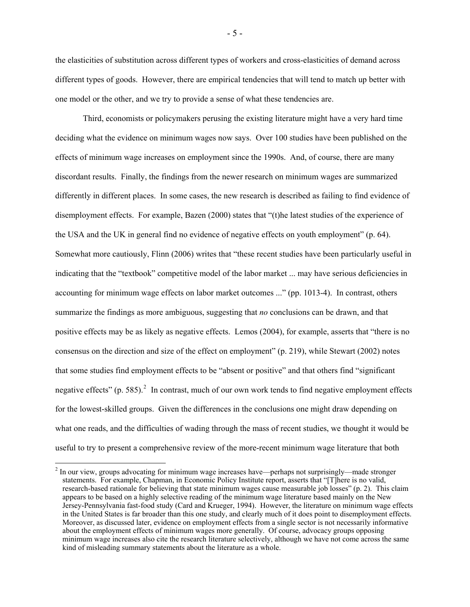<span id="page-5-0"></span>the elasticities of substitution across different types of workers and cross-elasticities of demand across different types of goods. However, there are empirical tendencies that will tend to match up better with one model or the other, and we try to provide a sense of what these tendencies are.

 Third, economists or policymakers perusing the existing literature might have a very hard time deciding what the evidence on minimum wages now says. Over 100 studies have been published on the effects of minimum wage increases on employment since the 1990s. And, of course, there are many discordant results. Finally, the findings from the newer research on minimum wages are summarized differently in different places. In some cases, the new research is described as failing to find evidence of disemployment effects. For example, Bazen (2000) states that "(t)he latest studies of the experience of the USA and the UK in general find no evidence of negative effects on youth employment" (p. 64). Somewhat more cautiously, Flinn (2006) writes that "these recent studies have been particularly useful in indicating that the "textbook" competitive model of the labor market ... may have serious deficiencies in accounting for minimum wage effects on labor market outcomes ..." (pp. 1013-4). In contrast, others summarize the findings as more ambiguous, suggesting that *no* conclusions can be drawn, and that positive effects may be as likely as negative effects. Lemos (2004), for example, asserts that "there is no consensus on the direction and size of the effect on employment" (p. 219), while Stewart (2002) notes that some studies find employment effects to be "absent or positive" and that others find "significant negative effects" (p. 585). $^2$  $^2$  In contrast, much of our own work tends to find negative employment effects for the lowest-skilled groups. Given the differences in the conclusions one might draw depending on what one reads, and the difficulties of wading through the mass of recent studies, we thought it would be useful to try to present a comprehensive review of the more-recent minimum wage literature that both

 $\overline{a}$ 

- 5 -

 $2$  In our view, groups advocating for minimum wage increases have—perhaps not surprisingly—made stronger statements. For example, Chapman, in Economic Policy Institute report, asserts that "[T]here is no valid, research-based rationale for believing that state minimum wages cause measurable job losses" (p. 2). This claim appears to be based on a highly selective reading of the minimum wage literature based mainly on the New Jersey-Pennsylvania fast-food study (Card and Krueger, 1994). However, the literature on minimum wage effects in the United States is far broader than this one study, and clearly much of it does point to disemployment effects. Moreover, as discussed later, evidence on employment effects from a single sector is not necessarily informative about the employment effects of minimum wages more generally. Of course, advocacy groups opposing minimum wage increases also cite the research literature selectively, although we have not come across the same kind of misleading summary statements about the literature as a whole.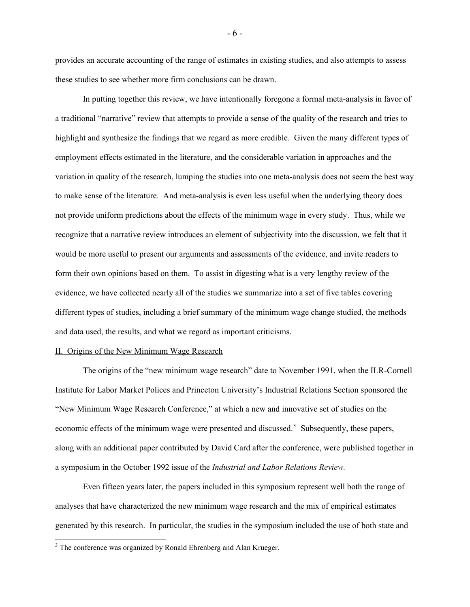<span id="page-6-0"></span>provides an accurate accounting of the range of estimates in existing studies, and also attempts to assess these studies to see whether more firm conclusions can be drawn.

 In putting together this review, we have intentionally foregone a formal meta-analysis in favor of a traditional "narrative" review that attempts to provide a sense of the quality of the research and tries to highlight and synthesize the findings that we regard as more credible. Given the many different types of employment effects estimated in the literature, and the considerable variation in approaches and the variation in quality of the research, lumping the studies into one meta-analysis does not seem the best way to make sense of the literature. And meta-analysis is even less useful when the underlying theory does not provide uniform predictions about the effects of the minimum wage in every study. Thus, while we recognize that a narrative review introduces an element of subjectivity into the discussion, we felt that it would be more useful to present our arguments and assessments of the evidence, and invite readers to form their own opinions based on them. To assist in digesting what is a very lengthy review of the evidence, we have collected nearly all of the studies we summarize into a set of five tables covering different types of studies, including a brief summary of the minimum wage change studied, the methods and data used, the results, and what we regard as important criticisms.

## II. Origins of the New Minimum Wage Research

The origins of the "new minimum wage research" date to November 1991, when the ILR-Cornell Institute for Labor Market Polices and Princeton University's Industrial Relations Section sponsored the "New Minimum Wage Research Conference," at which a new and innovative set of studies on the economic effects of the minimum wage were presented and discussed.<sup>[3](#page-6-0)</sup> Subsequently, these papers, along with an additional paper contributed by David Card after the conference, were published together in a symposium in the October 1992 issue of the *Industrial and Labor Relations Review.*

Even fifteen years later, the papers included in this symposium represent well both the range of analyses that have characterized the new minimum wage research and the mix of empirical estimates generated by this research. In particular, the studies in the symposium included the use of both state and

<sup>&</sup>lt;sup>3</sup> The conference was organized by Ronald Ehrenberg and Alan Krueger.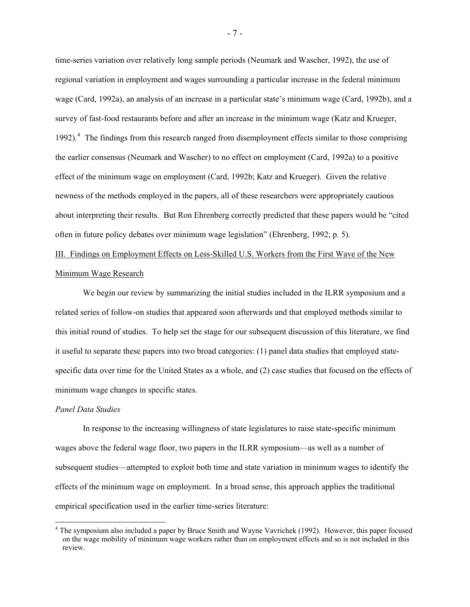<span id="page-7-0"></span>time-series variation over relatively long sample periods (Neumark and Wascher, 1992), the use of regional variation in employment and wages surrounding a particular increase in the federal minimum wage (Card, 1992a), an analysis of an increase in a particular state's minimum wage (Card, 1992b), and a survey of fast-food restaurants before and after an increase in the minimum wage (Katz and Krueger, 1992).<sup>[4](#page-7-0)</sup> The findings from this research ranged from disemployment effects similar to those comprising the earlier consensus (Neumark and Wascher) to no effect on employment (Card, 1992a) to a positive effect of the minimum wage on employment (Card, 1992b; Katz and Krueger). Given the relative newness of the methods employed in the papers, all of these researchers were appropriately cautious about interpreting their results. But Ron Ehrenberg correctly predicted that these papers would be "cited often in future policy debates over minimum wage legislation" (Ehrenberg, 1992; p. 5).

III. Findings on Employment Effects on Less-Skilled U.S. Workers from the First Wave of the New Minimum Wage Research

We begin our review by summarizing the initial studies included in the ILRR symposium and a related series of follow-on studies that appeared soon afterwards and that employed methods similar to this initial round of studies. To help set the stage for our subsequent discussion of this literature, we find it useful to separate these papers into two broad categories: (1) panel data studies that employed statespecific data over time for the United States as a whole, and (2) case studies that focused on the effects of minimum wage changes in specific states.

# *Panel Data Studies*

 $\overline{a}$ 

In response to the increasing willingness of state legislatures to raise state-specific minimum wages above the federal wage floor, two papers in the ILRR symposium—as well as a number of subsequent studies—attempted to exploit both time and state variation in minimum wages to identify the effects of the minimum wage on employment. In a broad sense, this approach applies the traditional empirical specification used in the earlier time-series literature:

- 7 -

<sup>&</sup>lt;sup>4</sup> The symposium also included a paper by Bruce Smith and Wayne Vavrichek (1992). However, this paper focused on the wage mobility of minimum wage workers rather than on employment effects and so is not included in this review.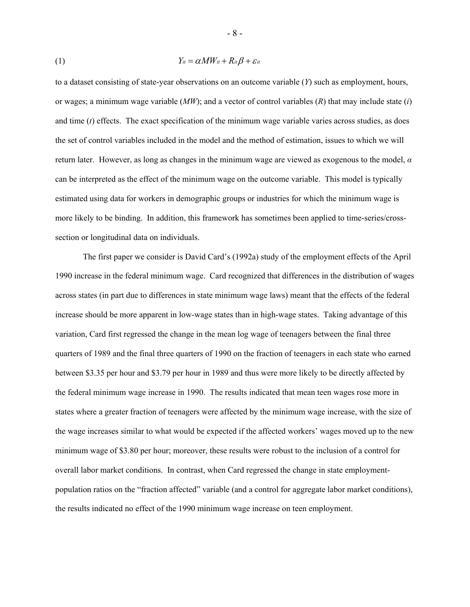$$
(1) \t Y_{it} = \alpha M W_{it} + R_{it} \beta + \varepsilon_{it}
$$

to a dataset consisting of state-year observations on an outcome variable (*Y*) such as employment, hours, or wages; a minimum wage variable (*MW*); and a vector of control variables (*R*) that may include state (*i*) and time (*t*) effects. The exact specification of the minimum wage variable varies across studies, as does the set of control variables included in the model and the method of estimation, issues to which we will return later. However, as long as changes in the minimum wage are viewed as exogenous to the model, *α* can be interpreted as the effect of the minimum wage on the outcome variable. This model is typically estimated using data for workers in demographic groups or industries for which the minimum wage is more likely to be binding. In addition, this framework has sometimes been applied to time-series/crosssection or longitudinal data on individuals.

The first paper we consider is David Card's (1992a) study of the employment effects of the April 1990 increase in the federal minimum wage. Card recognized that differences in the distribution of wages across states (in part due to differences in state minimum wage laws) meant that the effects of the federal increase should be more apparent in low-wage states than in high-wage states. Taking advantage of this variation, Card first regressed the change in the mean log wage of teenagers between the final three quarters of 1989 and the final three quarters of 1990 on the fraction of teenagers in each state who earned between \$3.35 per hour and \$3.79 per hour in 1989 and thus were more likely to be directly affected by the federal minimum wage increase in 1990. The results indicated that mean teen wages rose more in states where a greater fraction of teenagers were affected by the minimum wage increase, with the size of the wage increases similar to what would be expected if the affected workers' wages moved up to the new minimum wage of \$3.80 per hour; moreover, these results were robust to the inclusion of a control for overall labor market conditions. In contrast, when Card regressed the change in state employmentpopulation ratios on the "fraction affected" variable (and a control for aggregate labor market conditions), the results indicated no effect of the 1990 minimum wage increase on teen employment.

- 8 -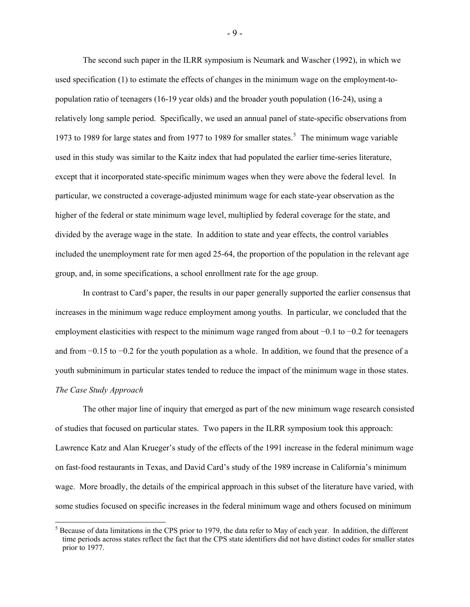<span id="page-9-0"></span>The second such paper in the ILRR symposium is Neumark and Wascher (1992), in which we used specification (1) to estimate the effects of changes in the minimum wage on the employment-topopulation ratio of teenagers (16-19 year olds) and the broader youth population (16-24), using a relatively long sample period. Specifically, we used an annual panel of state-specific observations from 1973 to 1989 for large states and from 1977 to 1989 for smaller states.<sup>[5](#page-9-0)</sup> The minimum wage variable used in this study was similar to the Kaitz index that had populated the earlier time-series literature, except that it incorporated state-specific minimum wages when they were above the federal level. In particular, we constructed a coverage-adjusted minimum wage for each state-year observation as the higher of the federal or state minimum wage level, multiplied by federal coverage for the state, and divided by the average wage in the state. In addition to state and year effects, the control variables included the unemployment rate for men aged 25-64, the proportion of the population in the relevant age group, and, in some specifications, a school enrollment rate for the age group.

In contrast to Card's paper, the results in our paper generally supported the earlier consensus that increases in the minimum wage reduce employment among youths. In particular, we concluded that the employment elasticities with respect to the minimum wage ranged from about −0.1 to −0.2 for teenagers and from −0.15 to −0.2 for the youth population as a whole. In addition, we found that the presence of a youth subminimum in particular states tended to reduce the impact of the minimum wage in those states. *The Case Study Approach* 

 The other major line of inquiry that emerged as part of the new minimum wage research consisted of studies that focused on particular states. Two papers in the ILRR symposium took this approach: Lawrence Katz and Alan Krueger's study of the effects of the 1991 increase in the federal minimum wage on fast-food restaurants in Texas, and David Card's study of the 1989 increase in California's minimum wage. More broadly, the details of the empirical approach in this subset of the literature have varied, with some studies focused on specific increases in the federal minimum wage and others focused on minimum

 $\overline{a}$ 

- 9 -

 $<sup>5</sup>$  Because of data limitations in the CPS prior to 1979, the data refer to May of each year. In addition, the different</sup> time periods across states reflect the fact that the CPS state identifiers did not have distinct codes for smaller states prior to 1977.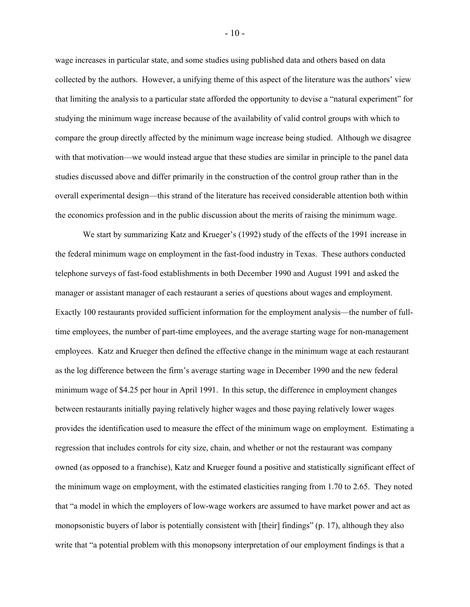wage increases in particular state, and some studies using published data and others based on data collected by the authors. However, a unifying theme of this aspect of the literature was the authors' view that limiting the analysis to a particular state afforded the opportunity to devise a "natural experiment" for studying the minimum wage increase because of the availability of valid control groups with which to compare the group directly affected by the minimum wage increase being studied. Although we disagree with that motivation—we would instead argue that these studies are similar in principle to the panel data studies discussed above and differ primarily in the construction of the control group rather than in the overall experimental design—this strand of the literature has received considerable attention both within the economics profession and in the public discussion about the merits of raising the minimum wage.

 We start by summarizing Katz and Krueger's (1992) study of the effects of the 1991 increase in the federal minimum wage on employment in the fast-food industry in Texas. These authors conducted telephone surveys of fast-food establishments in both December 1990 and August 1991 and asked the manager or assistant manager of each restaurant a series of questions about wages and employment. Exactly 100 restaurants provided sufficient information for the employment analysis—the number of fulltime employees, the number of part-time employees, and the average starting wage for non-management employees. Katz and Krueger then defined the effective change in the minimum wage at each restaurant as the log difference between the firm's average starting wage in December 1990 and the new federal minimum wage of \$4.25 per hour in April 1991. In this setup, the difference in employment changes between restaurants initially paying relatively higher wages and those paying relatively lower wages provides the identification used to measure the effect of the minimum wage on employment. Estimating a regression that includes controls for city size, chain, and whether or not the restaurant was company owned (as opposed to a franchise), Katz and Krueger found a positive and statistically significant effect of the minimum wage on employment, with the estimated elasticities ranging from 1.70 to 2.65. They noted that "a model in which the employers of low-wage workers are assumed to have market power and act as monopsonistic buyers of labor is potentially consistent with [their] findings" (p. 17), although they also write that "a potential problem with this monopsony interpretation of our employment findings is that a

- 10 -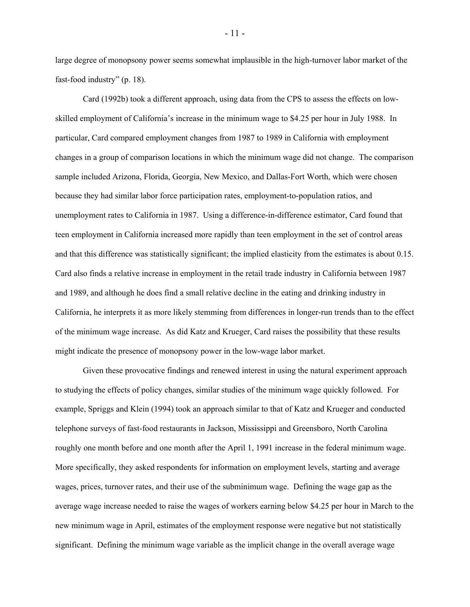large degree of monopsony power seems somewhat implausible in the high-turnover labor market of the fast-food industry" (p. 18).

 Card (1992b) took a different approach, using data from the CPS to assess the effects on lowskilled employment of California's increase in the minimum wage to \$4.25 per hour in July 1988. In particular, Card compared employment changes from 1987 to 1989 in California with employment changes in a group of comparison locations in which the minimum wage did not change. The comparison sample included Arizona, Florida, Georgia, New Mexico, and Dallas-Fort Worth, which were chosen because they had similar labor force participation rates, employment-to-population ratios, and unemployment rates to California in 1987. Using a difference-in-difference estimator, Card found that teen employment in California increased more rapidly than teen employment in the set of control areas and that this difference was statistically significant; the implied elasticity from the estimates is about 0.15. Card also finds a relative increase in employment in the retail trade industry in California between 1987 and 1989, and although he does find a small relative decline in the eating and drinking industry in California, he interprets it as more likely stemming from differences in longer-run trends than to the effect of the minimum wage increase. As did Katz and Krueger, Card raises the possibility that these results might indicate the presence of monopsony power in the low-wage labor market.

 Given these provocative findings and renewed interest in using the natural experiment approach to studying the effects of policy changes, similar studies of the minimum wage quickly followed. For example, Spriggs and Klein (1994) took an approach similar to that of Katz and Krueger and conducted telephone surveys of fast-food restaurants in Jackson, Mississippi and Greensboro, North Carolina roughly one month before and one month after the April 1, 1991 increase in the federal minimum wage. More specifically, they asked respondents for information on employment levels, starting and average wages, prices, turnover rates, and their use of the subminimum wage. Defining the wage gap as the average wage increase needed to raise the wages of workers earning below \$4.25 per hour in March to the new minimum wage in April, estimates of the employment response were negative but not statistically significant. Defining the minimum wage variable as the implicit change in the overall average wage

- 11 -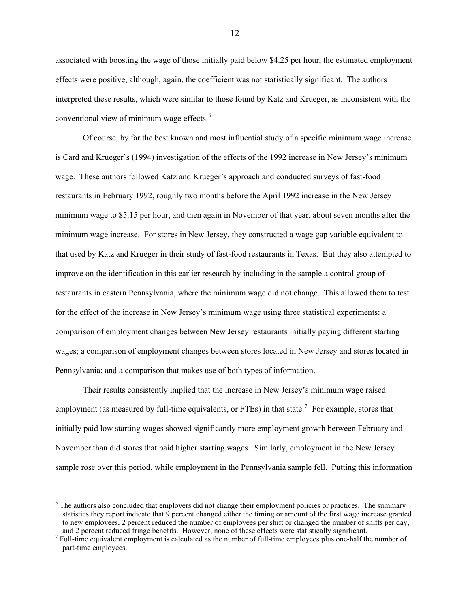<span id="page-12-0"></span>associated with boosting the wage of those initially paid below \$4.25 per hour, the estimated employment effects were positive, although, again, the coefficient was not statistically significant. The authors interpreted these results, which were similar to those found by Katz and Krueger, as inconsistent with the conventional view of minimum wage effects.<sup>[6](#page-12-0)</sup>

 Of course, by far the best known and most influential study of a specific minimum wage increase is Card and Krueger's (1994) investigation of the effects of the 1992 increase in New Jersey's minimum wage. These authors followed Katz and Krueger's approach and conducted surveys of fast-food restaurants in February 1992, roughly two months before the April 1992 increase in the New Jersey minimum wage to \$5.15 per hour, and then again in November of that year, about seven months after the minimum wage increase. For stores in New Jersey, they constructed a wage gap variable equivalent to that used by Katz and Krueger in their study of fast-food restaurants in Texas. But they also attempted to improve on the identification in this earlier research by including in the sample a control group of restaurants in eastern Pennsylvania, where the minimum wage did not change. This allowed them to test for the effect of the increase in New Jersey's minimum wage using three statistical experiments: a comparison of employment changes between New Jersey restaurants initially paying different starting wages; a comparison of employment changes between stores located in New Jersey and stores located in Pennsylvania; and a comparison that makes use of both types of information.

Their results consistently implied that the increase in New Jersey's minimum wage raised employment (as measured by full-time equivalents, or FTEs) in that state.<sup>[7](#page-12-0)</sup> For example, stores that initially paid low starting wages showed significantly more employment growth between February and November than did stores that paid higher starting wages. Similarly, employment in the New Jersey sample rose over this period, while employment in the Pennsylvania sample fell. Putting this information

 $6$  The authors also concluded that employers did not change their employment policies or practices. The summary statistics they report indicate that 9 percent changed either the timing or amount of the first wage increase granted to new employees, 2 percent reduced the number of employees per shift or changed the number of shifts per day, and 2 percent reduced fringe benefits. However, none of these effects were statistically significant. 7

 $T$  Full-time equivalent employment is calculated as the number of full-time employees plus one-half the number of part-time employees.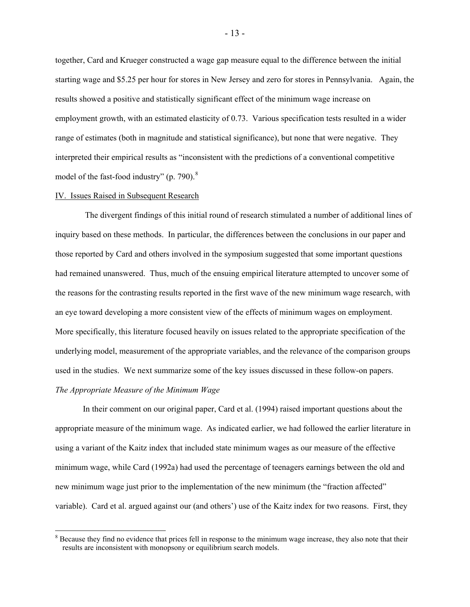<span id="page-13-0"></span>together, Card and Krueger constructed a wage gap measure equal to the difference between the initial starting wage and \$5.25 per hour for stores in New Jersey and zero for stores in Pennsylvania. Again, the results showed a positive and statistically significant effect of the minimum wage increase on employment growth, with an estimated elasticity of 0.73. Various specification tests resulted in a wider range of estimates (both in magnitude and statistical significance), but none that were negative. They interpreted their empirical results as "inconsistent with the predictions of a conventional competitive model of the fast-food industry" (p. 790). $8$ 

#### IV. Issues Raised in Subsequent Research

 $\overline{a}$ 

 The divergent findings of this initial round of research stimulated a number of additional lines of inquiry based on these methods. In particular, the differences between the conclusions in our paper and those reported by Card and others involved in the symposium suggested that some important questions had remained unanswered. Thus, much of the ensuing empirical literature attempted to uncover some of the reasons for the contrasting results reported in the first wave of the new minimum wage research, with an eye toward developing a more consistent view of the effects of minimum wages on employment. More specifically, this literature focused heavily on issues related to the appropriate specification of the underlying model, measurement of the appropriate variables, and the relevance of the comparison groups used in the studies. We next summarize some of the key issues discussed in these follow-on papers. *The Appropriate Measure of the Minimum Wage* 

In their comment on our original paper, Card et al. (1994) raised important questions about the appropriate measure of the minimum wage. As indicated earlier, we had followed the earlier literature in using a variant of the Kaitz index that included state minimum wages as our measure of the effective minimum wage, while Card (1992a) had used the percentage of teenagers earnings between the old and new minimum wage just prior to the implementation of the new minimum (the "fraction affected" variable). Card et al. argued against our (and others') use of the Kaitz index for two reasons. First, they

- 13 -

 $8$  Because they find no evidence that prices fell in response to the minimum wage increase, they also note that their results are inconsistent with monopsony or equilibrium search models.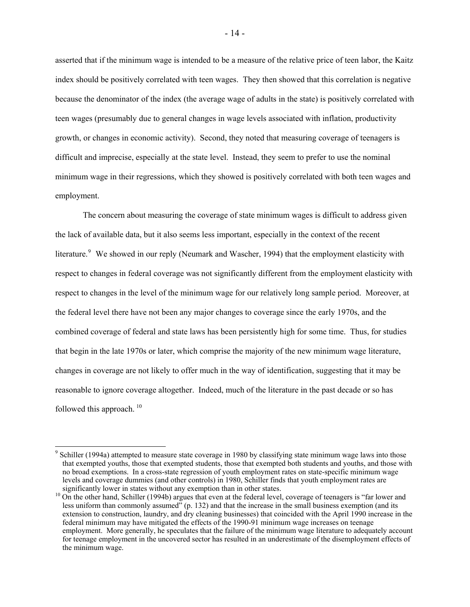<span id="page-14-0"></span>asserted that if the minimum wage is intended to be a measure of the relative price of teen labor, the Kaitz index should be positively correlated with teen wages. They then showed that this correlation is negative because the denominator of the index (the average wage of adults in the state) is positively correlated with teen wages (presumably due to general changes in wage levels associated with inflation, productivity growth, or changes in economic activity). Second, they noted that measuring coverage of teenagers is difficult and imprecise, especially at the state level. Instead, they seem to prefer to use the nominal minimum wage in their regressions, which they showed is positively correlated with both teen wages and employment.

The concern about measuring the coverage of state minimum wages is difficult to address given the lack of available data, but it also seems less important, especially in the context of the recent literature.<sup>[9](#page-14-0)</sup> We showed in our reply (Neumark and Wascher, 1994) that the employment elasticity with respect to changes in federal coverage was not significantly different from the employment elasticity with respect to changes in the level of the minimum wage for our relatively long sample period. Moreover, at the federal level there have not been any major changes to coverage since the early 1970s, and the combined coverage of federal and state laws has been persistently high for some time. Thus, for studies that begin in the late 1970s or later, which comprise the majority of the new minimum wage literature, changes in coverage are not likely to offer much in the way of identification, suggesting that it may be reasonable to ignore coverage altogether. Indeed, much of the literature in the past decade or so has followed this approach.  $10$ 

<sup>9</sup> Schiller (1994a) attempted to measure state coverage in 1980 by classifying state minimum wage laws into those that exempted youths, those that exempted students, those that exempted both students and youths, and those with no broad exemptions. In a cross-state regression of youth employment rates on state-specific minimum wage levels and coverage dummies (and other controls) in 1980, Schiller finds that youth employment rates are

<sup>&</sup>lt;sup>10</sup> On the other hand, Schiller (1994b) argues that even at the federal level, coverage of teenagers is "far lower and less uniform than commonly assumed" (p. 132) and that the increase in the small business exemption (and its extension to construction, laundry, and dry cleaning businesses) that coincided with the April 1990 increase in the federal minimum may have mitigated the effects of the 1990-91 minimum wage increases on teenage employment. More generally, he speculates that the failure of the minimum wage literature to adequately account for teenage employment in the uncovered sector has resulted in an underestimate of the disemployment effects of the minimum wage.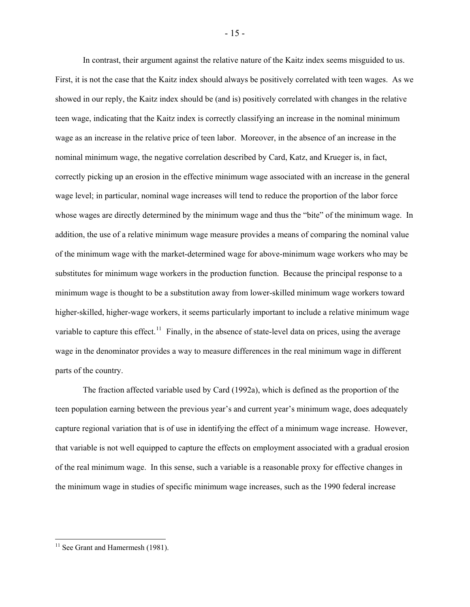<span id="page-15-0"></span>In contrast, their argument against the relative nature of the Kaitz index seems misguided to us. First, it is not the case that the Kaitz index should always be positively correlated with teen wages. As we showed in our reply, the Kaitz index should be (and is) positively correlated with changes in the relative teen wage, indicating that the Kaitz index is correctly classifying an increase in the nominal minimum wage as an increase in the relative price of teen labor. Moreover, in the absence of an increase in the nominal minimum wage, the negative correlation described by Card, Katz, and Krueger is, in fact, correctly picking up an erosion in the effective minimum wage associated with an increase in the general wage level; in particular, nominal wage increases will tend to reduce the proportion of the labor force whose wages are directly determined by the minimum wage and thus the "bite" of the minimum wage. In addition, the use of a relative minimum wage measure provides a means of comparing the nominal value of the minimum wage with the market-determined wage for above-minimum wage workers who may be substitutes for minimum wage workers in the production function. Because the principal response to a minimum wage is thought to be a substitution away from lower-skilled minimum wage workers toward higher-skilled, higher-wage workers, it seems particularly important to include a relative minimum wage variable to capture this effect.<sup>[11](#page-15-0)</sup> Finally, in the absence of state-level data on prices, using the average wage in the denominator provides a way to measure differences in the real minimum wage in different parts of the country.

The fraction affected variable used by Card (1992a), which is defined as the proportion of the teen population earning between the previous year's and current year's minimum wage, does adequately capture regional variation that is of use in identifying the effect of a minimum wage increase. However, that variable is not well equipped to capture the effects on employment associated with a gradual erosion of the real minimum wage. In this sense, such a variable is a reasonable proxy for effective changes in the minimum wage in studies of specific minimum wage increases, such as the 1990 federal increase

 $\overline{a}$ 

- 15 -

 $11$  See Grant and Hamermesh (1981).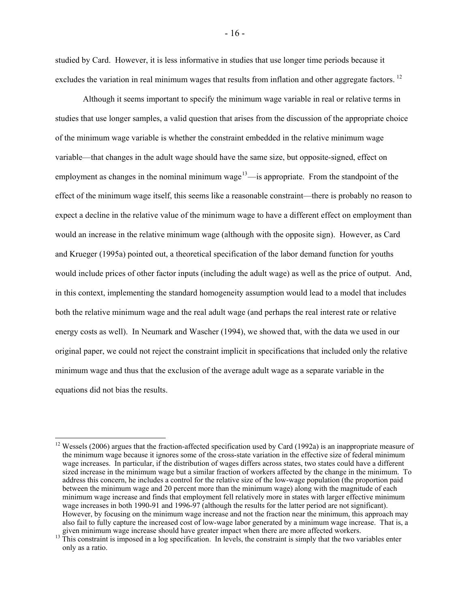<span id="page-16-0"></span>studied by Card. However, it is less informative in studies that use longer time periods because it excludes the variation in real minimum wages that results from inflation and other aggregate factors.<sup>[12](#page-16-0)</sup>

Although it seems important to specify the minimum wage variable in real or relative terms in studies that use longer samples, a valid question that arises from the discussion of the appropriate choice of the minimum wage variable is whether the constraint embedded in the relative minimum wage variable—that changes in the adult wage should have the same size, but opposite-signed, effect on employment as changes in the nominal minimum wage<sup>[13](#page-16-0)</sup>—is appropriate. From the standpoint of the effect of the minimum wage itself, this seems like a reasonable constraint—there is probably no reason to expect a decline in the relative value of the minimum wage to have a different effect on employment than would an increase in the relative minimum wage (although with the opposite sign). However, as Card and Krueger (1995a) pointed out, a theoretical specification of the labor demand function for youths would include prices of other factor inputs (including the adult wage) as well as the price of output. And, in this context, implementing the standard homogeneity assumption would lead to a model that includes both the relative minimum wage and the real adult wage (and perhaps the real interest rate or relative energy costs as well). In Neumark and Wascher (1994), we showed that, with the data we used in our original paper, we could not reject the constraint implicit in specifications that included only the relative minimum wage and thus that the exclusion of the average adult wage as a separate variable in the equations did not bias the results.

 $12$  Wessels (2006) argues that the fraction-affected specification used by Card (1992a) is an inappropriate measure of the minimum wage because it ignores some of the cross-state variation in the effective size of federal minimum wage increases. In particular, if the distribution of wages differs across states, two states could have a different sized increase in the minimum wage but a similar fraction of workers affected by the change in the minimum. To address this concern, he includes a control for the relative size of the low-wage population (the proportion paid between the minimum wage and 20 percent more than the minimum wage) along with the magnitude of each minimum wage increase and finds that employment fell relatively more in states with larger effective minimum wage increases in both 1990-91 and 1996-97 (although the results for the latter period are not significant). However, by focusing on the minimum wage increase and not the fraction near the minimum, this approach may also fail to fully capture the increased cost of low-wage labor generated by a minimum wage increase. That is, a

given minimum wage increase should have greater impact when there are more affected workers.<br><sup>13</sup> This constraint is imposed in a log specification. In levels, the constraint is simply that the two variables enter only as a ratio.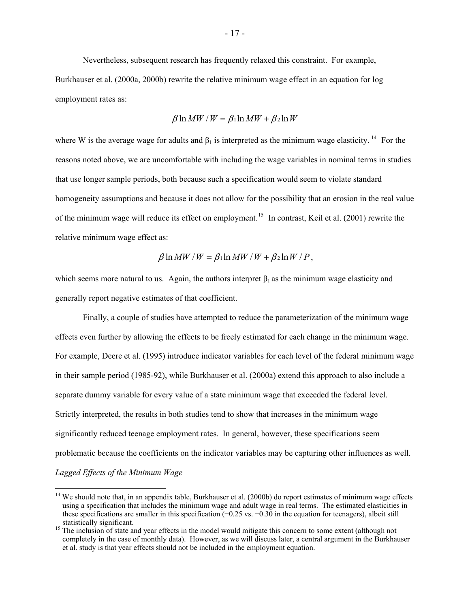Nevertheless, subsequent research has frequently relaxed this constraint. For example,

<span id="page-17-0"></span>Burkhauser et al. (2000a, 2000b) rewrite the relative minimum wage effect in an equation for log employment rates as:

$$
\beta \ln MW / W = \beta_1 \ln MW + \beta_2 \ln W
$$

where W is the average wage for adults and  $\beta_1$  is interpreted as the minimum wage elasticity. <sup>[14](#page-17-0)</sup> For the reasons noted above, we are uncomfortable with including the wage variables in nominal terms in studies that use longer sample periods, both because such a specification would seem to violate standard homogeneity assumptions and because it does not allow for the possibility that an erosion in the real value of the minimum wage will reduce its effect on employment.<sup>[15](#page-17-0)</sup> In contrast, Keil et al. (2001) rewrite the relative minimum wage effect as:

$$
\beta \ln MW / W = \beta_1 \ln MW / W + \beta_2 \ln W / P,
$$

which seems more natural to us. Again, the authors interpret  $\beta_1$  as the minimum wage elasticity and generally report negative estimates of that coefficient.

Finally, a couple of studies have attempted to reduce the parameterization of the minimum wage effects even further by allowing the effects to be freely estimated for each change in the minimum wage. For example, Deere et al. (1995) introduce indicator variables for each level of the federal minimum wage in their sample period (1985-92), while Burkhauser et al. (2000a) extend this approach to also include a separate dummy variable for every value of a state minimum wage that exceeded the federal level. Strictly interpreted, the results in both studies tend to show that increases in the minimum wage significantly reduced teenage employment rates. In general, however, these specifications seem problematic because the coefficients on the indicator variables may be capturing other influences as well. *Lagged Effects of the Minimum Wage* 

<sup>&</sup>lt;sup>14</sup> We should note that, in an appendix table, Burkhauser et al. (2000b) do report estimates of minimum wage effects using a specification that includes the minimum wage and adult wage in real terms. The estimated elasticities in these specifications are smaller in this specification (−0.25 vs. −0.30 in the equation for teenagers), albeit still statistically significant.

<sup>&</sup>lt;sup>15</sup> The inclusion of state and year effects in the model would mitigate this concern to some extent (although not completely in the case of monthly data). However, as we will discuss later, a central argument in the Burkhauser et al. study is that year effects should not be included in the employment equation.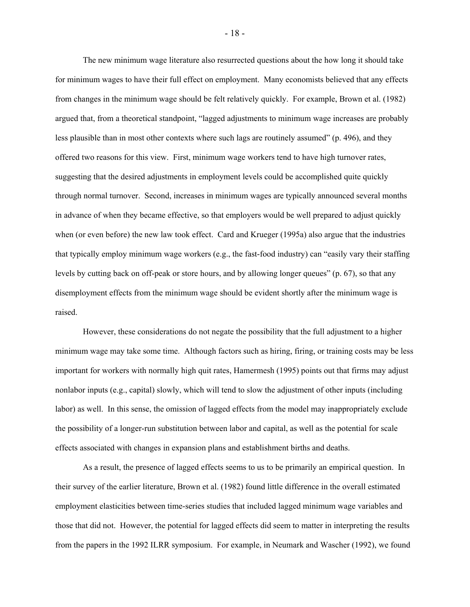The new minimum wage literature also resurrected questions about the how long it should take for minimum wages to have their full effect on employment. Many economists believed that any effects from changes in the minimum wage should be felt relatively quickly. For example, Brown et al. (1982) argued that, from a theoretical standpoint, "lagged adjustments to minimum wage increases are probably less plausible than in most other contexts where such lags are routinely assumed" (p. 496), and they offered two reasons for this view. First, minimum wage workers tend to have high turnover rates, suggesting that the desired adjustments in employment levels could be accomplished quite quickly through normal turnover. Second, increases in minimum wages are typically announced several months in advance of when they became effective, so that employers would be well prepared to adjust quickly when (or even before) the new law took effect. Card and Krueger (1995a) also argue that the industries that typically employ minimum wage workers (e.g., the fast-food industry) can "easily vary their staffing levels by cutting back on off-peak or store hours, and by allowing longer queues" (p. 67), so that any disemployment effects from the minimum wage should be evident shortly after the minimum wage is raised.

 However, these considerations do not negate the possibility that the full adjustment to a higher minimum wage may take some time. Although factors such as hiring, firing, or training costs may be less important for workers with normally high quit rates, Hamermesh (1995) points out that firms may adjust nonlabor inputs (e.g., capital) slowly, which will tend to slow the adjustment of other inputs (including labor) as well. In this sense, the omission of lagged effects from the model may inappropriately exclude the possibility of a longer-run substitution between labor and capital, as well as the potential for scale effects associated with changes in expansion plans and establishment births and deaths.

As a result, the presence of lagged effects seems to us to be primarily an empirical question. In their survey of the earlier literature, Brown et al. (1982) found little difference in the overall estimated employment elasticities between time-series studies that included lagged minimum wage variables and those that did not. However, the potential for lagged effects did seem to matter in interpreting the results from the papers in the 1992 ILRR symposium. For example, in Neumark and Wascher (1992), we found

- 18 -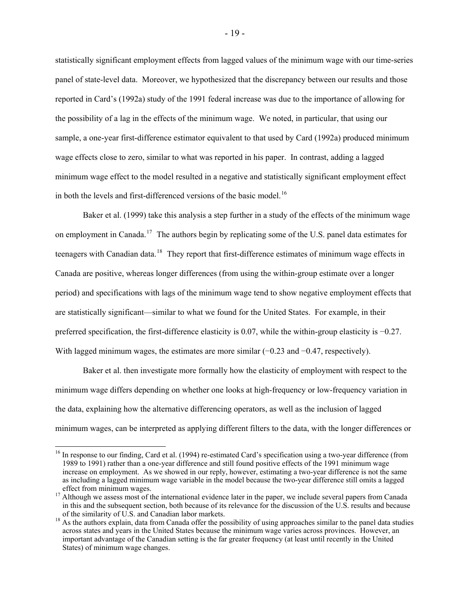<span id="page-19-0"></span>statistically significant employment effects from lagged values of the minimum wage with our time-series panel of state-level data. Moreover, we hypothesized that the discrepancy between our results and those reported in Card's (1992a) study of the 1991 federal increase was due to the importance of allowing for the possibility of a lag in the effects of the minimum wage. We noted, in particular, that using our sample, a one-year first-difference estimator equivalent to that used by Card (1992a) produced minimum wage effects close to zero, similar to what was reported in his paper. In contrast, adding a lagged minimum wage effect to the model resulted in a negative and statistically significant employment effect in both the levels and first-differenced versions of the basic model.<sup>[16](#page-19-0)</sup>

Baker et al. (1999) take this analysis a step further in a study of the effects of the minimum wage on employment in Canada.<sup>[17](#page-19-0)</sup> The authors begin by replicating some of the U.S. panel data estimates for teenagers with Canadian data.<sup>[18](#page-19-0)</sup> They report that first-difference estimates of minimum wage effects in Canada are positive, whereas longer differences (from using the within-group estimate over a longer period) and specifications with lags of the minimum wage tend to show negative employment effects that are statistically significant—similar to what we found for the United States. For example, in their preferred specification, the first-difference elasticity is 0.07, while the within-group elasticity is −0.27. With lagged minimum wages, the estimates are more similar  $(-0.23$  and  $-0.47$ , respectively).

Baker et al. then investigate more formally how the elasticity of employment with respect to the minimum wage differs depending on whether one looks at high-frequency or low-frequency variation in the data, explaining how the alternative differencing operators, as well as the inclusion of lagged minimum wages, can be interpreted as applying different filters to the data, with the longer differences or

 $^{16}$  In response to our finding, Card et al. (1994) re-estimated Card's specification using a two-year difference (from 1989 to 1991) rather than a one-year difference and still found positive effects of the 1991 minimum wage increase on employment. As we showed in our reply, however, estimating a two-year difference is not the same as including a lagged minimum wage variable in the model because the two-year difference still omits a lagged

<sup>&</sup>lt;sup>17</sup> Although we assess most of the international evidence later in the paper, we include several papers from Canada  $\frac{1}{2}$ in this and the subsequent section, both because of its relevance for the discussion of the U.S. results and because of the similarity of U.S. and Canadian labor markets.

 $\frac{18}{18}$  As the authors explain, data from Canada offer the possibility of using approaches similar to the panel data studies across states and years in the United States because the minimum wage varies across provinces. However, an important advantage of the Canadian setting is the far greater frequency (at least until recently in the United States) of minimum wage changes.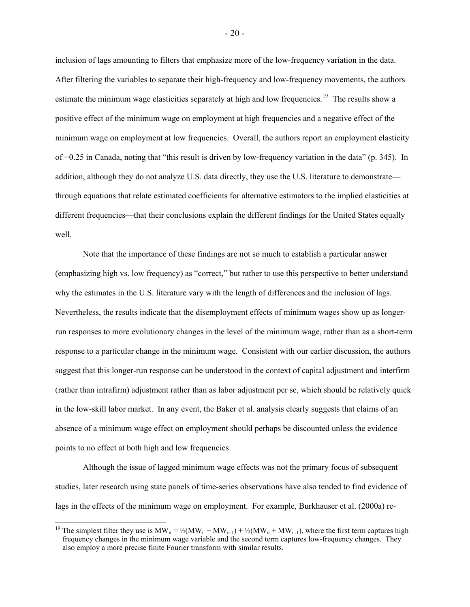<span id="page-20-0"></span>inclusion of lags amounting to filters that emphasize more of the low-frequency variation in the data. After filtering the variables to separate their high-frequency and low-frequency movements, the authors estimate the minimum wage elasticities separately at high and low frequencies.<sup>[19](#page-20-0)</sup> The results show a positive effect of the minimum wage on employment at high frequencies and a negative effect of the minimum wage on employment at low frequencies. Overall, the authors report an employment elasticity of −0.25 in Canada, noting that "this result is driven by low-frequency variation in the data" (p. 345). In addition, although they do not analyze U.S. data directly, they use the U.S. literature to demonstrate through equations that relate estimated coefficients for alternative estimators to the implied elasticities at different frequencies—that their conclusions explain the different findings for the United States equally well.

Note that the importance of these findings are not so much to establish a particular answer (emphasizing high vs. low frequency) as "correct," but rather to use this perspective to better understand why the estimates in the U.S. literature vary with the length of differences and the inclusion of lags. Nevertheless, the results indicate that the disemployment effects of minimum wages show up as longerrun responses to more evolutionary changes in the level of the minimum wage, rather than as a short-term response to a particular change in the minimum wage. Consistent with our earlier discussion, the authors suggest that this longer-run response can be understood in the context of capital adjustment and interfirm (rather than intrafirm) adjustment rather than as labor adjustment per se, which should be relatively quick in the low-skill labor market. In any event, the Baker et al. analysis clearly suggests that claims of an absence of a minimum wage effect on employment should perhaps be discounted unless the evidence points to no effect at both high and low frequencies.

Although the issue of lagged minimum wage effects was not the primary focus of subsequent studies, later research using state panels of time-series observations have also tended to find evidence of lags in the effects of the minimum wage on employment. For example, Burkhauser et al. (2000a) re-

 $\overline{a}$ 

- 20 -

<sup>&</sup>lt;sup>19</sup> The simplest filter they use is MW<sub>it</sub> = ½(MW<sub>it</sub> – MW<sub>it-1</sub>) + ½(MW<sub>it</sub> + MW<sub>it-1</sub>), where the first term captures high frequency changes in the minimum wage variable and the second term captures low-frequency changes. They also employ a more precise finite Fourier transform with similar results.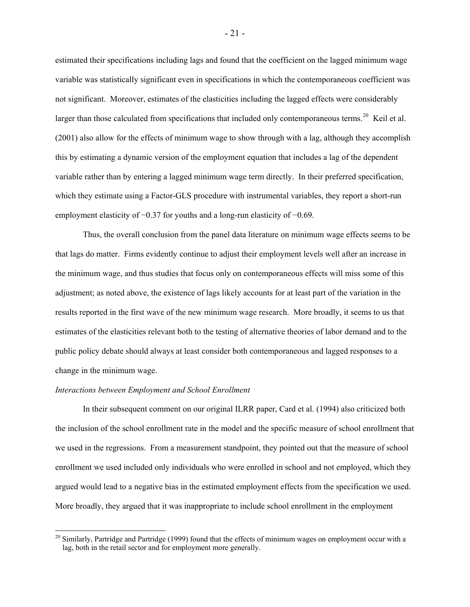<span id="page-21-0"></span>estimated their specifications including lags and found that the coefficient on the lagged minimum wage variable was statistically significant even in specifications in which the contemporaneous coefficient was not significant. Moreover, estimates of the elasticities including the lagged effects were considerably larger than those calculated from specifications that included only contemporaneous terms.<sup>[20](#page-21-0)</sup> Keil et al. (2001) also allow for the effects of minimum wage to show through with a lag, although they accomplish this by estimating a dynamic version of the employment equation that includes a lag of the dependent variable rather than by entering a lagged minimum wage term directly. In their preferred specification, which they estimate using a Factor-GLS procedure with instrumental variables, they report a short-run employment elasticity of −0.37 for youths and a long-run elasticity of −0.69.

Thus, the overall conclusion from the panel data literature on minimum wage effects seems to be that lags do matter. Firms evidently continue to adjust their employment levels well after an increase in the minimum wage, and thus studies that focus only on contemporaneous effects will miss some of this adjustment; as noted above, the existence of lags likely accounts for at least part of the variation in the results reported in the first wave of the new minimum wage research. More broadly, it seems to us that estimates of the elasticities relevant both to the testing of alternative theories of labor demand and to the public policy debate should always at least consider both contemporaneous and lagged responses to a change in the minimum wage.

### *Interactions between Employment and School Enrollment*

 $\overline{a}$ 

In their subsequent comment on our original ILRR paper, Card et al. (1994) also criticized both the inclusion of the school enrollment rate in the model and the specific measure of school enrollment that we used in the regressions. From a measurement standpoint, they pointed out that the measure of school enrollment we used included only individuals who were enrolled in school and not employed, which they argued would lead to a negative bias in the estimated employment effects from the specification we used. More broadly, they argued that it was inappropriate to include school enrollment in the employment

- 21 -

 $20$  Similarly, Partridge and Partridge (1999) found that the effects of minimum wages on employment occur with a lag, both in the retail sector and for employment more generally.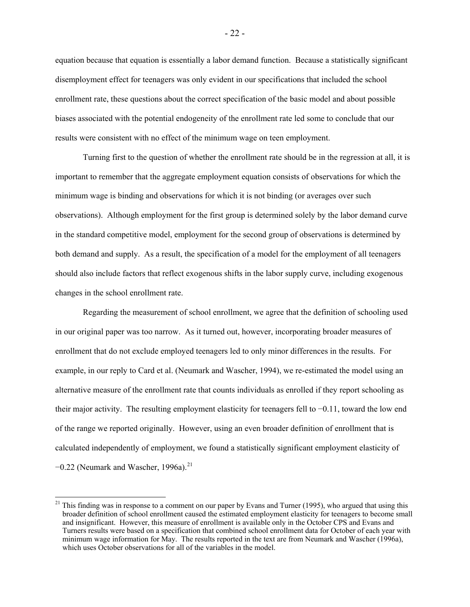<span id="page-22-0"></span>equation because that equation is essentially a labor demand function. Because a statistically significant disemployment effect for teenagers was only evident in our specifications that included the school enrollment rate, these questions about the correct specification of the basic model and about possible biases associated with the potential endogeneity of the enrollment rate led some to conclude that our results were consistent with no effect of the minimum wage on teen employment.

Turning first to the question of whether the enrollment rate should be in the regression at all, it is important to remember that the aggregate employment equation consists of observations for which the minimum wage is binding and observations for which it is not binding (or averages over such observations). Although employment for the first group is determined solely by the labor demand curve in the standard competitive model, employment for the second group of observations is determined by both demand and supply. As a result, the specification of a model for the employment of all teenagers should also include factors that reflect exogenous shifts in the labor supply curve, including exogenous changes in the school enrollment rate.

Regarding the measurement of school enrollment, we agree that the definition of schooling used in our original paper was too narrow. As it turned out, however, incorporating broader measures of enrollment that do not exclude employed teenagers led to only minor differences in the results. For example, in our reply to Card et al. (Neumark and Wascher, 1994), we re-estimated the model using an alternative measure of the enrollment rate that counts individuals as enrolled if they report schooling as their major activity. The resulting employment elasticity for teenagers fell to −0.11, toward the low end of the range we reported originally. However, using an even broader definition of enrollment that is calculated independently of employment, we found a statistically significant employment elasticity of  $-0.22$  (Neumark and Wascher, 1996a).<sup>[21](#page-22-0)</sup>

 $21$  This finding was in response to a comment on our paper by Evans and Turner (1995), who argued that using this broader definition of school enrollment caused the estimated employment elasticity for teenagers to become small and insignificant. However, this measure of enrollment is available only in the October CPS and Evans and Turners results were based on a specification that combined school enrollment data for October of each year with minimum wage information for May. The results reported in the text are from Neumark and Wascher (1996a), which uses October observations for all of the variables in the model.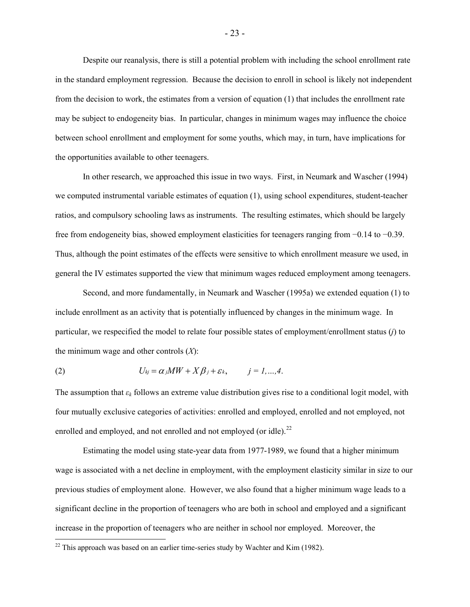<span id="page-23-0"></span>Despite our reanalysis, there is still a potential problem with including the school enrollment rate in the standard employment regression. Because the decision to enroll in school is likely not independent from the decision to work, the estimates from a version of equation (1) that includes the enrollment rate may be subject to endogeneity bias. In particular, changes in minimum wages may influence the choice between school enrollment and employment for some youths, which may, in turn, have implications for the opportunities available to other teenagers.

In other research, we approached this issue in two ways. First, in Neumark and Wascher (1994) we computed instrumental variable estimates of equation (1), using school expenditures, student-teacher ratios, and compulsory schooling laws as instruments. The resulting estimates, which should be largely free from endogeneity bias, showed employment elasticities for teenagers ranging from −0.14 to −0.39. Thus, although the point estimates of the effects were sensitive to which enrollment measure we used, in general the IV estimates supported the view that minimum wages reduced employment among teenagers.

Second, and more fundamentally, in Neumark and Wascher (1995a) we extended equation (1) to include enrollment as an activity that is potentially influenced by changes in the minimum wage. In particular, we respecified the model to relate four possible states of employment/enrollment status (*j*) to the minimum wage and other controls (*X*):

(2) 
$$
U_{kj} = \alpha_j MW + X\beta_j + \varepsilon_k, \qquad j = 1,...,4.
$$

The assumption that  $\varepsilon_k$  follows an extreme value distribution gives rise to a conditional logit model, with four mutually exclusive categories of activities: enrolled and employed, enrolled and not employed, not enrolled and employed, and not enrolled and not employed (or idle). $^{22}$  $^{22}$  $^{22}$ 

Estimating the model using state-year data from 1977-1989, we found that a higher minimum wage is associated with a net decline in employment, with the employment elasticity similar in size to our previous studies of employment alone. However, we also found that a higher minimum wage leads to a significant decline in the proportion of teenagers who are both in school and employed and a significant increase in the proportion of teenagers who are neither in school nor employed. Moreover, the

 $22$  This approach was based on an earlier time-series study by Wachter and Kim (1982).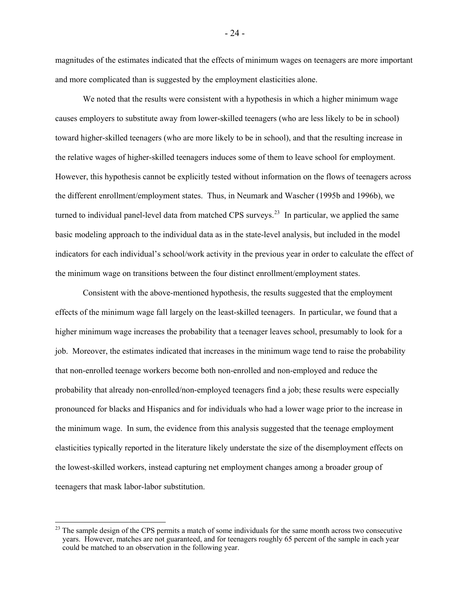<span id="page-24-0"></span>magnitudes of the estimates indicated that the effects of minimum wages on teenagers are more important and more complicated than is suggested by the employment elasticities alone.

We noted that the results were consistent with a hypothesis in which a higher minimum wage causes employers to substitute away from lower-skilled teenagers (who are less likely to be in school) toward higher-skilled teenagers (who are more likely to be in school), and that the resulting increase in the relative wages of higher-skilled teenagers induces some of them to leave school for employment. However, this hypothesis cannot be explicitly tested without information on the flows of teenagers across the different enrollment/employment states. Thus, in Neumark and Wascher (1995b and 1996b), we turned to individual panel-level data from matched CPS surveys.<sup>[23](#page-24-0)</sup> In particular, we applied the same basic modeling approach to the individual data as in the state-level analysis, but included in the model indicators for each individual's school/work activity in the previous year in order to calculate the effect of the minimum wage on transitions between the four distinct enrollment/employment states.

 Consistent with the above-mentioned hypothesis, the results suggested that the employment effects of the minimum wage fall largely on the least-skilled teenagers. In particular, we found that a higher minimum wage increases the probability that a teenager leaves school, presumably to look for a job. Moreover, the estimates indicated that increases in the minimum wage tend to raise the probability that non-enrolled teenage workers become both non-enrolled and non-employed and reduce the probability that already non-enrolled/non-employed teenagers find a job; these results were especially pronounced for blacks and Hispanics and for individuals who had a lower wage prior to the increase in the minimum wage. In sum, the evidence from this analysis suggested that the teenage employment elasticities typically reported in the literature likely understate the size of the disemployment effects on the lowest-skilled workers, instead capturing net employment changes among a broader group of teenagers that mask labor-labor substitution.

 $\overline{a}$ 

- 24 -

<sup>&</sup>lt;sup>23</sup> The sample design of the CPS permits a match of some individuals for the same month across two consecutive years. However, matches are not guaranteed, and for teenagers roughly 65 percent of the sample in each year could be matched to an observation in the following year.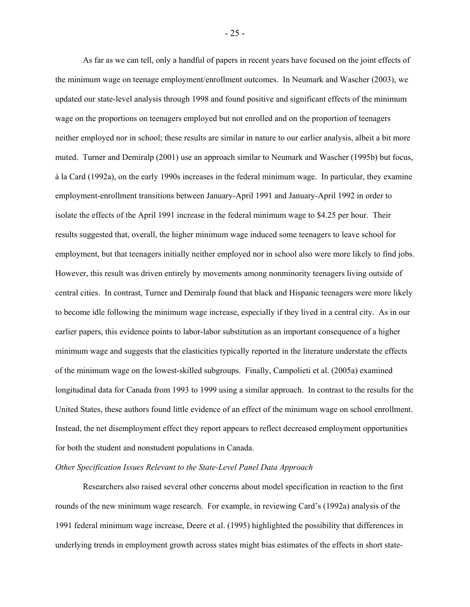As far as we can tell, only a handful of papers in recent years have focused on the joint effects of the minimum wage on teenage employment/enrollment outcomes. In Neumark and Wascher (2003), we updated our state-level analysis through 1998 and found positive and significant effects of the minimum wage on the proportions on teenagers employed but not enrolled and on the proportion of teenagers neither employed nor in school; these results are similar in nature to our earlier analysis, albeit a bit more muted. Turner and Demiralp (2001) use an approach similar to Neumark and Wascher (1995b) but focus, à la Card (1992a), on the early 1990s increases in the federal minimum wage. In particular, they examine employment-enrollment transitions between January-April 1991 and January-April 1992 in order to isolate the effects of the April 1991 increase in the federal minimum wage to \$4.25 per hour. Their results suggested that, overall, the higher minimum wage induced some teenagers to leave school for employment, but that teenagers initially neither employed nor in school also were more likely to find jobs. However, this result was driven entirely by movements among nonminority teenagers living outside of central cities. In contrast, Turner and Demiralp found that black and Hispanic teenagers were more likely to become idle following the minimum wage increase, especially if they lived in a central city. As in our earlier papers, this evidence points to labor-labor substitution as an important consequence of a higher minimum wage and suggests that the elasticities typically reported in the literature understate the effects of the minimum wage on the lowest-skilled subgroups. Finally, Campolieti et al. (2005a) examined longitudinal data for Canada from 1993 to 1999 using a similar approach. In contrast to the results for the United States, these authors found little evidence of an effect of the minimum wage on school enrollment. Instead, the net disemployment effect they report appears to reflect decreased employment opportunities for both the student and nonstudent populations in Canada.

# *Other Specification Issues Relevant to the State-Level Panel Data Approach*

 Researchers also raised several other concerns about model specification in reaction to the first rounds of the new minimum wage research. For example, in reviewing Card's (1992a) analysis of the 1991 federal minimum wage increase, Deere et al. (1995) highlighted the possibility that differences in underlying trends in employment growth across states might bias estimates of the effects in short state-

- 25 -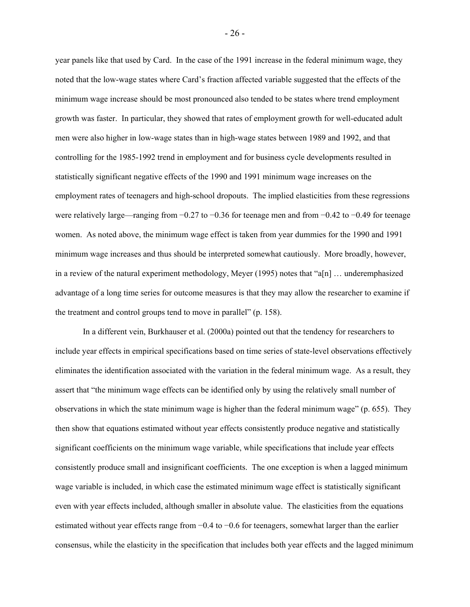year panels like that used by Card. In the case of the 1991 increase in the federal minimum wage, they noted that the low-wage states where Card's fraction affected variable suggested that the effects of the minimum wage increase should be most pronounced also tended to be states where trend employment growth was faster. In particular, they showed that rates of employment growth for well-educated adult men were also higher in low-wage states than in high-wage states between 1989 and 1992, and that controlling for the 1985-1992 trend in employment and for business cycle developments resulted in statistically significant negative effects of the 1990 and 1991 minimum wage increases on the employment rates of teenagers and high-school dropouts. The implied elasticities from these regressions were relatively large—ranging from −0.27 to −0.36 for teenage men and from −0.42 to −0.49 for teenage women. As noted above, the minimum wage effect is taken from year dummies for the 1990 and 1991 minimum wage increases and thus should be interpreted somewhat cautiously. More broadly, however, in a review of the natural experiment methodology, Meyer (1995) notes that "a[n] … underemphasized advantage of a long time series for outcome measures is that they may allow the researcher to examine if the treatment and control groups tend to move in parallel" (p. 158).

 In a different vein, Burkhauser et al. (2000a) pointed out that the tendency for researchers to include year effects in empirical specifications based on time series of state-level observations effectively eliminates the identification associated with the variation in the federal minimum wage. As a result, they assert that "the minimum wage effects can be identified only by using the relatively small number of observations in which the state minimum wage is higher than the federal minimum wage" (p. 655). They then show that equations estimated without year effects consistently produce negative and statistically significant coefficients on the minimum wage variable, while specifications that include year effects consistently produce small and insignificant coefficients. The one exception is when a lagged minimum wage variable is included, in which case the estimated minimum wage effect is statistically significant even with year effects included, although smaller in absolute value. The elasticities from the equations estimated without year effects range from −0.4 to −0.6 for teenagers, somewhat larger than the earlier consensus, while the elasticity in the specification that includes both year effects and the lagged minimum

- 26 -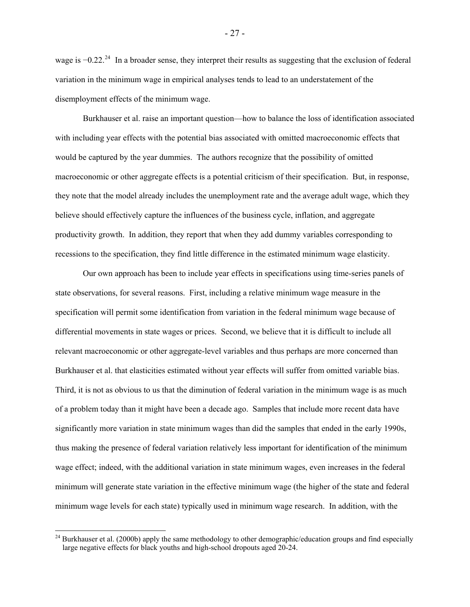<span id="page-27-0"></span>wage is −0.22<sup>[24](#page-27-0)</sup> In a broader sense, they interpret their results as suggesting that the exclusion of federal variation in the minimum wage in empirical analyses tends to lead to an understatement of the disemployment effects of the minimum wage.

 Burkhauser et al. raise an important question—how to balance the loss of identification associated with including year effects with the potential bias associated with omitted macroeconomic effects that would be captured by the year dummies. The authors recognize that the possibility of omitted macroeconomic or other aggregate effects is a potential criticism of their specification. But, in response, they note that the model already includes the unemployment rate and the average adult wage, which they believe should effectively capture the influences of the business cycle, inflation, and aggregate productivity growth. In addition, they report that when they add dummy variables corresponding to recessions to the specification, they find little difference in the estimated minimum wage elasticity.

 Our own approach has been to include year effects in specifications using time-series panels of state observations, for several reasons. First, including a relative minimum wage measure in the specification will permit some identification from variation in the federal minimum wage because of differential movements in state wages or prices. Second, we believe that it is difficult to include all relevant macroeconomic or other aggregate-level variables and thus perhaps are more concerned than Burkhauser et al. that elasticities estimated without year effects will suffer from omitted variable bias. Third, it is not as obvious to us that the diminution of federal variation in the minimum wage is as much of a problem today than it might have been a decade ago. Samples that include more recent data have significantly more variation in state minimum wages than did the samples that ended in the early 1990s, thus making the presence of federal variation relatively less important for identification of the minimum wage effect; indeed, with the additional variation in state minimum wages, even increases in the federal minimum will generate state variation in the effective minimum wage (the higher of the state and federal minimum wage levels for each state) typically used in minimum wage research. In addition, with the

 $\overline{a}$ 

- 27 -

 $24$  Burkhauser et al. (2000b) apply the same methodology to other demographic/education groups and find especially large negative effects for black youths and high-school dropouts aged 20-24.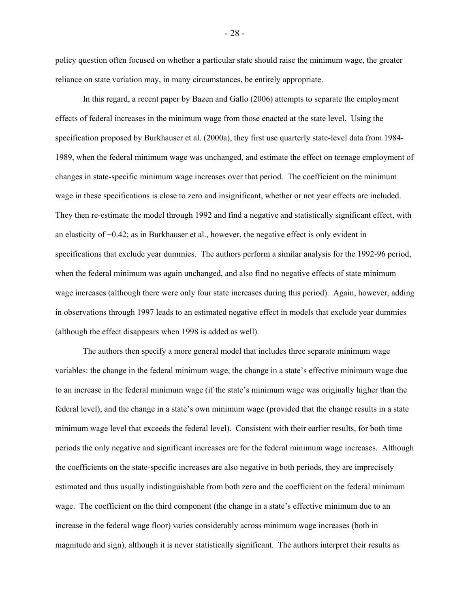policy question often focused on whether a particular state should raise the minimum wage, the greater reliance on state variation may, in many circumstances, be entirely appropriate.

 In this regard, a recent paper by Bazen and Gallo (2006) attempts to separate the employment effects of federal increases in the minimum wage from those enacted at the state level. Using the specification proposed by Burkhauser et al. (2000a), they first use quarterly state-level data from 1984- 1989, when the federal minimum wage was unchanged, and estimate the effect on teenage employment of changes in state-specific minimum wage increases over that period. The coefficient on the minimum wage in these specifications is close to zero and insignificant, whether or not year effects are included. They then re-estimate the model through 1992 and find a negative and statistically significant effect, with an elasticity of −0.42; as in Burkhauser et al., however, the negative effect is only evident in specifications that exclude year dummies. The authors perform a similar analysis for the 1992-96 period, when the federal minimum was again unchanged, and also find no negative effects of state minimum wage increases (although there were only four state increases during this period). Again, however, adding in observations through 1997 leads to an estimated negative effect in models that exclude year dummies (although the effect disappears when 1998 is added as well).

 The authors then specify a more general model that includes three separate minimum wage variables: the change in the federal minimum wage, the change in a state's effective minimum wage due to an increase in the federal minimum wage (if the state's minimum wage was originally higher than the federal level), and the change in a state's own minimum wage (provided that the change results in a state minimum wage level that exceeds the federal level). Consistent with their earlier results, for both time periods the only negative and significant increases are for the federal minimum wage increases. Although the coefficients on the state-specific increases are also negative in both periods, they are imprecisely estimated and thus usually indistinguishable from both zero and the coefficient on the federal minimum wage. The coefficient on the third component (the change in a state's effective minimum due to an increase in the federal wage floor) varies considerably across minimum wage increases (both in magnitude and sign), although it is never statistically significant. The authors interpret their results as

- 28 -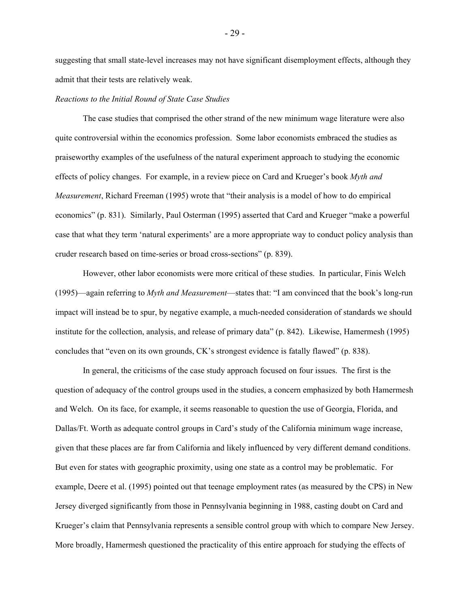suggesting that small state-level increases may not have significant disemployment effects, although they admit that their tests are relatively weak.

### *Reactions to the Initial Round of State Case Studies*

 The case studies that comprised the other strand of the new minimum wage literature were also quite controversial within the economics profession. Some labor economists embraced the studies as praiseworthy examples of the usefulness of the natural experiment approach to studying the economic effects of policy changes. For example, in a review piece on Card and Krueger's book *Myth and Measurement*, Richard Freeman (1995) wrote that "their analysis is a model of how to do empirical economics" (p. 831). Similarly, Paul Osterman (1995) asserted that Card and Krueger "make a powerful case that what they term 'natural experiments' are a more appropriate way to conduct policy analysis than cruder research based on time-series or broad cross-sections" (p. 839).

 However, other labor economists were more critical of these studies. In particular, Finis Welch (1995)—again referring to *Myth and Measurement*—states that: "I am convinced that the book's long-run impact will instead be to spur, by negative example, a much-needed consideration of standards we should institute for the collection, analysis, and release of primary data" (p. 842). Likewise, Hamermesh (1995) concludes that "even on its own grounds, CK's strongest evidence is fatally flawed" (p. 838).

 In general, the criticisms of the case study approach focused on four issues. The first is the question of adequacy of the control groups used in the studies, a concern emphasized by both Hamermesh and Welch. On its face, for example, it seems reasonable to question the use of Georgia, Florida, and Dallas/Ft. Worth as adequate control groups in Card's study of the California minimum wage increase, given that these places are far from California and likely influenced by very different demand conditions. But even for states with geographic proximity, using one state as a control may be problematic. For example, Deere et al. (1995) pointed out that teenage employment rates (as measured by the CPS) in New Jersey diverged significantly from those in Pennsylvania beginning in 1988, casting doubt on Card and Krueger's claim that Pennsylvania represents a sensible control group with which to compare New Jersey. More broadly, Hamermesh questioned the practicality of this entire approach for studying the effects of

- 29 -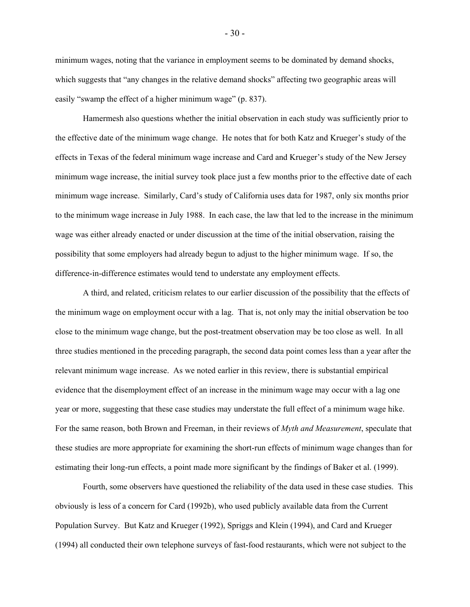minimum wages, noting that the variance in employment seems to be dominated by demand shocks, which suggests that "any changes in the relative demand shocks" affecting two geographic areas will easily "swamp the effect of a higher minimum wage" (p. 837).

 Hamermesh also questions whether the initial observation in each study was sufficiently prior to the effective date of the minimum wage change. He notes that for both Katz and Krueger's study of the effects in Texas of the federal minimum wage increase and Card and Krueger's study of the New Jersey minimum wage increase, the initial survey took place just a few months prior to the effective date of each minimum wage increase. Similarly, Card's study of California uses data for 1987, only six months prior to the minimum wage increase in July 1988. In each case, the law that led to the increase in the minimum wage was either already enacted or under discussion at the time of the initial observation, raising the possibility that some employers had already begun to adjust to the higher minimum wage. If so, the difference-in-difference estimates would tend to understate any employment effects.

 A third, and related, criticism relates to our earlier discussion of the possibility that the effects of the minimum wage on employment occur with a lag. That is, not only may the initial observation be too close to the minimum wage change, but the post-treatment observation may be too close as well. In all three studies mentioned in the preceding paragraph, the second data point comes less than a year after the relevant minimum wage increase. As we noted earlier in this review, there is substantial empirical evidence that the disemployment effect of an increase in the minimum wage may occur with a lag one year or more, suggesting that these case studies may understate the full effect of a minimum wage hike. For the same reason, both Brown and Freeman, in their reviews of *Myth and Measurement*, speculate that these studies are more appropriate for examining the short-run effects of minimum wage changes than for estimating their long-run effects, a point made more significant by the findings of Baker et al. (1999).

 Fourth, some observers have questioned the reliability of the data used in these case studies. This obviously is less of a concern for Card (1992b), who used publicly available data from the Current Population Survey. But Katz and Krueger (1992), Spriggs and Klein (1994), and Card and Krueger (1994) all conducted their own telephone surveys of fast-food restaurants, which were not subject to the

- 30 -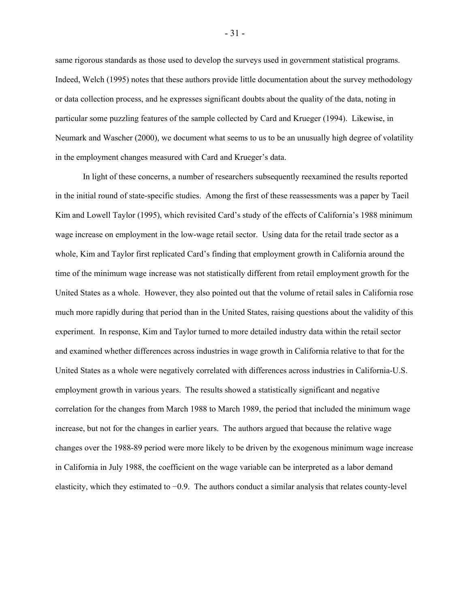same rigorous standards as those used to develop the surveys used in government statistical programs. Indeed, Welch (1995) notes that these authors provide little documentation about the survey methodology or data collection process, and he expresses significant doubts about the quality of the data, noting in particular some puzzling features of the sample collected by Card and Krueger (1994). Likewise, in Neumark and Wascher (2000), we document what seems to us to be an unusually high degree of volatility in the employment changes measured with Card and Krueger's data.

 In light of these concerns, a number of researchers subsequently reexamined the results reported in the initial round of state-specific studies. Among the first of these reassessments was a paper by Taeil Kim and Lowell Taylor (1995), which revisited Card's study of the effects of California's 1988 minimum wage increase on employment in the low-wage retail sector. Using data for the retail trade sector as a whole, Kim and Taylor first replicated Card's finding that employment growth in California around the time of the minimum wage increase was not statistically different from retail employment growth for the United States as a whole. However, they also pointed out that the volume of retail sales in California rose much more rapidly during that period than in the United States, raising questions about the validity of this experiment. In response, Kim and Taylor turned to more detailed industry data within the retail sector and examined whether differences across industries in wage growth in California relative to that for the United States as a whole were negatively correlated with differences across industries in California-U.S. employment growth in various years. The results showed a statistically significant and negative correlation for the changes from March 1988 to March 1989, the period that included the minimum wage increase, but not for the changes in earlier years. The authors argued that because the relative wage changes over the 1988-89 period were more likely to be driven by the exogenous minimum wage increase in California in July 1988, the coefficient on the wage variable can be interpreted as a labor demand elasticity, which they estimated to −0.9. The authors conduct a similar analysis that relates county-level

- 31 -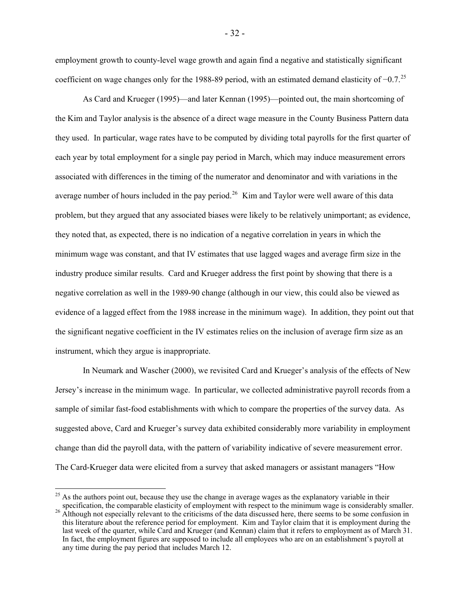<span id="page-32-0"></span>employment growth to county-level wage growth and again find a negative and statistically significant coefficient on wage changes only for the 1988-89 period, with an estimated demand elasticity of −0.7.<sup>[25](#page-32-0)</sup>

 As Card and Krueger (1995)—and later Kennan (1995)—pointed out, the main shortcoming of the Kim and Taylor analysis is the absence of a direct wage measure in the County Business Pattern data they used. In particular, wage rates have to be computed by dividing total payrolls for the first quarter of each year by total employment for a single pay period in March, which may induce measurement errors associated with differences in the timing of the numerator and denominator and with variations in the average number of hours included in the pay period.<sup>[26](#page-32-0)</sup> Kim and Taylor were well aware of this data problem, but they argued that any associated biases were likely to be relatively unimportant; as evidence, they noted that, as expected, there is no indication of a negative correlation in years in which the minimum wage was constant, and that IV estimates that use lagged wages and average firm size in the industry produce similar results. Card and Krueger address the first point by showing that there is a negative correlation as well in the 1989-90 change (although in our view, this could also be viewed as evidence of a lagged effect from the 1988 increase in the minimum wage). In addition, they point out that the significant negative coefficient in the IV estimates relies on the inclusion of average firm size as an instrument, which they argue is inappropriate.

 In Neumark and Wascher (2000), we revisited Card and Krueger's analysis of the effects of New Jersey's increase in the minimum wage. In particular, we collected administrative payroll records from a sample of similar fast-food establishments with which to compare the properties of the survey data. As suggested above, Card and Krueger's survey data exhibited considerably more variability in employment change than did the payroll data, with the pattern of variability indicative of severe measurement error. The Card-Krueger data were elicited from a survey that asked managers or assistant managers "How

 $\overline{a}$ 

- 32 -

 $25$  As the authors point out, because they use the change in average wages as the explanatory variable in their

specification, the comparable elasticity of employment with respect to the minimum wage is considerably smaller.<br><sup>26</sup> Although not especially relevant to the criticisms of the data discussed here, there seems to be some co this literature about the reference period for employment. Kim and Taylor claim that it is employment during the last week of the quarter, while Card and Krueger (and Kennan) claim that it refers to employment as of March 31. In fact, the employment figures are supposed to include all employees who are on an establishment's payroll at any time during the pay period that includes March 12.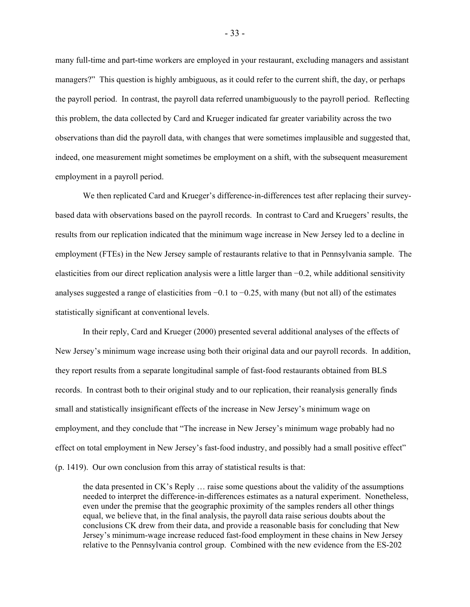many full-time and part-time workers are employed in your restaurant, excluding managers and assistant managers?" This question is highly ambiguous, as it could refer to the current shift, the day, or perhaps the payroll period. In contrast, the payroll data referred unambiguously to the payroll period. Reflecting this problem, the data collected by Card and Krueger indicated far greater variability across the two observations than did the payroll data, with changes that were sometimes implausible and suggested that, indeed, one measurement might sometimes be employment on a shift, with the subsequent measurement employment in a payroll period.

We then replicated Card and Krueger's difference-in-differences test after replacing their surveybased data with observations based on the payroll records. In contrast to Card and Kruegers' results, the results from our replication indicated that the minimum wage increase in New Jersey led to a decline in employment (FTEs) in the New Jersey sample of restaurants relative to that in Pennsylvania sample. The elasticities from our direct replication analysis were a little larger than −0.2, while additional sensitivity analyses suggested a range of elasticities from −0.1 to −0.25, with many (but not all) of the estimates statistically significant at conventional levels.

 In their reply, Card and Krueger (2000) presented several additional analyses of the effects of New Jersey's minimum wage increase using both their original data and our payroll records. In addition, they report results from a separate longitudinal sample of fast-food restaurants obtained from BLS records. In contrast both to their original study and to our replication, their reanalysis generally finds small and statistically insignificant effects of the increase in New Jersey's minimum wage on employment, and they conclude that "The increase in New Jersey's minimum wage probably had no effect on total employment in New Jersey's fast-food industry, and possibly had a small positive effect" (p. 1419). Our own conclusion from this array of statistical results is that:

the data presented in CK's Reply … raise some questions about the validity of the assumptions needed to interpret the difference-in-differences estimates as a natural experiment. Nonetheless, even under the premise that the geographic proximity of the samples renders all other things equal, we believe that, in the final analysis, the payroll data raise serious doubts about the conclusions CK drew from their data, and provide a reasonable basis for concluding that New Jersey's minimum-wage increase reduced fast-food employment in these chains in New Jersey relative to the Pennsylvania control group. Combined with the new evidence from the ES-202

- 33 -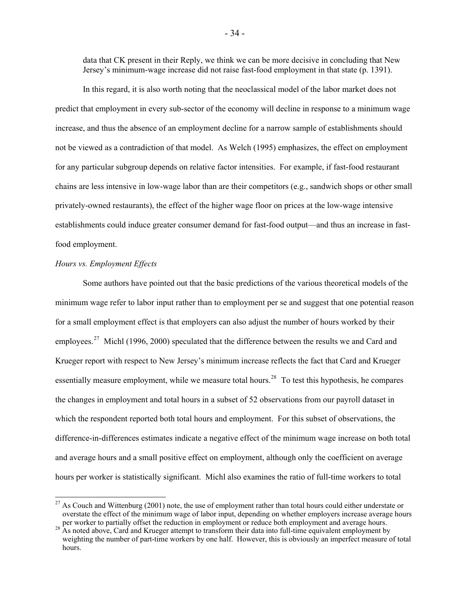<span id="page-34-0"></span>data that CK present in their Reply, we think we can be more decisive in concluding that New Jersey's minimum-wage increase did not raise fast-food employment in that state (p. 1391).

 In this regard, it is also worth noting that the neoclassical model of the labor market does not predict that employment in every sub-sector of the economy will decline in response to a minimum wage increase, and thus the absence of an employment decline for a narrow sample of establishments should not be viewed as a contradiction of that model. As Welch (1995) emphasizes, the effect on employment for any particular subgroup depends on relative factor intensities. For example, if fast-food restaurant chains are less intensive in low-wage labor than are their competitors (e.g., sandwich shops or other small privately-owned restaurants), the effect of the higher wage floor on prices at the low-wage intensive establishments could induce greater consumer demand for fast-food output—and thus an increase in fastfood employment.

## *Hours vs. Employment Effects*

 $\overline{a}$ 

Some authors have pointed out that the basic predictions of the various theoretical models of the minimum wage refer to labor input rather than to employment per se and suggest that one potential reason for a small employment effect is that employers can also adjust the number of hours worked by their employees.<sup>[27](#page-34-0)</sup> Michl (1996, 2000) speculated that the difference between the results we and Card and Krueger report with respect to New Jersey's minimum increase reflects the fact that Card and Krueger essentially measure employment, while we measure total hours.<sup>[28](#page-34-0)</sup> To test this hypothesis, he compares the changes in employment and total hours in a subset of 52 observations from our payroll dataset in which the respondent reported both total hours and employment. For this subset of observations, the difference-in-differences estimates indicate a negative effect of the minimum wage increase on both total and average hours and a small positive effect on employment, although only the coefficient on average hours per worker is statistically significant. Michl also examines the ratio of full-time workers to total

<sup>&</sup>lt;sup>27</sup> As Couch and Wittenburg (2001) note, the use of employment rather than total hours could either understate or overstate the effect of the minimum wage of labor input, depending on whether employers increase average hours per worker to partially offset the reduction in employment or reduce both employment and average hours.<br><sup>28</sup> As noted above, Card and Krueger attempt to transform their data into full-time equivalent employment by

weighting the number of part-time workers by one half. However, this is obviously an imperfect measure of total hours.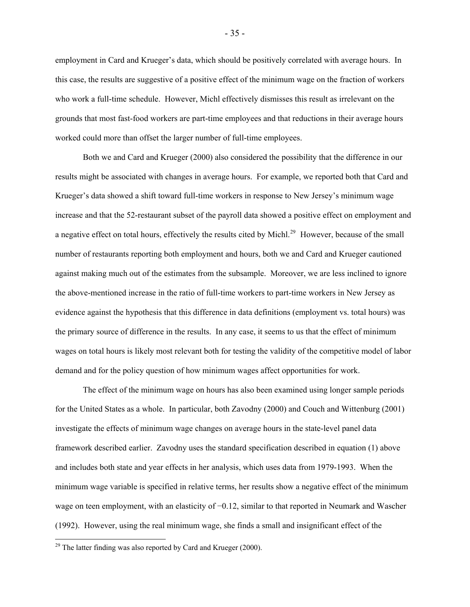<span id="page-35-0"></span>employment in Card and Krueger's data, which should be positively correlated with average hours. In this case, the results are suggestive of a positive effect of the minimum wage on the fraction of workers who work a full-time schedule. However, Michl effectively dismisses this result as irrelevant on the grounds that most fast-food workers are part-time employees and that reductions in their average hours worked could more than offset the larger number of full-time employees.

Both we and Card and Krueger (2000) also considered the possibility that the difference in our results might be associated with changes in average hours. For example, we reported both that Card and Krueger's data showed a shift toward full-time workers in response to New Jersey's minimum wage increase and that the 52-restaurant subset of the payroll data showed a positive effect on employment and a negative effect on total hours, effectively the results cited by Michl.<sup>[29](#page-35-0)</sup> However, because of the small number of restaurants reporting both employment and hours, both we and Card and Krueger cautioned against making much out of the estimates from the subsample. Moreover, we are less inclined to ignore the above-mentioned increase in the ratio of full-time workers to part-time workers in New Jersey as evidence against the hypothesis that this difference in data definitions (employment vs. total hours) was the primary source of difference in the results. In any case, it seems to us that the effect of minimum wages on total hours is likely most relevant both for testing the validity of the competitive model of labor demand and for the policy question of how minimum wages affect opportunities for work.

The effect of the minimum wage on hours has also been examined using longer sample periods for the United States as a whole. In particular, both Zavodny (2000) and Couch and Wittenburg (2001) investigate the effects of minimum wage changes on average hours in the state-level panel data framework described earlier. Zavodny uses the standard specification described in equation (1) above and includes both state and year effects in her analysis, which uses data from 1979-1993. When the minimum wage variable is specified in relative terms, her results show a negative effect of the minimum wage on teen employment, with an elasticity of −0.12, similar to that reported in Neumark and Wascher (1992). However, using the real minimum wage, she finds a small and insignificant effect of the

 $29$  The latter finding was also reported by Card and Krueger (2000).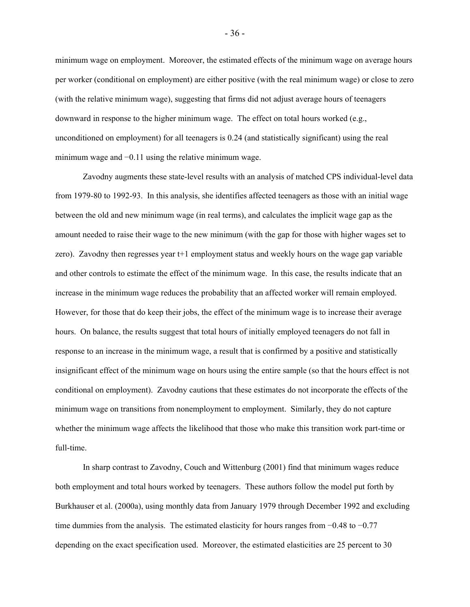minimum wage on employment. Moreover, the estimated effects of the minimum wage on average hours per worker (conditional on employment) are either positive (with the real minimum wage) or close to zero (with the relative minimum wage), suggesting that firms did not adjust average hours of teenagers downward in response to the higher minimum wage. The effect on total hours worked (e.g., unconditioned on employment) for all teenagers is 0.24 (and statistically significant) using the real minimum wage and −0.11 using the relative minimum wage.

Zavodny augments these state-level results with an analysis of matched CPS individual-level data from 1979-80 to 1992-93. In this analysis, she identifies affected teenagers as those with an initial wage between the old and new minimum wage (in real terms), and calculates the implicit wage gap as the amount needed to raise their wage to the new minimum (with the gap for those with higher wages set to zero). Zavodny then regresses year t+1 employment status and weekly hours on the wage gap variable and other controls to estimate the effect of the minimum wage. In this case, the results indicate that an increase in the minimum wage reduces the probability that an affected worker will remain employed. However, for those that do keep their jobs, the effect of the minimum wage is to increase their average hours. On balance, the results suggest that total hours of initially employed teenagers do not fall in response to an increase in the minimum wage, a result that is confirmed by a positive and statistically insignificant effect of the minimum wage on hours using the entire sample (so that the hours effect is not conditional on employment). Zavodny cautions that these estimates do not incorporate the effects of the minimum wage on transitions from nonemployment to employment. Similarly, they do not capture whether the minimum wage affects the likelihood that those who make this transition work part-time or full-time.

 In sharp contrast to Zavodny, Couch and Wittenburg (2001) find that minimum wages reduce both employment and total hours worked by teenagers. These authors follow the model put forth by Burkhauser et al. (2000a), using monthly data from January 1979 through December 1992 and excluding time dummies from the analysis. The estimated elasticity for hours ranges from −0.48 to −0.77 depending on the exact specification used. Moreover, the estimated elasticities are 25 percent to 30

- 36 -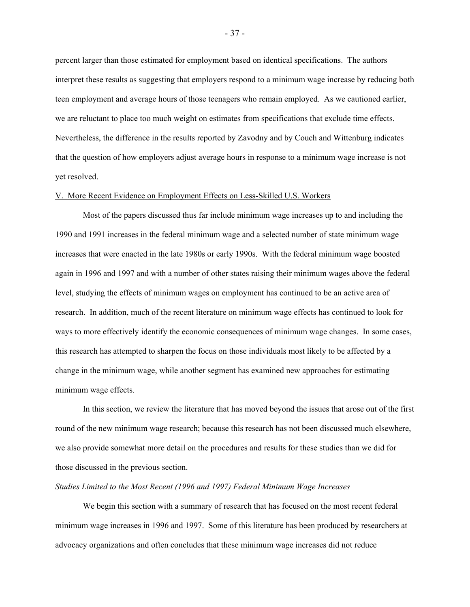percent larger than those estimated for employment based on identical specifications. The authors interpret these results as suggesting that employers respond to a minimum wage increase by reducing both teen employment and average hours of those teenagers who remain employed. As we cautioned earlier, we are reluctant to place too much weight on estimates from specifications that exclude time effects. Nevertheless, the difference in the results reported by Zavodny and by Couch and Wittenburg indicates that the question of how employers adjust average hours in response to a minimum wage increase is not yet resolved.

#### V. More Recent Evidence on Employment Effects on Less-Skilled U.S. Workers

 Most of the papers discussed thus far include minimum wage increases up to and including the 1990 and 1991 increases in the federal minimum wage and a selected number of state minimum wage increases that were enacted in the late 1980s or early 1990s. With the federal minimum wage boosted again in 1996 and 1997 and with a number of other states raising their minimum wages above the federal level, studying the effects of minimum wages on employment has continued to be an active area of research. In addition, much of the recent literature on minimum wage effects has continued to look for ways to more effectively identify the economic consequences of minimum wage changes. In some cases, this research has attempted to sharpen the focus on those individuals most likely to be affected by a change in the minimum wage, while another segment has examined new approaches for estimating minimum wage effects.

In this section, we review the literature that has moved beyond the issues that arose out of the first round of the new minimum wage research; because this research has not been discussed much elsewhere, we also provide somewhat more detail on the procedures and results for these studies than we did for those discussed in the previous section.

# *Studies Limited to the Most Recent (1996 and 1997) Federal Minimum Wage Increases*

We begin this section with a summary of research that has focused on the most recent federal minimum wage increases in 1996 and 1997. Some of this literature has been produced by researchers at advocacy organizations and often concludes that these minimum wage increases did not reduce

- 37 -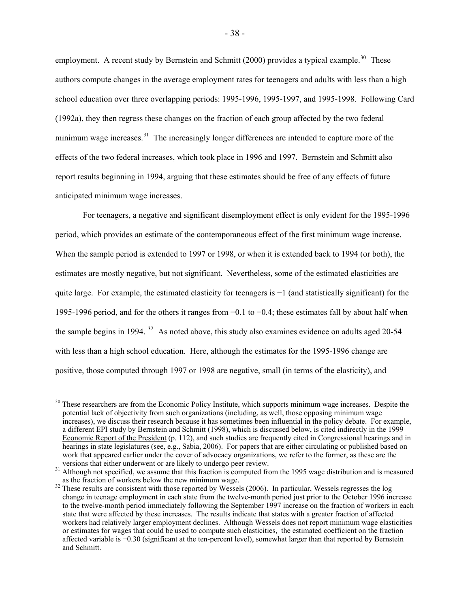<span id="page-38-0"></span>employment. A recent study by Bernstein and Schmitt (2000) provides a typical example.<sup>[30](#page-38-0)</sup> These authors compute changes in the average employment rates for teenagers and adults with less than a high school education over three overlapping periods: 1995-1996, 1995-1997, and 1995-1998. Following Card (1992a), they then regress these changes on the fraction of each group affected by the two federal minimum wage increases.<sup>[31](#page-38-0)</sup> The increasingly longer differences are intended to capture more of the effects of the two federal increases, which took place in 1996 and 1997. Bernstein and Schmitt also report results beginning in 1994, arguing that these estimates should be free of any effects of future anticipated minimum wage increases.

For teenagers, a negative and significant disemployment effect is only evident for the 1995-1996 period, which provides an estimate of the contemporaneous effect of the first minimum wage increase. When the sample period is extended to 1997 or 1998, or when it is extended back to 1994 (or both), the estimates are mostly negative, but not significant. Nevertheless, some of the estimated elasticities are quite large. For example, the estimated elasticity for teenagers is −1 (and statistically significant) for the 1995-1996 period, and for the others it ranges from −0.1 to −0.4; these estimates fall by about half when the sample begins in 1994. [32](#page-38-0) As noted above, this study also examines evidence on adults aged 20-54 with less than a high school education. Here, although the estimates for the 1995-1996 change are positive, those computed through 1997 or 1998 are negative, small (in terms of the elasticity), and

<sup>&</sup>lt;sup>30</sup> These researchers are from the Economic Policy Institute, which supports minimum wage increases. Despite the potential lack of objectivity from such organizations (including, as well, those opposing minimum wage increases), we discuss their research because it has sometimes been influential in the policy debate. For example, a different EPI study by Bernstein and Schmitt (1998), which is discussed below, is cited indirectly in the 1999 Economic Report of the President (p. 112), and such studies are frequently cited in Congressional hearings and in hearings in state legislatures (see, e.g., Sabia, 2006). For papers that are either circulating or published based on work that appeared earlier under the cover of advocacy organizations, we refer to the former, as these are the versions that either underwent or are likely to undergo peer review.

<sup>&</sup>lt;sup>31</sup> Although not specified, we assume that this fraction is computed from the 1995 wage distribution and is measured as the fraction of workers below the new minimum wage.

 $32$  These results are consistent with those reported by Wessels (2006). In particular, Wessels regresses the log change in teenage employment in each state from the twelve-month period just prior to the October 1996 increase to the twelve-month period immediately following the September 1997 increase on the fraction of workers in each state that were affected by these increases. The results indicate that states with a greater fraction of affected workers had relatively larger employment declines. Although Wessels does not report minimum wage elasticities or estimates for wages that could be used to compute such elasticities, the estimated coefficient on the fraction affected variable is −0.30 (significant at the ten-percent level), somewhat larger than that reported by Bernstein and Schmitt.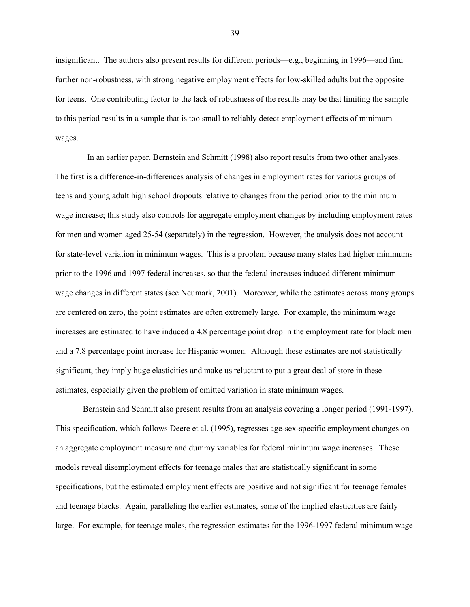insignificant. The authors also present results for different periods—e.g., beginning in 1996—and find further non-robustness, with strong negative employment effects for low-skilled adults but the opposite for teens. One contributing factor to the lack of robustness of the results may be that limiting the sample to this period results in a sample that is too small to reliably detect employment effects of minimum wages.

 In an earlier paper, Bernstein and Schmitt (1998) also report results from two other analyses. The first is a difference-in-differences analysis of changes in employment rates for various groups of teens and young adult high school dropouts relative to changes from the period prior to the minimum wage increase; this study also controls for aggregate employment changes by including employment rates for men and women aged 25-54 (separately) in the regression. However, the analysis does not account for state-level variation in minimum wages. This is a problem because many states had higher minimums prior to the 1996 and 1997 federal increases, so that the federal increases induced different minimum wage changes in different states (see Neumark, 2001). Moreover, while the estimates across many groups are centered on zero, the point estimates are often extremely large. For example, the minimum wage increases are estimated to have induced a 4.8 percentage point drop in the employment rate for black men and a 7.8 percentage point increase for Hispanic women. Although these estimates are not statistically significant, they imply huge elasticities and make us reluctant to put a great deal of store in these estimates, especially given the problem of omitted variation in state minimum wages.

Bernstein and Schmitt also present results from an analysis covering a longer period (1991-1997). This specification, which follows Deere et al. (1995), regresses age-sex-specific employment changes on an aggregate employment measure and dummy variables for federal minimum wage increases. These models reveal disemployment effects for teenage males that are statistically significant in some specifications, but the estimated employment effects are positive and not significant for teenage females and teenage blacks. Again, paralleling the earlier estimates, some of the implied elasticities are fairly large. For example, for teenage males, the regression estimates for the 1996-1997 federal minimum wage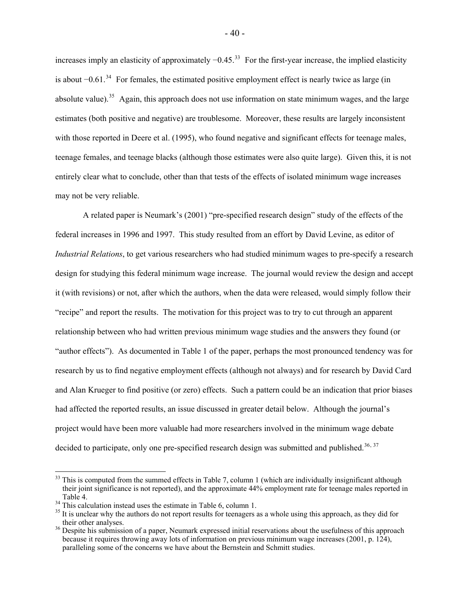<span id="page-40-0"></span>increases imply an elasticity of approximately  $-0.45^{33}$  $-0.45^{33}$  $-0.45^{33}$  For the first-year increase, the implied elasticity is about  $-0.61<sup>34</sup>$  $-0.61<sup>34</sup>$  $-0.61<sup>34</sup>$  For females, the estimated positive employment effect is nearly twice as large (in absolute value).<sup>[35](#page-40-0)</sup> Again, this approach does not use information on state minimum wages, and the large estimates (both positive and negative) are troublesome. Moreover, these results are largely inconsistent with those reported in Deere et al. (1995), who found negative and significant effects for teenage males, teenage females, and teenage blacks (although those estimates were also quite large). Given this, it is not entirely clear what to conclude, other than that tests of the effects of isolated minimum wage increases may not be very reliable.

A related paper is Neumark's (2001) "pre-specified research design" study of the effects of the federal increases in 1996 and 1997. This study resulted from an effort by David Levine, as editor of *Industrial Relations*, to get various researchers who had studied minimum wages to pre-specify a research design for studying this federal minimum wage increase. The journal would review the design and accept it (with revisions) or not, after which the authors, when the data were released, would simply follow their "recipe" and report the results. The motivation for this project was to try to cut through an apparent relationship between who had written previous minimum wage studies and the answers they found (or "author effects"). As documented in Table 1 of the paper, perhaps the most pronounced tendency was for research by us to find negative employment effects (although not always) and for research by David Card and Alan Krueger to find positive (or zero) effects. Such a pattern could be an indication that prior biases had affected the reported results, an issue discussed in greater detail below. Although the journal's project would have been more valuable had more researchers involved in the minimum wage debate decided to participate, only one pre-specified research design was submitted and published.<sup>[36](#page-40-0), [37](#page-40-0)</sup>

 $\overline{a}$ 

- 40 -

 $33$  This is computed from the summed effects in Table 7, column 1 (which are individually insignificant although their joint significance is not reported), and the approximate 44% employment rate for teenage males reported in

 $34$  This calculation instead uses the estimate in Table 6, column 1.

 $35$  It is unclear why the authors do not report results for teenagers as a whole using this approach, as they did for their other analyses.

 $36$  Despite his submission of a paper, Neumark expressed initial reservations about the usefulness of this approach because it requires throwing away lots of information on previous minimum wage increases (2001, p. 124), paralleling some of the concerns we have about the Bernstein and Schmitt studies.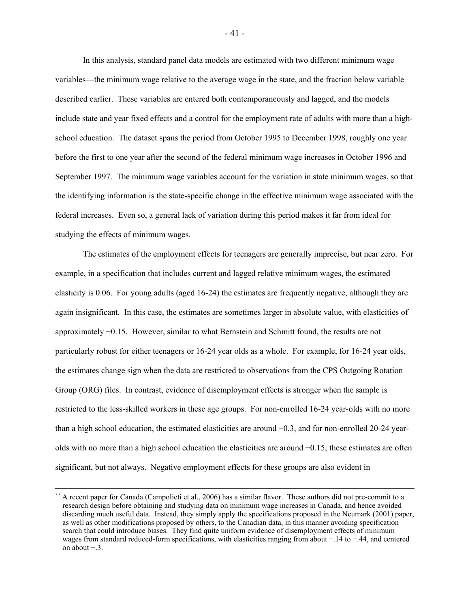In this analysis, standard panel data models are estimated with two different minimum wage variables—the minimum wage relative to the average wage in the state, and the fraction below variable described earlier. These variables are entered both contemporaneously and lagged, and the models include state and year fixed effects and a control for the employment rate of adults with more than a highschool education. The dataset spans the period from October 1995 to December 1998, roughly one year before the first to one year after the second of the federal minimum wage increases in October 1996 and September 1997. The minimum wage variables account for the variation in state minimum wages, so that the identifying information is the state-specific change in the effective minimum wage associated with the federal increases. Even so, a general lack of variation during this period makes it far from ideal for studying the effects of minimum wages.

The estimates of the employment effects for teenagers are generally imprecise, but near zero. For example, in a specification that includes current and lagged relative minimum wages, the estimated elasticity is 0.06. For young adults (aged 16-24) the estimates are frequently negative, although they are again insignificant. In this case, the estimates are sometimes larger in absolute value, with elasticities of approximately −0.15. However, similar to what Bernstein and Schmitt found, the results are not particularly robust for either teenagers or 16-24 year olds as a whole. For example, for 16-24 year olds, the estimates change sign when the data are restricted to observations from the CPS Outgoing Rotation Group (ORG) files. In contrast, evidence of disemployment effects is stronger when the sample is restricted to the less-skilled workers in these age groups. For non-enrolled 16-24 year-olds with no more than a high school education, the estimated elasticities are around −0.3, and for non-enrolled 20-24 yearolds with no more than a high school education the elasticities are around −0.15; these estimates are often significant, but not always. Negative employment effects for these groups are also evident in

 $37$  A recent paper for Canada (Campolieti et al., 2006) has a similar flavor. These authors did not pre-commit to a research design before obtaining and studying data on minimum wage increases in Canada, and hence avoided discarding much useful data. Instead, they simply apply the specifications proposed in the Neumark (2001) paper, as well as other modifications proposed by others, to the Canadian data, in this manner avoiding specification search that could introduce biases. They find quite uniform evidence of disemployment effects of minimum wages from standard reduced-form specifications, with elasticities ranging from about −.14 to −.44, and centered on about −.3.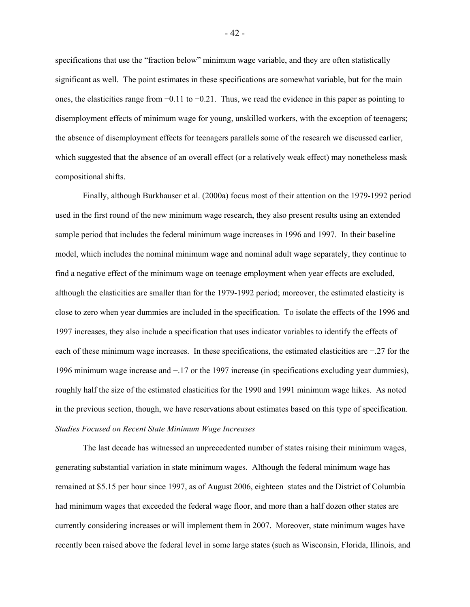specifications that use the "fraction below" minimum wage variable, and they are often statistically significant as well. The point estimates in these specifications are somewhat variable, but for the main ones, the elasticities range from −0.11 to −0.21. Thus, we read the evidence in this paper as pointing to disemployment effects of minimum wage for young, unskilled workers, with the exception of teenagers; the absence of disemployment effects for teenagers parallels some of the research we discussed earlier, which suggested that the absence of an overall effect (or a relatively weak effect) may nonetheless mask compositional shifts.

Finally, although Burkhauser et al. (2000a) focus most of their attention on the 1979-1992 period used in the first round of the new minimum wage research, they also present results using an extended sample period that includes the federal minimum wage increases in 1996 and 1997. In their baseline model, which includes the nominal minimum wage and nominal adult wage separately, they continue to find a negative effect of the minimum wage on teenage employment when year effects are excluded, although the elasticities are smaller than for the 1979-1992 period; moreover, the estimated elasticity is close to zero when year dummies are included in the specification. To isolate the effects of the 1996 and 1997 increases, they also include a specification that uses indicator variables to identify the effects of each of these minimum wage increases. In these specifications, the estimated elasticities are −.27 for the 1996 minimum wage increase and −.17 or the 1997 increase (in specifications excluding year dummies), roughly half the size of the estimated elasticities for the 1990 and 1991 minimum wage hikes. As noted in the previous section, though, we have reservations about estimates based on this type of specification. *Studies Focused on Recent State Minimum Wage Increases* 

The last decade has witnessed an unprecedented number of states raising their minimum wages, generating substantial variation in state minimum wages. Although the federal minimum wage has remained at \$5.15 per hour since 1997, as of August 2006, eighteen states and the District of Columbia had minimum wages that exceeded the federal wage floor, and more than a half dozen other states are currently considering increases or will implement them in 2007. Moreover, state minimum wages have recently been raised above the federal level in some large states (such as Wisconsin, Florida, Illinois, and

- 42 -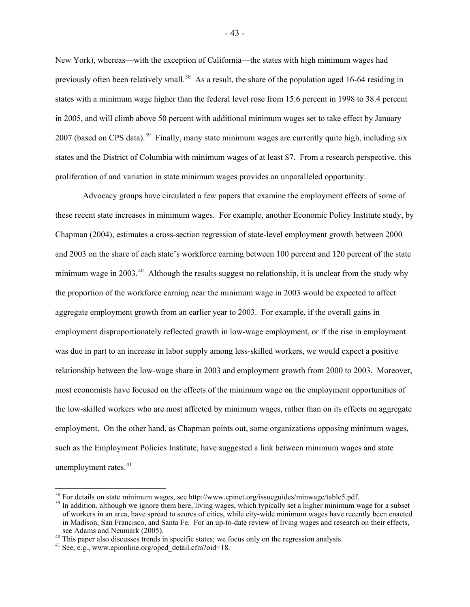<span id="page-43-0"></span>New York), whereas—with the exception of California—the states with high minimum wages had previously often been relatively small.<sup>[38](#page-43-0)</sup> As a result, the share of the population aged 16-64 residing in states with a minimum wage higher than the federal level rose from 15.6 percent in 1998 to 38.4 percent in 2005, and will climb above 50 percent with additional minimum wages set to take effect by January 2007 (based on CPS data).<sup>[39](#page-43-0)</sup> Finally, many state minimum wages are currently quite high, including six states and the District of Columbia with minimum wages of at least \$7. From a research perspective, this proliferation of and variation in state minimum wages provides an unparalleled opportunity.

Advocacy groups have circulated a few papers that examine the employment effects of some of these recent state increases in minimum wages. For example, another Economic Policy Institute study, by Chapman (2004), estimates a cross-section regression of state-level employment growth between 2000 and 2003 on the share of each state's workforce earning between 100 percent and 120 percent of the state minimum wage in 2003.<sup>[40](#page-43-0)</sup> Although the results suggest no relationship, it is unclear from the study why the proportion of the workforce earning near the minimum wage in 2003 would be expected to affect aggregate employment growth from an earlier year to 2003. For example, if the overall gains in employment disproportionately reflected growth in low-wage employment, or if the rise in employment was due in part to an increase in labor supply among less-skilled workers, we would expect a positive relationship between the low-wage share in 2003 and employment growth from 2000 to 2003. Moreover, most economists have focused on the effects of the minimum wage on the employment opportunities of the low-skilled workers who are most affected by minimum wages, rather than on its effects on aggregate employment. On the other hand, as Chapman points out, some organizations opposing minimum wages, such as the Employment Policies Institute, have suggested a link between minimum wages and state unemployment rates. $41$ 

 $\overline{a}$ 

- 43 -

<sup>&</sup>lt;sup>38</sup> For details on state minimum wages, see http://www.epinet.org/issueguides/minwage/table5.pdf.<br><sup>39</sup> In addition, although we ignore them here, living wages, which typically set a higher minimum wage for a subset of workers in an area, have spread to scores of cities, while city-wide minimum wages have recently been enacted in Madison, San Francisco, and Santa Fe. For an up-to-date review of living wages and research on their effects, see Adams and Neumark (2005).<br><sup>40</sup> This paper also discusses trends in specific states; we focus only on the regression analysis.<br><sup>41</sup> See, e.g., www.epionline.org/oped\_detail.cfm?oid=18.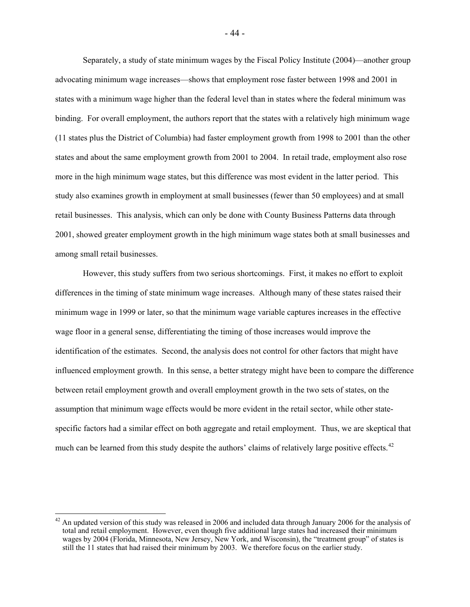<span id="page-44-0"></span>Separately, a study of state minimum wages by the Fiscal Policy Institute (2004)—another group advocating minimum wage increases—shows that employment rose faster between 1998 and 2001 in states with a minimum wage higher than the federal level than in states where the federal minimum was binding. For overall employment, the authors report that the states with a relatively high minimum wage (11 states plus the District of Columbia) had faster employment growth from 1998 to 2001 than the other states and about the same employment growth from 2001 to 2004. In retail trade, employment also rose more in the high minimum wage states, but this difference was most evident in the latter period. This study also examines growth in employment at small businesses (fewer than 50 employees) and at small retail businesses. This analysis, which can only be done with County Business Patterns data through 2001, showed greater employment growth in the high minimum wage states both at small businesses and among small retail businesses.

However, this study suffers from two serious shortcomings. First, it makes no effort to exploit differences in the timing of state minimum wage increases. Although many of these states raised their minimum wage in 1999 or later, so that the minimum wage variable captures increases in the effective wage floor in a general sense, differentiating the timing of those increases would improve the identification of the estimates. Second, the analysis does not control for other factors that might have influenced employment growth. In this sense, a better strategy might have been to compare the difference between retail employment growth and overall employment growth in the two sets of states, on the assumption that minimum wage effects would be more evident in the retail sector, while other statespecific factors had a similar effect on both aggregate and retail employment. Thus, we are skeptical that much can be learned from this study despite the authors' claims of relatively large positive effects.<sup>[42](#page-44-0)</sup>

 $42$  An updated version of this study was released in 2006 and included data through January 2006 for the analysis of total and retail employment. However, even though five additional large states had increased their minimum wages by 2004 (Florida, Minnesota, New Jersey, New York, and Wisconsin), the "treatment group" of states is still the 11 states that had raised their minimum by 2003. We therefore focus on the earlier study.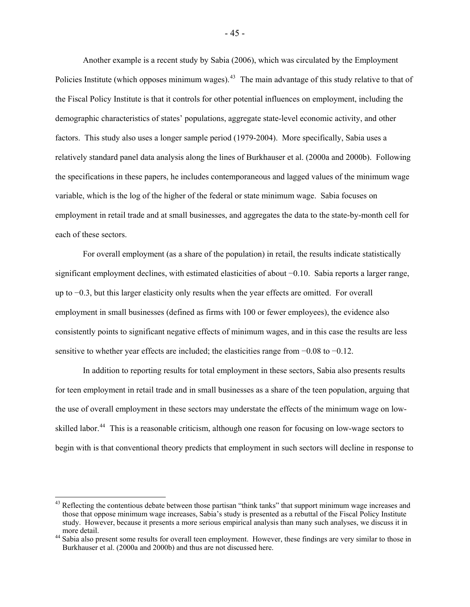<span id="page-45-0"></span>Another example is a recent study by Sabia (2006), which was circulated by the Employment Policies Institute (which opposes minimum wages).<sup>[43](#page-45-0)</sup> The main advantage of this study relative to that of the Fiscal Policy Institute is that it controls for other potential influences on employment, including the demographic characteristics of states' populations, aggregate state-level economic activity, and other factors. This study also uses a longer sample period (1979-2004). More specifically, Sabia uses a relatively standard panel data analysis along the lines of Burkhauser et al. (2000a and 2000b). Following the specifications in these papers, he includes contemporaneous and lagged values of the minimum wage variable, which is the log of the higher of the federal or state minimum wage. Sabia focuses on employment in retail trade and at small businesses, and aggregates the data to the state-by-month cell for each of these sectors.

For overall employment (as a share of the population) in retail, the results indicate statistically significant employment declines, with estimated elasticities of about −0.10. Sabia reports a larger range, up to −0.3, but this larger elasticity only results when the year effects are omitted. For overall employment in small businesses (defined as firms with 100 or fewer employees), the evidence also consistently points to significant negative effects of minimum wages, and in this case the results are less sensitive to whether year effects are included; the elasticities range from  $-0.08$  to  $-0.12$ .

In addition to reporting results for total employment in these sectors, Sabia also presents results for teen employment in retail trade and in small businesses as a share of the teen population, arguing that the use of overall employment in these sectors may understate the effects of the minimum wage on low-skilled labor.<sup>[44](#page-45-0)</sup> This is a reasonable criticism, although one reason for focusing on low-wage sectors to begin with is that conventional theory predicts that employment in such sectors will decline in response to

 $\overline{a}$ 

- 45 -

 $43$  Reflecting the contentious debate between those partisan "think tanks" that support minimum wage increases and those that oppose minimum wage increases, Sabia's study is presented as a rebuttal of the Fiscal Policy Institute study. However, because it presents a more serious empirical analysis than many such analyses, we discuss it in

<sup>44</sup> Sabia also present some results for overall teen employment. However, these findings are very similar to those in Burkhauser et al. (2000a and 2000b) and thus are not discussed here.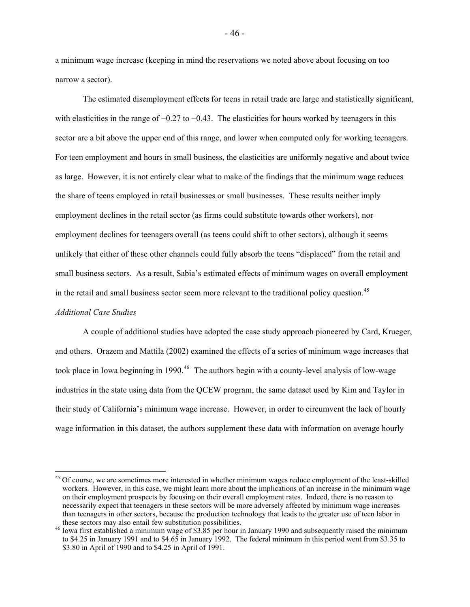<span id="page-46-0"></span>a minimum wage increase (keeping in mind the reservations we noted above about focusing on too narrow a sector).

The estimated disemployment effects for teens in retail trade are large and statistically significant, with elasticities in the range of  $-0.27$  to  $-0.43$ . The elasticities for hours worked by teenagers in this sector are a bit above the upper end of this range, and lower when computed only for working teenagers. For teen employment and hours in small business, the elasticities are uniformly negative and about twice as large. However, it is not entirely clear what to make of the findings that the minimum wage reduces the share of teens employed in retail businesses or small businesses. These results neither imply employment declines in the retail sector (as firms could substitute towards other workers), nor employment declines for teenagers overall (as teens could shift to other sectors), although it seems unlikely that either of these other channels could fully absorb the teens "displaced" from the retail and small business sectors. As a result, Sabia's estimated effects of minimum wages on overall employment in the retail and small business sector seem more relevant to the traditional policy question.<sup>[45](#page-46-0)</sup>

## *Additional Case Studies*

 $\overline{a}$ 

A couple of additional studies have adopted the case study approach pioneered by Card, Krueger, and others. Orazem and Mattila (2002) examined the effects of a series of minimum wage increases that took place in Iowa beginning in 1990.<sup>[46](#page-46-0)</sup> The authors begin with a county-level analysis of low-wage industries in the state using data from the QCEW program, the same dataset used by Kim and Taylor in their study of California's minimum wage increase. However, in order to circumvent the lack of hourly wage information in this dataset, the authors supplement these data with information on average hourly

- 46 -

<sup>&</sup>lt;sup>45</sup> Of course, we are sometimes more interested in whether minimum wages reduce employment of the least-skilled workers. However, in this case, we might learn more about the implications of an increase in the minimum wage on their employment prospects by focusing on their overall employment rates. Indeed, there is no reason to necessarily expect that teenagers in these sectors will be more adversely affected by minimum wage increases than teenagers in other sectors, because the production technology that leads to the greater use of teen labor in

these sectors may also entail few substitution possibilities.<br><sup>46</sup> Iowa first established a minimum wage of \$3.85 per hour in January 1990 and subsequently raised the minimum to \$4.25 in January 1991 and to \$4.65 in January 1992. The federal minimum in this period went from \$3.35 to \$3.80 in April of 1990 and to \$4.25 in April of 1991.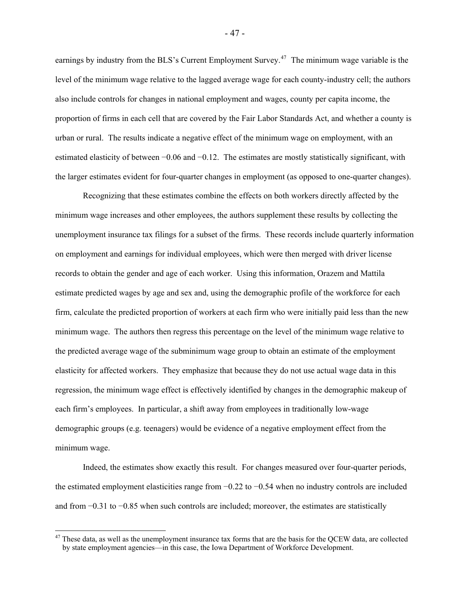<span id="page-47-0"></span>earnings by industry from the BLS's Current Employment Survey.<sup>[47](#page-47-0)</sup> The minimum wage variable is the level of the minimum wage relative to the lagged average wage for each county-industry cell; the authors also include controls for changes in national employment and wages, county per capita income, the proportion of firms in each cell that are covered by the Fair Labor Standards Act, and whether a county is urban or rural. The results indicate a negative effect of the minimum wage on employment, with an estimated elasticity of between −0.06 and −0.12. The estimates are mostly statistically significant, with the larger estimates evident for four-quarter changes in employment (as opposed to one-quarter changes).

Recognizing that these estimates combine the effects on both workers directly affected by the minimum wage increases and other employees, the authors supplement these results by collecting the unemployment insurance tax filings for a subset of the firms. These records include quarterly information on employment and earnings for individual employees, which were then merged with driver license records to obtain the gender and age of each worker. Using this information, Orazem and Mattila estimate predicted wages by age and sex and, using the demographic profile of the workforce for each firm, calculate the predicted proportion of workers at each firm who were initially paid less than the new minimum wage. The authors then regress this percentage on the level of the minimum wage relative to the predicted average wage of the subminimum wage group to obtain an estimate of the employment elasticity for affected workers. They emphasize that because they do not use actual wage data in this regression, the minimum wage effect is effectively identified by changes in the demographic makeup of each firm's employees. In particular, a shift away from employees in traditionally low-wage demographic groups (e.g. teenagers) would be evidence of a negative employment effect from the minimum wage.

Indeed, the estimates show exactly this result. For changes measured over four-quarter periods, the estimated employment elasticities range from −0.22 to −0.54 when no industry controls are included and from −0.31 to −0.85 when such controls are included; moreover, the estimates are statistically

 $\overline{a}$ 

- 47 -

 $47$  These data, as well as the unemployment insurance tax forms that are the basis for the QCEW data, are collected by state employment agencies—in this case, the Iowa Department of Workforce Development.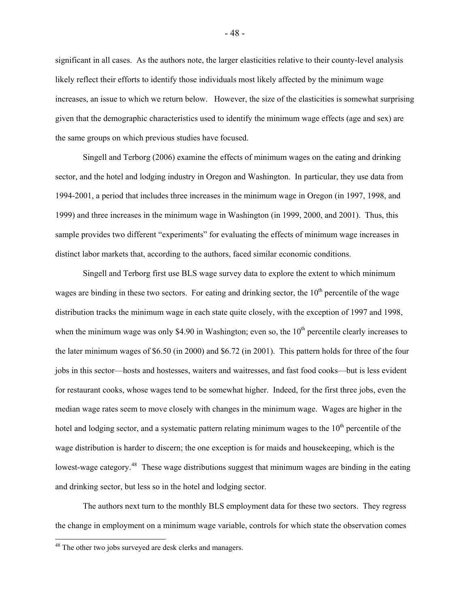<span id="page-48-0"></span>significant in all cases. As the authors note, the larger elasticities relative to their county-level analysis likely reflect their efforts to identify those individuals most likely affected by the minimum wage increases, an issue to which we return below. However, the size of the elasticities is somewhat surprising given that the demographic characteristics used to identify the minimum wage effects (age and sex) are the same groups on which previous studies have focused.

Singell and Terborg (2006) examine the effects of minimum wages on the eating and drinking sector, and the hotel and lodging industry in Oregon and Washington. In particular, they use data from 1994-2001, a period that includes three increases in the minimum wage in Oregon (in 1997, 1998, and 1999) and three increases in the minimum wage in Washington (in 1999, 2000, and 2001). Thus, this sample provides two different "experiments" for evaluating the effects of minimum wage increases in distinct labor markets that, according to the authors, faced similar economic conditions.

Singell and Terborg first use BLS wage survey data to explore the extent to which minimum wages are binding in these two sectors. For eating and drinking sector, the  $10<sup>th</sup>$  percentile of the wage distribution tracks the minimum wage in each state quite closely, with the exception of 1997 and 1998, when the minimum wage was only \$4.90 in Washington; even so, the  $10<sup>th</sup>$  percentile clearly increases to the later minimum wages of \$6.50 (in 2000) and \$6.72 (in 2001). This pattern holds for three of the four jobs in this sector—hosts and hostesses, waiters and waitresses, and fast food cooks—but is less evident for restaurant cooks, whose wages tend to be somewhat higher. Indeed, for the first three jobs, even the median wage rates seem to move closely with changes in the minimum wage. Wages are higher in the hotel and lodging sector, and a systematic pattern relating minimum wages to the  $10<sup>th</sup>$  percentile of the wage distribution is harder to discern; the one exception is for maids and housekeeping, which is the lowest-wage category.<sup>[48](#page-48-0)</sup> These wage distributions suggest that minimum wages are binding in the eating and drinking sector, but less so in the hotel and lodging sector.

The authors next turn to the monthly BLS employment data for these two sectors. They regress the change in employment on a minimum wage variable, controls for which state the observation comes

<sup>&</sup>lt;sup>48</sup> The other two jobs surveyed are desk clerks and managers.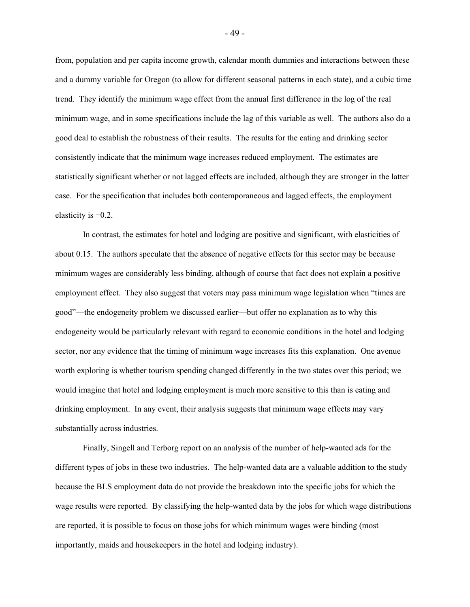from, population and per capita income growth, calendar month dummies and interactions between these and a dummy variable for Oregon (to allow for different seasonal patterns in each state), and a cubic time trend. They identify the minimum wage effect from the annual first difference in the log of the real minimum wage, and in some specifications include the lag of this variable as well. The authors also do a good deal to establish the robustness of their results. The results for the eating and drinking sector consistently indicate that the minimum wage increases reduced employment. The estimates are statistically significant whether or not lagged effects are included, although they are stronger in the latter case. For the specification that includes both contemporaneous and lagged effects, the employment elasticity is −0.2.

In contrast, the estimates for hotel and lodging are positive and significant, with elasticities of about 0.15. The authors speculate that the absence of negative effects for this sector may be because minimum wages are considerably less binding, although of course that fact does not explain a positive employment effect. They also suggest that voters may pass minimum wage legislation when "times are good"—the endogeneity problem we discussed earlier—but offer no explanation as to why this endogeneity would be particularly relevant with regard to economic conditions in the hotel and lodging sector, nor any evidence that the timing of minimum wage increases fits this explanation. One avenue worth exploring is whether tourism spending changed differently in the two states over this period; we would imagine that hotel and lodging employment is much more sensitive to this than is eating and drinking employment. In any event, their analysis suggests that minimum wage effects may vary substantially across industries.

Finally, Singell and Terborg report on an analysis of the number of help-wanted ads for the different types of jobs in these two industries. The help-wanted data are a valuable addition to the study because the BLS employment data do not provide the breakdown into the specific jobs for which the wage results were reported. By classifying the help-wanted data by the jobs for which wage distributions are reported, it is possible to focus on those jobs for which minimum wages were binding (most importantly, maids and housekeepers in the hotel and lodging industry).

- 49 -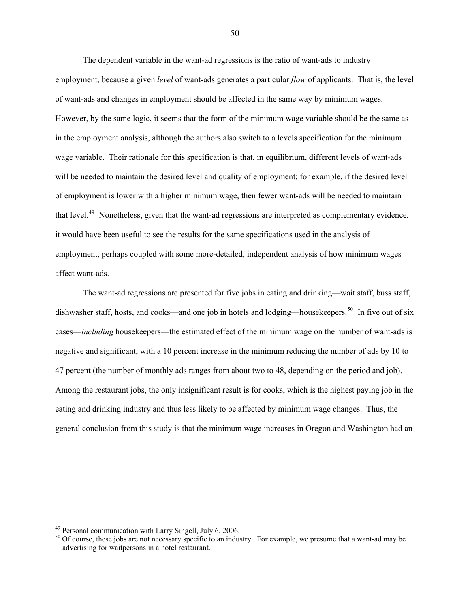<span id="page-50-0"></span>The dependent variable in the want-ad regressions is the ratio of want-ads to industry employment, because a given *level* of want-ads generates a particular *flow* of applicants. That is, the level of want-ads and changes in employment should be affected in the same way by minimum wages. However, by the same logic, it seems that the form of the minimum wage variable should be the same as in the employment analysis, although the authors also switch to a levels specification for the minimum wage variable. Their rationale for this specification is that, in equilibrium, different levels of want-ads will be needed to maintain the desired level and quality of employment; for example, if the desired level of employment is lower with a higher minimum wage, then fewer want-ads will be needed to maintain that level.[49](#page-50-0) Nonetheless, given that the want-ad regressions are interpreted as complementary evidence, it would have been useful to see the results for the same specifications used in the analysis of employment, perhaps coupled with some more-detailed, independent analysis of how minimum wages affect want-ads.

The want-ad regressions are presented for five jobs in eating and drinking—wait staff, buss staff, dishwasher staff, hosts, and cooks—and one job in hotels and lodging—housekeepers.<sup>[50](#page-50-0)</sup> In five out of six cases—*including* housekeepers—the estimated effect of the minimum wage on the number of want-ads is negative and significant, with a 10 percent increase in the minimum reducing the number of ads by 10 to 47 percent (the number of monthly ads ranges from about two to 48, depending on the period and job). Among the restaurant jobs, the only insignificant result is for cooks, which is the highest paying job in the eating and drinking industry and thus less likely to be affected by minimum wage changes. Thus, the general conclusion from this study is that the minimum wage increases in Oregon and Washington had an

 $\overline{a}$ 

- 50 -

<sup>&</sup>lt;sup>49</sup> Personal communication with Larry Singell, July 6, 2006.

<sup>&</sup>lt;sup>50</sup> Of course, these jobs are not necessary specific to an industry. For example, we presume that a want-ad may be advertising for waitpersons in a hotel restaurant.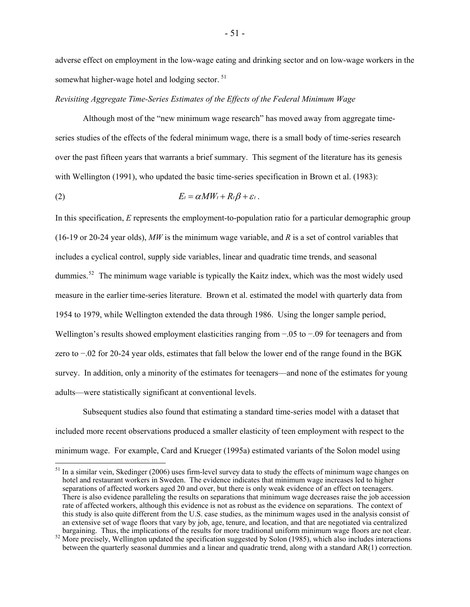<span id="page-51-0"></span>adverse effect on employment in the low-wage eating and drinking sector and on low-wage workers in the somewhat higher-wage hotel and lodging sector.<sup>[51](#page-51-0)</sup>

### *Revisiting Aggregate Time-Series Estimates of the Effects of the Federal Minimum Wage*

 Although most of the "new minimum wage research" has moved away from aggregate timeseries studies of the effects of the federal minimum wage, there is a small body of time-series research over the past fifteen years that warrants a brief summary. This segment of the literature has its genesis with Wellington (1991), who updated the basic time-series specification in Brown et al. (1983):

$$
(2) \t\t\t\t E_t = \alpha M W_t + R_t \beta + \varepsilon_t.
$$

 $\overline{a}$ 

In this specification, *E* represents the employment-to-population ratio for a particular demographic group (16-19 or 20-24 year olds), *MW* is the minimum wage variable, and *R* is a set of control variables that includes a cyclical control, supply side variables, linear and quadratic time trends, and seasonal dummies.<sup>[52](#page-51-0)</sup> The minimum wage variable is typically the Kaitz index, which was the most widely used measure in the earlier time-series literature. Brown et al. estimated the model with quarterly data from 1954 to 1979, while Wellington extended the data through 1986. Using the longer sample period, Wellington's results showed employment elasticities ranging from −.05 to −.09 for teenagers and from zero to −.02 for 20-24 year olds, estimates that fall below the lower end of the range found in the BGK survey. In addition, only a minority of the estimates for teenagers—and none of the estimates for young adults—were statistically significant at conventional levels.

 Subsequent studies also found that estimating a standard time-series model with a dataset that included more recent observations produced a smaller elasticity of teen employment with respect to the minimum wage. For example, Card and Krueger (1995a) estimated variants of the Solon model using

 $51$  In a similar vein, Skedinger (2006) uses firm-level survey data to study the effects of minimum wage changes on hotel and restaurant workers in Sweden. The evidence indicates that minimum wage increases led to higher separations of affected workers aged 20 and over, but there is only weak evidence of an effect on teenagers. There is also evidence paralleling the results on separations that minimum wage decreases raise the job accession rate of affected workers, although this evidence is not as robust as the evidence on separations. The context of this study is also quite different from the U.S. case studies, as the minimum wages used in the analysis consist of an extensive set of wage floors that vary by job, age, tenure, and location, and that are negotiated via centralized bargaining. Thus, the implications of the results for more traditional uniform minimum wage floors are no

<sup>&</sup>lt;sup>52</sup> More precisely, Wellington updated the specification suggested by Solon (1985), which also includes interactions between the quarterly seasonal dummies and a linear and quadratic trend, along with a standard AR(1) correction.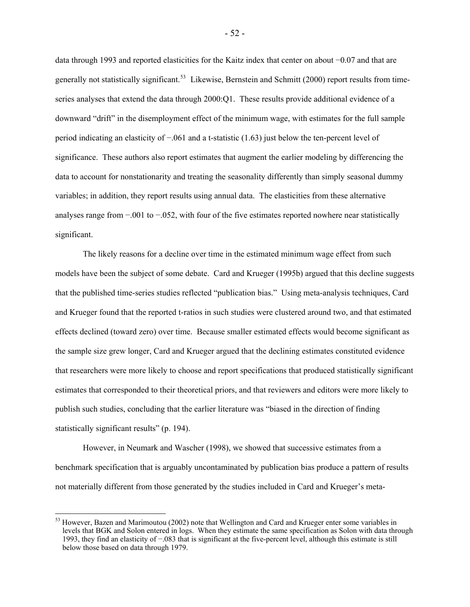<span id="page-52-0"></span>data through 1993 and reported elasticities for the Kaitz index that center on about −0.07 and that are generally not statistically significant.<sup>[53](#page-52-0)</sup> Likewise, Bernstein and Schmitt (2000) report results from timeseries analyses that extend the data through 2000:Q1. These results provide additional evidence of a downward "drift" in the disemployment effect of the minimum wage, with estimates for the full sample period indicating an elasticity of −.061 and a t-statistic (1.63) just below the ten-percent level of significance. These authors also report estimates that augment the earlier modeling by differencing the data to account for nonstationarity and treating the seasonality differently than simply seasonal dummy variables; in addition, they report results using annual data. The elasticities from these alternative analyses range from −.001 to −.052, with four of the five estimates reported nowhere near statistically significant.

The likely reasons for a decline over time in the estimated minimum wage effect from such models have been the subject of some debate. Card and Krueger (1995b) argued that this decline suggests that the published time-series studies reflected "publication bias." Using meta-analysis techniques, Card and Krueger found that the reported t-ratios in such studies were clustered around two, and that estimated effects declined (toward zero) over time. Because smaller estimated effects would become significant as the sample size grew longer, Card and Krueger argued that the declining estimates constituted evidence that researchers were more likely to choose and report specifications that produced statistically significant estimates that corresponded to their theoretical priors, and that reviewers and editors were more likely to publish such studies, concluding that the earlier literature was "biased in the direction of finding statistically significant results" (p. 194).

However, in Neumark and Wascher (1998), we showed that successive estimates from a benchmark specification that is arguably uncontaminated by publication bias produce a pattern of results not materially different from those generated by the studies included in Card and Krueger's meta-

 $\overline{a}$ 

- 52 -

<sup>&</sup>lt;sup>53</sup> However, Bazen and Marimoutou (2002) note that Wellington and Card and Krueger enter some variables in levels that BGK and Solon entered in logs. When they estimate the same specification as Solon with data through 1993, they find an elasticity of −.083 that is significant at the five-percent level, although this estimate is still below those based on data through 1979.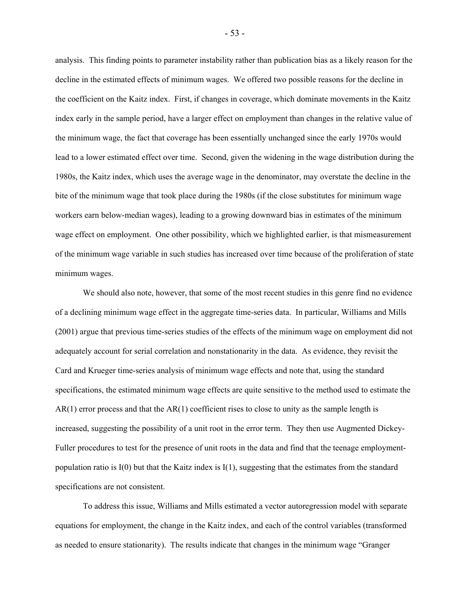analysis. This finding points to parameter instability rather than publication bias as a likely reason for the decline in the estimated effects of minimum wages. We offered two possible reasons for the decline in the coefficient on the Kaitz index. First, if changes in coverage, which dominate movements in the Kaitz index early in the sample period, have a larger effect on employment than changes in the relative value of the minimum wage, the fact that coverage has been essentially unchanged since the early 1970s would lead to a lower estimated effect over time. Second, given the widening in the wage distribution during the 1980s, the Kaitz index, which uses the average wage in the denominator, may overstate the decline in the bite of the minimum wage that took place during the 1980s (if the close substitutes for minimum wage workers earn below-median wages), leading to a growing downward bias in estimates of the minimum wage effect on employment. One other possibility, which we highlighted earlier, is that mismeasurement of the minimum wage variable in such studies has increased over time because of the proliferation of state minimum wages.

 We should also note, however, that some of the most recent studies in this genre find no evidence of a declining minimum wage effect in the aggregate time-series data. In particular, Williams and Mills (2001) argue that previous time-series studies of the effects of the minimum wage on employment did not adequately account for serial correlation and nonstationarity in the data. As evidence, they revisit the Card and Krueger time-series analysis of minimum wage effects and note that, using the standard specifications, the estimated minimum wage effects are quite sensitive to the method used to estimate the  $AR(1)$  error process and that the  $AR(1)$  coefficient rises to close to unity as the sample length is increased, suggesting the possibility of a unit root in the error term. They then use Augmented Dickey-Fuller procedures to test for the presence of unit roots in the data and find that the teenage employmentpopulation ratio is I(0) but that the Kaitz index is I(1), suggesting that the estimates from the standard specifications are not consistent.

 To address this issue, Williams and Mills estimated a vector autoregression model with separate equations for employment, the change in the Kaitz index, and each of the control variables (transformed as needed to ensure stationarity). The results indicate that changes in the minimum wage "Granger

- 53 -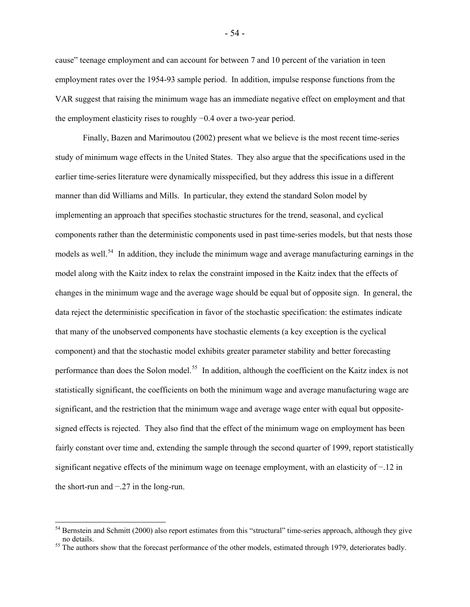<span id="page-54-0"></span>cause" teenage employment and can account for between 7 and 10 percent of the variation in teen employment rates over the 1954-93 sample period. In addition, impulse response functions from the VAR suggest that raising the minimum wage has an immediate negative effect on employment and that the employment elasticity rises to roughly −0.4 over a two-year period.

Finally, Bazen and Marimoutou (2002) present what we believe is the most recent time-series study of minimum wage effects in the United States. They also argue that the specifications used in the earlier time-series literature were dynamically misspecified, but they address this issue in a different manner than did Williams and Mills. In particular, they extend the standard Solon model by implementing an approach that specifies stochastic structures for the trend, seasonal, and cyclical components rather than the deterministic components used in past time-series models, but that nests those models as well.<sup>[54](#page-54-0)</sup> In addition, they include the minimum wage and average manufacturing earnings in the model along with the Kaitz index to relax the constraint imposed in the Kaitz index that the effects of changes in the minimum wage and the average wage should be equal but of opposite sign. In general, the data reject the deterministic specification in favor of the stochastic specification: the estimates indicate that many of the unobserved components have stochastic elements (a key exception is the cyclical component) and that the stochastic model exhibits greater parameter stability and better forecasting performance than does the Solon model.<sup>[55](#page-54-0)</sup> In addition, although the coefficient on the Kaitz index is not statistically significant, the coefficients on both the minimum wage and average manufacturing wage are significant, and the restriction that the minimum wage and average wage enter with equal but oppositesigned effects is rejected. They also find that the effect of the minimum wage on employment has been fairly constant over time and, extending the sample through the second quarter of 1999, report statistically significant negative effects of the minimum wage on teenage employment, with an elasticity of −.12 in the short-run and −.27 in the long-run.

 $\overline{a}$ 

- 54 -

<sup>&</sup>lt;sup>54</sup> Bernstein and Schmitt (2000) also report estimates from this "structural" time-series approach, although they give no details.

<sup>&</sup>lt;sup>55</sup> The authors show that the forecast performance of the other models, estimated through 1979, deteriorates badly.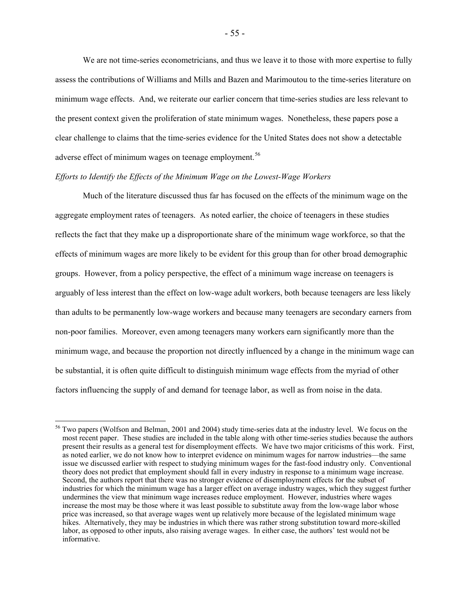<span id="page-55-0"></span>We are not time-series econometricians, and thus we leave it to those with more expertise to fully assess the contributions of Williams and Mills and Bazen and Marimoutou to the time-series literature on minimum wage effects. And, we reiterate our earlier concern that time-series studies are less relevant to the present context given the proliferation of state minimum wages. Nonetheless, these papers pose a clear challenge to claims that the time-series evidence for the United States does not show a detectable adverse effect of minimum wages on teenage employment.<sup>[56](#page-55-0)</sup>

# *Efforts to Identify the Effects of the Minimum Wage on the Lowest-Wage Workers*

 $\overline{a}$ 

 Much of the literature discussed thus far has focused on the effects of the minimum wage on the aggregate employment rates of teenagers. As noted earlier, the choice of teenagers in these studies reflects the fact that they make up a disproportionate share of the minimum wage workforce, so that the effects of minimum wages are more likely to be evident for this group than for other broad demographic groups. However, from a policy perspective, the effect of a minimum wage increase on teenagers is arguably of less interest than the effect on low-wage adult workers, both because teenagers are less likely than adults to be permanently low-wage workers and because many teenagers are secondary earners from non-poor families. Moreover, even among teenagers many workers earn significantly more than the minimum wage, and because the proportion not directly influenced by a change in the minimum wage can be substantial, it is often quite difficult to distinguish minimum wage effects from the myriad of other factors influencing the supply of and demand for teenage labor, as well as from noise in the data.

- 55 -

<sup>&</sup>lt;sup>56</sup> Two papers (Wolfson and Belman, 2001 and 2004) study time-series data at the industry level. We focus on the most recent paper. These studies are included in the table along with other time-series studies because the authors present their results as a general test for disemployment effects. We have two major criticisms of this work. First, as noted earlier, we do not know how to interpret evidence on minimum wages for narrow industries—the same issue we discussed earlier with respect to studying minimum wages for the fast-food industry only. Conventional theory does not predict that employment should fall in every industry in response to a minimum wage increase. Second, the authors report that there was no stronger evidence of disemployment effects for the subset of industries for which the minimum wage has a larger effect on average industry wages, which they suggest further undermines the view that minimum wage increases reduce employment. However, industries where wages increase the most may be those where it was least possible to substitute away from the low-wage labor whose price was increased, so that average wages went up relatively more because of the legislated minimum wage hikes. Alternatively, they may be industries in which there was rather strong substitution toward more-skilled labor, as opposed to other inputs, also raising average wages. In either case, the authors' test would not be informative.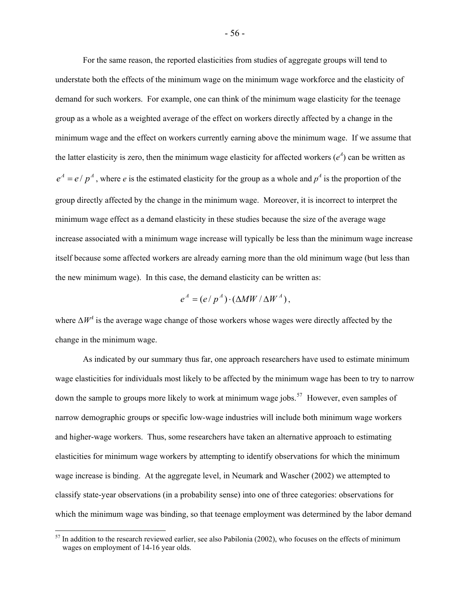<span id="page-56-0"></span>For the same reason, the reported elasticities from studies of aggregate groups will tend to understate both the effects of the minimum wage on the minimum wage workforce and the elasticity of demand for such workers. For example, one can think of the minimum wage elasticity for the teenage group as a whole as a weighted average of the effect on workers directly affected by a change in the minimum wage and the effect on workers currently earning above the minimum wage. If we assume that the latter elasticity is zero, then the minimum wage elasticity for affected workers  $(e^A)$  can be written as  $e^A = e / p^A$ , where *e* is the estimated elasticity for the group as a whole and  $p^A$  is the proportion of the group directly affected by the change in the minimum wage. Moreover, it is incorrect to interpret the minimum wage effect as a demand elasticity in these studies because the size of the average wage increase associated with a minimum wage increase will typically be less than the minimum wage increase itself because some affected workers are already earning more than the old minimum wage (but less than the new minimum wage). In this case, the demand elasticity can be written as:

$$
e^A = (e/p^A) \cdot (\Delta M W / \Delta W^A),
$$

where  $\Delta W^4$  is the average wage change of those workers whose wages were directly affected by the change in the minimum wage.

As indicated by our summary thus far, one approach researchers have used to estimate minimum wage elasticities for individuals most likely to be affected by the minimum wage has been to try to narrow down the sample to groups more likely to work at minimum wage jobs.<sup>[57](#page-56-0)</sup> However, even samples of narrow demographic groups or specific low-wage industries will include both minimum wage workers and higher-wage workers. Thus, some researchers have taken an alternative approach to estimating elasticities for minimum wage workers by attempting to identify observations for which the minimum wage increase is binding. At the aggregate level, in Neumark and Wascher (2002) we attempted to classify state-year observations (in a probability sense) into one of three categories: observations for which the minimum wage was binding, so that teenage employment was determined by the labor demand

 $57$  In addition to the research reviewed earlier, see also Pabilonia (2002), who focuses on the effects of minimum wages on employment of 14-16 year olds.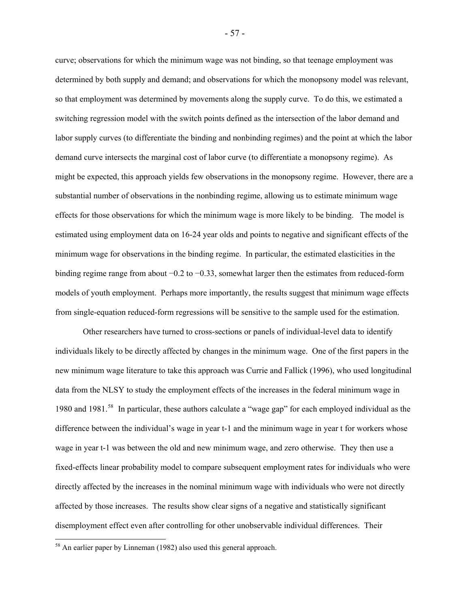<span id="page-57-0"></span>curve; observations for which the minimum wage was not binding, so that teenage employment was determined by both supply and demand; and observations for which the monopsony model was relevant, so that employment was determined by movements along the supply curve. To do this, we estimated a switching regression model with the switch points defined as the intersection of the labor demand and labor supply curves (to differentiate the binding and nonbinding regimes) and the point at which the labor demand curve intersects the marginal cost of labor curve (to differentiate a monopsony regime). As might be expected, this approach yields few observations in the monopsony regime. However, there are a substantial number of observations in the nonbinding regime, allowing us to estimate minimum wage effects for those observations for which the minimum wage is more likely to be binding. The model is estimated using employment data on 16-24 year olds and points to negative and significant effects of the minimum wage for observations in the binding regime. In particular, the estimated elasticities in the binding regime range from about −0.2 to −0.33, somewhat larger then the estimates from reduced-form models of youth employment. Perhaps more importantly, the results suggest that minimum wage effects from single-equation reduced-form regressions will be sensitive to the sample used for the estimation.

Other researchers have turned to cross-sections or panels of individual-level data to identify individuals likely to be directly affected by changes in the minimum wage. One of the first papers in the new minimum wage literature to take this approach was Currie and Fallick (1996), who used longitudinal data from the NLSY to study the employment effects of the increases in the federal minimum wage in 1980 and 1981.[58](#page-57-0) In particular, these authors calculate a "wage gap" for each employed individual as the difference between the individual's wage in year t-1 and the minimum wage in year t for workers whose wage in year t-1 was between the old and new minimum wage, and zero otherwise. They then use a fixed-effects linear probability model to compare subsequent employment rates for individuals who were directly affected by the increases in the nominal minimum wage with individuals who were not directly affected by those increases. The results show clear signs of a negative and statistically significant disemployment effect even after controlling for other unobservable individual differences. Their

 $\overline{a}$ 

- 57 -

 $58$  An earlier paper by Linneman (1982) also used this general approach.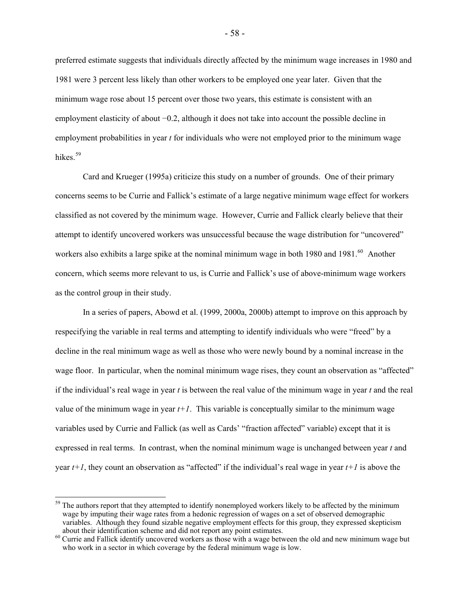<span id="page-58-0"></span>preferred estimate suggests that individuals directly affected by the minimum wage increases in 1980 and 1981 were 3 percent less likely than other workers to be employed one year later. Given that the minimum wage rose about 15 percent over those two years, this estimate is consistent with an employment elasticity of about −0.2, although it does not take into account the possible decline in employment probabilities in year *t* for individuals who were not employed prior to the minimum wage hikes.<sup>[59](#page-58-0)</sup>

Card and Krueger (1995a) criticize this study on a number of grounds. One of their primary concerns seems to be Currie and Fallick's estimate of a large negative minimum wage effect for workers classified as not covered by the minimum wage. However, Currie and Fallick clearly believe that their attempt to identify uncovered workers was unsuccessful because the wage distribution for "uncovered" workers also exhibits a large spike at the nominal minimum wage in both 1980 and 1981.<sup>[60](#page-58-0)</sup> Another concern, which seems more relevant to us, is Currie and Fallick's use of above-minimum wage workers as the control group in their study.

In a series of papers, Abowd et al. (1999, 2000a, 2000b) attempt to improve on this approach by respecifying the variable in real terms and attempting to identify individuals who were "freed" by a decline in the real minimum wage as well as those who were newly bound by a nominal increase in the wage floor. In particular, when the nominal minimum wage rises, they count an observation as "affected" if the individual's real wage in year *t* is between the real value of the minimum wage in year *t* and the real value of the minimum wage in year  $t+1$ . This variable is conceptually similar to the minimum wage variables used by Currie and Fallick (as well as Cards' "fraction affected" variable) except that it is expressed in real terms. In contrast, when the nominal minimum wage is unchanged between year *t* and year  $t+1$ , they count an observation as "affected" if the individual's real wage in year  $t+1$  is above the

<sup>&</sup>lt;sup>59</sup> The authors report that they attempted to identify nonemployed workers likely to be affected by the minimum wage by imputing their wage rates from a hedonic regression of wages on a set of observed demographic variables. Although they found sizable negative employment effects for this group, they expressed skepticism

<sup>&</sup>lt;sup>60</sup> Currie and Fallick identify uncovered workers as those with a wage between the old and new minimum wage but  $\frac{1}{2}$ who work in a sector in which coverage by the federal minimum wage is low.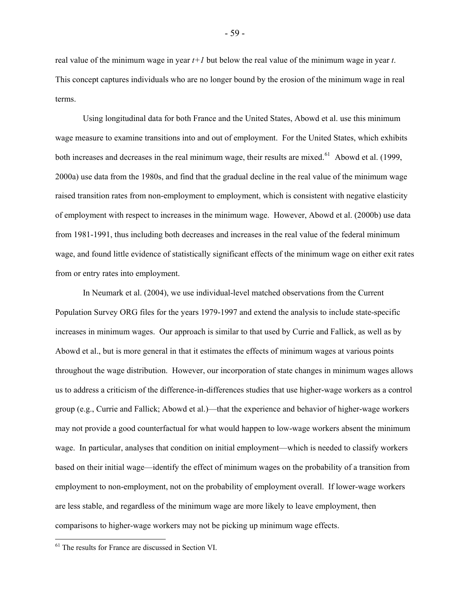<span id="page-59-0"></span>real value of the minimum wage in year *t+1* but below the real value of the minimum wage in year *t*. This concept captures individuals who are no longer bound by the erosion of the minimum wage in real terms.

Using longitudinal data for both France and the United States, Abowd et al. use this minimum wage measure to examine transitions into and out of employment. For the United States, which exhibits both increases and decreases in the real minimum wage, their results are mixed.<sup>[61](#page-59-0)</sup> Abowd et al. (1999, 2000a) use data from the 1980s, and find that the gradual decline in the real value of the minimum wage raised transition rates from non-employment to employment, which is consistent with negative elasticity of employment with respect to increases in the minimum wage. However, Abowd et al. (2000b) use data from 1981-1991, thus including both decreases and increases in the real value of the federal minimum wage, and found little evidence of statistically significant effects of the minimum wage on either exit rates from or entry rates into employment.

In Neumark et al. (2004), we use individual-level matched observations from the Current Population Survey ORG files for the years 1979-1997 and extend the analysis to include state-specific increases in minimum wages. Our approach is similar to that used by Currie and Fallick, as well as by Abowd et al., but is more general in that it estimates the effects of minimum wages at various points throughout the wage distribution. However, our incorporation of state changes in minimum wages allows us to address a criticism of the difference-in-differences studies that use higher-wage workers as a control group (e.g., Currie and Fallick; Abowd et al.)—that the experience and behavior of higher-wage workers may not provide a good counterfactual for what would happen to low-wage workers absent the minimum wage. In particular, analyses that condition on initial employment—which is needed to classify workers based on their initial wage—identify the effect of minimum wages on the probability of a transition from employment to non-employment, not on the probability of employment overall. If lower-wage workers are less stable, and regardless of the minimum wage are more likely to leave employment, then comparisons to higher-wage workers may not be picking up minimum wage effects.

<sup>&</sup>lt;sup>61</sup> The results for France are discussed in Section VI.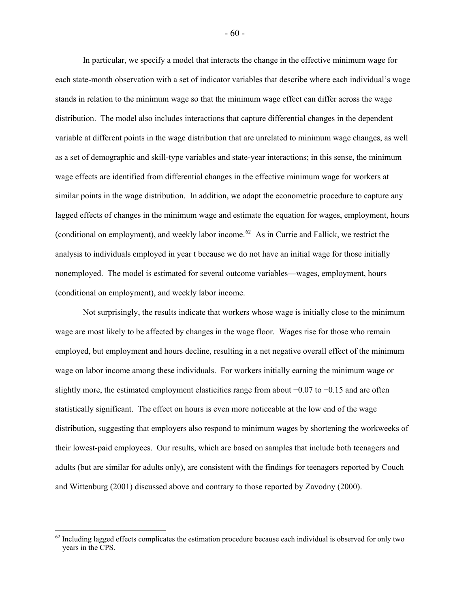<span id="page-60-0"></span>In particular, we specify a model that interacts the change in the effective minimum wage for each state-month observation with a set of indicator variables that describe where each individual's wage stands in relation to the minimum wage so that the minimum wage effect can differ across the wage distribution. The model also includes interactions that capture differential changes in the dependent variable at different points in the wage distribution that are unrelated to minimum wage changes, as well as a set of demographic and skill-type variables and state-year interactions; in this sense, the minimum wage effects are identified from differential changes in the effective minimum wage for workers at similar points in the wage distribution. In addition, we adapt the econometric procedure to capture any lagged effects of changes in the minimum wage and estimate the equation for wages, employment, hours (conditional on employment), and weekly labor income.<sup>[62](#page-60-0)</sup> As in Currie and Fallick, we restrict the analysis to individuals employed in year t because we do not have an initial wage for those initially nonemployed. The model is estimated for several outcome variables—wages, employment, hours (conditional on employment), and weekly labor income.

Not surprisingly, the results indicate that workers whose wage is initially close to the minimum wage are most likely to be affected by changes in the wage floor. Wages rise for those who remain employed, but employment and hours decline, resulting in a net negative overall effect of the minimum wage on labor income among these individuals. For workers initially earning the minimum wage or slightly more, the estimated employment elasticities range from about −0.07 to −0.15 and are often statistically significant. The effect on hours is even more noticeable at the low end of the wage distribution, suggesting that employers also respond to minimum wages by shortening the workweeks of their lowest-paid employees. Our results, which are based on samples that include both teenagers and adults (but are similar for adults only), are consistent with the findings for teenagers reported by Couch and Wittenburg (2001) discussed above and contrary to those reported by Zavodny (2000).

 $\overline{a}$ 

- 60 -

 $62$  Including lagged effects complicates the estimation procedure because each individual is observed for only two years in the CPS.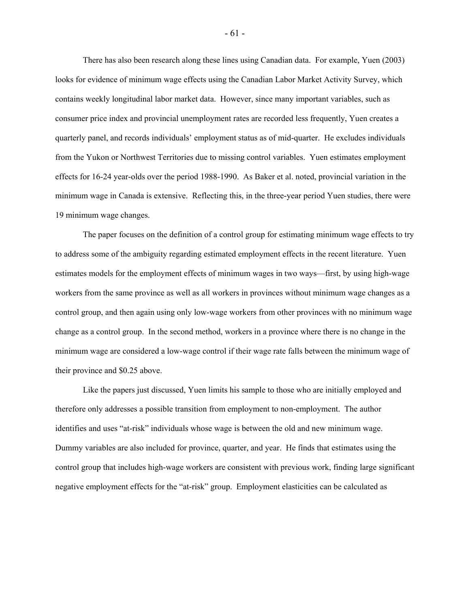There has also been research along these lines using Canadian data. For example, Yuen (2003) looks for evidence of minimum wage effects using the Canadian Labor Market Activity Survey, which contains weekly longitudinal labor market data. However, since many important variables, such as consumer price index and provincial unemployment rates are recorded less frequently, Yuen creates a quarterly panel, and records individuals' employment status as of mid-quarter. He excludes individuals from the Yukon or Northwest Territories due to missing control variables. Yuen estimates employment effects for 16-24 year-olds over the period 1988-1990. As Baker et al. noted, provincial variation in the minimum wage in Canada is extensive. Reflecting this, in the three-year period Yuen studies, there were 19 minimum wage changes.

The paper focuses on the definition of a control group for estimating minimum wage effects to try to address some of the ambiguity regarding estimated employment effects in the recent literature. Yuen estimates models for the employment effects of minimum wages in two ways—first, by using high-wage workers from the same province as well as all workers in provinces without minimum wage changes as a control group, and then again using only low-wage workers from other provinces with no minimum wage change as a control group. In the second method, workers in a province where there is no change in the minimum wage are considered a low-wage control if their wage rate falls between the minimum wage of their province and \$0.25 above.

Like the papers just discussed, Yuen limits his sample to those who are initially employed and therefore only addresses a possible transition from employment to non-employment. The author identifies and uses "at-risk" individuals whose wage is between the old and new minimum wage. Dummy variables are also included for province, quarter, and year. He finds that estimates using the control group that includes high-wage workers are consistent with previous work, finding large significant negative employment effects for the "at-risk" group. Employment elasticities can be calculated as

- 61 -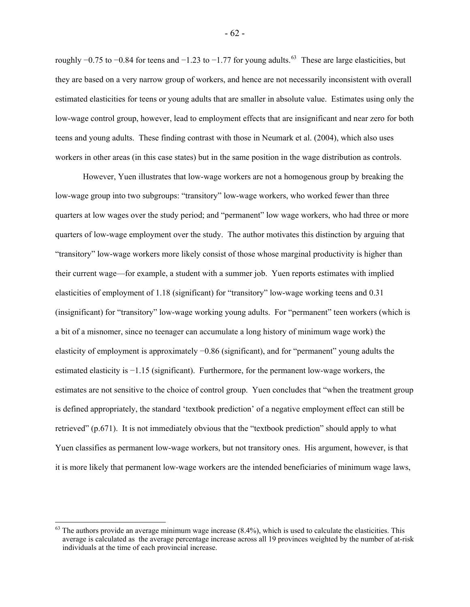<span id="page-62-0"></span>roughly −0.75 to −0.84 for teens and −1.23 to −1.77 for young adults.<sup>[63](#page-62-0)</sup> These are large elasticities, but they are based on a very narrow group of workers, and hence are not necessarily inconsistent with overall estimated elasticities for teens or young adults that are smaller in absolute value. Estimates using only the low-wage control group, however, lead to employment effects that are insignificant and near zero for both teens and young adults. These finding contrast with those in Neumark et al. (2004), which also uses workers in other areas (in this case states) but in the same position in the wage distribution as controls.

However, Yuen illustrates that low-wage workers are not a homogenous group by breaking the low-wage group into two subgroups: "transitory" low-wage workers, who worked fewer than three quarters at low wages over the study period; and "permanent" low wage workers, who had three or more quarters of low-wage employment over the study. The author motivates this distinction by arguing that "transitory" low-wage workers more likely consist of those whose marginal productivity is higher than their current wage—for example, a student with a summer job. Yuen reports estimates with implied elasticities of employment of 1.18 (significant) for "transitory" low-wage working teens and 0.31 (insignificant) for "transitory" low-wage working young adults. For "permanent" teen workers (which is a bit of a misnomer, since no teenager can accumulate a long history of minimum wage work) the elasticity of employment is approximately −0.86 (significant), and for "permanent" young adults the estimated elasticity is −1.15 (significant). Furthermore, for the permanent low-wage workers, the estimates are not sensitive to the choice of control group. Yuen concludes that "when the treatment group is defined appropriately, the standard 'textbook prediction' of a negative employment effect can still be retrieved" (p.671). It is not immediately obvious that the "textbook prediction" should apply to what Yuen classifies as permanent low-wage workers, but not transitory ones. His argument, however, is that it is more likely that permanent low-wage workers are the intended beneficiaries of minimum wage laws,

 $\overline{a}$ 

- 62 -

 $63$  The authors provide an average minimum wage increase (8.4%), which is used to calculate the elasticities. This average is calculated as the average percentage increase across all 19 provinces weighted by the number of at-risk individuals at the time of each provincial increase.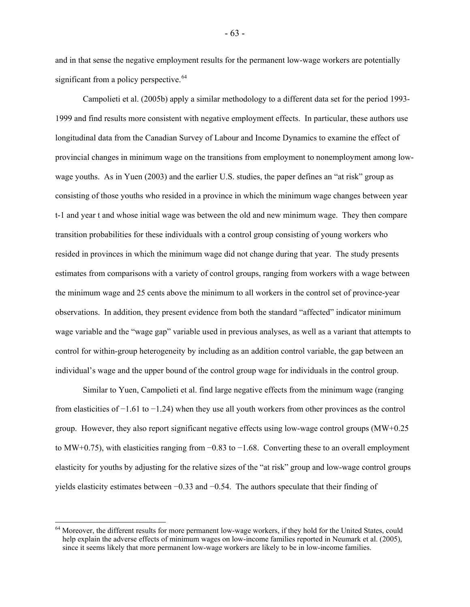<span id="page-63-0"></span>and in that sense the negative employment results for the permanent low-wage workers are potentially significant from a policy perspective.  $64$ 

Campolieti et al. (2005b) apply a similar methodology to a different data set for the period 1993- 1999 and find results more consistent with negative employment effects. In particular, these authors use longitudinal data from the Canadian Survey of Labour and Income Dynamics to examine the effect of provincial changes in minimum wage on the transitions from employment to nonemployment among lowwage youths. As in Yuen (2003) and the earlier U.S. studies, the paper defines an "at risk" group as consisting of those youths who resided in a province in which the minimum wage changes between year t-1 and year t and whose initial wage was between the old and new minimum wage. They then compare transition probabilities for these individuals with a control group consisting of young workers who resided in provinces in which the minimum wage did not change during that year. The study presents estimates from comparisons with a variety of control groups, ranging from workers with a wage between the minimum wage and 25 cents above the minimum to all workers in the control set of province-year observations. In addition, they present evidence from both the standard "affected" indicator minimum wage variable and the "wage gap" variable used in previous analyses, as well as a variant that attempts to control for within-group heterogeneity by including as an addition control variable, the gap between an individual's wage and the upper bound of the control group wage for individuals in the control group.

Similar to Yuen, Campolieti et al. find large negative effects from the minimum wage (ranging from elasticities of −1.61 to −1.24) when they use all youth workers from other provinces as the control group. However, they also report significant negative effects using low-wage control groups (MW+0.25 to MW+0.75), with elasticities ranging from −0.83 to −1.68. Converting these to an overall employment elasticity for youths by adjusting for the relative sizes of the "at risk" group and low-wage control groups yields elasticity estimates between −0.33 and −0.54. The authors speculate that their finding of

 $\overline{a}$ 

- 63 -

<sup>&</sup>lt;sup>64</sup> Moreover, the different results for more permanent low-wage workers, if they hold for the United States, could help explain the adverse effects of minimum wages on low-income families reported in Neumark et al. (2005), since it seems likely that more permanent low-wage workers are likely to be in low-income families.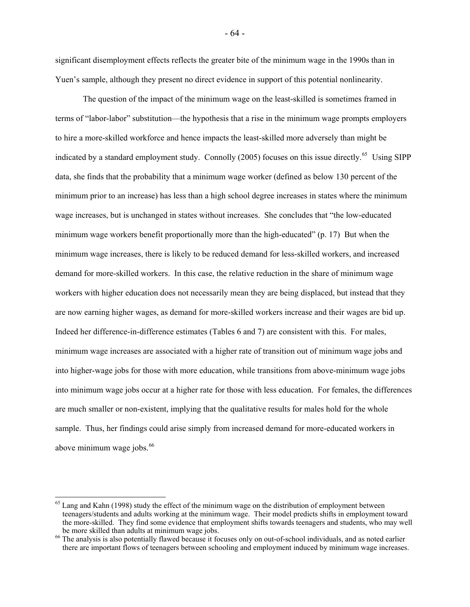<span id="page-64-0"></span>significant disemployment effects reflects the greater bite of the minimum wage in the 1990s than in Yuen's sample, although they present no direct evidence in support of this potential nonlinearity.

The question of the impact of the minimum wage on the least-skilled is sometimes framed in terms of "labor-labor" substitution—the hypothesis that a rise in the minimum wage prompts employers to hire a more-skilled workforce and hence impacts the least-skilled more adversely than might be indicated by a standard employment study. Connolly (2005) focuses on this issue directly.<sup>[65](#page-64-0)</sup> Using SIPP data, she finds that the probability that a minimum wage worker (defined as below 130 percent of the minimum prior to an increase) has less than a high school degree increases in states where the minimum wage increases, but is unchanged in states without increases. She concludes that "the low-educated minimum wage workers benefit proportionally more than the high-educated" (p. 17) But when the minimum wage increases, there is likely to be reduced demand for less-skilled workers, and increased demand for more-skilled workers. In this case, the relative reduction in the share of minimum wage workers with higher education does not necessarily mean they are being displaced, but instead that they are now earning higher wages, as demand for more-skilled workers increase and their wages are bid up. Indeed her difference-in-difference estimates (Tables 6 and 7) are consistent with this. For males, minimum wage increases are associated with a higher rate of transition out of minimum wage jobs and into higher-wage jobs for those with more education, while transitions from above-minimum wage jobs into minimum wage jobs occur at a higher rate for those with less education. For females, the differences are much smaller or non-existent, implying that the qualitative results for males hold for the whole sample. Thus, her findings could arise simply from increased demand for more-educated workers in above minimum wage jobs.<sup>[66](#page-64-0)</sup>

 $\overline{a}$ 

- 64 -

<sup>&</sup>lt;sup>65</sup> Lang and Kahn (1998) study the effect of the minimum wage on the distribution of employment between teenagers/students and adults working at the minimum wage. Their model predicts shifts in employment toward the more-skilled. They find some evidence that employment shifts towards teenagers and students, who may well

<sup>&</sup>lt;sup>66</sup> The analysis is also potentially flawed because it focuses only on out-of-school individuals, and as noted earlier there are important flows of teenagers between schooling and employment induced by minimum wage increases.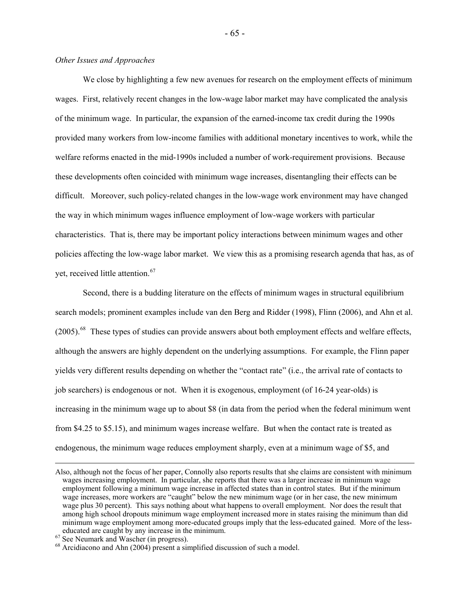## <span id="page-65-0"></span>*Other Issues and Approaches*

We close by highlighting a few new avenues for research on the employment effects of minimum wages. First, relatively recent changes in the low-wage labor market may have complicated the analysis of the minimum wage. In particular, the expansion of the earned-income tax credit during the 1990s provided many workers from low-income families with additional monetary incentives to work, while the welfare reforms enacted in the mid-1990s included a number of work-requirement provisions. Because these developments often coincided with minimum wage increases, disentangling their effects can be difficult. Moreover, such policy-related changes in the low-wage work environment may have changed the way in which minimum wages influence employment of low-wage workers with particular characteristics. That is, there may be important policy interactions between minimum wages and other policies affecting the low-wage labor market. We view this as a promising research agenda that has, as of yet, received little attention.<sup>[67](#page-65-0)</sup>

 Second, there is a budding literature on the effects of minimum wages in structural equilibrium search models; prominent examples include van den Berg and Ridder (1998), Flinn (2006), and Ahn et al. (2005).[68](#page-65-0) These types of studies can provide answers about both employment effects and welfare effects, although the answers are highly dependent on the underlying assumptions. For example, the Flinn paper yields very different results depending on whether the "contact rate" (i.e., the arrival rate of contacts to job searchers) is endogenous or not. When it is exogenous, employment (of 16-24 year-olds) is increasing in the minimum wage up to about \$8 (in data from the period when the federal minimum went from \$4.25 to \$5.15), and minimum wages increase welfare. But when the contact rate is treated as endogenous, the minimum wage reduces employment sharply, even at a minimum wage of \$5, and

 $\overline{a}$ 

- 65 -

Also, although not the focus of her paper, Connolly also reports results that she claims are consistent with minimum wages increasing employment. In particular, she reports that there was a larger increase in minimum wage employment following a minimum wage increase in affected states than in control states. But if the minimum wage increases, more workers are "caught" below the new minimum wage (or in her case, the new minimum wage plus 30 percent). This says nothing about what happens to overall employment. Nor does the result that among high school dropouts minimum wage employment increased more in states raising the minimum than did minimum wage employment among more-educated groups imply that the less-educated gained. More of the less-educated are caught by any increase in the minimum.

 $67$  See Neumark and Wascher (in progress).

<sup>68</sup> Arcidiacono and Ahn (2004) present a simplified discussion of such a model.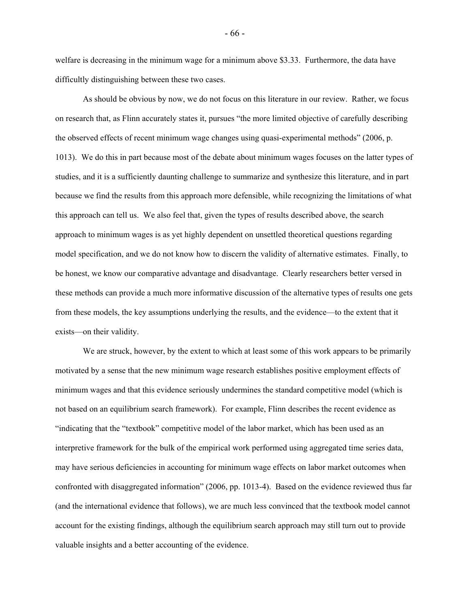welfare is decreasing in the minimum wage for a minimum above \$3.33. Furthermore, the data have difficultly distinguishing between these two cases.

 As should be obvious by now, we do not focus on this literature in our review. Rather, we focus on research that, as Flinn accurately states it, pursues "the more limited objective of carefully describing the observed effects of recent minimum wage changes using quasi-experimental methods" (2006, p. 1013). We do this in part because most of the debate about minimum wages focuses on the latter types of studies, and it is a sufficiently daunting challenge to summarize and synthesize this literature, and in part because we find the results from this approach more defensible, while recognizing the limitations of what this approach can tell us. We also feel that, given the types of results described above, the search approach to minimum wages is as yet highly dependent on unsettled theoretical questions regarding model specification, and we do not know how to discern the validity of alternative estimates. Finally, to be honest, we know our comparative advantage and disadvantage. Clearly researchers better versed in these methods can provide a much more informative discussion of the alternative types of results one gets from these models, the key assumptions underlying the results, and the evidence—to the extent that it exists—on their validity.

 We are struck, however, by the extent to which at least some of this work appears to be primarily motivated by a sense that the new minimum wage research establishes positive employment effects of minimum wages and that this evidence seriously undermines the standard competitive model (which is not based on an equilibrium search framework). For example, Flinn describes the recent evidence as "indicating that the "textbook" competitive model of the labor market, which has been used as an interpretive framework for the bulk of the empirical work performed using aggregated time series data, may have serious deficiencies in accounting for minimum wage effects on labor market outcomes when confronted with disaggregated information" (2006, pp. 1013-4). Based on the evidence reviewed thus far (and the international evidence that follows), we are much less convinced that the textbook model cannot account for the existing findings, although the equilibrium search approach may still turn out to provide valuable insights and a better accounting of the evidence.

- 66 -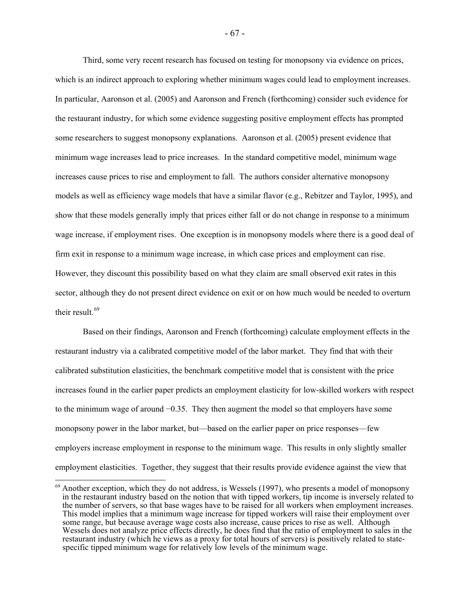<span id="page-67-0"></span>Third, some very recent research has focused on testing for monopsony via evidence on prices, which is an indirect approach to exploring whether minimum wages could lead to employment increases. In particular, Aaronson et al. (2005) and Aaronson and French (forthcoming) consider such evidence for the restaurant industry, for which some evidence suggesting positive employment effects has prompted some researchers to suggest monopsony explanations. Aaronson et al. (2005) present evidence that minimum wage increases lead to price increases. In the standard competitive model, minimum wage increases cause prices to rise and employment to fall. The authors consider alternative monopsony models as well as efficiency wage models that have a similar flavor (e.g., Rebitzer and Taylor, 1995), and show that these models generally imply that prices either fall or do not change in response to a minimum wage increase, if employment rises. One exception is in monopsony models where there is a good deal of firm exit in response to a minimum wage increase, in which case prices and employment can rise. However, they discount this possibility based on what they claim are small observed exit rates in this sector, although they do not present direct evidence on exit or on how much would be needed to overturn their result  $69$ 

Based on their findings, Aaronson and French (forthcoming) calculate employment effects in the restaurant industry via a calibrated competitive model of the labor market. They find that with their calibrated substitution elasticities, the benchmark competitive model that is consistent with the price increases found in the earlier paper predicts an employment elasticity for low-skilled workers with respect to the minimum wage of around −0.35. They then augment the model so that employers have some monopsony power in the labor market, but—based on the earlier paper on price responses—few employers increase employment in response to the minimum wage. This results in only slightly smaller employment elasticities. Together, they suggest that their results provide evidence against the view that

 $\overline{a}$ 

- 67 -

 $69$  Another exception, which they do not address, is Wessels (1997), who presents a model of monopsony in the restaurant industry based on the notion that with tipped workers, tip income is inversely related to the number of servers, so that base wages have to be raised for all workers when employment increases. This model implies that a minimum wage increase for tipped workers will raise their employment over some range, but because average wage costs also increase, cause prices to rise as well. Although Wessels does not analyze price effects directly, he does find that the ratio of employment to sales in the restaurant industry (which he views as a proxy for total hours of servers) is positively related to statespecific tipped minimum wage for relatively low levels of the minimum wage.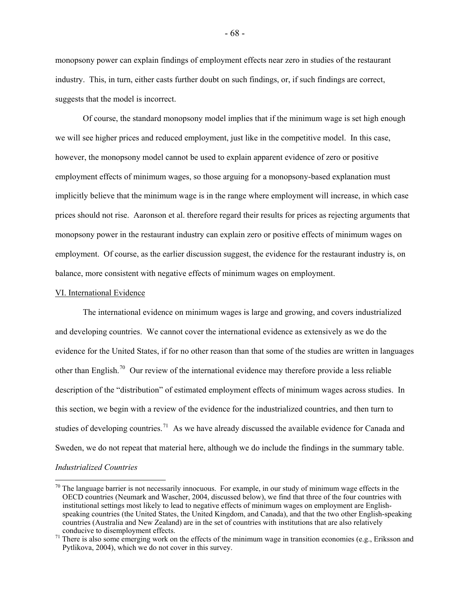<span id="page-68-0"></span>monopsony power can explain findings of employment effects near zero in studies of the restaurant industry. This, in turn, either casts further doubt on such findings, or, if such findings are correct, suggests that the model is incorrect.

Of course, the standard monopsony model implies that if the minimum wage is set high enough we will see higher prices and reduced employment, just like in the competitive model. In this case, however, the monopsony model cannot be used to explain apparent evidence of zero or positive employment effects of minimum wages, so those arguing for a monopsony-based explanation must implicitly believe that the minimum wage is in the range where employment will increase, in which case prices should not rise. Aaronson et al. therefore regard their results for prices as rejecting arguments that monopsony power in the restaurant industry can explain zero or positive effects of minimum wages on employment. Of course, as the earlier discussion suggest, the evidence for the restaurant industry is, on balance, more consistent with negative effects of minimum wages on employment.

### VI. International Evidence

The international evidence on minimum wages is large and growing, and covers industrialized and developing countries. We cannot cover the international evidence as extensively as we do the evidence for the United States, if for no other reason than that some of the studies are written in languages other than English.[70](#page-68-0) Our review of the international evidence may therefore provide a less reliable description of the "distribution" of estimated employment effects of minimum wages across studies. In this section, we begin with a review of the evidence for the industrialized countries, and then turn to studies of developing countries.<sup>[71](#page-68-0)</sup> As we have already discussed the available evidence for Canada and Sweden, we do not repeat that material here, although we do include the findings in the summary table.

# *Industrialized Countries*

 $70$  The language barrier is not necessarily innocuous. For example, in our study of minimum wage effects in the OECD countries (Neumark and Wascher, 2004, discussed below), we find that three of the four countries with institutional settings most likely to lead to negative effects of minimum wages on employment are Englishspeaking countries (the United States, the United Kingdom, and Canada), and that the two other English-speaking countries (Australia and New Zealand) are in the set of countries with institutions that are also relatively conducive to disemployment effects.<br><sup>71</sup> There is also some emerging work on the effects of the minimum wage in transition economies (e.g., Eriksson and

Pytlikova, 2004), which we do not cover in this survey.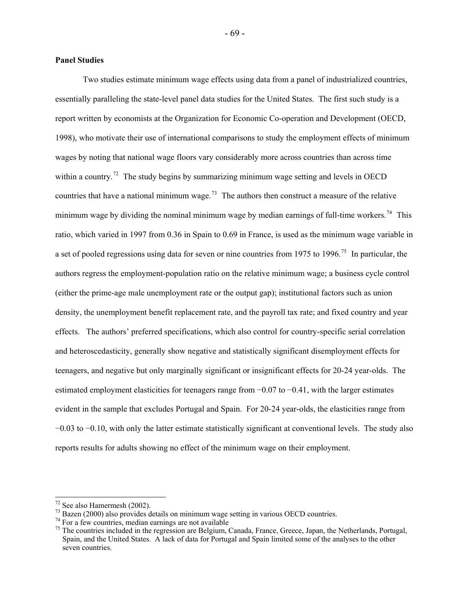# <span id="page-69-0"></span>**Panel Studies**

 Two studies estimate minimum wage effects using data from a panel of industrialized countries, essentially paralleling the state-level panel data studies for the United States. The first such study is a report written by economists at the Organization for Economic Co-operation and Development (OECD, 1998), who motivate their use of international comparisons to study the employment effects of minimum wages by noting that national wage floors vary considerably more across countries than across time within a country.<sup>[72](#page-69-0)</sup> The study begins by summarizing minimum wage setting and levels in OECD countries that have a national minimum wage.<sup>[73](#page-69-0)</sup> The authors then construct a measure of the relative minimum wage by dividing the nominal minimum wage by median earnings of full-time workers.<sup>[74](#page-69-0)</sup> This ratio, which varied in 1997 from 0.36 in Spain to 0.69 in France, is used as the minimum wage variable in a set of pooled regressions using data for seven or nine countries from 19[75](#page-69-0) to 1996.<sup>75</sup> In particular, the authors regress the employment-population ratio on the relative minimum wage; a business cycle control (either the prime-age male unemployment rate or the output gap); institutional factors such as union density, the unemployment benefit replacement rate, and the payroll tax rate; and fixed country and year effects. The authors' preferred specifications, which also control for country-specific serial correlation and heteroscedasticity, generally show negative and statistically significant disemployment effects for teenagers, and negative but only marginally significant or insignificant effects for 20-24 year-olds. The estimated employment elasticities for teenagers range from −0.07 to −0.41, with the larger estimates evident in the sample that excludes Portugal and Spain. For 20-24 year-olds, the elasticities range from −0.03 to −0.10, with only the latter estimate statistically significant at conventional levels. The study also reports results for adults showing no effect of the minimum wage on their employment.

 $72$  See also Hamermesh (2002).

 $^{74}$  For a few countries, median earnings are not available<br> $^{75}$  The countries included in the regression are Belgium, Canada, France, Greece, Japan, the Netherlands, Portugal, Spain, and the United States. A lack of data for Portugal and Spain limited some of the analyses to the other seven countries.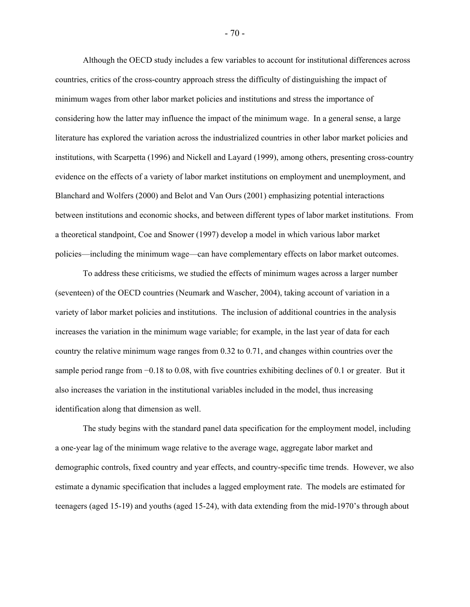Although the OECD study includes a few variables to account for institutional differences across countries, critics of the cross-country approach stress the difficulty of distinguishing the impact of minimum wages from other labor market policies and institutions and stress the importance of considering how the latter may influence the impact of the minimum wage. In a general sense, a large literature has explored the variation across the industrialized countries in other labor market policies and institutions, with Scarpetta (1996) and Nickell and Layard (1999), among others, presenting cross-country evidence on the effects of a variety of labor market institutions on employment and unemployment, and Blanchard and Wolfers (2000) and Belot and Van Ours (2001) emphasizing potential interactions between institutions and economic shocks, and between different types of labor market institutions. From a theoretical standpoint, Coe and Snower (1997) develop a model in which various labor market policies—including the minimum wage—can have complementary effects on labor market outcomes.

To address these criticisms, we studied the effects of minimum wages across a larger number (seventeen) of the OECD countries (Neumark and Wascher, 2004), taking account of variation in a variety of labor market policies and institutions. The inclusion of additional countries in the analysis increases the variation in the minimum wage variable; for example, in the last year of data for each country the relative minimum wage ranges from 0.32 to 0.71, and changes within countries over the sample period range from −0.18 to 0.08, with five countries exhibiting declines of 0.1 or greater. But it also increases the variation in the institutional variables included in the model, thus increasing identification along that dimension as well.

The study begins with the standard panel data specification for the employment model, including a one-year lag of the minimum wage relative to the average wage, aggregate labor market and demographic controls, fixed country and year effects, and country-specific time trends. However, we also estimate a dynamic specification that includes a lagged employment rate. The models are estimated for teenagers (aged 15-19) and youths (aged 15-24), with data extending from the mid-1970's through about

- 70 -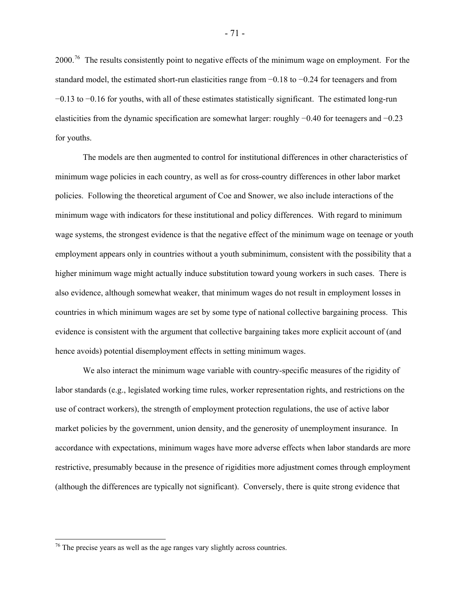<span id="page-71-0"></span>2000.[76](#page-71-0) The results consistently point to negative effects of the minimum wage on employment. For the standard model, the estimated short-run elasticities range from −0.18 to −0.24 for teenagers and from −0.13 to −0.16 for youths, with all of these estimates statistically significant. The estimated long-run elasticities from the dynamic specification are somewhat larger: roughly −0.40 for teenagers and −0.23 for youths.

 The models are then augmented to control for institutional differences in other characteristics of minimum wage policies in each country, as well as for cross-country differences in other labor market policies. Following the theoretical argument of Coe and Snower, we also include interactions of the minimum wage with indicators for these institutional and policy differences. With regard to minimum wage systems, the strongest evidence is that the negative effect of the minimum wage on teenage or youth employment appears only in countries without a youth subminimum, consistent with the possibility that a higher minimum wage might actually induce substitution toward young workers in such cases. There is also evidence, although somewhat weaker, that minimum wages do not result in employment losses in countries in which minimum wages are set by some type of national collective bargaining process. This evidence is consistent with the argument that collective bargaining takes more explicit account of (and hence avoids) potential disemployment effects in setting minimum wages.

We also interact the minimum wage variable with country-specific measures of the rigidity of labor standards (e.g., legislated working time rules, worker representation rights, and restrictions on the use of contract workers), the strength of employment protection regulations, the use of active labor market policies by the government, union density, and the generosity of unemployment insurance. In accordance with expectations, minimum wages have more adverse effects when labor standards are more restrictive, presumably because in the presence of rigidities more adjustment comes through employment (although the differences are typically not significant). Conversely, there is quite strong evidence that

 $76$  The precise years as well as the age ranges vary slightly across countries.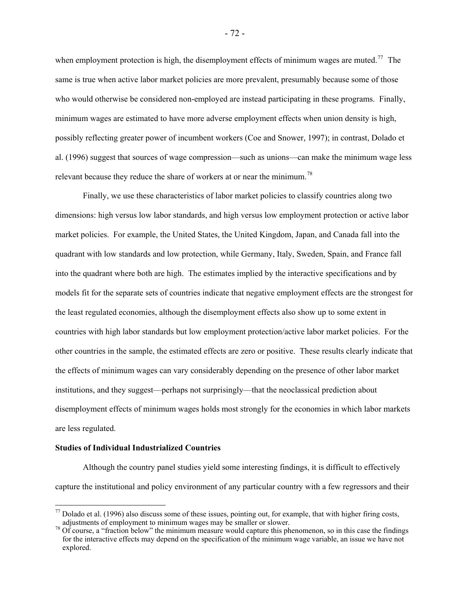<span id="page-72-0"></span>when employment protection is high, the disemployment effects of minimum wages are muted.<sup>[77](#page-72-0)</sup> The same is true when active labor market policies are more prevalent, presumably because some of those who would otherwise be considered non-employed are instead participating in these programs. Finally, minimum wages are estimated to have more adverse employment effects when union density is high, possibly reflecting greater power of incumbent workers (Coe and Snower, 1997); in contrast, Dolado et al. (1996) suggest that sources of wage compression—such as unions—can make the minimum wage less relevant because they reduce the share of workers at or near the minimum.<sup>[78](#page-72-0)</sup>

Finally, we use these characteristics of labor market policies to classify countries along two dimensions: high versus low labor standards, and high versus low employment protection or active labor market policies. For example, the United States, the United Kingdom, Japan, and Canada fall into the quadrant with low standards and low protection, while Germany, Italy, Sweden, Spain, and France fall into the quadrant where both are high. The estimates implied by the interactive specifications and by models fit for the separate sets of countries indicate that negative employment effects are the strongest for the least regulated economies, although the disemployment effects also show up to some extent in countries with high labor standards but low employment protection/active labor market policies. For the other countries in the sample, the estimated effects are zero or positive. These results clearly indicate that the effects of minimum wages can vary considerably depending on the presence of other labor market institutions, and they suggest—perhaps not surprisingly—that the neoclassical prediction about disemployment effects of minimum wages holds most strongly for the economies in which labor markets are less regulated.

## **Studies of Individual Industrialized Countries**

 $\overline{a}$ 

 Although the country panel studies yield some interesting findings, it is difficult to effectively capture the institutional and policy environment of any particular country with a few regressors and their

- 72 -

 $^{77}$  Dolado et al. (1996) also discuss some of these issues, pointing out, for example, that with higher firing costs, adjustments of employment to minimum wages may be smaller or slower.

 $^{78}$  Of course, a "fraction below" the minimum measure would capture this phenomenon, so in this case the findings for the interactive effects may depend on the specification of the minimum wage variable, an issue we have not explored.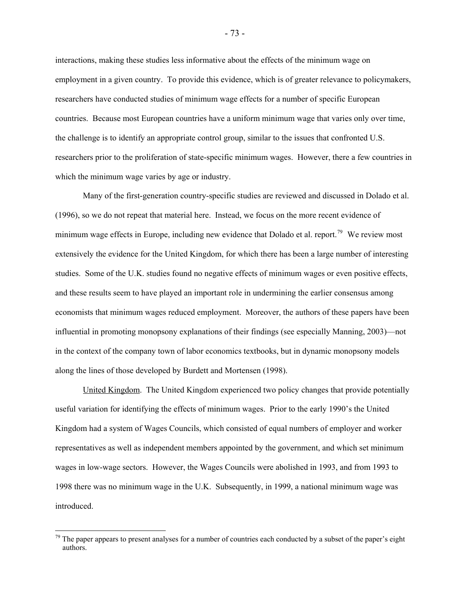<span id="page-73-0"></span>interactions, making these studies less informative about the effects of the minimum wage on employment in a given country. To provide this evidence, which is of greater relevance to policymakers, researchers have conducted studies of minimum wage effects for a number of specific European countries. Because most European countries have a uniform minimum wage that varies only over time, the challenge is to identify an appropriate control group, similar to the issues that confronted U.S. researchers prior to the proliferation of state-specific minimum wages. However, there a few countries in which the minimum wage varies by age or industry.

Many of the first-generation country-specific studies are reviewed and discussed in Dolado et al. (1996), so we do not repeat that material here. Instead, we focus on the more recent evidence of minimum wage effects in Europe, including new evidence that Dolado et al. report.<sup>[79](#page-73-0)</sup> We review most extensively the evidence for the United Kingdom, for which there has been a large number of interesting studies. Some of the U.K. studies found no negative effects of minimum wages or even positive effects, and these results seem to have played an important role in undermining the earlier consensus among economists that minimum wages reduced employment. Moreover, the authors of these papers have been influential in promoting monopsony explanations of their findings (see especially Manning, 2003)—not in the context of the company town of labor economics textbooks, but in dynamic monopsony models along the lines of those developed by Burdett and Mortensen (1998).

 United Kingdom. The United Kingdom experienced two policy changes that provide potentially useful variation for identifying the effects of minimum wages. Prior to the early 1990's the United Kingdom had a system of Wages Councils, which consisted of equal numbers of employer and worker representatives as well as independent members appointed by the government, and which set minimum wages in low-wage sectors. However, the Wages Councils were abolished in 1993, and from 1993 to 1998 there was no minimum wage in the U.K. Subsequently, in 1999, a national minimum wage was introduced.

 $\overline{a}$ 

- 73 -

 $79$  The paper appears to present analyses for a number of countries each conducted by a subset of the paper's eight authors.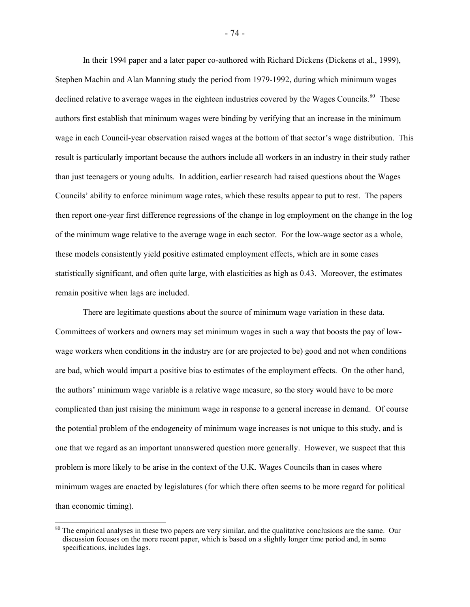<span id="page-74-0"></span>In their 1994 paper and a later paper co-authored with Richard Dickens (Dickens et al., 1999), Stephen Machin and Alan Manning study the period from 1979-1992, during which minimum wages declined relative to average wages in the eighteen industries covered by the Wages Councils.<sup>[80](#page-74-0)</sup> These authors first establish that minimum wages were binding by verifying that an increase in the minimum wage in each Council-year observation raised wages at the bottom of that sector's wage distribution. This result is particularly important because the authors include all workers in an industry in their study rather than just teenagers or young adults. In addition, earlier research had raised questions about the Wages Councils' ability to enforce minimum wage rates, which these results appear to put to rest. The papers then report one-year first difference regressions of the change in log employment on the change in the log of the minimum wage relative to the average wage in each sector. For the low-wage sector as a whole, these models consistently yield positive estimated employment effects, which are in some cases statistically significant, and often quite large, with elasticities as high as 0.43. Moreover, the estimates remain positive when lags are included.

There are legitimate questions about the source of minimum wage variation in these data. Committees of workers and owners may set minimum wages in such a way that boosts the pay of lowwage workers when conditions in the industry are (or are projected to be) good and not when conditions are bad, which would impart a positive bias to estimates of the employment effects. On the other hand, the authors' minimum wage variable is a relative wage measure, so the story would have to be more complicated than just raising the minimum wage in response to a general increase in demand. Of course the potential problem of the endogeneity of minimum wage increases is not unique to this study, and is one that we regard as an important unanswered question more generally. However, we suspect that this problem is more likely to be arise in the context of the U.K. Wages Councils than in cases where minimum wages are enacted by legislatures (for which there often seems to be more regard for political than economic timing).

 $\overline{a}$ 

- 74 -

<sup>&</sup>lt;sup>80</sup> The empirical analyses in these two papers are very similar, and the qualitative conclusions are the same. Our discussion focuses on the more recent paper, which is based on a slightly longer time period and, in some specifications, includes lags.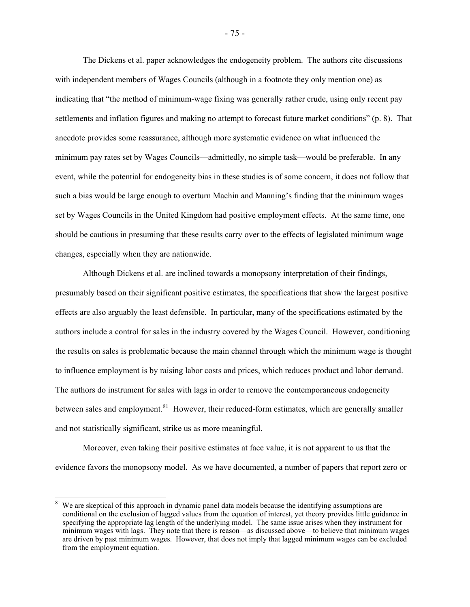<span id="page-75-0"></span>The Dickens et al. paper acknowledges the endogeneity problem. The authors cite discussions with independent members of Wages Councils (although in a footnote they only mention one) as indicating that "the method of minimum-wage fixing was generally rather crude, using only recent pay settlements and inflation figures and making no attempt to forecast future market conditions" (p. 8). That anecdote provides some reassurance, although more systematic evidence on what influenced the minimum pay rates set by Wages Councils—admittedly, no simple task—would be preferable. In any event, while the potential for endogeneity bias in these studies is of some concern, it does not follow that such a bias would be large enough to overturn Machin and Manning's finding that the minimum wages set by Wages Councils in the United Kingdom had positive employment effects. At the same time, one should be cautious in presuming that these results carry over to the effects of legislated minimum wage changes, especially when they are nationwide.

Although Dickens et al. are inclined towards a monopsony interpretation of their findings, presumably based on their significant positive estimates, the specifications that show the largest positive effects are also arguably the least defensible. In particular, many of the specifications estimated by the authors include a control for sales in the industry covered by the Wages Council. However, conditioning the results on sales is problematic because the main channel through which the minimum wage is thought to influence employment is by raising labor costs and prices, which reduces product and labor demand. The authors do instrument for sales with lags in order to remove the contemporaneous endogeneity between sales and employment.<sup>[81](#page-75-0)</sup> However, their reduced-form estimates, which are generally smaller and not statistically significant, strike us as more meaningful.

Moreover, even taking their positive estimates at face value, it is not apparent to us that the evidence favors the monopsony model. As we have documented, a number of papers that report zero or

 $81$  We are skeptical of this approach in dynamic panel data models because the identifying assumptions are conditional on the exclusion of lagged values from the equation of interest, yet theory provides little guidance in specifying the appropriate lag length of the underlying model. The same issue arises when they instrument for minimum wages with lags. They note that there is reason—as discussed above—to believe that minimum wages are driven by past minimum wages. However, that does not imply that lagged minimum wages can be excluded from the employment equation.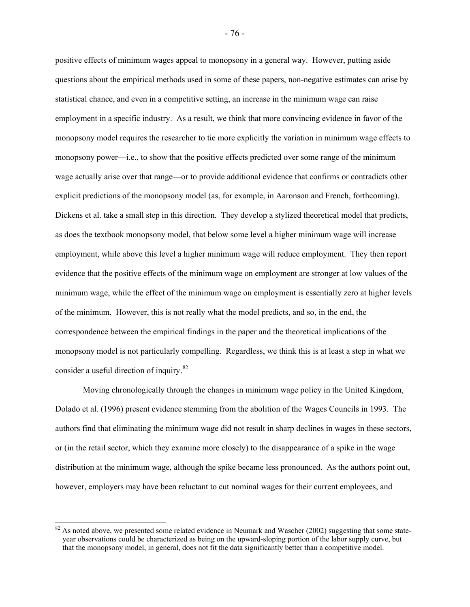<span id="page-76-0"></span>positive effects of minimum wages appeal to monopsony in a general way. However, putting aside questions about the empirical methods used in some of these papers, non-negative estimates can arise by statistical chance, and even in a competitive setting, an increase in the minimum wage can raise employment in a specific industry. As a result, we think that more convincing evidence in favor of the monopsony model requires the researcher to tie more explicitly the variation in minimum wage effects to monopsony power—i.e., to show that the positive effects predicted over some range of the minimum wage actually arise over that range—or to provide additional evidence that confirms or contradicts other explicit predictions of the monopsony model (as, for example, in Aaronson and French, forthcoming). Dickens et al. take a small step in this direction. They develop a stylized theoretical model that predicts, as does the textbook monopsony model, that below some level a higher minimum wage will increase employment, while above this level a higher minimum wage will reduce employment. They then report evidence that the positive effects of the minimum wage on employment are stronger at low values of the minimum wage, while the effect of the minimum wage on employment is essentially zero at higher levels of the minimum. However, this is not really what the model predicts, and so, in the end, the correspondence between the empirical findings in the paper and the theoretical implications of the monopsony model is not particularly compelling. Regardless, we think this is at least a step in what we consider a useful direction of inquiry. $82$ 

 Moving chronologically through the changes in minimum wage policy in the United Kingdom, Dolado et al. (1996) present evidence stemming from the abolition of the Wages Councils in 1993. The authors find that eliminating the minimum wage did not result in sharp declines in wages in these sectors, or (in the retail sector, which they examine more closely) to the disappearance of a spike in the wage distribution at the minimum wage, although the spike became less pronounced. As the authors point out, however, employers may have been reluctant to cut nominal wages for their current employees, and

 $\overline{a}$ 

- 76 -

 $82$  As noted above, we presented some related evidence in Neumark and Wascher (2002) suggesting that some stateyear observations could be characterized as being on the upward-sloping portion of the labor supply curve, but that the monopsony model, in general, does not fit the data significantly better than a competitive model.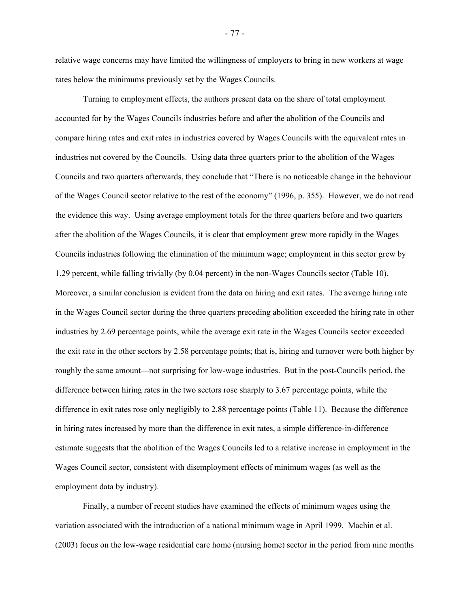relative wage concerns may have limited the willingness of employers to bring in new workers at wage rates below the minimums previously set by the Wages Councils.

Turning to employment effects, the authors present data on the share of total employment accounted for by the Wages Councils industries before and after the abolition of the Councils and compare hiring rates and exit rates in industries covered by Wages Councils with the equivalent rates in industries not covered by the Councils. Using data three quarters prior to the abolition of the Wages Councils and two quarters afterwards, they conclude that "There is no noticeable change in the behaviour of the Wages Council sector relative to the rest of the economy" (1996, p. 355). However, we do not read the evidence this way. Using average employment totals for the three quarters before and two quarters after the abolition of the Wages Councils, it is clear that employment grew more rapidly in the Wages Councils industries following the elimination of the minimum wage; employment in this sector grew by 1.29 percent, while falling trivially (by 0.04 percent) in the non-Wages Councils sector (Table 10). Moreover, a similar conclusion is evident from the data on hiring and exit rates. The average hiring rate in the Wages Council sector during the three quarters preceding abolition exceeded the hiring rate in other industries by 2.69 percentage points, while the average exit rate in the Wages Councils sector exceeded the exit rate in the other sectors by 2.58 percentage points; that is, hiring and turnover were both higher by roughly the same amount—not surprising for low-wage industries. But in the post-Councils period, the difference between hiring rates in the two sectors rose sharply to 3.67 percentage points, while the difference in exit rates rose only negligibly to 2.88 percentage points (Table 11). Because the difference in hiring rates increased by more than the difference in exit rates, a simple difference-in-difference estimate suggests that the abolition of the Wages Councils led to a relative increase in employment in the Wages Council sector, consistent with disemployment effects of minimum wages (as well as the employment data by industry).

Finally, a number of recent studies have examined the effects of minimum wages using the variation associated with the introduction of a national minimum wage in April 1999. Machin et al. (2003) focus on the low-wage residential care home (nursing home) sector in the period from nine months

- 77 -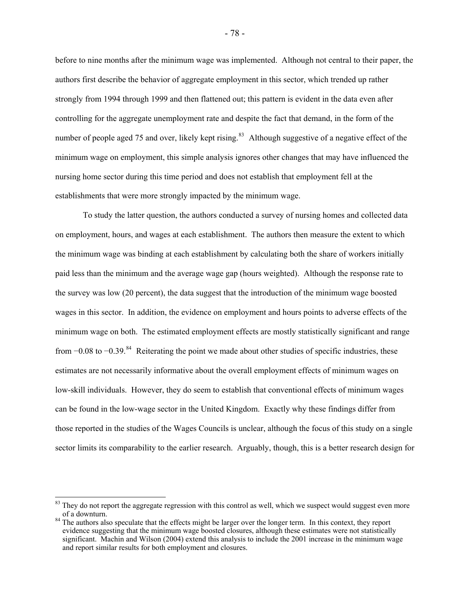<span id="page-78-0"></span>before to nine months after the minimum wage was implemented. Although not central to their paper, the authors first describe the behavior of aggregate employment in this sector, which trended up rather strongly from 1994 through 1999 and then flattened out; this pattern is evident in the data even after controlling for the aggregate unemployment rate and despite the fact that demand, in the form of the number of people aged 75 and over, likely kept rising.<sup>[83](#page-78-0)</sup> Although suggestive of a negative effect of the minimum wage on employment, this simple analysis ignores other changes that may have influenced the nursing home sector during this time period and does not establish that employment fell at the establishments that were more strongly impacted by the minimum wage.

To study the latter question, the authors conducted a survey of nursing homes and collected data on employment, hours, and wages at each establishment. The authors then measure the extent to which the minimum wage was binding at each establishment by calculating both the share of workers initially paid less than the minimum and the average wage gap (hours weighted). Although the response rate to the survey was low (20 percent), the data suggest that the introduction of the minimum wage boosted wages in this sector. In addition, the evidence on employment and hours points to adverse effects of the minimum wage on both. The estimated employment effects are mostly statistically significant and range from  $-0.08$  to  $-0.39$ .<sup>[84](#page-78-0)</sup> Reiterating the point we made about other studies of specific industries, these estimates are not necessarily informative about the overall employment effects of minimum wages on low-skill individuals. However, they do seem to establish that conventional effects of minimum wages can be found in the low-wage sector in the United Kingdom. Exactly why these findings differ from those reported in the studies of the Wages Councils is unclear, although the focus of this study on a single sector limits its comparability to the earlier research. Arguably, though, this is a better research design for

 $\overline{a}$ 

- 78 -

 $83$  They do not report the aggregate regression with this control as well, which we suspect would suggest even more of a downturn.

<sup>&</sup>lt;sup>84</sup> The authors also speculate that the effects might be larger over the longer term. In this context, they report evidence suggesting that the minimum wage boosted closures, although these estimates were not statistically significant. Machin and Wilson (2004) extend this analysis to include the 2001 increase in the minimum wage and report similar results for both employment and closures.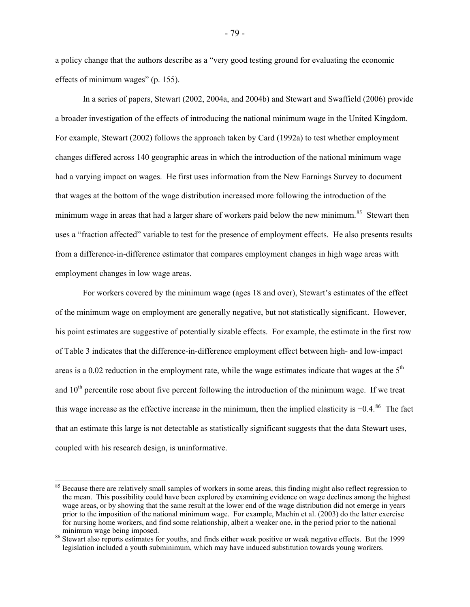<span id="page-79-0"></span>a policy change that the authors describe as a "very good testing ground for evaluating the economic effects of minimum wages" (p. 155).

In a series of papers, Stewart (2002, 2004a, and 2004b) and Stewart and Swaffield (2006) provide a broader investigation of the effects of introducing the national minimum wage in the United Kingdom. For example, Stewart (2002) follows the approach taken by Card (1992a) to test whether employment changes differed across 140 geographic areas in which the introduction of the national minimum wage had a varying impact on wages. He first uses information from the New Earnings Survey to document that wages at the bottom of the wage distribution increased more following the introduction of the minimum wage in areas that had a larger share of workers paid below the new minimum.<sup>[85](#page-79-0)</sup> Stewart then uses a "fraction affected" variable to test for the presence of employment effects. He also presents results from a difference-in-difference estimator that compares employment changes in high wage areas with employment changes in low wage areas.

For workers covered by the minimum wage (ages 18 and over), Stewart's estimates of the effect of the minimum wage on employment are generally negative, but not statistically significant. However, his point estimates are suggestive of potentially sizable effects. For example, the estimate in the first row of Table 3 indicates that the difference-in-difference employment effect between high- and low-impact areas is a 0.02 reduction in the employment rate, while the wage estimates indicate that wages at the  $5<sup>th</sup>$ and  $10<sup>th</sup>$  percentile rose about five percent following the introduction of the minimum wage. If we treat this wage increase as the effective increase in the minimum, then the implied elasticity is −0.4.[86](#page-79-0) The fact that an estimate this large is not detectable as statistically significant suggests that the data Stewart uses, coupled with his research design, is uninformative.

 $\overline{a}$ 

- 79 -

<sup>&</sup>lt;sup>85</sup> Because there are relatively small samples of workers in some areas, this finding might also reflect regression to the mean. This possibility could have been explored by examining evidence on wage declines among the highest wage areas, or by showing that the same result at the lower end of the wage distribution did not emerge in years prior to the imposition of the national minimum wage. For example, Machin et al. (2003) do the latter exercise for nursing home workers, and find some relationship, albeit a weaker one, in the period prior to the national

<sup>&</sup>lt;sup>86</sup> Stewart also reports estimates for youths, and finds either weak positive or weak negative effects. But the 1999 legislation included a youth subminimum, which may have induced substitution towards young workers.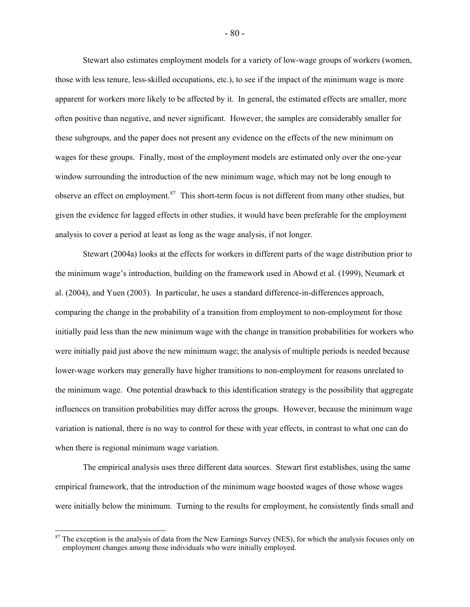<span id="page-80-0"></span>Stewart also estimates employment models for a variety of low-wage groups of workers (women, those with less tenure, less-skilled occupations, etc.), to see if the impact of the minimum wage is more apparent for workers more likely to be affected by it. In general, the estimated effects are smaller, more often positive than negative, and never significant. However, the samples are considerably smaller for these subgroups, and the paper does not present any evidence on the effects of the new minimum on wages for these groups. Finally, most of the employment models are estimated only over the one-year window surrounding the introduction of the new minimum wage, which may not be long enough to observe an effect on employment.<sup>[87](#page-80-0)</sup> This short-term focus is not different from many other studies, but given the evidence for lagged effects in other studies, it would have been preferable for the employment analysis to cover a period at least as long as the wage analysis, if not longer.

Stewart (2004a) looks at the effects for workers in different parts of the wage distribution prior to the minimum wage's introduction, building on the framework used in Abowd et al. (1999), Neumark et al. (2004), and Yuen (2003). In particular, he uses a standard difference-in-differences approach, comparing the change in the probability of a transition from employment to non-employment for those initially paid less than the new minimum wage with the change in transition probabilities for workers who were initially paid just above the new minimum wage; the analysis of multiple periods is needed because lower-wage workers may generally have higher transitions to non-employment for reasons unrelated to the minimum wage. One potential drawback to this identification strategy is the possibility that aggregate influences on transition probabilities may differ across the groups. However, because the minimum wage variation is national, there is no way to control for these with year effects, in contrast to what one can do when there is regional minimum wage variation.

The empirical analysis uses three different data sources. Stewart first establishes, using the same empirical framework, that the introduction of the minimum wage boosted wages of those whose wages were initially below the minimum. Turning to the results for employment, he consistently finds small and

 $\overline{a}$ 

- 80 -

 $87$  The exception is the analysis of data from the New Earnings Survey (NES), for which the analysis focuses only on employment changes among those individuals who were initially employed.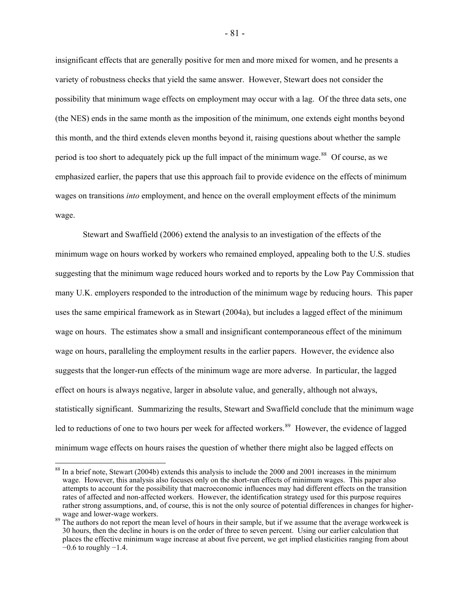<span id="page-81-0"></span>insignificant effects that are generally positive for men and more mixed for women, and he presents a variety of robustness checks that yield the same answer. However, Stewart does not consider the possibility that minimum wage effects on employment may occur with a lag. Of the three data sets, one (the NES) ends in the same month as the imposition of the minimum, one extends eight months beyond this month, and the third extends eleven months beyond it, raising questions about whether the sample period is too short to adequately pick up the full impact of the minimum wage.<sup>[88](#page-81-0)</sup> Of course, as we emphasized earlier, the papers that use this approach fail to provide evidence on the effects of minimum wages on transitions *into* employment, and hence on the overall employment effects of the minimum wage.

Stewart and Swaffield (2006) extend the analysis to an investigation of the effects of the minimum wage on hours worked by workers who remained employed, appealing both to the U.S. studies suggesting that the minimum wage reduced hours worked and to reports by the Low Pay Commission that many U.K. employers responded to the introduction of the minimum wage by reducing hours. This paper uses the same empirical framework as in Stewart (2004a), but includes a lagged effect of the minimum wage on hours. The estimates show a small and insignificant contemporaneous effect of the minimum wage on hours, paralleling the employment results in the earlier papers. However, the evidence also suggests that the longer-run effects of the minimum wage are more adverse. In particular, the lagged effect on hours is always negative, larger in absolute value, and generally, although not always, statistically significant. Summarizing the results, Stewart and Swaffield conclude that the minimum wage led to reductions of one to two hours per week for affected workers.<sup>[89](#page-81-0)</sup> However, the evidence of lagged minimum wage effects on hours raises the question of whether there might also be lagged effects on

 $\overline{a}$ <sup>88</sup> In a brief note, Stewart (2004b) extends this analysis to include the 2000 and 2001 increases in the minimum wage. However, this analysis also focuses only on the short-run effects of minimum wages. This paper also attempts to account for the possibility that macroeconomic influences may had different effects on the transition rates of affected and non-affected workers. However, the identification strategy used for this purpose requires rather strong assumptions, and, of course, this is not the only source of potential differences in changes for higher-

<sup>&</sup>lt;sup>89</sup> The authors do not report the mean level of hours in their sample, but if we assume that the average workweek is 30 hours, then the decline in hours is on the order of three to seven percent. Using our earlier calculation that places the effective minimum wage increase at about five percent, we get implied elasticities ranging from about  $-0.6$  to roughly  $-1.4$ .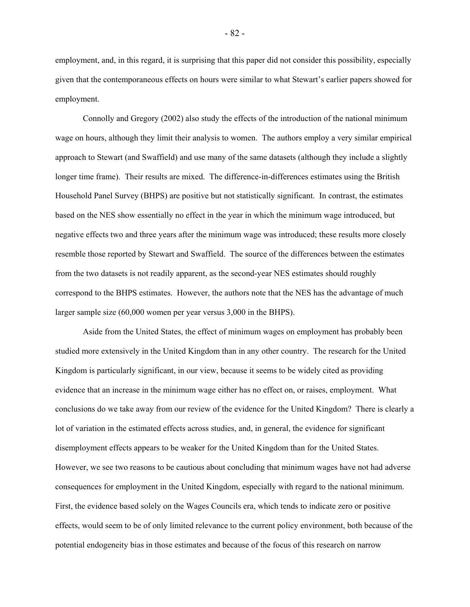employment, and, in this regard, it is surprising that this paper did not consider this possibility, especially given that the contemporaneous effects on hours were similar to what Stewart's earlier papers showed for employment.

Connolly and Gregory (2002) also study the effects of the introduction of the national minimum wage on hours, although they limit their analysis to women. The authors employ a very similar empirical approach to Stewart (and Swaffield) and use many of the same datasets (although they include a slightly longer time frame). Their results are mixed. The difference-in-differences estimates using the British Household Panel Survey (BHPS) are positive but not statistically significant. In contrast, the estimates based on the NES show essentially no effect in the year in which the minimum wage introduced, but negative effects two and three years after the minimum wage was introduced; these results more closely resemble those reported by Stewart and Swaffield. The source of the differences between the estimates from the two datasets is not readily apparent, as the second-year NES estimates should roughly correspond to the BHPS estimates. However, the authors note that the NES has the advantage of much larger sample size (60,000 women per year versus 3,000 in the BHPS).

Aside from the United States, the effect of minimum wages on employment has probably been studied more extensively in the United Kingdom than in any other country. The research for the United Kingdom is particularly significant, in our view, because it seems to be widely cited as providing evidence that an increase in the minimum wage either has no effect on, or raises, employment. What conclusions do we take away from our review of the evidence for the United Kingdom? There is clearly a lot of variation in the estimated effects across studies, and, in general, the evidence for significant disemployment effects appears to be weaker for the United Kingdom than for the United States. However, we see two reasons to be cautious about concluding that minimum wages have not had adverse consequences for employment in the United Kingdom, especially with regard to the national minimum. First, the evidence based solely on the Wages Councils era, which tends to indicate zero or positive effects, would seem to be of only limited relevance to the current policy environment, both because of the potential endogeneity bias in those estimates and because of the focus of this research on narrow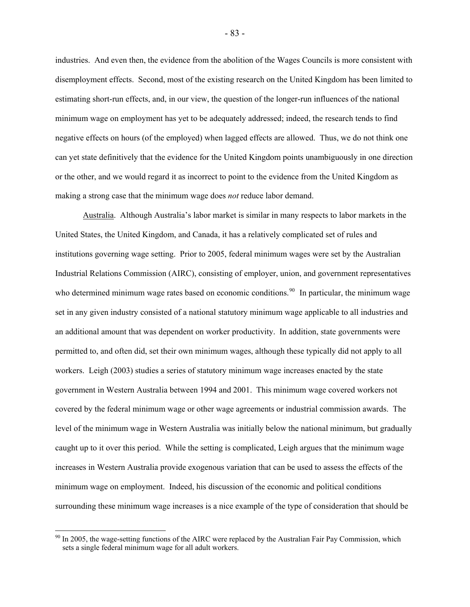<span id="page-83-0"></span>industries. And even then, the evidence from the abolition of the Wages Councils is more consistent with disemployment effects. Second, most of the existing research on the United Kingdom has been limited to estimating short-run effects, and, in our view, the question of the longer-run influences of the national minimum wage on employment has yet to be adequately addressed; indeed, the research tends to find negative effects on hours (of the employed) when lagged effects are allowed. Thus, we do not think one can yet state definitively that the evidence for the United Kingdom points unambiguously in one direction or the other, and we would regard it as incorrect to point to the evidence from the United Kingdom as making a strong case that the minimum wage does *not* reduce labor demand.

Australia. Although Australia's labor market is similar in many respects to labor markets in the United States, the United Kingdom, and Canada, it has a relatively complicated set of rules and institutions governing wage setting. Prior to 2005, federal minimum wages were set by the Australian Industrial Relations Commission (AIRC), consisting of employer, union, and government representatives who determined minimum wage rates based on economic conditions.<sup>[90](#page-83-0)</sup> In particular, the minimum wage set in any given industry consisted of a national statutory minimum wage applicable to all industries and an additional amount that was dependent on worker productivity. In addition, state governments were permitted to, and often did, set their own minimum wages, although these typically did not apply to all workers. Leigh (2003) studies a series of statutory minimum wage increases enacted by the state government in Western Australia between 1994 and 2001. This minimum wage covered workers not covered by the federal minimum wage or other wage agreements or industrial commission awards. The level of the minimum wage in Western Australia was initially below the national minimum, but gradually caught up to it over this period. While the setting is complicated, Leigh argues that the minimum wage increases in Western Australia provide exogenous variation that can be used to assess the effects of the minimum wage on employment. Indeed, his discussion of the economic and political conditions surrounding these minimum wage increases is a nice example of the type of consideration that should be

 $\overline{a}$ 

- 83 -

<sup>&</sup>lt;sup>90</sup> In 2005, the wage-setting functions of the AIRC were replaced by the Australian Fair Pay Commission, which sets a single federal minimum wage for all adult workers.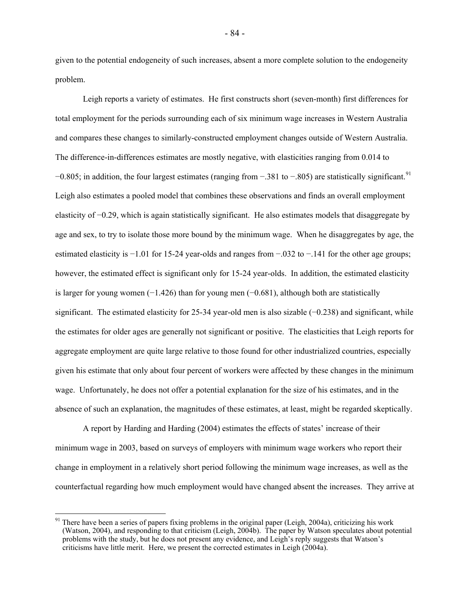<span id="page-84-0"></span>given to the potential endogeneity of such increases, absent a more complete solution to the endogeneity problem.

Leigh reports a variety of estimates. He first constructs short (seven-month) first differences for total employment for the periods surrounding each of six minimum wage increases in Western Australia and compares these changes to similarly-constructed employment changes outside of Western Australia. The difference-in-differences estimates are mostly negative, with elasticities ranging from 0.014 to  $-0.805$ ; in addition, the four largest estimates (ranging from  $-.381$  to  $-.805$ ) are statistically significant.<sup>[91](#page-84-0)</sup> Leigh also estimates a pooled model that combines these observations and finds an overall employment elasticity of −0.29, which is again statistically significant. He also estimates models that disaggregate by age and sex, to try to isolate those more bound by the minimum wage. When he disaggregates by age, the estimated elasticity is −1.01 for 15-24 year-olds and ranges from −.032 to −.141 for the other age groups; however, the estimated effect is significant only for 15-24 year-olds. In addition, the estimated elasticity is larger for young women  $(-1.426)$  than for young men  $(-0.681)$ , although both are statistically significant. The estimated elasticity for 25-34 year-old men is also sizable (−0.238) and significant, while the estimates for older ages are generally not significant or positive. The elasticities that Leigh reports for aggregate employment are quite large relative to those found for other industrialized countries, especially given his estimate that only about four percent of workers were affected by these changes in the minimum wage. Unfortunately, he does not offer a potential explanation for the size of his estimates, and in the absence of such an explanation, the magnitudes of these estimates, at least, might be regarded skeptically.

A report by Harding and Harding (2004) estimates the effects of states' increase of their minimum wage in 2003, based on surveys of employers with minimum wage workers who report their change in employment in a relatively short period following the minimum wage increases, as well as the counterfactual regarding how much employment would have changed absent the increases. They arrive at

 $\overline{a}$ 

- 84 -

<sup>&</sup>lt;sup>91</sup> There have been a series of papers fixing problems in the original paper (Leigh, 2004a), criticizing his work (Watson, 2004), and responding to that criticism (Leigh, 2004b). The paper by Watson speculates about potential problems with the study, but he does not present any evidence, and Leigh's reply suggests that Watson's criticisms have little merit. Here, we present the corrected estimates in Leigh (2004a).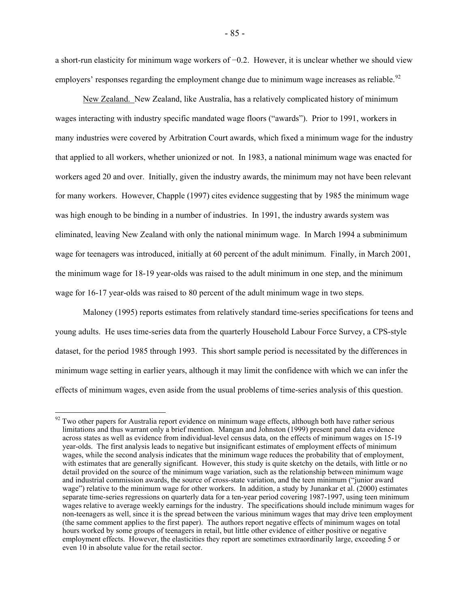<span id="page-85-0"></span>a short-run elasticity for minimum wage workers of −0.2. However, it is unclear whether we should view employers' responses regarding the employment change due to minimum wage increases as reliable.<sup>[92](#page-85-0)</sup>

New Zealand. New Zealand, like Australia, has a relatively complicated history of minimum wages interacting with industry specific mandated wage floors ("awards"). Prior to 1991, workers in many industries were covered by Arbitration Court awards, which fixed a minimum wage for the industry that applied to all workers, whether unionized or not. In 1983, a national minimum wage was enacted for workers aged 20 and over. Initially, given the industry awards, the minimum may not have been relevant for many workers. However, Chapple (1997) cites evidence suggesting that by 1985 the minimum wage was high enough to be binding in a number of industries. In 1991, the industry awards system was eliminated, leaving New Zealand with only the national minimum wage. In March 1994 a subminimum wage for teenagers was introduced, initially at 60 percent of the adult minimum. Finally, in March 2001, the minimum wage for 18-19 year-olds was raised to the adult minimum in one step, and the minimum wage for 16-17 year-olds was raised to 80 percent of the adult minimum wage in two steps.

Maloney (1995) reports estimates from relatively standard time-series specifications for teens and young adults. He uses time-series data from the quarterly Household Labour Force Survey, a CPS-style dataset, for the period 1985 through 1993. This short sample period is necessitated by the differences in minimum wage setting in earlier years, although it may limit the confidence with which we can infer the effects of minimum wages, even aside from the usual problems of time-series analysis of this question.

 $\overline{a}$ 

- 85 -

 $92$  Two other papers for Australia report evidence on minimum wage effects, although both have rather serious limitations and thus warrant only a brief mention. Mangan and Johnston (1999) present panel data evidence across states as well as evidence from individual-level census data, on the effects of minimum wages on 15-19 year-olds. The first analysis leads to negative but insignificant estimates of employment effects of minimum wages, while the second analysis indicates that the minimum wage reduces the probability that of employment, with estimates that are generally significant. However, this study is quite sketchy on the details, with little or no detail provided on the source of the minimum wage variation, such as the relationship between minimum wage and industrial commission awards, the source of cross-state variation, and the teen minimum ("junior award wage") relative to the minimum wage for other workers. In addition, a study by Junankar et al. (2000) estimates separate time-series regressions on quarterly data for a ten-year period covering 1987-1997, using teen minimum wages relative to average weekly earnings for the industry. The specifications should include minimum wages for non-teenagers as well, since it is the spread between the various minimum wages that may drive teen employment (the same comment applies to the first paper). The authors report negative effects of minimum wages on total hours worked by some groups of teenagers in retail, but little other evidence of either positive or negative employment effects. However, the elasticities they report are sometimes extraordinarily large, exceeding 5 or even 10 in absolute value for the retail sector.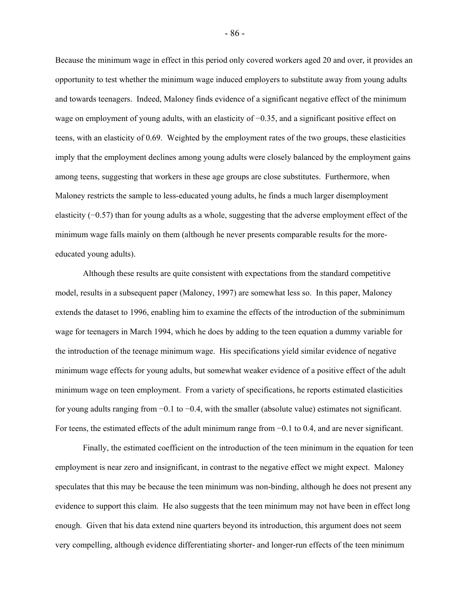Because the minimum wage in effect in this period only covered workers aged 20 and over, it provides an opportunity to test whether the minimum wage induced employers to substitute away from young adults and towards teenagers. Indeed, Maloney finds evidence of a significant negative effect of the minimum wage on employment of young adults, with an elasticity of −0.35, and a significant positive effect on teens, with an elasticity of 0.69. Weighted by the employment rates of the two groups, these elasticities imply that the employment declines among young adults were closely balanced by the employment gains among teens, suggesting that workers in these age groups are close substitutes. Furthermore, when Maloney restricts the sample to less-educated young adults, he finds a much larger disemployment elasticity (−0.57) than for young adults as a whole, suggesting that the adverse employment effect of the minimum wage falls mainly on them (although he never presents comparable results for the moreeducated young adults).

Although these results are quite consistent with expectations from the standard competitive model, results in a subsequent paper (Maloney, 1997) are somewhat less so. In this paper, Maloney extends the dataset to 1996, enabling him to examine the effects of the introduction of the subminimum wage for teenagers in March 1994, which he does by adding to the teen equation a dummy variable for the introduction of the teenage minimum wage. His specifications yield similar evidence of negative minimum wage effects for young adults, but somewhat weaker evidence of a positive effect of the adult minimum wage on teen employment. From a variety of specifications, he reports estimated elasticities for young adults ranging from −0.1 to −0.4, with the smaller (absolute value) estimates not significant. For teens, the estimated effects of the adult minimum range from −0.1 to 0.4, and are never significant.

Finally, the estimated coefficient on the introduction of the teen minimum in the equation for teen employment is near zero and insignificant, in contrast to the negative effect we might expect. Maloney speculates that this may be because the teen minimum was non-binding, although he does not present any evidence to support this claim. He also suggests that the teen minimum may not have been in effect long enough. Given that his data extend nine quarters beyond its introduction, this argument does not seem very compelling, although evidence differentiating shorter- and longer-run effects of the teen minimum

- 86 -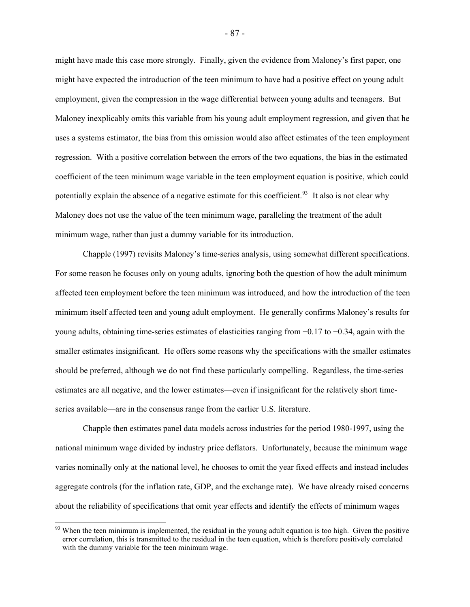<span id="page-87-0"></span>might have made this case more strongly. Finally, given the evidence from Maloney's first paper, one might have expected the introduction of the teen minimum to have had a positive effect on young adult employment, given the compression in the wage differential between young adults and teenagers. But Maloney inexplicably omits this variable from his young adult employment regression, and given that he uses a systems estimator, the bias from this omission would also affect estimates of the teen employment regression. With a positive correlation between the errors of the two equations, the bias in the estimated coefficient of the teen minimum wage variable in the teen employment equation is positive, which could potentially explain the absence of a negative estimate for this coefficient.<sup>[93](#page-87-0)</sup> It also is not clear why Maloney does not use the value of the teen minimum wage, paralleling the treatment of the adult minimum wage, rather than just a dummy variable for its introduction.

Chapple (1997) revisits Maloney's time-series analysis, using somewhat different specifications. For some reason he focuses only on young adults, ignoring both the question of how the adult minimum affected teen employment before the teen minimum was introduced, and how the introduction of the teen minimum itself affected teen and young adult employment. He generally confirms Maloney's results for young adults, obtaining time-series estimates of elasticities ranging from −0.17 to −0.34, again with the smaller estimates insignificant. He offers some reasons why the specifications with the smaller estimates should be preferred, although we do not find these particularly compelling. Regardless, the time-series estimates are all negative, and the lower estimates—even if insignificant for the relatively short timeseries available—are in the consensus range from the earlier U.S. literature.

Chapple then estimates panel data models across industries for the period 1980-1997, using the national minimum wage divided by industry price deflators. Unfortunately, because the minimum wage varies nominally only at the national level, he chooses to omit the year fixed effects and instead includes aggregate controls (for the inflation rate, GDP, and the exchange rate). We have already raised concerns about the reliability of specifications that omit year effects and identify the effects of minimum wages

 $\overline{a}$ 

- 87 -

 $93$  When the teen minimum is implemented, the residual in the young adult equation is too high. Given the positive error correlation, this is transmitted to the residual in the teen equation, which is therefore positively correlated with the dummy variable for the teen minimum wage.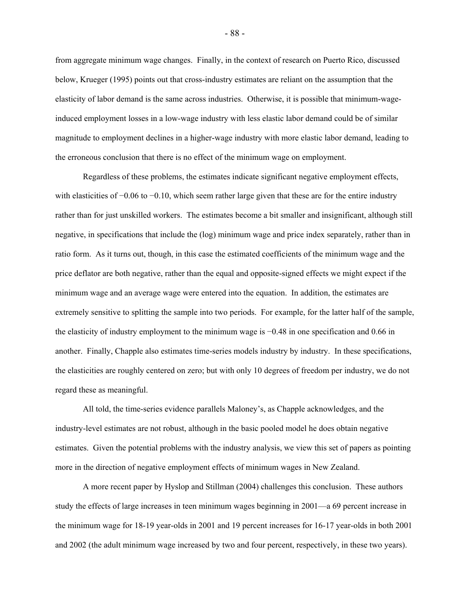from aggregate minimum wage changes. Finally, in the context of research on Puerto Rico, discussed below, Krueger (1995) points out that cross-industry estimates are reliant on the assumption that the elasticity of labor demand is the same across industries. Otherwise, it is possible that minimum-wageinduced employment losses in a low-wage industry with less elastic labor demand could be of similar magnitude to employment declines in a higher-wage industry with more elastic labor demand, leading to the erroneous conclusion that there is no effect of the minimum wage on employment.

Regardless of these problems, the estimates indicate significant negative employment effects, with elasticities of −0.06 to −0.10, which seem rather large given that these are for the entire industry rather than for just unskilled workers. The estimates become a bit smaller and insignificant, although still negative, in specifications that include the (log) minimum wage and price index separately, rather than in ratio form. As it turns out, though, in this case the estimated coefficients of the minimum wage and the price deflator are both negative, rather than the equal and opposite-signed effects we might expect if the minimum wage and an average wage were entered into the equation. In addition, the estimates are extremely sensitive to splitting the sample into two periods. For example, for the latter half of the sample, the elasticity of industry employment to the minimum wage is −0.48 in one specification and 0.66 in another. Finally, Chapple also estimates time-series models industry by industry. In these specifications, the elasticities are roughly centered on zero; but with only 10 degrees of freedom per industry, we do not regard these as meaningful.

All told, the time-series evidence parallels Maloney's, as Chapple acknowledges, and the industry-level estimates are not robust, although in the basic pooled model he does obtain negative estimates. Given the potential problems with the industry analysis, we view this set of papers as pointing more in the direction of negative employment effects of minimum wages in New Zealand.

A more recent paper by Hyslop and Stillman (2004) challenges this conclusion. These authors study the effects of large increases in teen minimum wages beginning in 2001—a 69 percent increase in the minimum wage for 18-19 year-olds in 2001 and 19 percent increases for 16-17 year-olds in both 2001 and 2002 (the adult minimum wage increased by two and four percent, respectively, in these two years).

- 88 -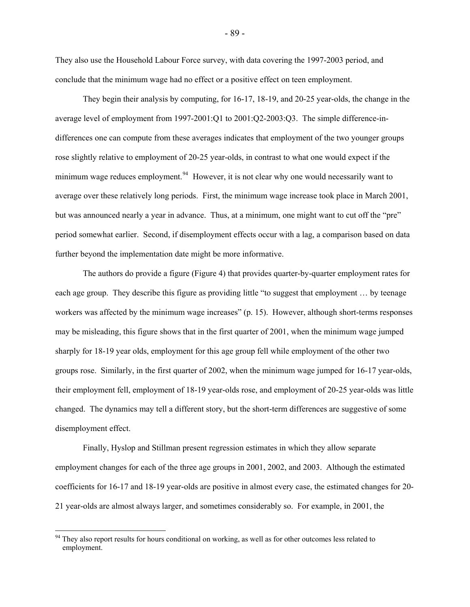<span id="page-89-0"></span>They also use the Household Labour Force survey, with data covering the 1997-2003 period, and conclude that the minimum wage had no effect or a positive effect on teen employment.

They begin their analysis by computing, for 16-17, 18-19, and 20-25 year-olds, the change in the average level of employment from 1997-2001:Q1 to 2001:Q2-2003:Q3. The simple difference-indifferences one can compute from these averages indicates that employment of the two younger groups rose slightly relative to employment of 20-25 year-olds, in contrast to what one would expect if the minimum wage reduces employment.<sup>[94](#page-89-0)</sup> However, it is not clear why one would necessarily want to average over these relatively long periods. First, the minimum wage increase took place in March 2001, but was announced nearly a year in advance. Thus, at a minimum, one might want to cut off the "pre" period somewhat earlier. Second, if disemployment effects occur with a lag, a comparison based on data further beyond the implementation date might be more informative.

The authors do provide a figure (Figure 4) that provides quarter-by-quarter employment rates for each age group. They describe this figure as providing little "to suggest that employment … by teenage workers was affected by the minimum wage increases" (p. 15). However, although short-terms responses may be misleading, this figure shows that in the first quarter of 2001, when the minimum wage jumped sharply for 18-19 year olds, employment for this age group fell while employment of the other two groups rose. Similarly, in the first quarter of 2002, when the minimum wage jumped for 16-17 year-olds, their employment fell, employment of 18-19 year-olds rose, and employment of 20-25 year-olds was little changed. The dynamics may tell a different story, but the short-term differences are suggestive of some disemployment effect.

Finally, Hyslop and Stillman present regression estimates in which they allow separate employment changes for each of the three age groups in 2001, 2002, and 2003. Although the estimated coefficients for 16-17 and 18-19 year-olds are positive in almost every case, the estimated changes for 20- 21 year-olds are almost always larger, and sometimes considerably so. For example, in 2001, the

 $\overline{a}$ 

- 89 -

<sup>&</sup>lt;sup>94</sup> They also report results for hours conditional on working, as well as for other outcomes less related to employment.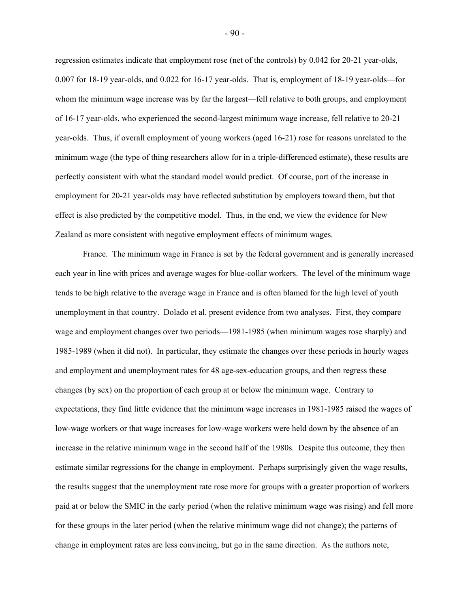regression estimates indicate that employment rose (net of the controls) by 0.042 for 20-21 year-olds, 0.007 for 18-19 year-olds, and 0.022 for 16-17 year-olds. That is, employment of 18-19 year-olds—for whom the minimum wage increase was by far the largest—fell relative to both groups, and employment of 16-17 year-olds, who experienced the second-largest minimum wage increase, fell relative to 20-21 year-olds. Thus, if overall employment of young workers (aged 16-21) rose for reasons unrelated to the minimum wage (the type of thing researchers allow for in a triple-differenced estimate), these results are perfectly consistent with what the standard model would predict. Of course, part of the increase in employment for 20-21 year-olds may have reflected substitution by employers toward them, but that effect is also predicted by the competitive model. Thus, in the end, we view the evidence for New Zealand as more consistent with negative employment effects of minimum wages.

 France. The minimum wage in France is set by the federal government and is generally increased each year in line with prices and average wages for blue-collar workers. The level of the minimum wage tends to be high relative to the average wage in France and is often blamed for the high level of youth unemployment in that country. Dolado et al. present evidence from two analyses. First, they compare wage and employment changes over two periods—1981-1985 (when minimum wages rose sharply) and 1985-1989 (when it did not). In particular, they estimate the changes over these periods in hourly wages and employment and unemployment rates for 48 age-sex-education groups, and then regress these changes (by sex) on the proportion of each group at or below the minimum wage. Contrary to expectations, they find little evidence that the minimum wage increases in 1981-1985 raised the wages of low-wage workers or that wage increases for low-wage workers were held down by the absence of an increase in the relative minimum wage in the second half of the 1980s. Despite this outcome, they then estimate similar regressions for the change in employment. Perhaps surprisingly given the wage results, the results suggest that the unemployment rate rose more for groups with a greater proportion of workers paid at or below the SMIC in the early period (when the relative minimum wage was rising) and fell more for these groups in the later period (when the relative minimum wage did not change); the patterns of change in employment rates are less convincing, but go in the same direction. As the authors note,

- 90 -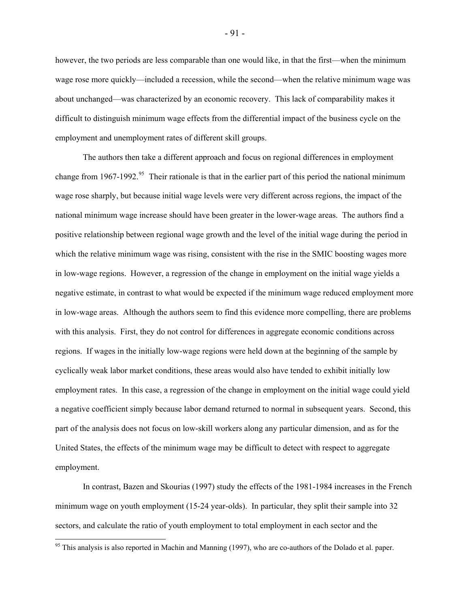<span id="page-91-0"></span>however, the two periods are less comparable than one would like, in that the first—when the minimum wage rose more quickly—included a recession, while the second—when the relative minimum wage was about unchanged—was characterized by an economic recovery. This lack of comparability makes it difficult to distinguish minimum wage effects from the differential impact of the business cycle on the employment and unemployment rates of different skill groups.

The authors then take a different approach and focus on regional differences in employment change from 1967-1992.<sup>[95](#page-91-0)</sup> Their rationale is that in the earlier part of this period the national minimum wage rose sharply, but because initial wage levels were very different across regions, the impact of the national minimum wage increase should have been greater in the lower-wage areas. The authors find a positive relationship between regional wage growth and the level of the initial wage during the period in which the relative minimum wage was rising, consistent with the rise in the SMIC boosting wages more in low-wage regions. However, a regression of the change in employment on the initial wage yields a negative estimate, in contrast to what would be expected if the minimum wage reduced employment more in low-wage areas. Although the authors seem to find this evidence more compelling, there are problems with this analysis. First, they do not control for differences in aggregate economic conditions across regions. If wages in the initially low-wage regions were held down at the beginning of the sample by cyclically weak labor market conditions, these areas would also have tended to exhibit initially low employment rates. In this case, a regression of the change in employment on the initial wage could yield a negative coefficient simply because labor demand returned to normal in subsequent years. Second, this part of the analysis does not focus on low-skill workers along any particular dimension, and as for the United States, the effects of the minimum wage may be difficult to detect with respect to aggregate employment.

 In contrast, Bazen and Skourias (1997) study the effects of the 1981-1984 increases in the French minimum wage on youth employment (15-24 year-olds). In particular, they split their sample into 32 sectors, and calculate the ratio of youth employment to total employment in each sector and the

 $95$  This analysis is also reported in Machin and Manning (1997), who are co-authors of the Dolado et al. paper.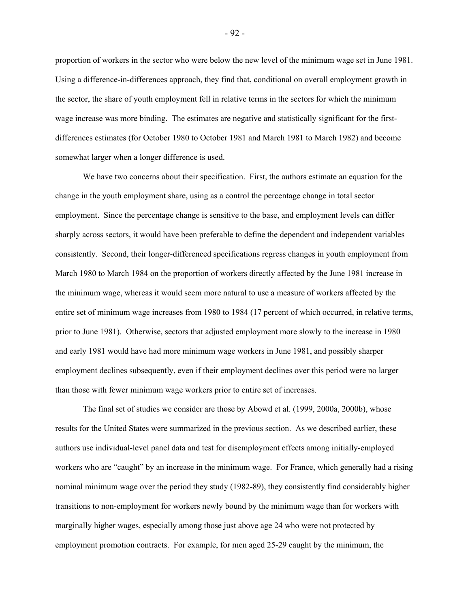proportion of workers in the sector who were below the new level of the minimum wage set in June 1981. Using a difference-in-differences approach, they find that, conditional on overall employment growth in the sector, the share of youth employment fell in relative terms in the sectors for which the minimum wage increase was more binding. The estimates are negative and statistically significant for the firstdifferences estimates (for October 1980 to October 1981 and March 1981 to March 1982) and become somewhat larger when a longer difference is used.

We have two concerns about their specification. First, the authors estimate an equation for the change in the youth employment share, using as a control the percentage change in total sector employment. Since the percentage change is sensitive to the base, and employment levels can differ sharply across sectors, it would have been preferable to define the dependent and independent variables consistently. Second, their longer-differenced specifications regress changes in youth employment from March 1980 to March 1984 on the proportion of workers directly affected by the June 1981 increase in the minimum wage, whereas it would seem more natural to use a measure of workers affected by the entire set of minimum wage increases from 1980 to 1984 (17 percent of which occurred, in relative terms, prior to June 1981). Otherwise, sectors that adjusted employment more slowly to the increase in 1980 and early 1981 would have had more minimum wage workers in June 1981, and possibly sharper employment declines subsequently, even if their employment declines over this period were no larger than those with fewer minimum wage workers prior to entire set of increases.

The final set of studies we consider are those by Abowd et al. (1999, 2000a, 2000b), whose results for the United States were summarized in the previous section. As we described earlier, these authors use individual-level panel data and test for disemployment effects among initially-employed workers who are "caught" by an increase in the minimum wage. For France, which generally had a rising nominal minimum wage over the period they study (1982-89), they consistently find considerably higher transitions to non-employment for workers newly bound by the minimum wage than for workers with marginally higher wages, especially among those just above age 24 who were not protected by employment promotion contracts. For example, for men aged 25-29 caught by the minimum, the

- 92 -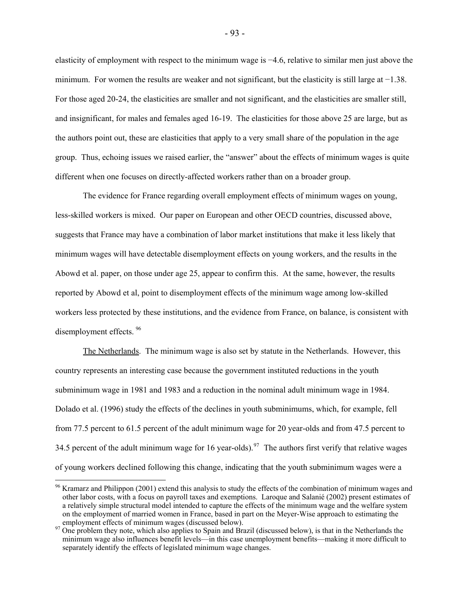<span id="page-93-0"></span>elasticity of employment with respect to the minimum wage is −4.6, relative to similar men just above the minimum. For women the results are weaker and not significant, but the elasticity is still large at −1.38. For those aged 20-24, the elasticities are smaller and not significant, and the elasticities are smaller still, and insignificant, for males and females aged 16-19. The elasticities for those above 25 are large, but as the authors point out, these are elasticities that apply to a very small share of the population in the age group. Thus, echoing issues we raised earlier, the "answer" about the effects of minimum wages is quite different when one focuses on directly-affected workers rather than on a broader group.

The evidence for France regarding overall employment effects of minimum wages on young, less-skilled workers is mixed. Our paper on European and other OECD countries, discussed above, suggests that France may have a combination of labor market institutions that make it less likely that minimum wages will have detectable disemployment effects on young workers, and the results in the Abowd et al. paper, on those under age 25, appear to confirm this. At the same, however, the results reported by Abowd et al, point to disemployment effects of the minimum wage among low-skilled workers less protected by these institutions, and the evidence from France, on balance, is consistent with disemployment effects. [96](#page-93-0)

The Netherlands. The minimum wage is also set by statute in the Netherlands. However, this country represents an interesting case because the government instituted reductions in the youth subminimum wage in 1981 and 1983 and a reduction in the nominal adult minimum wage in 1984. Dolado et al. (1996) study the effects of the declines in youth subminimums, which, for example, fell from 77.5 percent to 61.5 percent of the adult minimum wage for 20 year-olds and from 47.5 percent to 34.5 percent of the adult minimum wage for 16 year-olds).<sup>[97](#page-93-0)</sup> The authors first verify that relative wages of young workers declined following this change, indicating that the youth subminimum wages were a

 $96$  Kramarz and Philippon (2001) extend this analysis to study the effects of the combination of minimum wages and other labor costs, with a focus on payroll taxes and exemptions. Laroque and Salanié (2002) present estimates of a relatively simple structural model intended to capture the effects of the minimum wage and the welfare system on the employment of married women in France, based in part on the Meyer-Wise approach to estimating the employment effects of minimum wages (discussed below).

 $\frac{97}{2}$  One problem they note, which also applies to Spain and Brazil (discussed below), is that in the Netherlands the minimum wage also influences benefit levels—in this case unemployment benefits—making it more difficult to separately identify the effects of legislated minimum wage changes.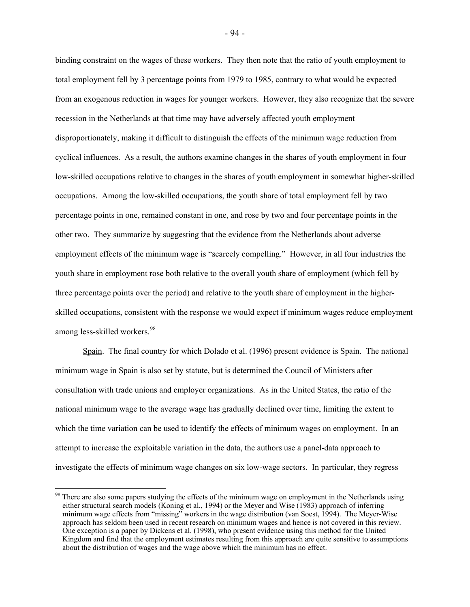<span id="page-94-0"></span>binding constraint on the wages of these workers. They then note that the ratio of youth employment to total employment fell by 3 percentage points from 1979 to 1985, contrary to what would be expected from an exogenous reduction in wages for younger workers. However, they also recognize that the severe recession in the Netherlands at that time may have adversely affected youth employment disproportionately, making it difficult to distinguish the effects of the minimum wage reduction from cyclical influences. As a result, the authors examine changes in the shares of youth employment in four low-skilled occupations relative to changes in the shares of youth employment in somewhat higher-skilled occupations. Among the low-skilled occupations, the youth share of total employment fell by two percentage points in one, remained constant in one, and rose by two and four percentage points in the other two. They summarize by suggesting that the evidence from the Netherlands about adverse employment effects of the minimum wage is "scarcely compelling." However, in all four industries the youth share in employment rose both relative to the overall youth share of employment (which fell by three percentage points over the period) and relative to the youth share of employment in the higherskilled occupations, consistent with the response we would expect if minimum wages reduce employment among less-skilled workers.<sup>[98](#page-94-0)</sup>

Spain. The final country for which Dolado et al. (1996) present evidence is Spain. The national minimum wage in Spain is also set by statute, but is determined the Council of Ministers after consultation with trade unions and employer organizations. As in the United States, the ratio of the national minimum wage to the average wage has gradually declined over time, limiting the extent to which the time variation can be used to identify the effects of minimum wages on employment. In an attempt to increase the exploitable variation in the data, the authors use a panel-data approach to investigate the effects of minimum wage changes on six low-wage sectors. In particular, they regress

<sup>&</sup>lt;sup>98</sup> There are also some papers studying the effects of the minimum wage on employment in the Netherlands using either structural search models (Koning et al., 1994) or the Meyer and Wise (1983) approach of inferring minimum wage effects from "missing" workers in the wage distribution (van Soest, 1994). The Meyer-Wise approach has seldom been used in recent research on minimum wages and hence is not covered in this review. One exception is a paper by Dickens et al. (1998), who present evidence using this method for the United Kingdom and find that the employment estimates resulting from this approach are quite sensitive to assumptions about the distribution of wages and the wage above which the minimum has no effect.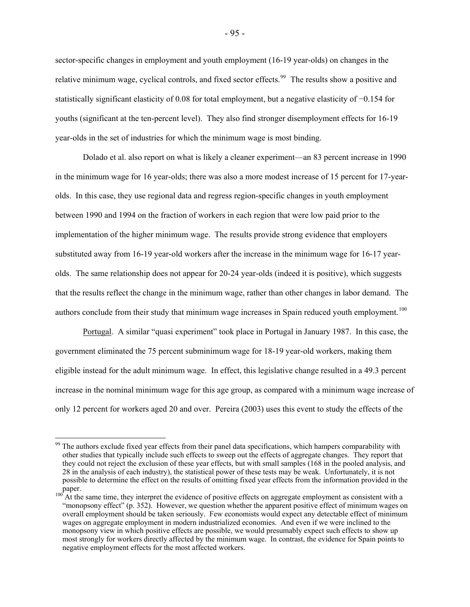<span id="page-95-0"></span>sector-specific changes in employment and youth employment (16-19 year-olds) on changes in the relative minimum wage, cyclical controls, and fixed sector effects.<sup>[99](#page-95-0)</sup> The results show a positive and statistically significant elasticity of 0.08 for total employment, but a negative elasticity of −0.154 for youths (significant at the ten-percent level). They also find stronger disemployment effects for 16-19 year-olds in the set of industries for which the minimum wage is most binding.

Dolado et al. also report on what is likely a cleaner experiment—an 83 percent increase in 1990 in the minimum wage for 16 year-olds; there was also a more modest increase of 15 percent for 17-yearolds. In this case, they use regional data and regress region-specific changes in youth employment between 1990 and 1994 on the fraction of workers in each region that were low paid prior to the implementation of the higher minimum wage. The results provide strong evidence that employers substituted away from 16-19 year-old workers after the increase in the minimum wage for 16-17 yearolds. The same relationship does not appear for 20-24 year-olds (indeed it is positive), which suggests that the results reflect the change in the minimum wage, rather than other changes in labor demand. The authors conclude from their study that minimum wage increases in Spain reduced youth employment.<sup>[100](#page-95-0)</sup>

Portugal. A similar "quasi experiment" took place in Portugal in January 1987. In this case, the government eliminated the 75 percent subminimum wage for 18-19 year-old workers, making them eligible instead for the adult minimum wage. In effect, this legislative change resulted in a 49.3 percent increase in the nominal minimum wage for this age group, as compared with a minimum wage increase of only 12 percent for workers aged 20 and over. Pereira (2003) uses this event to study the effects of the

<sup>&</sup>lt;sup>99</sup> The authors exclude fixed year effects from their panel data specifications, which hampers comparability with other studies that typically include such effects to sweep out the effects of aggregate changes. They report that they could not reject the exclusion of these year effects, but with small samples (168 in the pooled analysis, and 28 in the analysis of each industry), the statistical power of these tests may be weak. Unfortunately, it is not possible to determine the effect on the results of omitting fixed year effects from the information provided in the paper.<br><sup>100</sup> At the same time, they interpret the evidence of positive effects on aggregate employment as consistent with a

<sup>&</sup>quot;monopsony effect" (p. 352). However, we question whether the apparent positive effect of minimum wages on overall employment should be taken seriously. Few economists would expect any detectable effect of minimum wages on aggregate employment in modern industrialized economies. And even if we were inclined to the monopsony view in which positive effects are possible, we would presumably expect such effects to show up most strongly for workers directly affected by the minimum wage. In contrast, the evidence for Spain points to negative employment effects for the most affected workers.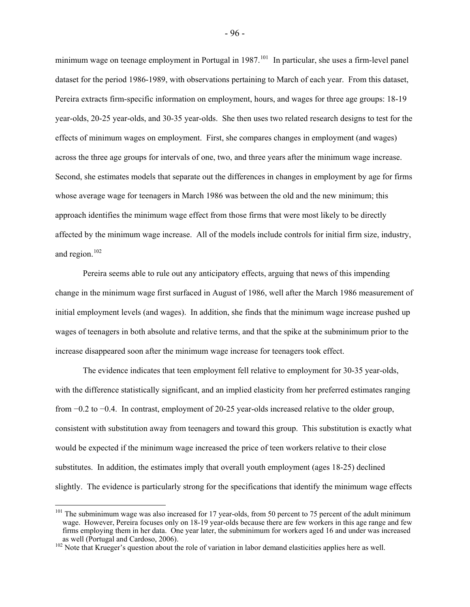<span id="page-96-0"></span>minimum wage on teenage employment in Portugal in 1987.<sup>[101](#page-96-0)</sup> In particular, she uses a firm-level panel dataset for the period 1986-1989, with observations pertaining to March of each year. From this dataset, Pereira extracts firm-specific information on employment, hours, and wages for three age groups: 18-19 year-olds, 20-25 year-olds, and 30-35 year-olds. She then uses two related research designs to test for the effects of minimum wages on employment. First, she compares changes in employment (and wages) across the three age groups for intervals of one, two, and three years after the minimum wage increase. Second, she estimates models that separate out the differences in changes in employment by age for firms whose average wage for teenagers in March 1986 was between the old and the new minimum; this approach identifies the minimum wage effect from those firms that were most likely to be directly affected by the minimum wage increase. All of the models include controls for initial firm size, industry, and region. $102$ 

Pereira seems able to rule out any anticipatory effects, arguing that news of this impending change in the minimum wage first surfaced in August of 1986, well after the March 1986 measurement of initial employment levels (and wages). In addition, she finds that the minimum wage increase pushed up wages of teenagers in both absolute and relative terms, and that the spike at the subminimum prior to the increase disappeared soon after the minimum wage increase for teenagers took effect.

The evidence indicates that teen employment fell relative to employment for 30-35 year-olds, with the difference statistically significant, and an implied elasticity from her preferred estimates ranging from −0.2 to −0.4. In contrast, employment of 20-25 year-olds increased relative to the older group, consistent with substitution away from teenagers and toward this group. This substitution is exactly what would be expected if the minimum wage increased the price of teen workers relative to their close substitutes. In addition, the estimates imply that overall youth employment (ages 18-25) declined slightly. The evidence is particularly strong for the specifications that identify the minimum wage effects

 $101$  The subminimum wage was also increased for 17 year-olds, from 50 percent to 75 percent of the adult minimum wage. However, Pereira focuses only on 18-19 year-olds because there are few workers in this age range and few firms employing them in her data. One year later, the subminimum for workers aged 16 and under was increased

<sup>&</sup>lt;sup>102</sup> Note that Krueger's question about the role of variation in labor demand elasticities applies here as well.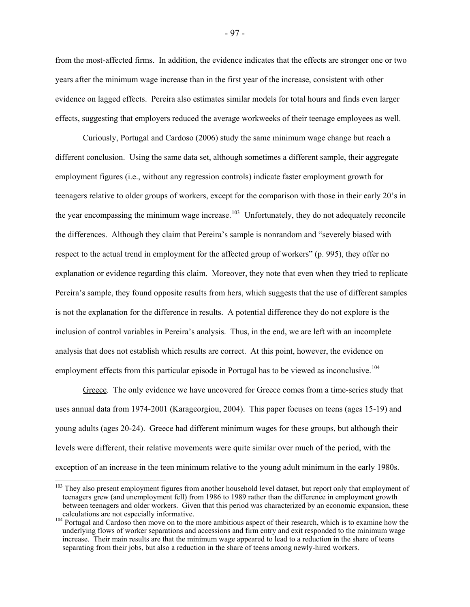<span id="page-97-0"></span>from the most-affected firms. In addition, the evidence indicates that the effects are stronger one or two years after the minimum wage increase than in the first year of the increase, consistent with other evidence on lagged effects. Pereira also estimates similar models for total hours and finds even larger effects, suggesting that employers reduced the average workweeks of their teenage employees as well.

Curiously, Portugal and Cardoso (2006) study the same minimum wage change but reach a different conclusion. Using the same data set, although sometimes a different sample, their aggregate employment figures (i.e., without any regression controls) indicate faster employment growth for teenagers relative to older groups of workers, except for the comparison with those in their early 20's in the year encompassing the minimum wage increase.<sup>[103](#page-97-0)</sup> Unfortunately, they do not adequately reconcile the differences. Although they claim that Pereira's sample is nonrandom and "severely biased with respect to the actual trend in employment for the affected group of workers" (p. 995), they offer no explanation or evidence regarding this claim. Moreover, they note that even when they tried to replicate Pereira's sample, they found opposite results from hers, which suggests that the use of different samples is not the explanation for the difference in results. A potential difference they do not explore is the inclusion of control variables in Pereira's analysis. Thus, in the end, we are left with an incomplete analysis that does not establish which results are correct. At this point, however, the evidence on employment effects from this particular episode in Portugal has to be viewed as inconclusive.<sup>[104](#page-97-0)</sup>

Greece. The only evidence we have uncovered for Greece comes from a time-series study that uses annual data from 1974-2001 (Karageorgiou, 2004). This paper focuses on teens (ages 15-19) and young adults (ages 20-24). Greece had different minimum wages for these groups, but although their levels were different, their relative movements were quite similar over much of the period, with the exception of an increase in the teen minimum relative to the young adult minimum in the early 1980s.

 $\overline{a}$ 

- 97 -

<sup>&</sup>lt;sup>103</sup> They also present employment figures from another household level dataset, but report only that employment of teenagers grew (and unemployment fell) from 1986 to 1989 rather than the difference in employment growth between teenagers and older workers. Given that this period was characterized by an economic expansion, these calculations are not especially informative.<br><sup>104</sup> Portugal and Cardoso then move on to the more ambitious aspect of their research, which is to examine how the

underlying flows of worker separations and accessions and firm entry and exit responded to the minimum wage increase. Their main results are that the minimum wage appeared to lead to a reduction in the share of teens separating from their jobs, but also a reduction in the share of teens among newly-hired workers.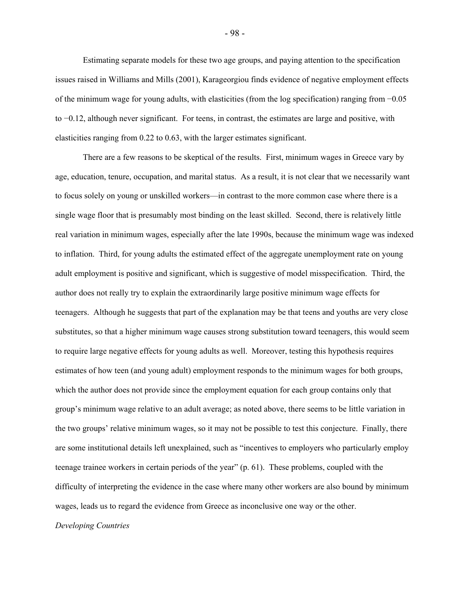Estimating separate models for these two age groups, and paying attention to the specification issues raised in Williams and Mills (2001), Karageorgiou finds evidence of negative employment effects of the minimum wage for young adults, with elasticities (from the log specification) ranging from −0.05 to −0.12, although never significant. For teens, in contrast, the estimates are large and positive, with elasticities ranging from 0.22 to 0.63, with the larger estimates significant.

There are a few reasons to be skeptical of the results. First, minimum wages in Greece vary by age, education, tenure, occupation, and marital status. As a result, it is not clear that we necessarily want to focus solely on young or unskilled workers—in contrast to the more common case where there is a single wage floor that is presumably most binding on the least skilled. Second, there is relatively little real variation in minimum wages, especially after the late 1990s, because the minimum wage was indexed to inflation. Third, for young adults the estimated effect of the aggregate unemployment rate on young adult employment is positive and significant, which is suggestive of model misspecification. Third, the author does not really try to explain the extraordinarily large positive minimum wage effects for teenagers. Although he suggests that part of the explanation may be that teens and youths are very close substitutes, so that a higher minimum wage causes strong substitution toward teenagers, this would seem to require large negative effects for young adults as well. Moreover, testing this hypothesis requires estimates of how teen (and young adult) employment responds to the minimum wages for both groups, which the author does not provide since the employment equation for each group contains only that group's minimum wage relative to an adult average; as noted above, there seems to be little variation in the two groups' relative minimum wages, so it may not be possible to test this conjecture. Finally, there are some institutional details left unexplained, such as "incentives to employers who particularly employ teenage trainee workers in certain periods of the year" (p. 61). These problems, coupled with the difficulty of interpreting the evidence in the case where many other workers are also bound by minimum wages, leads us to regard the evidence from Greece as inconclusive one way or the other.

*Developing Countries*

- 98 -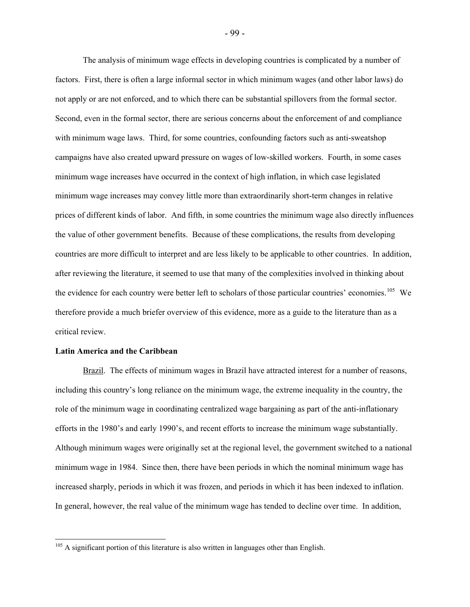<span id="page-99-0"></span>The analysis of minimum wage effects in developing countries is complicated by a number of factors. First, there is often a large informal sector in which minimum wages (and other labor laws) do not apply or are not enforced, and to which there can be substantial spillovers from the formal sector. Second, even in the formal sector, there are serious concerns about the enforcement of and compliance with minimum wage laws. Third, for some countries, confounding factors such as anti-sweatshop campaigns have also created upward pressure on wages of low-skilled workers. Fourth, in some cases minimum wage increases have occurred in the context of high inflation, in which case legislated minimum wage increases may convey little more than extraordinarily short-term changes in relative prices of different kinds of labor. And fifth, in some countries the minimum wage also directly influences the value of other government benefits. Because of these complications, the results from developing countries are more difficult to interpret and are less likely to be applicable to other countries. In addition, after reviewing the literature, it seemed to use that many of the complexities involved in thinking about the evidence for each country were better left to scholars of those particular countries' economies.<sup>[105](#page-99-0)</sup> We therefore provide a much briefer overview of this evidence, more as a guide to the literature than as a critical review.

## **Latin America and the Caribbean**

 $\overline{a}$ 

Brazil. The effects of minimum wages in Brazil have attracted interest for a number of reasons, including this country's long reliance on the minimum wage, the extreme inequality in the country, the role of the minimum wage in coordinating centralized wage bargaining as part of the anti-inflationary efforts in the 1980's and early 1990's, and recent efforts to increase the minimum wage substantially. Although minimum wages were originally set at the regional level, the government switched to a national minimum wage in 1984. Since then, there have been periods in which the nominal minimum wage has increased sharply, periods in which it was frozen, and periods in which it has been indexed to inflation. In general, however, the real value of the minimum wage has tended to decline over time. In addition,

- 99 -

 $105$  A significant portion of this literature is also written in languages other than English.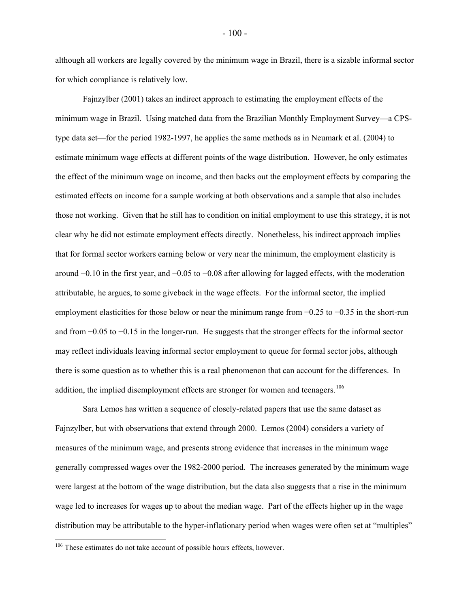<span id="page-100-0"></span>although all workers are legally covered by the minimum wage in Brazil, there is a sizable informal sector for which compliance is relatively low.

Fajnzylber (2001) takes an indirect approach to estimating the employment effects of the minimum wage in Brazil. Using matched data from the Brazilian Monthly Employment Survey—a CPStype data set—for the period 1982-1997, he applies the same methods as in Neumark et al. (2004) to estimate minimum wage effects at different points of the wage distribution. However, he only estimates the effect of the minimum wage on income, and then backs out the employment effects by comparing the estimated effects on income for a sample working at both observations and a sample that also includes those not working. Given that he still has to condition on initial employment to use this strategy, it is not clear why he did not estimate employment effects directly. Nonetheless, his indirect approach implies that for formal sector workers earning below or very near the minimum, the employment elasticity is around −0.10 in the first year, and −0.05 to −0.08 after allowing for lagged effects, with the moderation attributable, he argues, to some giveback in the wage effects. For the informal sector, the implied employment elasticities for those below or near the minimum range from −0.25 to −0.35 in the short-run and from −0.05 to −0.15 in the longer-run. He suggests that the stronger effects for the informal sector may reflect individuals leaving informal sector employment to queue for formal sector jobs, although there is some question as to whether this is a real phenomenon that can account for the differences. In addition, the implied disemployment effects are stronger for women and teenagers.<sup>[106](#page-100-0)</sup>

Sara Lemos has written a sequence of closely-related papers that use the same dataset as Fajnzylber, but with observations that extend through 2000. Lemos (2004) considers a variety of measures of the minimum wage, and presents strong evidence that increases in the minimum wage generally compressed wages over the 1982-2000 period. The increases generated by the minimum wage were largest at the bottom of the wage distribution, but the data also suggests that a rise in the minimum wage led to increases for wages up to about the median wage. Part of the effects higher up in the wage distribution may be attributable to the hyper-inflationary period when wages were often set at "multiples"

<sup>&</sup>lt;sup>106</sup> These estimates do not take account of possible hours effects, however.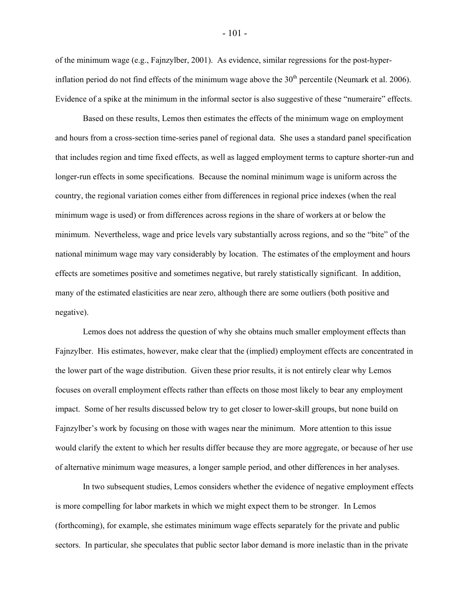of the minimum wage (e.g., Fajnzylber, 2001). As evidence, similar regressions for the post-hyperinflation period do not find effects of the minimum wage above the  $30<sup>th</sup>$  percentile (Neumark et al. 2006). Evidence of a spike at the minimum in the informal sector is also suggestive of these "numeraire" effects.

Based on these results, Lemos then estimates the effects of the minimum wage on employment and hours from a cross-section time-series panel of regional data. She uses a standard panel specification that includes region and time fixed effects, as well as lagged employment terms to capture shorter-run and longer-run effects in some specifications. Because the nominal minimum wage is uniform across the country, the regional variation comes either from differences in regional price indexes (when the real minimum wage is used) or from differences across regions in the share of workers at or below the minimum. Nevertheless, wage and price levels vary substantially across regions, and so the "bite" of the national minimum wage may vary considerably by location. The estimates of the employment and hours effects are sometimes positive and sometimes negative, but rarely statistically significant. In addition, many of the estimated elasticities are near zero, although there are some outliers (both positive and negative).

Lemos does not address the question of why she obtains much smaller employment effects than Fajnzylber. His estimates, however, make clear that the (implied) employment effects are concentrated in the lower part of the wage distribution. Given these prior results, it is not entirely clear why Lemos focuses on overall employment effects rather than effects on those most likely to bear any employment impact. Some of her results discussed below try to get closer to lower-skill groups, but none build on Fajnzylber's work by focusing on those with wages near the minimum. More attention to this issue would clarify the extent to which her results differ because they are more aggregate, or because of her use of alternative minimum wage measures, a longer sample period, and other differences in her analyses.

In two subsequent studies, Lemos considers whether the evidence of negative employment effects is more compelling for labor markets in which we might expect them to be stronger. In Lemos (forthcoming), for example, she estimates minimum wage effects separately for the private and public sectors. In particular, she speculates that public sector labor demand is more inelastic than in the private

- 101 -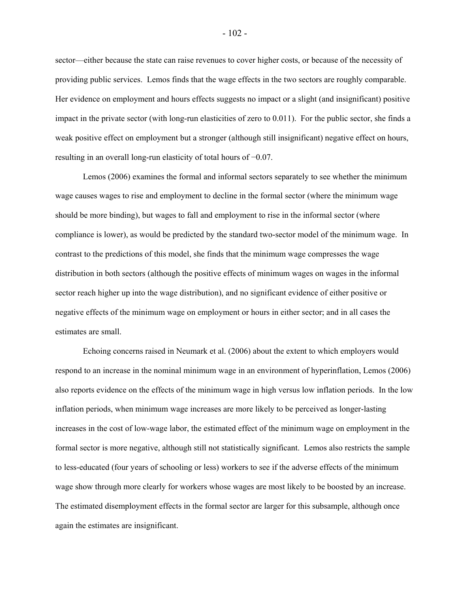sector—either because the state can raise revenues to cover higher costs, or because of the necessity of providing public services. Lemos finds that the wage effects in the two sectors are roughly comparable. Her evidence on employment and hours effects suggests no impact or a slight (and insignificant) positive impact in the private sector (with long-run elasticities of zero to 0.011). For the public sector, she finds a weak positive effect on employment but a stronger (although still insignificant) negative effect on hours, resulting in an overall long-run elasticity of total hours of −0.07.

Lemos (2006) examines the formal and informal sectors separately to see whether the minimum wage causes wages to rise and employment to decline in the formal sector (where the minimum wage should be more binding), but wages to fall and employment to rise in the informal sector (where compliance is lower), as would be predicted by the standard two-sector model of the minimum wage. In contrast to the predictions of this model, she finds that the minimum wage compresses the wage distribution in both sectors (although the positive effects of minimum wages on wages in the informal sector reach higher up into the wage distribution), and no significant evidence of either positive or negative effects of the minimum wage on employment or hours in either sector; and in all cases the estimates are small.

Echoing concerns raised in Neumark et al. (2006) about the extent to which employers would respond to an increase in the nominal minimum wage in an environment of hyperinflation, Lemos (2006) also reports evidence on the effects of the minimum wage in high versus low inflation periods. In the low inflation periods, when minimum wage increases are more likely to be perceived as longer-lasting increases in the cost of low-wage labor, the estimated effect of the minimum wage on employment in the formal sector is more negative, although still not statistically significant. Lemos also restricts the sample to less-educated (four years of schooling or less) workers to see if the adverse effects of the minimum wage show through more clearly for workers whose wages are most likely to be boosted by an increase. The estimated disemployment effects in the formal sector are larger for this subsample, although once again the estimates are insignificant.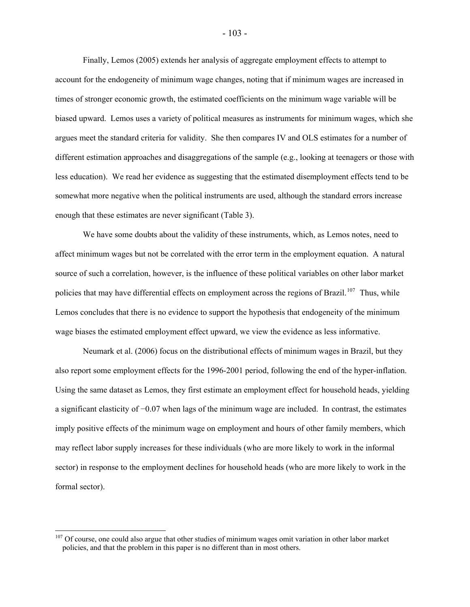<span id="page-103-0"></span>Finally, Lemos (2005) extends her analysis of aggregate employment effects to attempt to account for the endogeneity of minimum wage changes, noting that if minimum wages are increased in times of stronger economic growth, the estimated coefficients on the minimum wage variable will be biased upward. Lemos uses a variety of political measures as instruments for minimum wages, which she argues meet the standard criteria for validity. She then compares IV and OLS estimates for a number of different estimation approaches and disaggregations of the sample (e.g., looking at teenagers or those with less education). We read her evidence as suggesting that the estimated disemployment effects tend to be somewhat more negative when the political instruments are used, although the standard errors increase enough that these estimates are never significant (Table 3).

We have some doubts about the validity of these instruments, which, as Lemos notes, need to affect minimum wages but not be correlated with the error term in the employment equation. A natural source of such a correlation, however, is the influence of these political variables on other labor market policies that may have differential effects on employment across the regions of Brazil.<sup>[107](#page-103-0)</sup> Thus, while Lemos concludes that there is no evidence to support the hypothesis that endogeneity of the minimum wage biases the estimated employment effect upward, we view the evidence as less informative.

Neumark et al. (2006) focus on the distributional effects of minimum wages in Brazil, but they also report some employment effects for the 1996-2001 period, following the end of the hyper-inflation. Using the same dataset as Lemos, they first estimate an employment effect for household heads, yielding a significant elasticity of −0.07 when lags of the minimum wage are included. In contrast, the estimates imply positive effects of the minimum wage on employment and hours of other family members, which may reflect labor supply increases for these individuals (who are more likely to work in the informal sector) in response to the employment declines for household heads (who are more likely to work in the formal sector).

<sup>&</sup>lt;sup>107</sup> Of course, one could also argue that other studies of minimum wages omit variation in other labor market policies, and that the problem in this paper is no different than in most others.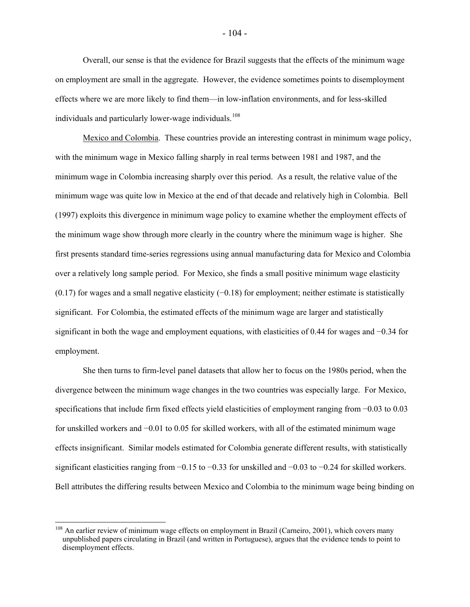<span id="page-104-0"></span>Overall, our sense is that the evidence for Brazil suggests that the effects of the minimum wage on employment are small in the aggregate. However, the evidence sometimes points to disemployment effects where we are more likely to find them—in low-inflation environments, and for less-skilled individuals and particularly lower-wage individuals.<sup>[108](#page-104-0)</sup>

Mexico and Colombia. These countries provide an interesting contrast in minimum wage policy, with the minimum wage in Mexico falling sharply in real terms between 1981 and 1987, and the minimum wage in Colombia increasing sharply over this period. As a result, the relative value of the minimum wage was quite low in Mexico at the end of that decade and relatively high in Colombia. Bell (1997) exploits this divergence in minimum wage policy to examine whether the employment effects of the minimum wage show through more clearly in the country where the minimum wage is higher. She first presents standard time-series regressions using annual manufacturing data for Mexico and Colombia over a relatively long sample period. For Mexico, she finds a small positive minimum wage elasticity  $(0.17)$  for wages and a small negative elasticity  $(-0.18)$  for employment; neither estimate is statistically significant. For Colombia, the estimated effects of the minimum wage are larger and statistically significant in both the wage and employment equations, with elasticities of 0.44 for wages and −0.34 for employment.

She then turns to firm-level panel datasets that allow her to focus on the 1980s period, when the divergence between the minimum wage changes in the two countries was especially large. For Mexico, specifications that include firm fixed effects yield elasticities of employment ranging from −0.03 to 0.03 for unskilled workers and −0.01 to 0.05 for skilled workers, with all of the estimated minimum wage effects insignificant. Similar models estimated for Colombia generate different results, with statistically significant elasticities ranging from −0.15 to −0.33 for unskilled and −0.03 to −0.24 for skilled workers. Bell attributes the differing results between Mexico and Colombia to the minimum wage being binding on

<sup>&</sup>lt;sup>108</sup> An earlier review of minimum wage effects on employment in Brazil (Carneiro, 2001), which covers many unpublished papers circulating in Brazil (and written in Portuguese), argues that the evidence tends to point to disemployment effects.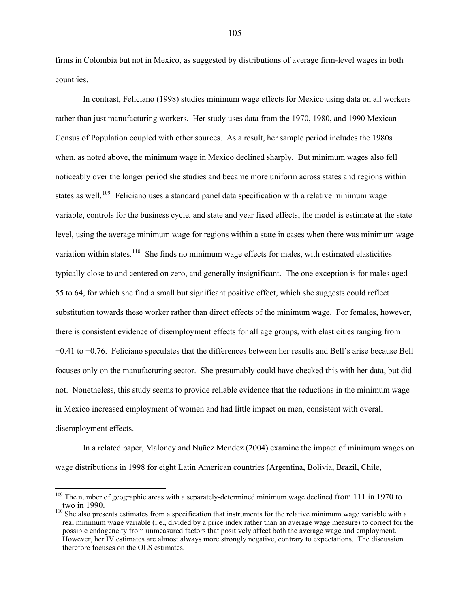<span id="page-105-0"></span>firms in Colombia but not in Mexico, as suggested by distributions of average firm-level wages in both countries.

In contrast, Feliciano (1998) studies minimum wage effects for Mexico using data on all workers rather than just manufacturing workers. Her study uses data from the 1970, 1980, and 1990 Mexican Census of Population coupled with other sources. As a result, her sample period includes the 1980s when, as noted above, the minimum wage in Mexico declined sharply. But minimum wages also fell noticeably over the longer period she studies and became more uniform across states and regions within states as well.<sup>[109](#page-105-0)</sup> Feliciano uses a standard panel data specification with a relative minimum wage variable, controls for the business cycle, and state and year fixed effects; the model is estimate at the state level, using the average minimum wage for regions within a state in cases when there was minimum wage variation within states.<sup>[110](#page-105-0)</sup> She finds no minimum wage effects for males, with estimated elasticities typically close to and centered on zero, and generally insignificant. The one exception is for males aged 55 to 64, for which she find a small but significant positive effect, which she suggests could reflect substitution towards these worker rather than direct effects of the minimum wage. For females, however, there is consistent evidence of disemployment effects for all age groups, with elasticities ranging from −0.41 to −0.76. Feliciano speculates that the differences between her results and Bell's arise because Bell focuses only on the manufacturing sector. She presumably could have checked this with her data, but did not. Nonetheless, this study seems to provide reliable evidence that the reductions in the minimum wage in Mexico increased employment of women and had little impact on men, consistent with overall disemployment effects.

In a related paper, Maloney and Nuñez Mendez (2004) examine the impact of minimum wages on wage distributions in 1998 for eight Latin American countries (Argentina, Bolivia, Brazil, Chile,

<sup>&</sup>lt;sup>109</sup> The number of geographic areas with a separately-determined minimum wage declined from 111 in 1970 to two in 1990.<br><sup>110</sup> She also presents estimates from a specification that instruments for the relative minimum wage variable with a

real minimum wage variable (i.e., divided by a price index rather than an average wage measure) to correct for the possible endogeneity from unmeasured factors that positively affect both the average wage and employment. However, her IV estimates are almost always more strongly negative, contrary to expectations. The discussion therefore focuses on the OLS estimates.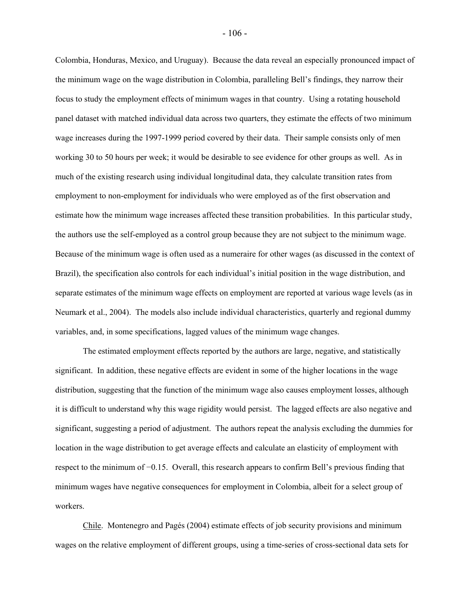Colombia, Honduras, Mexico, and Uruguay). Because the data reveal an especially pronounced impact of the minimum wage on the wage distribution in Colombia, paralleling Bell's findings, they narrow their focus to study the employment effects of minimum wages in that country. Using a rotating household panel dataset with matched individual data across two quarters, they estimate the effects of two minimum wage increases during the 1997-1999 period covered by their data. Their sample consists only of men working 30 to 50 hours per week; it would be desirable to see evidence for other groups as well. As in much of the existing research using individual longitudinal data, they calculate transition rates from employment to non-employment for individuals who were employed as of the first observation and estimate how the minimum wage increases affected these transition probabilities. In this particular study, the authors use the self-employed as a control group because they are not subject to the minimum wage. Because of the minimum wage is often used as a numeraire for other wages (as discussed in the context of Brazil), the specification also controls for each individual's initial position in the wage distribution, and separate estimates of the minimum wage effects on employment are reported at various wage levels (as in Neumark et al., 2004). The models also include individual characteristics, quarterly and regional dummy variables, and, in some specifications, lagged values of the minimum wage changes.

The estimated employment effects reported by the authors are large, negative, and statistically significant. In addition, these negative effects are evident in some of the higher locations in the wage distribution, suggesting that the function of the minimum wage also causes employment losses, although it is difficult to understand why this wage rigidity would persist. The lagged effects are also negative and significant, suggesting a period of adjustment. The authors repeat the analysis excluding the dummies for location in the wage distribution to get average effects and calculate an elasticity of employment with respect to the minimum of −0.15. Overall, this research appears to confirm Bell's previous finding that minimum wages have negative consequences for employment in Colombia, albeit for a select group of workers.

Chile. Montenegro and Pagés (2004) estimate effects of job security provisions and minimum wages on the relative employment of different groups, using a time-series of cross-sectional data sets for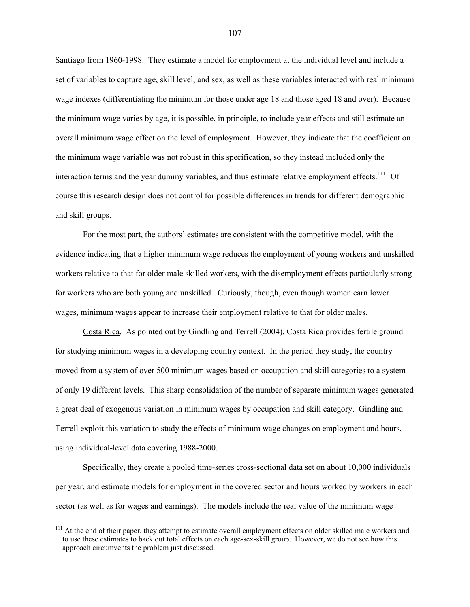<span id="page-107-0"></span>Santiago from 1960-1998. They estimate a model for employment at the individual level and include a set of variables to capture age, skill level, and sex, as well as these variables interacted with real minimum wage indexes (differentiating the minimum for those under age 18 and those aged 18 and over). Because the minimum wage varies by age, it is possible, in principle, to include year effects and still estimate an overall minimum wage effect on the level of employment. However, they indicate that the coefficient on the minimum wage variable was not robust in this specification, so they instead included only the interaction terms and the year dummy variables, and thus estimate relative employment effects.<sup>[111](#page-107-0)</sup> Of course this research design does not control for possible differences in trends for different demographic and skill groups.

For the most part, the authors' estimates are consistent with the competitive model, with the evidence indicating that a higher minimum wage reduces the employment of young workers and unskilled workers relative to that for older male skilled workers, with the disemployment effects particularly strong for workers who are both young and unskilled. Curiously, though, even though women earn lower wages, minimum wages appear to increase their employment relative to that for older males.

Costa Rica. As pointed out by Gindling and Terrell (2004), Costa Rica provides fertile ground for studying minimum wages in a developing country context. In the period they study, the country moved from a system of over 500 minimum wages based on occupation and skill categories to a system of only 19 different levels. This sharp consolidation of the number of separate minimum wages generated a great deal of exogenous variation in minimum wages by occupation and skill category. Gindling and Terrell exploit this variation to study the effects of minimum wage changes on employment and hours, using individual-level data covering 1988-2000.

Specifically, they create a pooled time-series cross-sectional data set on about 10,000 individuals per year, and estimate models for employment in the covered sector and hours worked by workers in each sector (as well as for wages and earnings). The models include the real value of the minimum wage

<sup>&</sup>lt;sup>111</sup> At the end of their paper, they attempt to estimate overall employment effects on older skilled male workers and to use these estimates to back out total effects on each age-sex-skill group. However, we do not see how this approach circumvents the problem just discussed.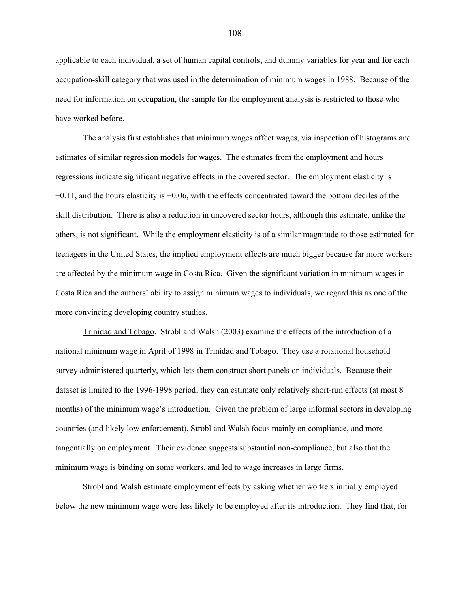applicable to each individual, a set of human capital controls, and dummy variables for year and for each occupation-skill category that was used in the determination of minimum wages in 1988. Because of the need for information on occupation, the sample for the employment analysis is restricted to those who have worked before.

The analysis first establishes that minimum wages affect wages, via inspection of histograms and estimates of similar regression models for wages. The estimates from the employment and hours regressions indicate significant negative effects in the covered sector. The employment elasticity is −0.11, and the hours elasticity is −0.06, with the effects concentrated toward the bottom deciles of the skill distribution. There is also a reduction in uncovered sector hours, although this estimate, unlike the others, is not significant. While the employment elasticity is of a similar magnitude to those estimated for teenagers in the United States, the implied employment effects are much bigger because far more workers are affected by the minimum wage in Costa Rica. Given the significant variation in minimum wages in Costa Rica and the authors' ability to assign minimum wages to individuals, we regard this as one of the more convincing developing country studies.

Trinidad and Tobago. Strobl and Walsh (2003) examine the effects of the introduction of a national minimum wage in April of 1998 in Trinidad and Tobago. They use a rotational household survey administered quarterly, which lets them construct short panels on individuals. Because their dataset is limited to the 1996-1998 period, they can estimate only relatively short-run effects (at most 8 months) of the minimum wage's introduction. Given the problem of large informal sectors in developing countries (and likely low enforcement), Strobl and Walsh focus mainly on compliance, and more tangentially on employment. Their evidence suggests substantial non-compliance, but also that the minimum wage is binding on some workers, and led to wage increases in large firms.

Strobl and Walsh estimate employment effects by asking whether workers initially employed below the new minimum wage were less likely to be employed after its introduction. They find that, for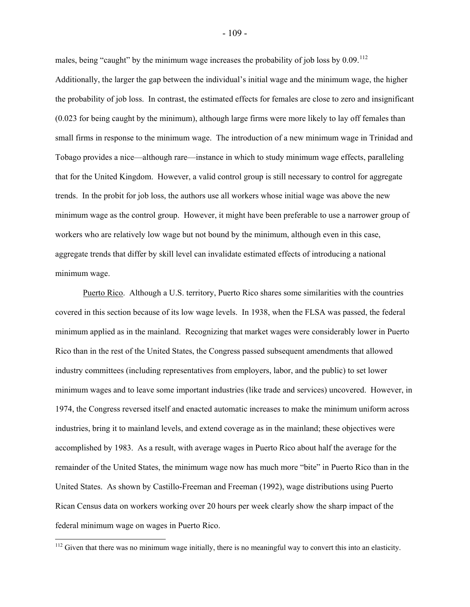<span id="page-109-0"></span>males, being "caught" by the minimum wage increases the probability of job loss by  $0.09$ .<sup>[112](#page-109-0)</sup> Additionally, the larger the gap between the individual's initial wage and the minimum wage, the higher the probability of job loss. In contrast, the estimated effects for females are close to zero and insignificant (0.023 for being caught by the minimum), although large firms were more likely to lay off females than small firms in response to the minimum wage. The introduction of a new minimum wage in Trinidad and Tobago provides a nice—although rare—instance in which to study minimum wage effects, paralleling that for the United Kingdom. However, a valid control group is still necessary to control for aggregate trends. In the probit for job loss, the authors use all workers whose initial wage was above the new minimum wage as the control group. However, it might have been preferable to use a narrower group of workers who are relatively low wage but not bound by the minimum, although even in this case, aggregate trends that differ by skill level can invalidate estimated effects of introducing a national minimum wage.

Puerto Rico. Although a U.S. territory, Puerto Rico shares some similarities with the countries covered in this section because of its low wage levels. In 1938, when the FLSA was passed, the federal minimum applied as in the mainland. Recognizing that market wages were considerably lower in Puerto Rico than in the rest of the United States, the Congress passed subsequent amendments that allowed industry committees (including representatives from employers, labor, and the public) to set lower minimum wages and to leave some important industries (like trade and services) uncovered. However, in 1974, the Congress reversed itself and enacted automatic increases to make the minimum uniform across industries, bring it to mainland levels, and extend coverage as in the mainland; these objectives were accomplished by 1983. As a result, with average wages in Puerto Rico about half the average for the remainder of the United States, the minimum wage now has much more "bite" in Puerto Rico than in the United States. As shown by Castillo-Freeman and Freeman (1992), wage distributions using Puerto Rican Census data on workers working over 20 hours per week clearly show the sharp impact of the federal minimum wage on wages in Puerto Rico.

 $112$  Given that there was no minimum wage initially, there is no meaningful way to convert this into an elasticity.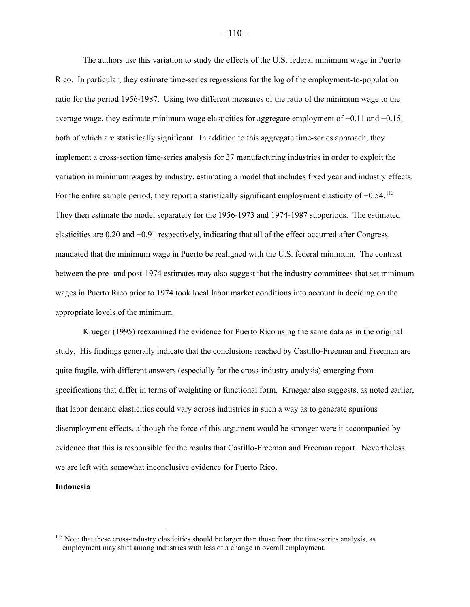<span id="page-110-0"></span>The authors use this variation to study the effects of the U.S. federal minimum wage in Puerto Rico. In particular, they estimate time-series regressions for the log of the employment-to-population ratio for the period 1956-1987. Using two different measures of the ratio of the minimum wage to the average wage, they estimate minimum wage elasticities for aggregate employment of −0.11 and −0.15, both of which are statistically significant. In addition to this aggregate time-series approach, they implement a cross-section time-series analysis for 37 manufacturing industries in order to exploit the variation in minimum wages by industry, estimating a model that includes fixed year and industry effects. For the entire sample period, they report a statistically significant employment elasticity of  $-0.54$ .<sup>[113](#page-110-0)</sup> They then estimate the model separately for the 1956-1973 and 1974-1987 subperiods. The estimated elasticities are 0.20 and −0.91 respectively, indicating that all of the effect occurred after Congress mandated that the minimum wage in Puerto be realigned with the U.S. federal minimum. The contrast between the pre- and post-1974 estimates may also suggest that the industry committees that set minimum wages in Puerto Rico prior to 1974 took local labor market conditions into account in deciding on the appropriate levels of the minimum.

Krueger (1995) reexamined the evidence for Puerto Rico using the same data as in the original study. His findings generally indicate that the conclusions reached by Castillo-Freeman and Freeman are quite fragile, with different answers (especially for the cross-industry analysis) emerging from specifications that differ in terms of weighting or functional form. Krueger also suggests, as noted earlier, that labor demand elasticities could vary across industries in such a way as to generate spurious disemployment effects, although the force of this argument would be stronger were it accompanied by evidence that this is responsible for the results that Castillo-Freeman and Freeman report. Nevertheless, we are left with somewhat inconclusive evidence for Puerto Rico.

## **Indonesia**

<sup>&</sup>lt;sup>113</sup> Note that these cross-industry elasticities should be larger than those from the time-series analysis, as employment may shift among industries with less of a change in overall employment.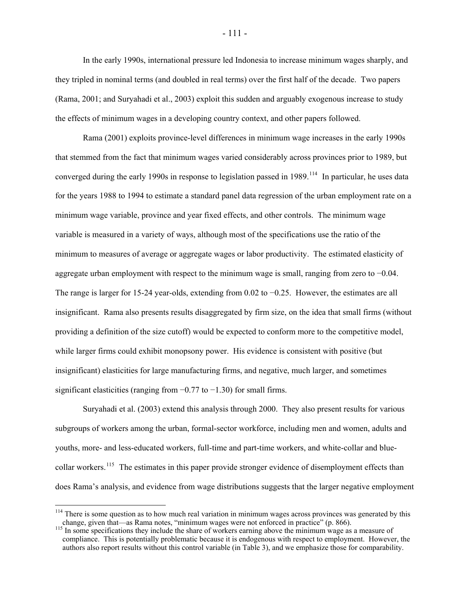<span id="page-111-0"></span>In the early 1990s, international pressure led Indonesia to increase minimum wages sharply, and they tripled in nominal terms (and doubled in real terms) over the first half of the decade. Two papers (Rama, 2001; and Suryahadi et al., 2003) exploit this sudden and arguably exogenous increase to study the effects of minimum wages in a developing country context, and other papers followed.

Rama (2001) exploits province-level differences in minimum wage increases in the early 1990s that stemmed from the fact that minimum wages varied considerably across provinces prior to 1989, but converged during the early 1990s in response to legislation passed in 1989.<sup>[114](#page-111-0)</sup> In particular, he uses data for the years 1988 to 1994 to estimate a standard panel data regression of the urban employment rate on a minimum wage variable, province and year fixed effects, and other controls. The minimum wage variable is measured in a variety of ways, although most of the specifications use the ratio of the minimum to measures of average or aggregate wages or labor productivity. The estimated elasticity of aggregate urban employment with respect to the minimum wage is small, ranging from zero to −0.04. The range is larger for 15-24 year-olds, extending from 0.02 to −0.25. However, the estimates are all insignificant. Rama also presents results disaggregated by firm size, on the idea that small firms (without providing a definition of the size cutoff) would be expected to conform more to the competitive model, while larger firms could exhibit monopsony power. His evidence is consistent with positive (but insignificant) elasticities for large manufacturing firms, and negative, much larger, and sometimes significant elasticities (ranging from  $-0.77$  to  $-1.30$ ) for small firms.

 Suryahadi et al. (2003) extend this analysis through 2000. They also present results for various subgroups of workers among the urban, formal-sector workforce, including men and women, adults and youths, more- and less-educated workers, full-time and part-time workers, and white-collar and blue-collar workers.<sup>[115](#page-111-0)</sup> The estimates in this paper provide stronger evidence of disemployment effects than does Rama's analysis, and evidence from wage distributions suggests that the larger negative employment

 $114$  There is some question as to how much real variation in minimum wages across provinces was generated by this change, given that—as Rama notes, "minimum wages were not enforced in practice" (p. 866).<br><sup>115</sup> In some specifications they include the share of workers earning above the minimum wage as a measure of

compliance. This is potentially problematic because it is endogenous with respect to employment. However, the authors also report results without this control variable (in Table 3), and we emphasize those for comparability.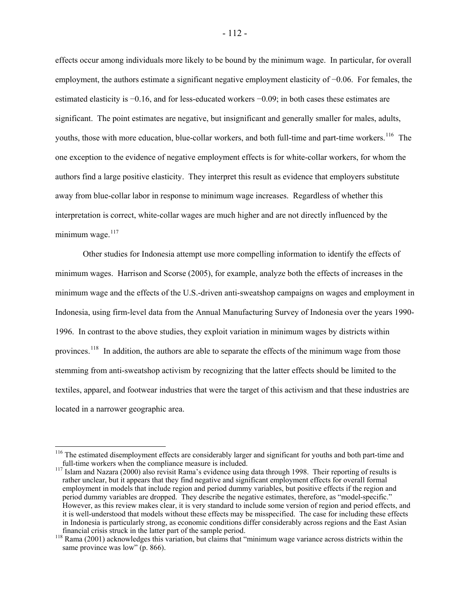<span id="page-112-0"></span>effects occur among individuals more likely to be bound by the minimum wage. In particular, for overall employment, the authors estimate a significant negative employment elasticity of −0.06. For females, the estimated elasticity is −0.16, and for less-educated workers −0.09; in both cases these estimates are significant. The point estimates are negative, but insignificant and generally smaller for males, adults, youths, those with more education, blue-collar workers, and both full-time and part-time workers.<sup>[116](#page-112-0)</sup> The one exception to the evidence of negative employment effects is for white-collar workers, for whom the authors find a large positive elasticity. They interpret this result as evidence that employers substitute away from blue-collar labor in response to minimum wage increases. Regardless of whether this interpretation is correct, white-collar wages are much higher and are not directly influenced by the minimum wage. $117$ 

Other studies for Indonesia attempt use more compelling information to identify the effects of minimum wages. Harrison and Scorse (2005), for example, analyze both the effects of increases in the minimum wage and the effects of the U.S.-driven anti-sweatshop campaigns on wages and employment in Indonesia, using firm-level data from the Annual Manufacturing Survey of Indonesia over the years 1990- 1996. In contrast to the above studies, they exploit variation in minimum wages by districts within provinces.<sup>[118](#page-112-0)</sup> In addition, the authors are able to separate the effects of the minimum wage from those stemming from anti-sweatshop activism by recognizing that the latter effects should be limited to the textiles, apparel, and footwear industries that were the target of this activism and that these industries are located in a narrower geographic area.

 $116$  The estimated disemployment effects are considerably larger and significant for youths and both part-time and full-time workers when the compliance measure is included.

 $117$  Islam and Nazara (2000) also revisit Rama's evidence using data through 1998. Their reporting of results is rather unclear, but it appears that they find negative and significant employment effects for overall formal employment in models that include region and period dummy variables, but positive effects if the region and period dummy variables are dropped. They describe the negative estimates, therefore, as "model-specific." However, as this review makes clear, it is very standard to include some version of region and period effects, and it is well-understood that models without these effects may be misspecified. The case for including these effects in Indonesia is particularly strong, as economic conditions differ considerably across regions and the East Asian

 $\frac{118}{118}$  Rama (2001) acknowledges this variation, but claims that "minimum wage variance across districts within the same province was low" (p. 866).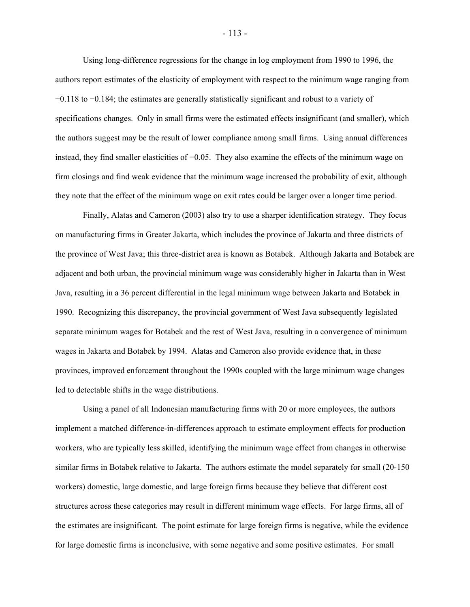Using long-difference regressions for the change in log employment from 1990 to 1996, the authors report estimates of the elasticity of employment with respect to the minimum wage ranging from −0.118 to −0.184; the estimates are generally statistically significant and robust to a variety of specifications changes. Only in small firms were the estimated effects insignificant (and smaller), which the authors suggest may be the result of lower compliance among small firms. Using annual differences instead, they find smaller elasticities of −0.05. They also examine the effects of the minimum wage on firm closings and find weak evidence that the minimum wage increased the probability of exit, although they note that the effect of the minimum wage on exit rates could be larger over a longer time period.

Finally, Alatas and Cameron (2003) also try to use a sharper identification strategy. They focus on manufacturing firms in Greater Jakarta, which includes the province of Jakarta and three districts of the province of West Java; this three-district area is known as Botabek. Although Jakarta and Botabek are adjacent and both urban, the provincial minimum wage was considerably higher in Jakarta than in West Java, resulting in a 36 percent differential in the legal minimum wage between Jakarta and Botabek in 1990. Recognizing this discrepancy, the provincial government of West Java subsequently legislated separate minimum wages for Botabek and the rest of West Java, resulting in a convergence of minimum wages in Jakarta and Botabek by 1994. Alatas and Cameron also provide evidence that, in these provinces, improved enforcement throughout the 1990s coupled with the large minimum wage changes led to detectable shifts in the wage distributions.

Using a panel of all Indonesian manufacturing firms with 20 or more employees, the authors implement a matched difference-in-differences approach to estimate employment effects for production workers, who are typically less skilled, identifying the minimum wage effect from changes in otherwise similar firms in Botabek relative to Jakarta. The authors estimate the model separately for small (20-150 workers) domestic, large domestic, and large foreign firms because they believe that different cost structures across these categories may result in different minimum wage effects. For large firms, all of the estimates are insignificant. The point estimate for large foreign firms is negative, while the evidence for large domestic firms is inconclusive, with some negative and some positive estimates. For small

- 113 -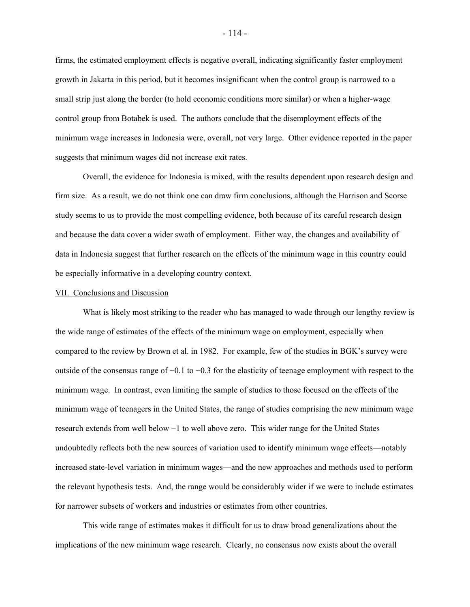firms, the estimated employment effects is negative overall, indicating significantly faster employment growth in Jakarta in this period, but it becomes insignificant when the control group is narrowed to a small strip just along the border (to hold economic conditions more similar) or when a higher-wage control group from Botabek is used. The authors conclude that the disemployment effects of the minimum wage increases in Indonesia were, overall, not very large. Other evidence reported in the paper suggests that minimum wages did not increase exit rates.

 Overall, the evidence for Indonesia is mixed, with the results dependent upon research design and firm size. As a result, we do not think one can draw firm conclusions, although the Harrison and Scorse study seems to us to provide the most compelling evidence, both because of its careful research design and because the data cover a wider swath of employment. Either way, the changes and availability of data in Indonesia suggest that further research on the effects of the minimum wage in this country could be especially informative in a developing country context.

## VII. Conclusions and Discussion

 What is likely most striking to the reader who has managed to wade through our lengthy review is the wide range of estimates of the effects of the minimum wage on employment, especially when compared to the review by Brown et al. in 1982. For example, few of the studies in BGK's survey were outside of the consensus range of −0.1 to −0.3 for the elasticity of teenage employment with respect to the minimum wage. In contrast, even limiting the sample of studies to those focused on the effects of the minimum wage of teenagers in the United States, the range of studies comprising the new minimum wage research extends from well below −1 to well above zero. This wider range for the United States undoubtedly reflects both the new sources of variation used to identify minimum wage effects—notably increased state-level variation in minimum wages—and the new approaches and methods used to perform the relevant hypothesis tests. And, the range would be considerably wider if we were to include estimates for narrower subsets of workers and industries or estimates from other countries.

 This wide range of estimates makes it difficult for us to draw broad generalizations about the implications of the new minimum wage research. Clearly, no consensus now exists about the overall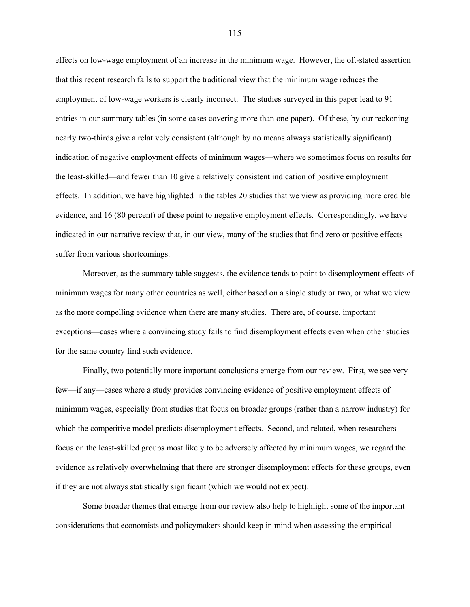effects on low-wage employment of an increase in the minimum wage. However, the oft-stated assertion that this recent research fails to support the traditional view that the minimum wage reduces the employment of low-wage workers is clearly incorrect. The studies surveyed in this paper lead to 91 entries in our summary tables (in some cases covering more than one paper). Of these, by our reckoning nearly two-thirds give a relatively consistent (although by no means always statistically significant) indication of negative employment effects of minimum wages—where we sometimes focus on results for the least-skilled—and fewer than 10 give a relatively consistent indication of positive employment effects. In addition, we have highlighted in the tables 20 studies that we view as providing more credible evidence, and 16 (80 percent) of these point to negative employment effects. Correspondingly, we have indicated in our narrative review that, in our view, many of the studies that find zero or positive effects suffer from various shortcomings.

Moreover, as the summary table suggests, the evidence tends to point to disemployment effects of minimum wages for many other countries as well, either based on a single study or two, or what we view as the more compelling evidence when there are many studies. There are, of course, important exceptions—cases where a convincing study fails to find disemployment effects even when other studies for the same country find such evidence.

Finally, two potentially more important conclusions emerge from our review. First, we see very few—if any—cases where a study provides convincing evidence of positive employment effects of minimum wages, especially from studies that focus on broader groups (rather than a narrow industry) for which the competitive model predicts disemployment effects. Second, and related, when researchers focus on the least-skilled groups most likely to be adversely affected by minimum wages, we regard the evidence as relatively overwhelming that there are stronger disemployment effects for these groups, even if they are not always statistically significant (which we would not expect).

Some broader themes that emerge from our review also help to highlight some of the important considerations that economists and policymakers should keep in mind when assessing the empirical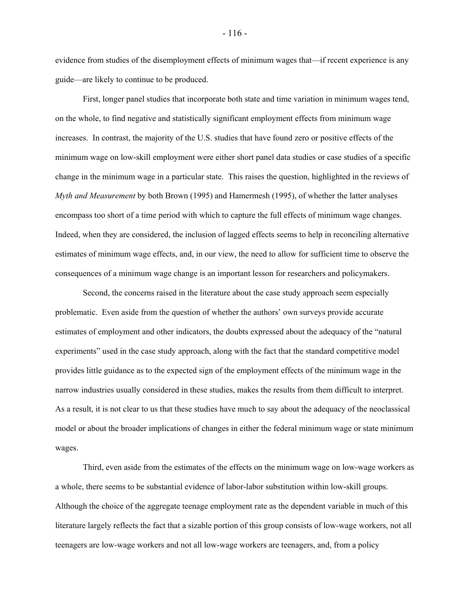evidence from studies of the disemployment effects of minimum wages that—if recent experience is any guide—are likely to continue to be produced.

First, longer panel studies that incorporate both state and time variation in minimum wages tend, on the whole, to find negative and statistically significant employment effects from minimum wage increases. In contrast, the majority of the U.S. studies that have found zero or positive effects of the minimum wage on low-skill employment were either short panel data studies or case studies of a specific change in the minimum wage in a particular state. This raises the question, highlighted in the reviews of *Myth and Measurement* by both Brown (1995) and Hamermesh (1995), of whether the latter analyses encompass too short of a time period with which to capture the full effects of minimum wage changes. Indeed, when they are considered, the inclusion of lagged effects seems to help in reconciling alternative estimates of minimum wage effects, and, in our view, the need to allow for sufficient time to observe the consequences of a minimum wage change is an important lesson for researchers and policymakers.

 Second, the concerns raised in the literature about the case study approach seem especially problematic. Even aside from the question of whether the authors' own surveys provide accurate estimates of employment and other indicators, the doubts expressed about the adequacy of the "natural experiments" used in the case study approach, along with the fact that the standard competitive model provides little guidance as to the expected sign of the employment effects of the minimum wage in the narrow industries usually considered in these studies, makes the results from them difficult to interpret. As a result, it is not clear to us that these studies have much to say about the adequacy of the neoclassical model or about the broader implications of changes in either the federal minimum wage or state minimum wages.

 Third, even aside from the estimates of the effects on the minimum wage on low-wage workers as a whole, there seems to be substantial evidence of labor-labor substitution within low-skill groups. Although the choice of the aggregate teenage employment rate as the dependent variable in much of this literature largely reflects the fact that a sizable portion of this group consists of low-wage workers, not all teenagers are low-wage workers and not all low-wage workers are teenagers, and, from a policy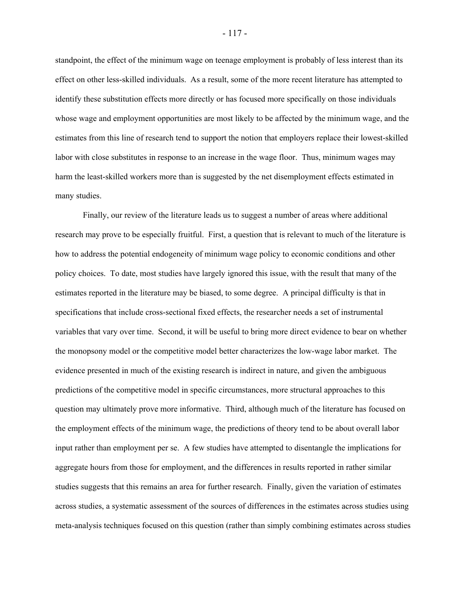standpoint, the effect of the minimum wage on teenage employment is probably of less interest than its effect on other less-skilled individuals. As a result, some of the more recent literature has attempted to identify these substitution effects more directly or has focused more specifically on those individuals whose wage and employment opportunities are most likely to be affected by the minimum wage, and the estimates from this line of research tend to support the notion that employers replace their lowest-skilled labor with close substitutes in response to an increase in the wage floor. Thus, minimum wages may harm the least-skilled workers more than is suggested by the net disemployment effects estimated in many studies.

 Finally, our review of the literature leads us to suggest a number of areas where additional research may prove to be especially fruitful. First, a question that is relevant to much of the literature is how to address the potential endogeneity of minimum wage policy to economic conditions and other policy choices. To date, most studies have largely ignored this issue, with the result that many of the estimates reported in the literature may be biased, to some degree. A principal difficulty is that in specifications that include cross-sectional fixed effects, the researcher needs a set of instrumental variables that vary over time. Second, it will be useful to bring more direct evidence to bear on whether the monopsony model or the competitive model better characterizes the low-wage labor market. The evidence presented in much of the existing research is indirect in nature, and given the ambiguous predictions of the competitive model in specific circumstances, more structural approaches to this question may ultimately prove more informative. Third, although much of the literature has focused on the employment effects of the minimum wage, the predictions of theory tend to be about overall labor input rather than employment per se. A few studies have attempted to disentangle the implications for aggregate hours from those for employment, and the differences in results reported in rather similar studies suggests that this remains an area for further research. Finally, given the variation of estimates across studies, a systematic assessment of the sources of differences in the estimates across studies using meta-analysis techniques focused on this question (rather than simply combining estimates across studies

- 117 -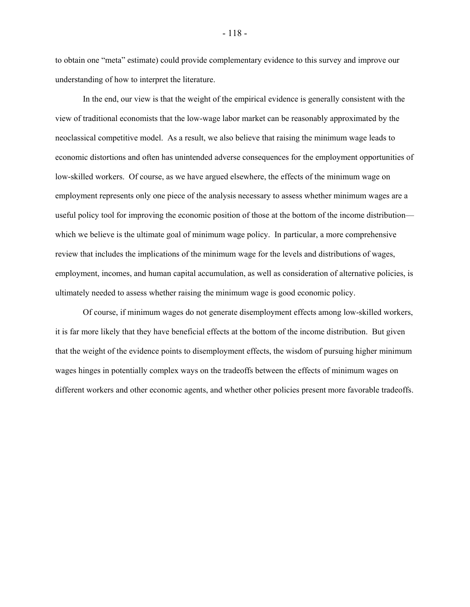to obtain one "meta" estimate) could provide complementary evidence to this survey and improve our understanding of how to interpret the literature.

In the end, our view is that the weight of the empirical evidence is generally consistent with the view of traditional economists that the low-wage labor market can be reasonably approximated by the neoclassical competitive model. As a result, we also believe that raising the minimum wage leads to economic distortions and often has unintended adverse consequences for the employment opportunities of low-skilled workers. Of course, as we have argued elsewhere, the effects of the minimum wage on employment represents only one piece of the analysis necessary to assess whether minimum wages are a useful policy tool for improving the economic position of those at the bottom of the income distribution which we believe is the ultimate goal of minimum wage policy. In particular, a more comprehensive review that includes the implications of the minimum wage for the levels and distributions of wages, employment, incomes, and human capital accumulation, as well as consideration of alternative policies, is ultimately needed to assess whether raising the minimum wage is good economic policy.

Of course, if minimum wages do not generate disemployment effects among low-skilled workers, it is far more likely that they have beneficial effects at the bottom of the income distribution. But given that the weight of the evidence points to disemployment effects, the wisdom of pursuing higher minimum wages hinges in potentially complex ways on the tradeoffs between the effects of minimum wages on different workers and other economic agents, and whether other policies present more favorable tradeoffs.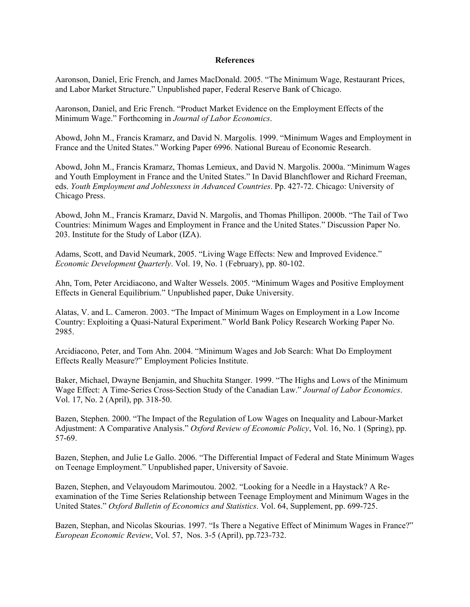## **References**

Aaronson, Daniel, Eric French, and James MacDonald. 2005. "The Minimum Wage, Restaurant Prices, and Labor Market Structure." Unpublished paper, Federal Reserve Bank of Chicago.

Aaronson, Daniel, and Eric French. "Product Market Evidence on the Employment Effects of the Minimum Wage." Forthcoming in *Journal of Labor Economics*.

Abowd, John M., Francis Kramarz, and David N. Margolis. 1999. "Minimum Wages and Employment in France and the United States." Working Paper 6996. National Bureau of Economic Research.

Abowd, John M., Francis Kramarz, Thomas Lemieux, and David N. Margolis. 2000a. "Minimum Wages and Youth Employment in France and the United States." In David Blanchflower and Richard Freeman, eds. *Youth Employment and Joblessness in Advanced Countries*. Pp. 427-72. Chicago: University of Chicago Press.

Abowd, John M., Francis Kramarz, David N. Margolis, and Thomas Phillipon. 2000b. "The Tail of Two Countries: Minimum Wages and Employment in France and the United States." Discussion Paper No. 203. Institute for the Study of Labor (IZA).

Adams, Scott, and David Neumark, 2005. "Living Wage Effects: New and Improved Evidence." *Economic Development Quarterly*. Vol. 19, No. 1 (February), pp. 80-102.

Ahn, Tom, Peter Arcidiacono, and Walter Wessels. 2005. "Minimum Wages and Positive Employment Effects in General Equilibrium." Unpublished paper, Duke University.

Alatas, V. and L. Cameron. 2003. "The Impact of Minimum Wages on Employment in a Low Income Country: Exploiting a Quasi-Natural Experiment." World Bank Policy Research Working Paper No. 2985.

Arcidiacono, Peter, and Tom Ahn. 2004. "Minimum Wages and Job Search: What Do Employment Effects Really Measure?" Employment Policies Institute.

Baker, Michael, Dwayne Benjamin, and Shuchita Stanger. 1999. "The Highs and Lows of the Minimum Wage Effect: A Time-Series Cross-Section Study of the Canadian Law." *Journal of Labor Economics*. Vol. 17, No. 2 (April), pp. 318-50.

Bazen, Stephen. 2000. "The Impact of the Regulation of Low Wages on Inequality and Labour-Market Adjustment: A Comparative Analysis." *Oxford Review of Economic Policy*, Vol. 16, No. 1 (Spring), pp. 57-69.

Bazen, Stephen, and Julie Le Gallo. 2006. "The Differential Impact of Federal and State Minimum Wages on Teenage Employment." Unpublished paper, University of Savoie.

Bazen, Stephen, and Velayoudom Marimoutou. 2002. "Looking for a Needle in a Haystack? A Reexamination of the Time Series Relationship between Teenage Employment and Minimum Wages in the United States." *Oxford Bulletin of Economics and Statistics*. Vol. 64, Supplement, pp. 699-725.

Bazen, Stephan, and Nicolas Skourias. 1997. "Is There a Negative Effect of Minimum Wages in France?" *European Economic Review*, Vol. 57, Nos. 3-5 (April), pp.723-732.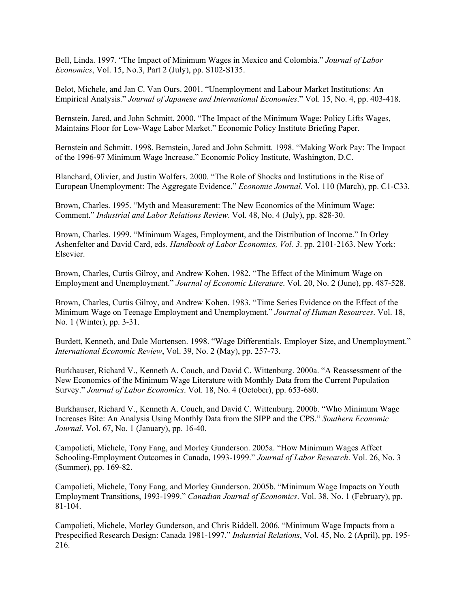Bell, Linda. 1997. "The Impact of Minimum Wages in Mexico and Colombia." *Journal of Labor Economics*, Vol. 15, No.3, Part 2 (July), pp. S102-S135.

Belot, Michele, and Jan C. Van Ours. 2001. "Unemployment and Labour Market Institutions: An Empirical Analysis." *Journal of Japanese and International Economies*." Vol. 15, No. 4, pp. 403-418.

Bernstein, Jared, and John Schmitt. 2000. "The Impact of the Minimum Wage: Policy Lifts Wages, Maintains Floor for Low-Wage Labor Market." Economic Policy Institute Briefing Paper.

Bernstein and Schmitt. 1998. Bernstein, Jared and John Schmitt. 1998. "Making Work Pay: The Impact of the 1996-97 Minimum Wage Increase." Economic Policy Institute, Washington, D.C.

Blanchard, Olivier, and Justin Wolfers. 2000. "The Role of Shocks and Institutions in the Rise of European Unemployment: The Aggregate Evidence." *Economic Journal*. Vol. 110 (March), pp. C1-C33.

Brown, Charles. 1995. "Myth and Measurement: The New Economics of the Minimum Wage: Comment." *Industrial and Labor Relations Review*. Vol. 48, No. 4 (July), pp. 828-30.

Brown, Charles. 1999. "Minimum Wages, Employment, and the Distribution of Income." In Orley Ashenfelter and David Card, eds. *Handbook of Labor Economics, Vol. 3*. pp. 2101-2163. New York: Elsevier.

Brown, Charles, Curtis Gilroy, and Andrew Kohen. 1982. "The Effect of the Minimum Wage on Employment and Unemployment." *Journal of Economic Literature*. Vol. 20, No. 2 (June), pp. 487-528.

Brown, Charles, Curtis Gilroy, and Andrew Kohen. 1983. "Time Series Evidence on the Effect of the Minimum Wage on Teenage Employment and Unemployment." *Journal of Human Resources*. Vol. 18, No. 1 (Winter), pp. 3-31.

Burdett, Kenneth, and Dale Mortensen. 1998. "Wage Differentials, Employer Size, and Unemployment." *International Economic Review*, Vol. 39, No. 2 (May), pp. 257-73.

Burkhauser, Richard V., Kenneth A. Couch, and David C. Wittenburg. 2000a. "A Reassessment of the New Economics of the Minimum Wage Literature with Monthly Data from the Current Population Survey." *Journal of Labor Economics*. Vol. 18, No. 4 (October), pp. 653-680.

Burkhauser, Richard V., Kenneth A. Couch, and David C. Wittenburg. 2000b. "Who Minimum Wage Increases Bite: An Analysis Using Monthly Data from the SIPP and the CPS." *Southern Economic Journal*. Vol. 67, No. 1 (January), pp. 16-40.

Campolieti, Michele, Tony Fang, and Morley Gunderson. 2005a. "How Minimum Wages Affect Schooling-Employment Outcomes in Canada, 1993-1999." *Journal of Labor Research*. Vol. 26, No. 3 (Summer), pp. 169-82.

Campolieti, Michele, Tony Fang, and Morley Gunderson. 2005b. "Minimum Wage Impacts on Youth Employment Transitions, 1993-1999." *Canadian Journal of Economics*. Vol. 38, No. 1 (February), pp. 81-104.

Campolieti, Michele, Morley Gunderson, and Chris Riddell. 2006. "Minimum Wage Impacts from a Prespecified Research Design: Canada 1981-1997." *Industrial Relations*, Vol. 45, No. 2 (April), pp. 195- 216.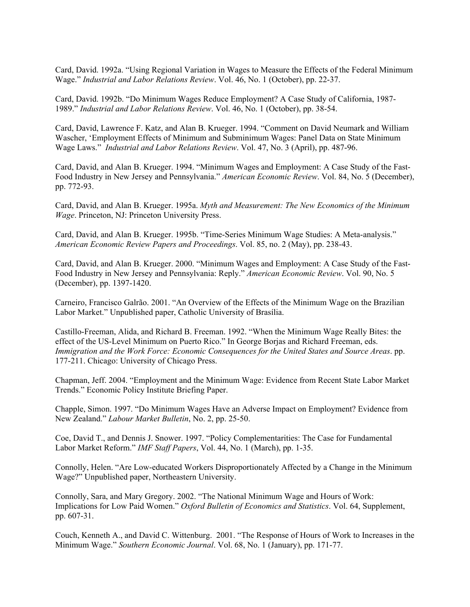Card, David. 1992a. "Using Regional Variation in Wages to Measure the Effects of the Federal Minimum Wage." *Industrial and Labor Relations Review*. Vol. 46, No. 1 (October), pp. 22-37.

Card, David. 1992b. "Do Minimum Wages Reduce Employment? A Case Study of California, 1987- 1989." *Industrial and Labor Relations Review*. Vol. 46, No. 1 (October), pp. 38-54.

Card, David, Lawrence F. Katz, and Alan B. Krueger. 1994. "Comment on David Neumark and William Wascher, 'Employment Effects of Minimum and Subminimum Wages: Panel Data on State Minimum Wage Laws." *Industrial and Labor Relations Review*. Vol. 47, No. 3 (April), pp. 487-96.

Card, David, and Alan B. Krueger. 1994. "Minimum Wages and Employment: A Case Study of the Fast-Food Industry in New Jersey and Pennsylvania." *American Economic Review*. Vol. 84, No. 5 (December), pp. 772-93.

Card, David, and Alan B. Krueger. 1995a. *Myth and Measurement: The New Economics of the Minimum Wage*. Princeton, NJ: Princeton University Press.

Card, David, and Alan B. Krueger. 1995b. "Time-Series Minimum Wage Studies: A Meta-analysis." *American Economic Review Papers and Proceedings*. Vol. 85, no. 2 (May), pp. 238-43.

Card, David, and Alan B. Krueger. 2000. "Minimum Wages and Employment: A Case Study of the Fast-Food Industry in New Jersey and Pennsylvania: Reply." *American Economic Review*. Vol. 90, No. 5 (December), pp. 1397-1420.

Carneiro, Francisco Galrão. 2001. "An Overview of the Effects of the Minimum Wage on the Brazilian Labor Market." Unpublished paper, Catholic University of Brasília.

Castillo-Freeman, Alida, and Richard B. Freeman. 1992. "When the Minimum Wage Really Bites: the effect of the US-Level Minimum on Puerto Rico." In George Borjas and Richard Freeman, eds. *Immigration and the Work Force: Economic Consequences for the United States and Source Areas*. pp. 177-211. Chicago: University of Chicago Press.

Chapman, Jeff. 2004. "Employment and the Minimum Wage: Evidence from Recent State Labor Market Trends." Economic Policy Institute Briefing Paper.

Chapple, Simon. 1997. "Do Minimum Wages Have an Adverse Impact on Employment? Evidence from New Zealand." *Labour Market Bulletin*, No. 2, pp. 25-50.

Coe, David T., and Dennis J. Snower. 1997. "Policy Complementarities: The Case for Fundamental Labor Market Reform." *IMF Staff Papers*, Vol. 44, No. 1 (March), pp. 1-35.

Connolly, Helen. "Are Low-educated Workers Disproportionately Affected by a Change in the Minimum Wage?" Unpublished paper, Northeastern University.

Connolly, Sara, and Mary Gregory. 2002. "The National Minimum Wage and Hours of Work: Implications for Low Paid Women." *Oxford Bulletin of Economics and Statistics*. Vol. 64, Supplement, pp. 607-31.

Couch, Kenneth A., and David C. Wittenburg. 2001. "The Response of Hours of Work to Increases in the Minimum Wage." *Southern Economic Journal*. Vol. 68, No. 1 (January), pp. 171-77.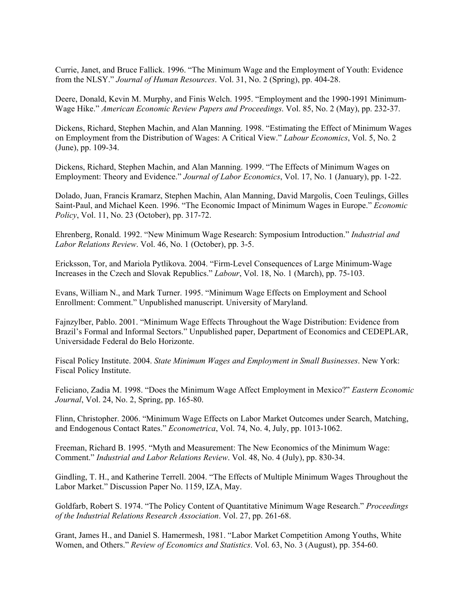Currie, Janet, and Bruce Fallick. 1996. "The Minimum Wage and the Employment of Youth: Evidence from the NLSY." *Journal of Human Resources*. Vol. 31, No. 2 (Spring), pp. 404-28.

Deere, Donald, Kevin M. Murphy, and Finis Welch. 1995. "Employment and the 1990-1991 Minimum-Wage Hike." *American Economic Review Papers and Proceedings*. Vol. 85, No. 2 (May), pp. 232-37.

Dickens, Richard, Stephen Machin, and Alan Manning. 1998. "Estimating the Effect of Minimum Wages on Employment from the Distribution of Wages: A Critical View." *Labour Economics*, Vol. 5, No. 2 (June), pp. 109-34.

Dickens, Richard, Stephen Machin, and Alan Manning. 1999. "The Effects of Minimum Wages on Employment: Theory and Evidence." *Journal of Labor Economics*, Vol. 17, No. 1 (January), pp. 1-22.

Dolado, Juan, Francis Kramarz, Stephen Machin, Alan Manning, David Margolis, Coen Teulings, Gilles Saint-Paul, and Michael Keen. 1996. "The Economic Impact of Minimum Wages in Europe." *Economic Policy*, Vol. 11, No. 23 (October), pp. 317-72.

Ehrenberg, Ronald. 1992. "New Minimum Wage Research: Symposium Introduction." *Industrial and Labor Relations Review*. Vol. 46, No. 1 (October), pp. 3-5.

Ericksson, Tor, and Mariola Pytlikova. 2004. "Firm-Level Consequences of Large Minimum-Wage Increases in the Czech and Slovak Republics." *Labour*, Vol. 18, No. 1 (March), pp. 75-103.

Evans, William N., and Mark Turner. 1995. "Minimum Wage Effects on Employment and School Enrollment: Comment." Unpublished manuscript. University of Maryland.

Fajnzylber, Pablo. 2001. "Minimum Wage Effects Throughout the Wage Distribution: Evidence from Brazil's Formal and Informal Sectors." Unpublished paper, Department of Economics and CEDEPLAR, Universidade Federal do Belo Horizonte.

Fiscal Policy Institute. 2004. *State Minimum Wages and Employment in Small Businesses*. New York: Fiscal Policy Institute.

Feliciano, Zadia M. 1998. "Does the Minimum Wage Affect Employment in Mexico?" *Eastern Economic Journal*, Vol. 24, No. 2, Spring, pp. 165-80.

Flinn, Christopher. 2006. "Minimum Wage Effects on Labor Market Outcomes under Search, Matching, and Endogenous Contact Rates." *Econometrica*, Vol. 74, No. 4, July, pp. 1013-1062.

Freeman, Richard B. 1995. "Myth and Measurement: The New Economics of the Minimum Wage: Comment." *Industrial and Labor Relations Review*. Vol. 48, No. 4 (July), pp. 830-34.

Gindling, T. H., and Katherine Terrell. 2004. "The Effects of Multiple Minimum Wages Throughout the Labor Market." Discussion Paper No. 1159, IZA, May.

Goldfarb, Robert S. 1974. "The Policy Content of Quantitative Minimum Wage Research." *Proceedings of the Industrial Relations Research Association*. Vol. 27, pp. 261-68.

Grant, James H., and Daniel S. Hamermesh, 1981. "Labor Market Competition Among Youths, White Women, and Others." *Review of Economics and Statistics*. Vol. 63, No. 3 (August), pp. 354-60.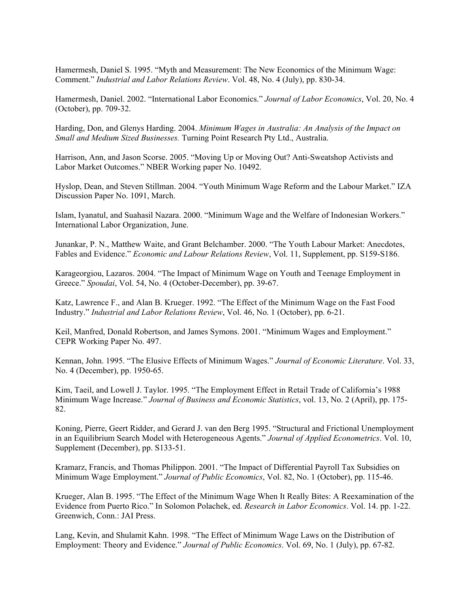Hamermesh, Daniel S. 1995. "Myth and Measurement: The New Economics of the Minimum Wage: Comment." *Industrial and Labor Relations Review*. Vol. 48, No. 4 (July), pp. 830-34.

Hamermesh, Daniel. 2002. "International Labor Economics." *Journal of Labor Economics*, Vol. 20, No. 4 (October), pp. 709-32.

Harding, Don, and Glenys Harding. 2004. *Minimum Wages in Australia: An Analysis of the Impact on Small and Medium Sized Businesses.* Turning Point Research Pty Ltd., Australia.

Harrison, Ann, and Jason Scorse. 2005. "Moving Up or Moving Out? Anti-Sweatshop Activists and Labor Market Outcomes." NBER Working paper No. 10492.

Hyslop, Dean, and Steven Stillman. 2004. "Youth Minimum Wage Reform and the Labour Market." IZA Discussion Paper No. 1091, March.

Islam, Iyanatul, and Suahasil Nazara. 2000. "Minimum Wage and the Welfare of Indonesian Workers." International Labor Organization, June.

Junankar, P. N., Matthew Waite, and Grant Belchamber. 2000. "The Youth Labour Market: Anecdotes, Fables and Evidence." *Economic and Labour Relations Review*, Vol. 11, Supplement, pp. S159-S186.

Karageorgiou, Lazaros. 2004. "The Impact of Minimum Wage on Youth and Teenage Employment in Greece." *Spoudai*, Vol. 54, No. 4 (October-December), pp. 39-67.

Katz, Lawrence F., and Alan B. Krueger. 1992. "The Effect of the Minimum Wage on the Fast Food Industry." *Industrial and Labor Relations Review*, Vol. 46, No. 1 (October), pp. 6-21.

Keil, Manfred, Donald Robertson, and James Symons. 2001. "Minimum Wages and Employment." CEPR Working Paper No. 497.

Kennan, John. 1995. "The Elusive Effects of Minimum Wages." *Journal of Economic Literature*. Vol. 33, No. 4 (December), pp. 1950-65.

Kim, Taeil, and Lowell J. Taylor. 1995. "The Employment Effect in Retail Trade of California's 1988 Minimum Wage Increase." *Journal of Business and Economic Statistics*, vol. 13, No. 2 (April), pp. 175- 82.

Koning, Pierre, Geert Ridder, and Gerard J. van den Berg 1995. "Structural and Frictional Unemployment in an Equilibrium Search Model with Heterogeneous Agents." *Journal of Applied Econometrics*. Vol. 10, Supplement (December), pp. S133-51.

Kramarz, Francis, and Thomas Philippon. 2001. "The Impact of Differential Payroll Tax Subsidies on Minimum Wage Employment." *Journal of Public Economics*, Vol. 82, No. 1 (October), pp. 115-46.

Krueger, Alan B. 1995. "The Effect of the Minimum Wage When It Really Bites: A Reexamination of the Evidence from Puerto Rico." In Solomon Polachek, ed. *Research in Labor Economics*. Vol. 14. pp. 1-22. Greenwich, Conn.: JAI Press.

Lang, Kevin, and Shulamit Kahn. 1998. "The Effect of Minimum Wage Laws on the Distribution of Employment: Theory and Evidence." *Journal of Public Economics*. Vol. 69, No. 1 (July), pp. 67-82.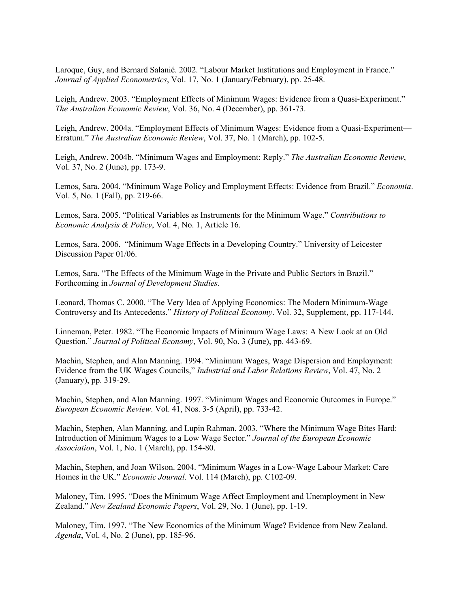Laroque, Guy, and Bernard Salanié. 2002. "Labour Market Institutions and Employment in France." *Journal of Applied Econometrics*, Vol. 17, No. 1 (January/February), pp. 25-48.

Leigh, Andrew. 2003. "Employment Effects of Minimum Wages: Evidence from a Quasi-Experiment." *The Australian Economic Review*, Vol. 36, No. 4 (December), pp. 361-73.

Leigh, Andrew. 2004a. "Employment Effects of Minimum Wages: Evidence from a Quasi-Experiment— Erratum." *The Australian Economic Review*, Vol. 37, No. 1 (March), pp. 102-5.

Leigh, Andrew. 2004b. "Minimum Wages and Employment: Reply." *The Australian Economic Review*, Vol. 37, No. 2 (June), pp. 173-9.

Lemos, Sara. 2004. "Minimum Wage Policy and Employment Effects: Evidence from Brazil." *Economia*. Vol. 5, No. 1 (Fall), pp. 219-66.

Lemos, Sara. 2005. "Political Variables as Instruments for the Minimum Wage." *Contributions to Economic Analysis & Policy*, Vol. 4, No. 1, Article 16.

Lemos, Sara. 2006. "Minimum Wage Effects in a Developing Country." University of Leicester Discussion Paper 01/06.

Lemos, Sara. "The Effects of the Minimum Wage in the Private and Public Sectors in Brazil." Forthcoming in *Journal of Development Studies*.

Leonard, Thomas C. 2000. "The Very Idea of Applying Economics: The Modern Minimum-Wage Controversy and Its Antecedents." *History of Political Economy*. Vol. 32, Supplement, pp. 117-144.

Linneman, Peter. 1982. "The Economic Impacts of Minimum Wage Laws: A New Look at an Old Question." *Journal of Political Economy*, Vol. 90, No. 3 (June), pp. 443-69.

Machin, Stephen, and Alan Manning. 1994. "Minimum Wages, Wage Dispersion and Employment: Evidence from the UK Wages Councils," *Industrial and Labor Relations Review*, Vol. 47, No. 2 (January), pp. 319-29.

Machin, Stephen, and Alan Manning. 1997. "Minimum Wages and Economic Outcomes in Europe." *European Economic Review*. Vol. 41, Nos. 3-5 (April), pp. 733-42.

Machin, Stephen, Alan Manning, and Lupin Rahman. 2003. "Where the Minimum Wage Bites Hard: Introduction of Minimum Wages to a Low Wage Sector." *Journal of the European Economic Association*, Vol. 1, No. 1 (March), pp. 154-80.

Machin, Stephen, and Joan Wilson. 2004. "Minimum Wages in a Low-Wage Labour Market: Care Homes in the UK." *Economic Journal*. Vol. 114 (March), pp. C102-09.

Maloney, Tim. 1995. "Does the Minimum Wage Affect Employment and Unemployment in New Zealand." *New Zealand Economic Papers*, Vol. 29, No. 1 (June), pp. 1-19.

Maloney, Tim. 1997. "The New Economics of the Minimum Wage? Evidence from New Zealand. *Agenda*, Vol. 4, No. 2 (June), pp. 185-96.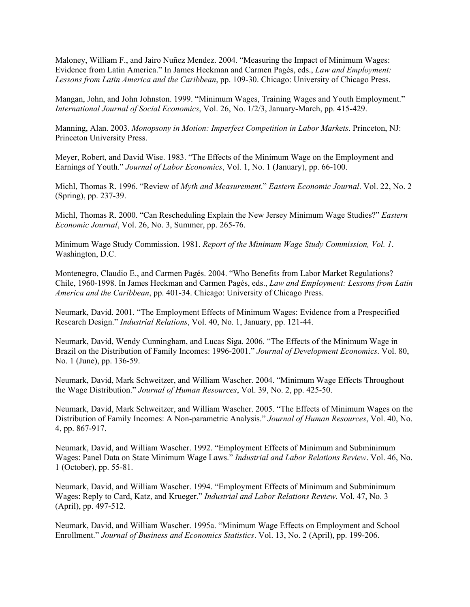Maloney, William F., and Jairo Nuñez Mendez. 2004. "Measuring the Impact of Minimum Wages: Evidence from Latin America." In James Heckman and Carmen Pagés, eds., *Law and Employment: Lessons from Latin America and the Caribbean*, pp. 109-30. Chicago: University of Chicago Press.

Mangan, John, and John Johnston. 1999. "Minimum Wages, Training Wages and Youth Employment." *International Journal of Social Economics*, Vol. 26, No. 1/2/3, January-March, pp. 415-429.

Manning, Alan. 2003. *Monopsony in Motion: Imperfect Competition in Labor Markets*. Princeton, NJ: Princeton University Press.

Meyer, Robert, and David Wise. 1983. "The Effects of the Minimum Wage on the Employment and Earnings of Youth." *Journal of Labor Economics*, Vol. 1, No. 1 (January), pp. 66-100.

Michl, Thomas R. 1996. "Review of *Myth and Measurement*." *Eastern Economic Journal*. Vol. 22, No. 2 (Spring), pp. 237-39.

Michl, Thomas R. 2000. "Can Rescheduling Explain the New Jersey Minimum Wage Studies?" *Eastern Economic Journal*, Vol. 26, No. 3, Summer, pp. 265-76.

Minimum Wage Study Commission. 1981. *Report of the Minimum Wage Study Commission, Vol. 1*. Washington, D.C.

Montenegro, Claudio E., and Carmen Pagés. 2004. "Who Benefits from Labor Market Regulations? Chile, 1960-1998. In James Heckman and Carmen Pagés, eds., *Law and Employment: Lessons from Latin America and the Caribbean*, pp. 401-34. Chicago: University of Chicago Press.

Neumark, David. 2001. "The Employment Effects of Minimum Wages: Evidence from a Prespecified Research Design." *Industrial Relations*, Vol. 40, No. 1, January, pp. 121-44.

Neumark, David, Wendy Cunningham, and Lucas Siga. 2006. "The Effects of the Minimum Wage in Brazil on the Distribution of Family Incomes: 1996-2001." *Journal of Development Economics*. Vol. 80, No. 1 (June), pp. 136-59.

Neumark, David, Mark Schweitzer, and William Wascher. 2004. "Minimum Wage Effects Throughout the Wage Distribution." *Journal of Human Resources*, Vol. 39, No. 2, pp. 425-50.

Neumark, David, Mark Schweitzer, and William Wascher. 2005. "The Effects of Minimum Wages on the Distribution of Family Incomes: A Non-parametric Analysis." *Journal of Human Resources*, Vol. 40, No. 4, pp. 867-917.

Neumark, David, and William Wascher. 1992. "Employment Effects of Minimum and Subminimum Wages: Panel Data on State Minimum Wage Laws." *Industrial and Labor Relations Review*. Vol. 46, No. 1 (October), pp. 55-81.

Neumark, David, and William Wascher. 1994. "Employment Effects of Minimum and Subminimum Wages: Reply to Card, Katz, and Krueger." *Industrial and Labor Relations Review*. Vol. 47, No. 3 (April), pp. 497-512.

Neumark, David, and William Wascher. 1995a. "Minimum Wage Effects on Employment and School Enrollment." *Journal of Business and Economics Statistics*. Vol. 13, No. 2 (April), pp. 199-206.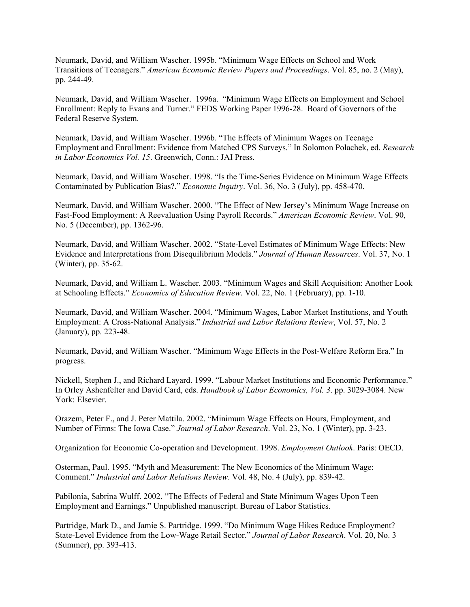Neumark, David, and William Wascher. 1995b. "Minimum Wage Effects on School and Work Transitions of Teenagers." *American Economic Review Papers and Proceedings*. Vol. 85, no. 2 (May), pp. 244-49.

Neumark, David, and William Wascher. 1996a. "Minimum Wage Effects on Employment and School Enrollment: Reply to Evans and Turner." FEDS Working Paper 1996-28. Board of Governors of the Federal Reserve System.

Neumark, David, and William Wascher. 1996b. "The Effects of Minimum Wages on Teenage Employment and Enrollment: Evidence from Matched CPS Surveys." In Solomon Polachek, ed. *Research in Labor Economics Vol. 15*. Greenwich, Conn.: JAI Press.

Neumark, David, and William Wascher. 1998. "Is the Time-Series Evidence on Minimum Wage Effects Contaminated by Publication Bias?." *Economic Inquiry*. Vol. 36, No. 3 (July), pp. 458-470.

Neumark, David, and William Wascher. 2000. "The Effect of New Jersey's Minimum Wage Increase on Fast-Food Employment: A Reevaluation Using Payroll Records." *American Economic Review*. Vol. 90, No. 5 (December), pp. 1362-96.

Neumark, David, and William Wascher. 2002. "State-Level Estimates of Minimum Wage Effects: New Evidence and Interpretations from Disequilibrium Models." *Journal of Human Resources*. Vol. 37, No. 1 (Winter), pp. 35-62.

Neumark, David, and William L. Wascher. 2003. "Minimum Wages and Skill Acquisition: Another Look at Schooling Effects." *Economics of Education Review*. Vol. 22, No. 1 (February), pp. 1-10.

Neumark, David, and William Wascher. 2004. "Minimum Wages, Labor Market Institutions, and Youth Employment: A Cross-National Analysis." *Industrial and Labor Relations Review*, Vol. 57, No. 2 (January), pp. 223-48.

Neumark, David, and William Wascher. "Minimum Wage Effects in the Post-Welfare Reform Era." In progress.

Nickell, Stephen J., and Richard Layard. 1999. "Labour Market Institutions and Economic Performance." In Orley Ashenfelter and David Card, eds. *Handbook of Labor Economics, Vol. 3*. pp. 3029-3084. New York: Elsevier.

Orazem, Peter F., and J. Peter Mattila. 2002. "Minimum Wage Effects on Hours, Employment, and Number of Firms: The Iowa Case." *Journal of Labor Research*. Vol. 23, No. 1 (Winter), pp. 3-23.

Organization for Economic Co-operation and Development. 1998. *Employment Outlook*. Paris: OECD.

Osterman, Paul. 1995. "Myth and Measurement: The New Economics of the Minimum Wage: Comment." *Industrial and Labor Relations Review*. Vol. 48, No. 4 (July), pp. 839-42.

Pabilonia, Sabrina Wulff. 2002. "The Effects of Federal and State Minimum Wages Upon Teen Employment and Earnings." Unpublished manuscript. Bureau of Labor Statistics.

Partridge, Mark D., and Jamie S. Partridge. 1999. "Do Minimum Wage Hikes Reduce Employment? State-Level Evidence from the Low-Wage Retail Sector." *Journal of Labor Research*. Vol. 20, No. 3 (Summer), pp. 393-413.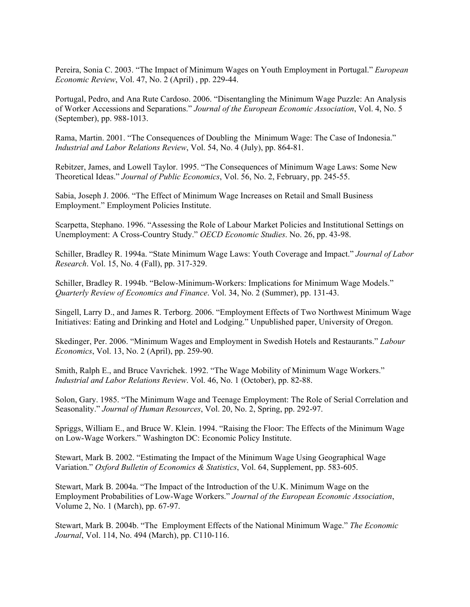Pereira, Sonia C. 2003. "The Impact of Minimum Wages on Youth Employment in Portugal." *European Economic Review*, Vol. 47, No. 2 (April) , pp. 229-44.

Portugal, Pedro, and Ana Rute Cardoso. 2006. "Disentangling the Minimum Wage Puzzle: An Analysis of Worker Accessions and Separations." *Journal of the European Economic Association*, Vol. 4, No. 5 (September), pp. 988-1013.

Rama, Martin. 2001. "The Consequences of Doubling the Minimum Wage: The Case of Indonesia." *Industrial and Labor Relations Review*, Vol. 54, No. 4 (July), pp. 864-81.

Rebitzer, James, and Lowell Taylor. 1995. "The Consequences of Minimum Wage Laws: Some New Theoretical Ideas." *Journal of Public Economics*, Vol. 56, No. 2, February, pp. 245-55.

Sabia, Joseph J. 2006. "The Effect of Minimum Wage Increases on Retail and Small Business Employment." Employment Policies Institute.

Scarpetta, Stephano. 1996. "Assessing the Role of Labour Market Policies and Institutional Settings on Unemployment: A Cross-Country Study." *OECD Economic Studies*. No. 26, pp. 43-98.

Schiller, Bradley R. 1994a. "State Minimum Wage Laws: Youth Coverage and Impact." *Journal of Labor Research*. Vol. 15, No. 4 (Fall), pp. 317-329.

Schiller, Bradley R. 1994b. "Below-Minimum-Workers: Implications for Minimum Wage Models." *Quarterly Review of Economics and Finance*. Vol. 34, No. 2 (Summer), pp. 131-43.

Singell, Larry D., and James R. Terborg. 2006. "Employment Effects of Two Northwest Minimum Wage Initiatives: Eating and Drinking and Hotel and Lodging." Unpublished paper, University of Oregon.

Skedinger, Per. 2006. "Minimum Wages and Employment in Swedish Hotels and Restaurants." *Labour Economics*, Vol. 13, No. 2 (April), pp. 259-90.

Smith, Ralph E., and Bruce Vavrichek. 1992. "The Wage Mobility of Minimum Wage Workers." *Industrial and Labor Relations Review*. Vol. 46, No. 1 (October), pp. 82-88.

Solon, Gary. 1985. "The Minimum Wage and Teenage Employment: The Role of Serial Correlation and Seasonality." *Journal of Human Resources*, Vol. 20, No. 2, Spring, pp. 292-97.

Spriggs, William E., and Bruce W. Klein. 1994. "Raising the Floor: The Effects of the Minimum Wage on Low-Wage Workers." Washington DC: Economic Policy Institute.

Stewart, Mark B. 2002. "Estimating the Impact of the Minimum Wage Using Geographical Wage Variation." *Oxford Bulletin of Economics & Statistics*, Vol. 64, Supplement, pp. 583-605.

Stewart, Mark B. 2004a. "The Impact of the Introduction of the U.K. Minimum Wage on the Employment Probabilities of Low-Wage Workers." *Journal of the European Economic Association*, Volume 2, No. 1 (March), pp. 67-97.

Stewart, Mark B. 2004b. "The Employment Effects of the National Minimum Wage." *The Economic Journal*, Vol. 114, No. 494 (March), pp. C110-116.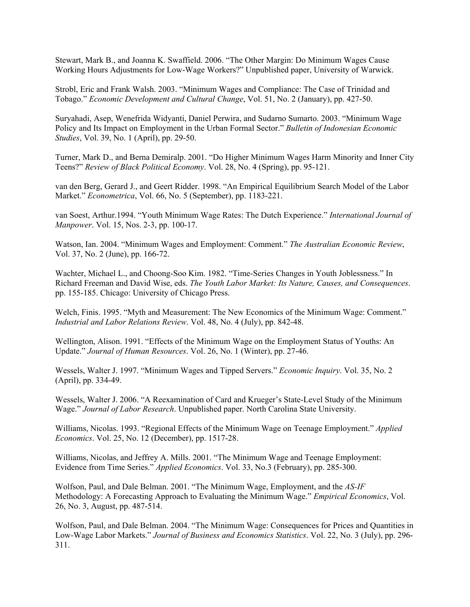Stewart, Mark B., and Joanna K. Swaffield. 2006. "The Other Margin: Do Minimum Wages Cause Working Hours Adjustments for Low-Wage Workers?" Unpublished paper, University of Warwick.

Strobl, Eric and Frank Walsh. 2003. "Minimum Wages and Compliance: The Case of Trinidad and Tobago." *Economic Development and Cultural Change*, Vol. 51, No. 2 (January), pp. 427-50.

Suryahadi, Asep, Wenefrida Widyanti, Daniel Perwira, and Sudarno Sumarto. 2003. "Minimum Wage Policy and Its Impact on Employment in the Urban Formal Sector." *Bulletin of Indonesian Economic Studies*, Vol. 39, No. 1 (April), pp. 29-50.

Turner, Mark D., and Berna Demiralp. 2001. "Do Higher Minimum Wages Harm Minority and Inner City Teens?" *Review of Black Political Economy*. Vol. 28, No. 4 (Spring), pp. 95-121.

van den Berg, Gerard J., and Geert Ridder. 1998. "An Empirical Equilibrium Search Model of the Labor Market." *Econometrica*, Vol. 66, No. 5 (September), pp. 1183-221.

van Soest, Arthur.1994. "Youth Minimum Wage Rates: The Dutch Experience." *International Journal of Manpower*. Vol. 15, Nos. 2-3, pp. 100-17.

Watson, Ian. 2004. "Minimum Wages and Employment: Comment." *The Australian Economic Review*, Vol. 37, No. 2 (June), pp. 166-72.

Wachter, Michael L., and Choong-Soo Kim. 1982. "Time-Series Changes in Youth Joblessness." In Richard Freeman and David Wise, eds. *The Youth Labor Market: Its Nature, Causes, and Consequences*. pp. 155-185. Chicago: University of Chicago Press.

Welch, Finis. 1995. "Myth and Measurement: The New Economics of the Minimum Wage: Comment." *Industrial and Labor Relations Review*. Vol. 48, No. 4 (July), pp. 842-48.

Wellington, Alison. 1991. "Effects of the Minimum Wage on the Employment Status of Youths: An Update." *Journal of Human Resources*. Vol. 26, No. 1 (Winter), pp. 27-46.

Wessels, Walter J. 1997. "Minimum Wages and Tipped Servers." *Economic Inquiry*. Vol. 35, No. 2 (April), pp. 334-49.

Wessels, Walter J. 2006. "A Reexamination of Card and Krueger's State-Level Study of the Minimum Wage." *Journal of Labor Research*. Unpublished paper. North Carolina State University.

Williams, Nicolas. 1993. "Regional Effects of the Minimum Wage on Teenage Employment." *Applied Economics*. Vol. 25, No. 12 (December), pp. 1517-28.

Williams, Nicolas, and Jeffrey A. Mills. 2001. "The Minimum Wage and Teenage Employment: Evidence from Time Series." *Applied Economics*. Vol. 33, No.3 (February), pp. 285-300.

Wolfson, Paul, and Dale Belman. 2001. "The Minimum Wage, Employment, and the *AS-IF* Methodology: A Forecasting Approach to Evaluating the Minimum Wage." *Empirical Economics*, Vol. 26, No. 3, August, pp. 487-514.

Wolfson, Paul, and Dale Belman. 2004. "The Minimum Wage: Consequences for Prices and Quantities in Low-Wage Labor Markets." *Journal of Business and Economics Statistics*. Vol. 22, No. 3 (July), pp. 296- 311.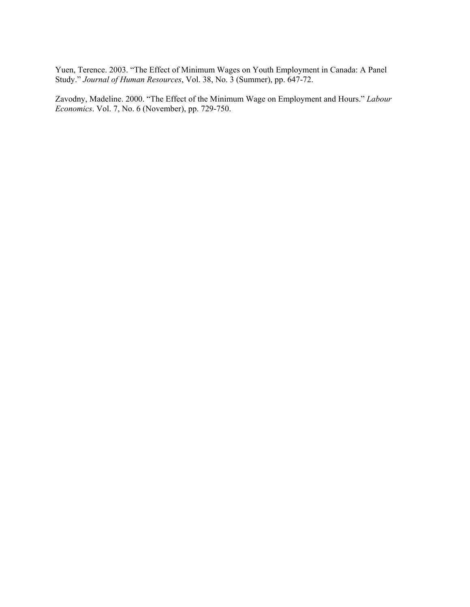Yuen, Terence. 2003. "The Effect of Minimum Wages on Youth Employment in Canada: A Panel Study." *Journal of Human Resources*, Vol. 38, No. 3 (Summer), pp. 647-72.

Zavodny, Madeline. 2000. "The Effect of the Minimum Wage on Employment and Hours." *Labour Economics*. Vol. 7, No. 6 (November), pp. 729-750.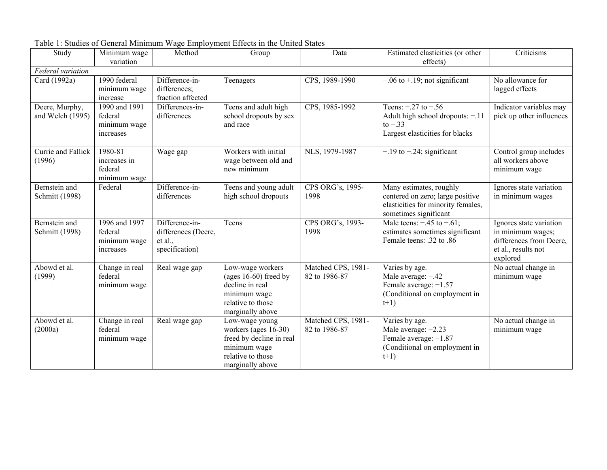| Study                              | Minimum wage<br>variation                             | Method                                                             | Group                                                                                                                          | Data                                | Estimated elasticities (or other<br>effects)                                                                               | Criticisms                                                                                                 |
|------------------------------------|-------------------------------------------------------|--------------------------------------------------------------------|--------------------------------------------------------------------------------------------------------------------------------|-------------------------------------|----------------------------------------------------------------------------------------------------------------------------|------------------------------------------------------------------------------------------------------------|
| Federal variation                  |                                                       |                                                                    |                                                                                                                                |                                     |                                                                                                                            |                                                                                                            |
| Card (1992a)                       | 1990 federal<br>minimum wage<br>increase              | Difference-in-<br>differences;<br>fraction affected                | Teenagers                                                                                                                      | CPS, 1989-1990                      | $-0.06$ to $+0.19$ ; not significant                                                                                       | No allowance for<br>lagged effects                                                                         |
| Deere, Murphy,<br>and Welch (1995) | 1990 and 1991<br>federal<br>minimum wage<br>increases | Differences-in-<br>differences                                     | Teens and adult high<br>school dropouts by sex<br>and race                                                                     | CPS, 1985-1992                      | Teens: $-.27$ to $-.56$<br>Adult high school dropouts: -.11<br>to $-.33$<br>Largest elasticities for blacks                | Indicator variables may<br>pick up other influences                                                        |
| Currie and Fallick<br>(1996)       | 1980-81<br>increases in<br>federal<br>minimum wage    | Wage gap                                                           | Workers with initial<br>wage between old and<br>new minimum                                                                    | NLS, 1979-1987                      | $-19$ to $-24$ ; significant                                                                                               | Control group includes<br>all workers above<br>minimum wage                                                |
| Bernstein and<br>Schmitt (1998)    | Federal                                               | Difference-in-<br>differences                                      | Teens and young adult<br>high school dropouts                                                                                  | CPS ORG's, 1995-<br>1998            | Many estimates, roughly<br>centered on zero; large positive<br>elasticities for minority females,<br>sometimes significant | Ignores state variation<br>in minimum wages                                                                |
| Bernstein and<br>Schmitt (1998)    | 1996 and 1997<br>federal<br>minimum wage<br>increases | Difference-in-<br>differences (Deere,<br>et al.,<br>specification) | Teens                                                                                                                          | CPS ORG's, 1993-<br>1998            | Male teens: $-.45$ to $-.61$ ;<br>estimates sometimes significant<br>Female teens: .32 to .86                              | Ignores state variation<br>in minimum wages;<br>differences from Deere,<br>et al., results not<br>explored |
| Abowd et al.<br>(1999)             | Change in real<br>federal<br>minimum wage             | Real wage gap                                                      | Low-wage workers<br>(ages $16-60$ ) freed by<br>decline in real<br>minimum wage<br>relative to those<br>marginally above       | Matched CPS, 1981-<br>82 to 1986-87 | Varies by age.<br>Male average: $-.42$<br>Female average: $-1.57$<br>(Conditional on employment in<br>$t+1)$               | No actual change in<br>minimum wage                                                                        |
| Abowd et al.<br>(2000a)            | Change in real<br>federal<br>minimum wage             | Real wage gap                                                      | Low-wage young<br>workers (ages $16-30$ )<br>freed by decline in real<br>minimum wage<br>relative to those<br>marginally above | Matched CPS, 1981-<br>82 to 1986-87 | Varies by age.<br>Male average: $-2.23$<br>Female average: $-1.87$<br>(Conditional on employment in<br>$t+1)$              | No actual change in<br>minimum wage                                                                        |

Table 1: Studies of General Minimum Wage Employment Effects in the United States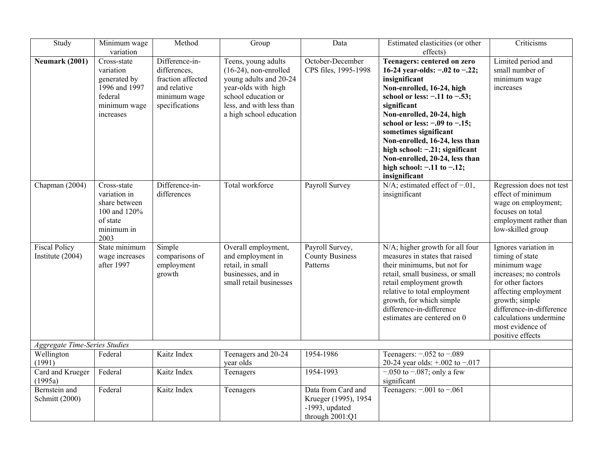| $\overline{\text{Study}}$                  | Minimum wage                                                                                      | Method                                                                                                | Group                                                                                                                                                                          | Data                                                                            | Estimated elasticities (or other                                                                                                                                                                                                                                                                                                                                                                                                          | Criticisms                                                                                                                                                                                                                                     |
|--------------------------------------------|---------------------------------------------------------------------------------------------------|-------------------------------------------------------------------------------------------------------|--------------------------------------------------------------------------------------------------------------------------------------------------------------------------------|---------------------------------------------------------------------------------|-------------------------------------------------------------------------------------------------------------------------------------------------------------------------------------------------------------------------------------------------------------------------------------------------------------------------------------------------------------------------------------------------------------------------------------------|------------------------------------------------------------------------------------------------------------------------------------------------------------------------------------------------------------------------------------------------|
|                                            | variation                                                                                         |                                                                                                       |                                                                                                                                                                                |                                                                                 | effects)                                                                                                                                                                                                                                                                                                                                                                                                                                  |                                                                                                                                                                                                                                                |
| <b>Neumark (2001)</b>                      | Cross-state<br>variation<br>generated by<br>1996 and 1997<br>federal<br>minimum wage<br>increases | Difference-in-<br>differences,<br>fraction affected<br>and relative<br>minimum wage<br>specifications | Teens, young adults<br>$(16-24)$ , non-enrolled<br>young adults and 20-24<br>year-olds with high<br>school education or<br>less, and with less than<br>a high school education | October-December<br>CPS files, 1995-1998                                        | <b>Teenagers: centered on zero</b><br>16-24 year-olds: $-.02$ to $-.22$ ;<br>insignificant<br>Non-enrolled, 16-24, high<br>school or less: $-0.11$ to $-0.53$ ;<br>significant<br>Non-enrolled, 20-24, high<br>school or less: $-0.09$ to $-0.15$ ;<br>sometimes significant<br>Non-enrolled, 16-24, less than<br>high school: $-.21$ ; significant<br>Non-enrolled, 20-24, less than<br>high school: $-.11$ to $-.12$ ;<br>insignificant | Limited period and<br>small number of<br>minimum wage<br>increases                                                                                                                                                                             |
| Chapman (2004)                             | Cross-state<br>variation in<br>share between<br>100 and 120%<br>of state<br>minimum in<br>2003    | Difference-in-<br>differences                                                                         | Total workforce                                                                                                                                                                | Payroll Survey                                                                  | N/A; estimated effect of $-.01$ ,<br>insignificant                                                                                                                                                                                                                                                                                                                                                                                        | Regression does not test<br>effect of minimum<br>wage on employment;<br>focuses on total<br>employment rather than<br>low-skilled group                                                                                                        |
| <b>Fiscal Policy</b><br>Institute $(2004)$ | State minimum<br>wage increases<br>after 1997                                                     | Simple<br>comparisons of<br>employment<br>growth                                                      | Overall employment,<br>and employment in<br>retail, in small<br>businesses, and in<br>small retail businesses                                                                  | Payroll Survey,<br><b>County Business</b><br>Patterns                           | N/A; higher growth for all four<br>measures in states that raised<br>their minimums, but not for<br>retail, small business, or small<br>retail employment growth<br>relative to total employment<br>growth, for which simple<br>difference-in-difference<br>estimates are centered on 0                                                                                                                                                   | Ignores variation in<br>timing of state<br>minimum wage<br>increases; no controls<br>for other factors<br>affecting employment<br>growth; simple<br>difference-in-difference<br>calculations undermine<br>most evidence of<br>positive effects |
| <b>Aggregate Time-Series Studies</b>       |                                                                                                   |                                                                                                       |                                                                                                                                                                                |                                                                                 |                                                                                                                                                                                                                                                                                                                                                                                                                                           |                                                                                                                                                                                                                                                |
| Wellington<br>(1991)                       | Federal                                                                                           | Kaitz Index                                                                                           | Teenagers and 20-24<br>year olds                                                                                                                                               | 1954-1986                                                                       | Teenagers: $-.052$ to $-.089$<br>20-24 year olds: $+.002$ to $-.017$                                                                                                                                                                                                                                                                                                                                                                      |                                                                                                                                                                                                                                                |
| Card and Krueger<br>(1995a)                | Federal                                                                                           | Kaitz Index                                                                                           | Teenagers                                                                                                                                                                      | 1954-1993                                                                       | $-.050$ to $-.087$ ; only a few<br>significant                                                                                                                                                                                                                                                                                                                                                                                            |                                                                                                                                                                                                                                                |
| Bernstein and<br>Schmitt (2000)            | Federal                                                                                           | Kaitz Index                                                                                           | Teenagers                                                                                                                                                                      | Data from Card and<br>Krueger (1995), 1954<br>-1993, updated<br>through 2001:Q1 | Teenagers: $-.001$ to $-.061$                                                                                                                                                                                                                                                                                                                                                                                                             |                                                                                                                                                                                                                                                |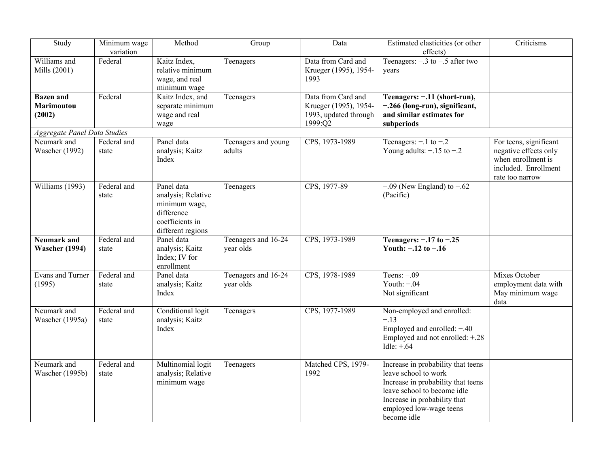| Study                                           | Minimum wage<br>variation | Method                                                                                                  | Group                            | Data                                                                            | Estimated elasticities (or other<br>effects)                                                                                                                                                              | Criticisms                                                                                                       |
|-------------------------------------------------|---------------------------|---------------------------------------------------------------------------------------------------------|----------------------------------|---------------------------------------------------------------------------------|-----------------------------------------------------------------------------------------------------------------------------------------------------------------------------------------------------------|------------------------------------------------------------------------------------------------------------------|
| Williams and<br>Mills (2001)                    | Federal                   | Kaitz Index,<br>relative minimum<br>wage, and real<br>minimum wage                                      | Teenagers                        | Data from Card and<br>Krueger (1995), 1954-<br>1993                             | Teenagers: $-0.3$ to $-0.5$ after two<br>vears                                                                                                                                                            |                                                                                                                  |
| <b>Bazen</b> and<br><b>Marimoutou</b><br>(2002) | Federal                   | Kaitz Index, and<br>separate minimum<br>wage and real<br>wage                                           | Teenagers                        | Data from Card and<br>Krueger (1995), 1954-<br>1993, updated through<br>1999:Q2 | Teenagers: -.11 (short-run),<br>$-0.266$ (long-run), significant,<br>and similar estimates for<br>subperiods                                                                                              |                                                                                                                  |
| <b>Aggregate Panel Data Studies</b>             |                           |                                                                                                         |                                  |                                                                                 |                                                                                                                                                                                                           |                                                                                                                  |
| Neumark and<br><b>Wascher</b> (1992)            | Federal and<br>state      | Panel data<br>analysis; Kaitz<br>Index                                                                  | Teenagers and young<br>adults    | CPS, 1973-1989                                                                  | Teenagers: $-1$ to $-2$<br>Young adults: $-.15$ to $-.2$                                                                                                                                                  | For teens, significant<br>negative effects only<br>when enrollment is<br>included. Enrollment<br>rate too narrow |
| Williams (1993)                                 | Federal and<br>state      | Panel data<br>analysis; Relative<br>minimum wage,<br>difference<br>coefficients in<br>different regions | Teenagers                        | CPS, 1977-89                                                                    | $+.09$ (New England) to $-.62$<br>(Pacific)                                                                                                                                                               |                                                                                                                  |
| Neumark and<br><b>Wascher (1994)</b>            | Federal and<br>state      | Panel data<br>analysis; Kaitz<br>Index; IV for<br>enrollment                                            | Teenagers and 16-24<br>year olds | CPS, 1973-1989                                                                  | Teenagers: $-17$ to $-25$<br>Youth: $-.12$ to $-.16$                                                                                                                                                      |                                                                                                                  |
| Evans and Turner<br>(1995)                      | Federal and<br>state      | Panel data<br>analysis; Kaitz<br>Index                                                                  | Teenagers and 16-24<br>year olds | CPS, 1978-1989                                                                  | Teens: $-0.09$<br>Youth: $-.04$<br>Not significant                                                                                                                                                        | Mixes October<br>employment data with<br>May minimum wage<br>data                                                |
| Neumark and<br>Wascher (1995a)                  | Federal and<br>state      | Conditional logit<br>analysis; Kaitz<br>Index                                                           | Teenagers                        | CPS, 1977-1989                                                                  | Non-employed and enrolled:<br>$-.13$<br>Employed and enrolled: -.40<br>Employed and not enrolled: +.28<br>Idle: $+.64$                                                                                    |                                                                                                                  |
| Neumark and<br>Wascher (1995b)                  | Federal and<br>state      | Multinomial logit<br>analysis; Relative<br>minimum wage                                                 | Teenagers                        | Matched CPS, 1979-<br>1992                                                      | Increase in probability that teens<br>leave school to work<br>Increase in probability that teens<br>leave school to become idle<br>Increase in probability that<br>employed low-wage teens<br>become idle |                                                                                                                  |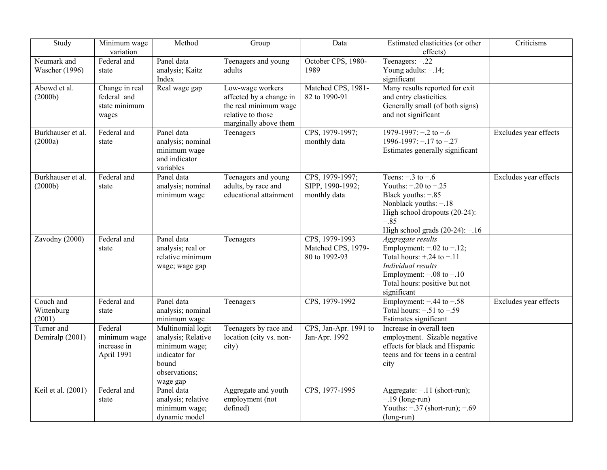| Study                                | Minimum wage<br>variation                               | Method                                                                                                          | Group                                                                                                              | Data                                                  | Estimated elasticities (or other<br>effects)                                                                                                                                               | Criticisms            |
|--------------------------------------|---------------------------------------------------------|-----------------------------------------------------------------------------------------------------------------|--------------------------------------------------------------------------------------------------------------------|-------------------------------------------------------|--------------------------------------------------------------------------------------------------------------------------------------------------------------------------------------------|-----------------------|
| Neumark and<br><b>Wascher</b> (1996) | Federal and<br>state                                    | Panel data<br>analysis; Kaitz<br>Index                                                                          | Teenagers and young<br>adults                                                                                      | October CPS, 1980-<br>1989                            | Teenagers: $-.22$<br>Young adults: $-.14;$<br>significant                                                                                                                                  |                       |
| Abowd et al.<br>(2000b)              | Change in real<br>federal and<br>state minimum<br>wages | Real wage gap                                                                                                   | Low-wage workers<br>affected by a change in<br>the real minimum wage<br>relative to those<br>marginally above them | Matched CPS, 1981-<br>82 to 1990-91                   | Many results reported for exit<br>and entry elasticities.<br>Generally small (of both signs)<br>and not significant                                                                        |                       |
| Burkhauser et al.<br>(2000a)         | Federal and<br>state                                    | Panel data<br>analysis; nominal<br>minimum wage<br>and indicator<br>variables                                   | Teenagers                                                                                                          | CPS, 1979-1997;<br>monthly data                       | 1979-1997: $-.2$ to $-.6$<br>1996-1997: $-.17$ to $-.27$<br>Estimates generally significant                                                                                                | Excludes year effects |
| Burkhauser et al.<br>(2000b)         | Federal and<br>state                                    | Panel data<br>analysis; nominal<br>minimum wage                                                                 | Teenagers and young<br>adults, by race and<br>educational attainment                                               | CPS, 1979-1997;<br>SIPP, 1990-1992;<br>monthly data   | Teens: $-3$ to $-6$<br>Youths: $-.20$ to $-.25$<br>Black youths: -.85<br>Nonblack youths: -.18<br>High school dropouts (20-24):<br>$-.85$<br>High school grads $(20-24)$ : -.16            | Excludes year effects |
| Zavodny (2000)                       | Federal and<br>state                                    | Panel data<br>analysis; real or<br>relative minimum<br>wage; wage gap                                           | Teenagers                                                                                                          | CPS, 1979-1993<br>Matched CPS, 1979-<br>80 to 1992-93 | Aggregate results<br>Employment: $-.02$ to $-.12$ ;<br>Total hours: $+.24$ to $-.11$<br>Individual results<br>Employment: $-.08$ to $-.10$<br>Total hours: positive but not<br>significant |                       |
| Couch and<br>Wittenburg<br>(2001)    | Federal and<br>state                                    | Panel data<br>analysis; nominal<br>minimum wage                                                                 | Teenagers                                                                                                          | CPS, 1979-1992                                        | Employment: $-.44$ to $-.58$<br>Total hours: $-.51$ to $-.59$<br>Estimates significant                                                                                                     | Excludes year effects |
| Turner and<br>Demiralp (2001)        | Federal<br>minimum wage<br>increase in<br>April 1991    | Multinomial logit<br>analysis; Relative<br>minimum wage;<br>indicator for<br>bound<br>observations;<br>wage gap | Teenagers by race and<br>location (city vs. non-<br>city)                                                          | CPS, Jan-Apr. 1991 to<br>Jan-Apr. 1992                | Increase in overall teen<br>employment. Sizable negative<br>effects for black and Hispanic<br>teens and for teens in a central<br>city                                                     |                       |
| Keil et al. (2001)                   | Federal and<br>state                                    | Panel data<br>analysis; relative<br>minimum wage;<br>dynamic model                                              | Aggregate and youth<br>employment (not<br>defined)                                                                 | CPS, 1977-1995                                        | Aggregate: $-.11$ (short-run);<br>$-.19$ (long-run)<br>Youths: $-0.37$ (short-run); $-0.69$<br>$(long-run)$                                                                                |                       |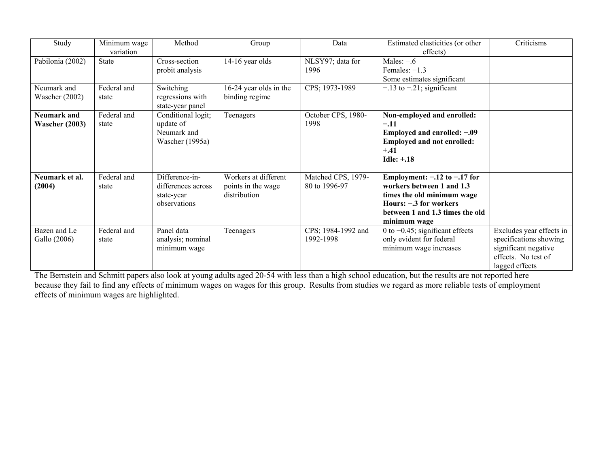| Study                                | Minimum wage<br>variation | Method                                                             | Group                                                      | Data                                | Estimated elasticities (or other<br>effects)                                                                                                                              | Criticisms                                                                                                          |
|--------------------------------------|---------------------------|--------------------------------------------------------------------|------------------------------------------------------------|-------------------------------------|---------------------------------------------------------------------------------------------------------------------------------------------------------------------------|---------------------------------------------------------------------------------------------------------------------|
| Pabilonia (2002)                     | State                     | Cross-section<br>probit analysis                                   | 14-16 year olds                                            | NLSY97; data for<br>1996            | Males: $-.6$<br>Females: $-1.3$<br>Some estimates significant                                                                                                             |                                                                                                                     |
| Neumark and<br>Wascher (2002)        | Federal and<br>state      | Switching<br>regressions with<br>state-year panel                  | 16-24 year olds in the<br>binding regime                   | CPS; 1973-1989                      | $-13$ to $-21$ ; significant                                                                                                                                              |                                                                                                                     |
| Neumark and<br><b>Wascher (2003)</b> | Federal and<br>state      | Conditional logit;<br>update of<br>Neumark and<br>Wascher (1995a)  | Teenagers                                                  | October CPS, 1980-<br>1998          | Non-employed and enrolled:<br>$-.11$<br>Employed and enrolled: $-.09$<br><b>Employed and not enrolled:</b><br>$+.41$<br>$I$ dle: $+.18$                                   |                                                                                                                     |
| Neumark et al.<br>(2004)             | Federal and<br>state      | Difference-in-<br>differences across<br>state-year<br>observations | Workers at different<br>points in the wage<br>distribution | Matched CPS, 1979-<br>80 to 1996-97 | Employment: $-.12$ to $-.17$ for<br>workers between 1 and 1.3<br>times the old minimum wage<br>Hours: $-3$ for workers<br>between 1 and 1.3 times the old<br>minimum wage |                                                                                                                     |
| Bazen and Le<br>Gallo (2006)         | Federal and<br>state      | Panel data<br>analysis; nominal<br>minimum wage                    | Teenagers                                                  | CPS; 1984-1992 and<br>1992-1998     | 0 to $-0.45$ ; significant effects<br>only evident for federal<br>minimum wage increases                                                                                  | Excludes year effects in<br>specifications showing<br>significant negative<br>effects. No test of<br>lagged effects |

The Bernstein and Schmitt papers also look at young adults aged 20-54 with less than a high school education, but the results are not reported here because they fail to find any effects of minimum wages on wages for this group. Results from studies we regard as more reliable tests of employment effects of minimum wages are highlighted.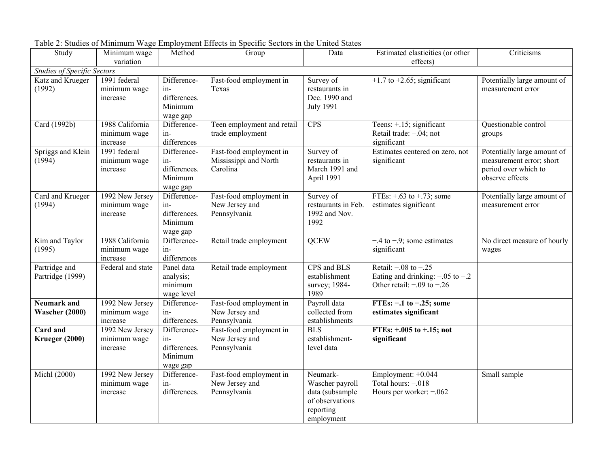| Study                                       | Minimum wage<br>variation                   | Method                                                      | Group                                                        | Data                                                                                         | Estimated elasticities (or other<br>effects)                                                         | Criticisms                                                                                         |
|---------------------------------------------|---------------------------------------------|-------------------------------------------------------------|--------------------------------------------------------------|----------------------------------------------------------------------------------------------|------------------------------------------------------------------------------------------------------|----------------------------------------------------------------------------------------------------|
| <b>Studies of Specific Sectors</b>          |                                             |                                                             |                                                              |                                                                                              |                                                                                                      |                                                                                                    |
| Katz and Krueger<br>(1992)                  | 1991 federal<br>minimum wage<br>increase    | Difference-<br>$in-$<br>differences.<br>Minimum<br>wage gap | Fast-food employment in<br>Texas                             | Survey of<br>restaurants in<br>Dec. 1990 and<br><b>July 1991</b>                             | $+1.7$ to $+2.65$ ; significant                                                                      | Potentially large amount of<br>measurement error                                                   |
| Card (1992b)                                | 1988 California<br>minimum wage<br>increase | Difference-<br>$in-$<br>differences                         | Teen employment and retail<br>trade employment               | <b>CPS</b>                                                                                   | Teens: $+15$ ; significant<br>Retail trade: $-.04$ ; not<br>significant                              | Questionable control<br>groups                                                                     |
| Spriggs and Klein<br>(1994)                 | 1991 federal<br>minimum wage<br>increase    | Difference-<br>in-<br>differences.<br>Minimum<br>wage gap   | Fast-food employment in<br>Mississippi and North<br>Carolina | Survey of<br>restaurants in<br>March 1991 and<br>April 1991                                  | Estimates centered on zero, not<br>significant                                                       | Potentially large amount of<br>measurement error; short<br>period over which to<br>observe effects |
| Card and Krueger<br>(1994)                  | 1992 New Jersey<br>minimum wage<br>increase | Difference-<br>$in-$<br>differences.<br>Minimum<br>wage gap | Fast-food employment in<br>New Jersey and<br>Pennsylvania    | Survey of<br>restaurants in Feb.<br>1992 and Nov.<br>1992                                    | FTEs: $+.63$ to $+.73$ ; some<br>estimates significant                                               | Potentially large amount of<br>measurement error                                                   |
| Kim and Taylor<br>(1995)                    | 1988 California<br>minimum wage<br>increase | Difference-<br>$in-$<br>differences                         | Retail trade employment                                      | <b>QCEW</b>                                                                                  | $-.4$ to $-.9$ ; some estimates<br>significant                                                       | No direct measure of hourly<br>wages                                                               |
| Partridge and<br>Partridge (1999)           | Federal and state                           | Panel data<br>analysis;<br>minimum<br>wage level            | Retail trade employment                                      | CPS and BLS<br>establishment<br>survey; 1984-<br>1989                                        | Retail: $-.08$ to $-.25$<br>Eating and drinking: $-.05$ to $-.2$<br>Other retail: $-0.09$ to $-0.26$ |                                                                                                    |
| <b>Neumark and</b><br><b>Wascher (2000)</b> | 1992 New Jersey<br>minimum wage<br>increase | Difference-<br>$in-$<br>differences.                        | Fast-food employment in<br>New Jersey and<br>Pennsylvania    | Payroll data<br>collected from<br>establishments                                             | FTEs: $-1$ to $-25$ ; some<br>estimates significant                                                  |                                                                                                    |
| Card and<br><b>Krueger (2000)</b>           | 1992 New Jersey<br>minimum wage<br>increase | Difference-<br>$in-$<br>differences.<br>Minimum<br>wage gap | Fast-food employment in<br>New Jersey and<br>Pennsylvania    | BLS<br>establishment-<br>level data                                                          | $\overline{\text{FTEs: +.005}}$ to +.15; not<br>significant                                          |                                                                                                    |
| Michl (2000)                                | 1992 New Jersey<br>minimum wage<br>increase | Difference-<br>$in-$<br>differences.                        | Fast-food employment in<br>New Jersey and<br>Pennsylvania    | Neumark-<br>Wascher payroll<br>data (subsample<br>of observations<br>reporting<br>employment | Employment: +0.044<br>Total hours: $-0.018$<br>Hours per worker: $-.062$                             | Small sample                                                                                       |

Table 2: Studies of Minimum Wage Employment Effects in Specific Sectors in the United States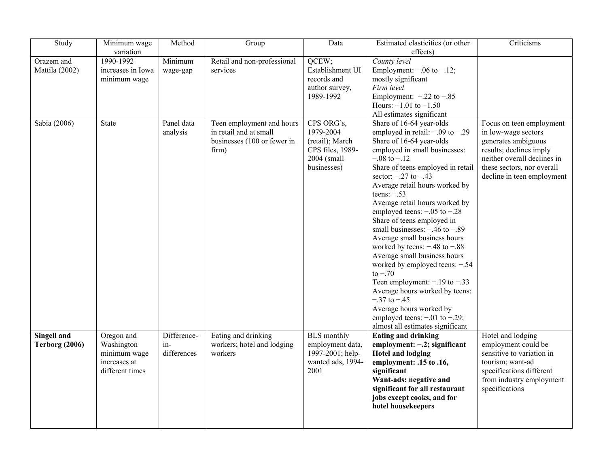| Study                 | Minimum wage               | Method               | Group                                 | Data                                 | Estimated elasticities (or other                               | Criticisms                                       |
|-----------------------|----------------------------|----------------------|---------------------------------------|--------------------------------------|----------------------------------------------------------------|--------------------------------------------------|
|                       | variation                  |                      |                                       |                                      | effects)                                                       |                                                  |
| Orazem and            | 1990-1992                  | Minimum              | Retail and non-professional           | QCEW;                                | County level                                                   |                                                  |
| Mattila (2002)        | increases in Iowa          | wage-gap             | services                              | Establishment UI                     | Employment: $-.06$ to $-.12$ ;                                 |                                                  |
|                       | minimum wage               |                      |                                       | records and                          | mostly significant<br>Firm level                               |                                                  |
|                       |                            |                      |                                       | author survey,<br>1989-1992          |                                                                |                                                  |
|                       |                            |                      |                                       |                                      | Employment: $-.22$ to $-.85$<br>Hours: $-1.01$ to $-1.50$      |                                                  |
|                       |                            |                      |                                       |                                      | All estimates significant                                      |                                                  |
| Sabia (2006)          | <b>State</b>               | Panel data           | Teen employment and hours             | CPS ORG's,                           | Share of 16-64 year-olds                                       | Focus on teen employment                         |
|                       |                            | analysis             | in retail and at small                | 1979-2004                            | employed in retail: $-.09$ to $-.29$                           | in low-wage sectors                              |
|                       |                            |                      | businesses (100 or fewer in           | (retail); March                      | Share of 16-64 year-olds                                       | generates ambiguous                              |
|                       |                            |                      | firm)                                 | CPS files, 1989-                     | employed in small businesses:                                  | results; declines imply                          |
|                       |                            |                      |                                       | 2004 (small                          | $-.08$ to $-.12$                                               | neither overall declines in                      |
|                       |                            |                      |                                       | businesses)                          | Share of teens employed in retail                              | these sectors, nor overall                       |
|                       |                            |                      |                                       |                                      | sector: $-.27$ to $-.43$                                       | decline in teen employment                       |
|                       |                            |                      |                                       |                                      | Average retail hours worked by                                 |                                                  |
|                       |                            |                      |                                       |                                      | teens: $-.53$                                                  |                                                  |
|                       |                            |                      |                                       |                                      | Average retail hours worked by                                 |                                                  |
|                       |                            |                      |                                       |                                      | employed teens: $-.05$ to $-.28$<br>Share of teens employed in |                                                  |
|                       |                            |                      |                                       |                                      | small businesses: $-.46$ to $-.89$                             |                                                  |
|                       |                            |                      |                                       |                                      | Average small business hours                                   |                                                  |
|                       |                            |                      |                                       |                                      | worked by teens: $-.48$ to $-.88$                              |                                                  |
|                       |                            |                      |                                       |                                      | Average small business hours                                   |                                                  |
|                       |                            |                      |                                       |                                      | worked by employed teens: -.54                                 |                                                  |
|                       |                            |                      |                                       |                                      | to $-.70$                                                      |                                                  |
|                       |                            |                      |                                       |                                      | Teen employment: $-.19$ to $-.33$                              |                                                  |
|                       |                            |                      |                                       |                                      | Average hours worked by teens:                                 |                                                  |
|                       |                            |                      |                                       |                                      | $-.37$ to $-.45$                                               |                                                  |
|                       |                            |                      |                                       |                                      | Average hours worked by                                        |                                                  |
|                       |                            |                      |                                       |                                      | employed teens: $-.01$ to $-.29$ ;                             |                                                  |
|                       |                            |                      |                                       |                                      | almost all estimates significant                               |                                                  |
| <b>Singell and</b>    | Oregon and                 | Difference-          | Eating and drinking                   | <b>BLS</b> monthly                   | <b>Eating and drinking</b>                                     | Hotel and lodging                                |
| <b>Terborg (2006)</b> | Washington<br>minimum wage | $in-$<br>differences | workers; hotel and lodging<br>workers | employment data,<br>1997-2001; help- | employment: $-.2$ ; significant<br><b>Hotel and lodging</b>    | employment could be<br>sensitive to variation in |
|                       | increases at               |                      |                                       | wanted ads, 1994-                    | employment: .15 to .16,                                        | tourism; want-ad                                 |
|                       | different times            |                      |                                       | 2001                                 | significant                                                    | specifications different                         |
|                       |                            |                      |                                       |                                      | Want-ads: negative and                                         | from industry employment                         |
|                       |                            |                      |                                       |                                      | significant for all restaurant                                 | specifications                                   |
|                       |                            |                      |                                       |                                      | jobs except cooks, and for                                     |                                                  |
|                       |                            |                      |                                       |                                      | hotel housekeepers                                             |                                                  |
|                       |                            |                      |                                       |                                      |                                                                |                                                  |
|                       |                            |                      |                                       |                                      |                                                                |                                                  |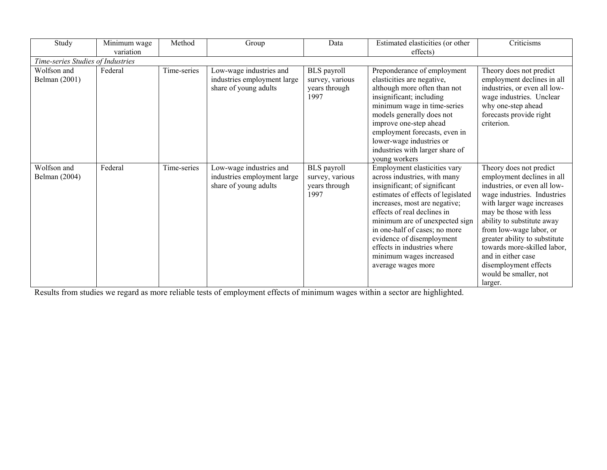| Study                             | Minimum wage | Method      | Group                                                                           | Data                                                    | Estimated elasticities (or other                                                                                                                                                                                                                                                                                                                                                    | Criticisms                                                                                                                                                                                                                                                                                                                                                                               |  |  |  |
|-----------------------------------|--------------|-------------|---------------------------------------------------------------------------------|---------------------------------------------------------|-------------------------------------------------------------------------------------------------------------------------------------------------------------------------------------------------------------------------------------------------------------------------------------------------------------------------------------------------------------------------------------|------------------------------------------------------------------------------------------------------------------------------------------------------------------------------------------------------------------------------------------------------------------------------------------------------------------------------------------------------------------------------------------|--|--|--|
|                                   | variation    |             |                                                                                 |                                                         | effects)                                                                                                                                                                                                                                                                                                                                                                            |                                                                                                                                                                                                                                                                                                                                                                                          |  |  |  |
| Time-series Studies of Industries |              |             |                                                                                 |                                                         |                                                                                                                                                                                                                                                                                                                                                                                     |                                                                                                                                                                                                                                                                                                                                                                                          |  |  |  |
| Wolfson and<br>Belman (2001)      | Federal      | Time-series | Low-wage industries and<br>industries employment large<br>share of young adults | BLS payroll<br>survey, various<br>years through<br>1997 | Preponderance of employment<br>elasticities are negative,<br>although more often than not<br>insignificant; including<br>minimum wage in time-series<br>models generally does not<br>improve one-step ahead<br>employment forecasts, even in<br>lower-wage industries or<br>industries with larger share of<br>young workers                                                        | Theory does not predict<br>employment declines in all<br>industries, or even all low-<br>wage industries. Unclear<br>why one-step ahead<br>forecasts provide right<br>criterion.                                                                                                                                                                                                         |  |  |  |
| Wolfson and<br>Belman (2004)      | Federal      | Time-series | Low-wage industries and<br>industries employment large<br>share of young adults | BLS payroll<br>survey, various<br>years through<br>1997 | Employment elasticities vary<br>across industries, with many<br>insignificant; of significant<br>estimates of effects of legislated<br>increases, most are negative;<br>effects of real declines in<br>minimum are of unexpected sign<br>in one-half of cases; no more<br>evidence of disemployment<br>effects in industries where<br>minimum wages increased<br>average wages more | Theory does not predict<br>employment declines in all<br>industries, or even all low-<br>wage industries. Industries<br>with larger wage increases<br>may be those with less<br>ability to substitute away<br>from low-wage labor, or<br>greater ability to substitute<br>towards more-skilled labor,<br>and in either case<br>disemployment effects<br>would be smaller, not<br>larger. |  |  |  |

Results from studies we regard as more reliable tests of employment effects of minimum wages within a sector are highlighted.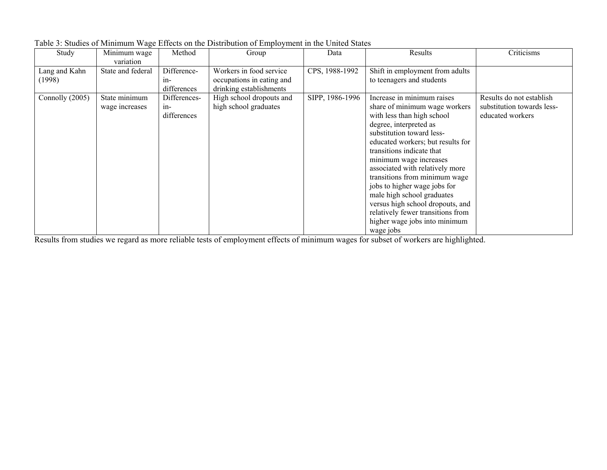| Study                   | Minimum wage<br>variation       | Method                               | Group                                                                           | Data            | Results                                                                                                                                                                                                                                                                                                                                                                                                                                                                                               | Criticisms                                                                 |
|-------------------------|---------------------------------|--------------------------------------|---------------------------------------------------------------------------------|-----------------|-------------------------------------------------------------------------------------------------------------------------------------------------------------------------------------------------------------------------------------------------------------------------------------------------------------------------------------------------------------------------------------------------------------------------------------------------------------------------------------------------------|----------------------------------------------------------------------------|
| Lang and Kahn<br>(1998) | State and federal               | Difference-<br>$in-$<br>differences  | Workers in food service<br>occupations in eating and<br>drinking establishments | CPS, 1988-1992  | Shift in employment from adults<br>to teenagers and students                                                                                                                                                                                                                                                                                                                                                                                                                                          |                                                                            |
| Connolly (2005)         | State minimum<br>wage increases | Differences-<br>$in-$<br>differences | High school dropouts and<br>high school graduates                               | SIPP, 1986-1996 | Increase in minimum raises<br>share of minimum wage workers<br>with less than high school<br>degree, interpreted as<br>substitution toward less-<br>educated workers; but results for<br>transitions indicate that<br>minimum wage increases<br>associated with relatively more<br>transitions from minimum wage<br>jobs to higher wage jobs for<br>male high school graduates<br>versus high school dropouts, and<br>relatively fewer transitions from<br>higher wage jobs into minimum<br>wage jobs | Results do not establish<br>substitution towards less-<br>educated workers |

Table 3: Studies of Minimum Wage Effects on the Distribution of Employment in the United States

Results from studies we regard as more reliable tests of employment effects of minimum wages for subset of workers are highlighted.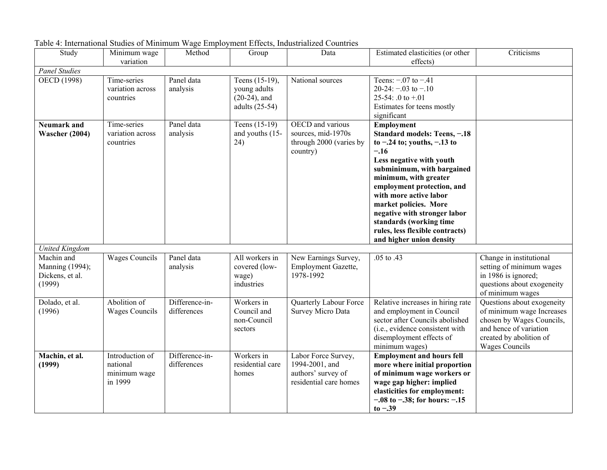| Study                                                      | Minimum wage                                           | Method                        | Group                                                               | Data                                                                                  | Estimated elasticities (or other                                                                                                                                                                                                                                                                                                                                                         | Criticisms                                                                                                                                                         |
|------------------------------------------------------------|--------------------------------------------------------|-------------------------------|---------------------------------------------------------------------|---------------------------------------------------------------------------------------|------------------------------------------------------------------------------------------------------------------------------------------------------------------------------------------------------------------------------------------------------------------------------------------------------------------------------------------------------------------------------------------|--------------------------------------------------------------------------------------------------------------------------------------------------------------------|
|                                                            | variation                                              |                               |                                                                     |                                                                                       | effects)                                                                                                                                                                                                                                                                                                                                                                                 |                                                                                                                                                                    |
| <b>Panel Studies</b>                                       |                                                        |                               |                                                                     |                                                                                       |                                                                                                                                                                                                                                                                                                                                                                                          |                                                                                                                                                                    |
| OECD (1998)                                                | Time-series<br>variation across<br>countries           | Panel data<br>analysis        | Teens (15-19),<br>young adults<br>$(20-24)$ , and<br>adults (25-54) | National sources                                                                      | Teens: $-.07$ to $-.41$<br>20-24: $-.03$ to $-.10$<br>25-54: $.0 \text{ to } +.01$<br>Estimates for teens mostly<br>significant                                                                                                                                                                                                                                                          |                                                                                                                                                                    |
| <b>Neumark and</b><br><b>Wascher (2004)</b>                | Time-series<br>variation across<br>countries           | Panel data<br>analysis        | Teens (15-19)<br>and youths (15-<br>24)                             | OECD and various<br>sources, mid-1970s<br>through 2000 (varies by<br>country)         | Employment<br>Standard models: Teens, -. 18<br>to $-0.24$ to; youths, $-0.13$ to<br>$-.16$<br>Less negative with youth<br>subminimum, with bargained<br>minimum, with greater<br>employment protection, and<br>with more active labor<br>market policies. More<br>negative with stronger labor<br>standards (working time<br>rules, less flexible contracts)<br>and higher union density |                                                                                                                                                                    |
| <b>United Kingdom</b>                                      |                                                        |                               |                                                                     |                                                                                       |                                                                                                                                                                                                                                                                                                                                                                                          |                                                                                                                                                                    |
| Machin and<br>Manning (1994);<br>Dickens, et al.<br>(1999) | <b>Wages Councils</b>                                  | Panel data<br>analysis        | All workers in<br>covered (low-<br>wage)<br>industries              | New Earnings Survey,<br>Employment Gazette,<br>1978-1992                              | .05 to .43                                                                                                                                                                                                                                                                                                                                                                               | Change in institutional<br>setting of minimum wages<br>in 1986 is ignored;<br>questions about exogeneity<br>of minimum wages                                       |
| Dolado, et al.<br>(1996)                                   | Abolition of<br><b>Wages Councils</b>                  | Difference-in-<br>differences | Workers in<br>Council and<br>non-Council<br>sectors                 | Quarterly Labour Force<br>Survey Micro Data                                           | Relative increases in hiring rate<br>and employment in Council<br>sector after Councils abolished<br>(i.e., evidence consistent with<br>disemployment effects of<br>minimum wages)                                                                                                                                                                                                       | Questions about exogeneity<br>of minimum wage Increases<br>chosen by Wages Councils,<br>and hence of variation<br>created by abolition of<br><b>Wages Councils</b> |
| Machin, et al.<br>(1999)                                   | Introduction of<br>national<br>minimum wage<br>in 1999 | Difference-in-<br>differences | Workers in<br>residential care<br>homes                             | Labor Force Survey,<br>1994-2001, and<br>authors' survey of<br>residential care homes | <b>Employment and hours fell</b><br>more where initial proportion<br>of minimum wage workers or<br>wage gap higher: implied<br>elasticities for employment:<br>$-.08$ to $-.38$ ; for hours: $-.15$<br>$to -.39$                                                                                                                                                                         |                                                                                                                                                                    |

Table 4: International Studies of Minimum Wage Employment Effects, Industrialized Countries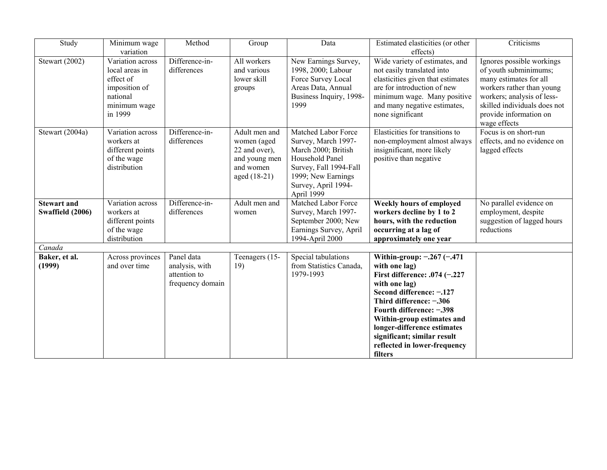| Study              | Minimum wage     | Method           | Group          | Data                    | Estimated elasticities (or other   | Criticisms                   |
|--------------------|------------------|------------------|----------------|-------------------------|------------------------------------|------------------------------|
|                    | variation        |                  |                |                         | effects)                           |                              |
| Stewart (2002)     | Variation across | Difference-in-   | All workers    | New Earnings Survey,    | Wide variety of estimates, and     | Ignores possible workings    |
|                    | local areas in   | differences      | and various    | 1998, 2000; Labour      | not easily translated into         | of youth subminimums;        |
|                    | effect of        |                  | lower skill    | Force Survey Local      | elasticities given that estimates  | many estimates for all       |
|                    | imposition of    |                  | groups         | Areas Data, Annual      | are for introduction of new        | workers rather than young    |
|                    | national         |                  |                | Business Inquiry, 1998- | minimum wage. Many positive        | workers; analysis of less-   |
|                    | minimum wage     |                  |                | 1999                    | and many negative estimates,       | skilled individuals does not |
|                    | in 1999          |                  |                |                         | none significant                   | provide information on       |
|                    |                  |                  |                |                         |                                    | wage effects                 |
| Stewart (2004a)    | Variation across | Difference-in-   | Adult men and  | Matched Labor Force     | Elasticities for transitions to    | Focus is on short-run        |
|                    | workers at       | differences      | women (aged    | Survey, March 1997-     | non-employment almost always       | effects, and no evidence on  |
|                    | different points |                  | 22 and over),  | March 2000; British     | insignificant, more likely         | lagged effects               |
|                    | of the wage      |                  | and young men  | Household Panel         | positive than negative             |                              |
|                    | distribution     |                  | and women      | Survey, Fall 1994-Fall  |                                    |                              |
|                    |                  |                  | aged (18-21)   | 1999; New Earnings      |                                    |                              |
|                    |                  |                  |                | Survey, April 1994-     |                                    |                              |
|                    |                  |                  |                | April 1999              |                                    |                              |
| <b>Stewart and</b> | Variation across | Difference-in-   | Adult men and  | Matched Labor Force     | Weekly hours of employed           | No parallel evidence on      |
| Swaffield (2006)   | workers at       | differences      | women          | Survey, March 1997-     | workers decline by 1 to 2          | employment, despite          |
|                    | different points |                  |                | September 2000; New     | hours, with the reduction          | suggestion of lagged hours   |
|                    | of the wage      |                  |                | Earnings Survey, April  | occurring at a lag of              | reductions                   |
|                    | distribution     |                  |                | 1994-April 2000         | approximately one year             |                              |
| Canada             |                  |                  |                |                         |                                    |                              |
| Baker, et al.      | Across provinces | Panel data       | Teenagers (15- | Special tabulations     | Within-group: $-.267$ ( $-.471$ )  |                              |
| (1999)             | and over time    | analysis, with   | 19)            | from Statistics Canada, | with one lag)                      |                              |
|                    |                  | attention to     |                | 1979-1993               | First difference: $.074$ ( $-.227$ |                              |
|                    |                  | frequency domain |                |                         | with one lag)                      |                              |
|                    |                  |                  |                |                         | Second difference: -.127           |                              |
|                    |                  |                  |                |                         | Third difference: -.306            |                              |
|                    |                  |                  |                |                         | Fourth difference: -.398           |                              |
|                    |                  |                  |                |                         | Within-group estimates and         |                              |
|                    |                  |                  |                |                         | longer-difference estimates        |                              |
|                    |                  |                  |                |                         | significant; similar result        |                              |
|                    |                  |                  |                |                         | reflected in lower-frequency       |                              |
|                    |                  |                  |                |                         | filters                            |                              |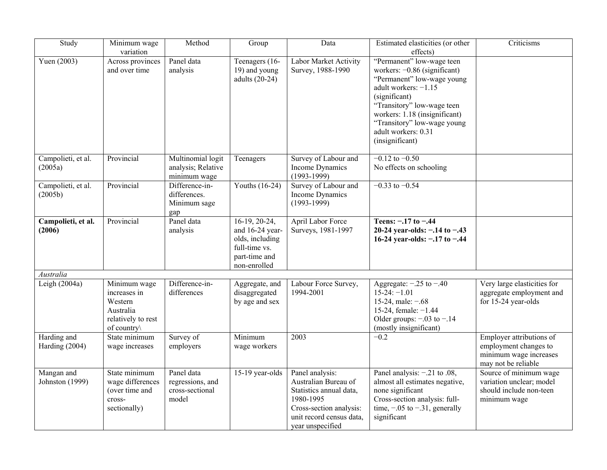| Study                         | Minimum wage<br>variation                                                                 | Method                                                     | Group                                                                                                   | Data                                                                                                                                                       | Estimated elasticities (or other<br>effects)                                                                                                                                                                                                                                 | Criticisms                                                                                         |
|-------------------------------|-------------------------------------------------------------------------------------------|------------------------------------------------------------|---------------------------------------------------------------------------------------------------------|------------------------------------------------------------------------------------------------------------------------------------------------------------|------------------------------------------------------------------------------------------------------------------------------------------------------------------------------------------------------------------------------------------------------------------------------|----------------------------------------------------------------------------------------------------|
| Yuen $(2003)$                 | Across provinces<br>and over time                                                         | Panel data<br>analysis                                     | Teenagers (16-<br>19) and young<br>adults (20-24)                                                       | Labor Market Activity<br>Survey, 1988-1990                                                                                                                 | "Permanent" low-wage teen<br>workers: $-0.86$ (significant)<br>"Permanent" low-wage young<br>adult workers: $-1.15$<br>(significant)<br>"Transitory" low-wage teen<br>workers: 1.18 (insignificant)<br>"Transitory" low-wage young<br>adult workers: 0.31<br>(insignificant) |                                                                                                    |
| Campolieti, et al.<br>(2005a) | Provincial                                                                                | Multinomial logit<br>analysis; Relative<br>minimum wage    | Teenagers                                                                                               | Survey of Labour and<br>Income Dynamics<br>$(1993-1999)$                                                                                                   | $-0.12$ to $-0.50$<br>No effects on schooling                                                                                                                                                                                                                                |                                                                                                    |
| Campolieti, et al.<br>(2005b) | Provincial                                                                                | Difference-in-<br>differences.<br>Minimum sage<br>gap      | Youths (16-24)                                                                                          | Survey of Labour and<br>Income Dynamics<br>$(1993-1999)$                                                                                                   | $-0.33$ to $-0.54$                                                                                                                                                                                                                                                           |                                                                                                    |
| Campolieti, et al.<br>(2006)  | Provincial                                                                                | Panel data<br>analysis                                     | $16-19, 20-24,$<br>and 16-24 year-<br>olds, including<br>full-time vs.<br>part-time and<br>non-enrolled | April Labor Force<br>Surveys, 1981-1997                                                                                                                    | Teens: $-17$ to $-44$<br>20-24 year-olds: $-.14$ to $-.43$<br>16-24 year-olds: $-.17$ to $-.44$                                                                                                                                                                              |                                                                                                    |
| Australia                     |                                                                                           |                                                            |                                                                                                         |                                                                                                                                                            |                                                                                                                                                                                                                                                                              |                                                                                                    |
| Leigh $(2004a)$               | Minimum wage<br>increases in<br>Western<br>Australia<br>relatively to rest<br>of country\ | Difference-in-<br>differences                              | Aggregate, and<br>disaggregated<br>by age and sex                                                       | Labour Force Survey,<br>1994-2001                                                                                                                          | Aggregate: $-.25$ to $-.40$<br>$15-24: -1.01$<br>15-24, male: $-.68$<br>15-24, female: $-1.44$<br>Older groups: $-.03$ to $-.14$<br>(mostly insignificant)                                                                                                                   | Very large elasticities for<br>aggregate employment and<br>for 15-24 year-olds                     |
| Harding and<br>Harding (2004) | State minimum<br>wage increases                                                           | Survey of<br>employers                                     | Minimum<br>wage workers                                                                                 | 2003                                                                                                                                                       | $-0.2$                                                                                                                                                                                                                                                                       | Employer attributions of<br>employment changes to<br>minimum wage increases<br>may not be reliable |
| Mangan and<br>Johnston (1999) | State minimum<br>wage differences<br>(over time and<br>cross-<br>sectionally)             | Panel data<br>regressions, and<br>cross-sectional<br>model | 15-19 year-olds                                                                                         | Panel analysis:<br>Australian Bureau of<br>Statistics annual data,<br>1980-1995<br>Cross-section analysis:<br>unit record census data,<br>year unspecified | Panel analysis: $-.21$ to .08,<br>almost all estimates negative,<br>none significant<br>Cross-section analysis: full-<br>time, $-.05$ to $-.31$ , generally<br>significant                                                                                                   | Source of minimum wage<br>variation unclear; model<br>should include non-teen<br>minimum wage      |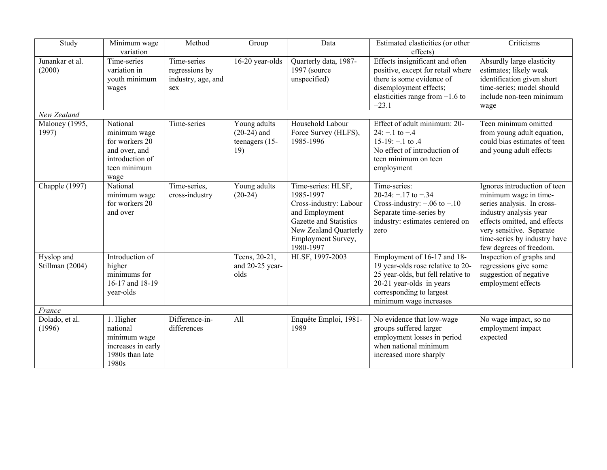| Study                         | Minimum wage<br>variation                                                                              | Method                                                     | Group                                                  | Data                                                                                                                                                              | Estimated elasticities (or other<br>effects)                                                                                                                                             | Criticisms                                                                                                                                                                                                                           |  |  |  |  |
|-------------------------------|--------------------------------------------------------------------------------------------------------|------------------------------------------------------------|--------------------------------------------------------|-------------------------------------------------------------------------------------------------------------------------------------------------------------------|------------------------------------------------------------------------------------------------------------------------------------------------------------------------------------------|--------------------------------------------------------------------------------------------------------------------------------------------------------------------------------------------------------------------------------------|--|--|--|--|
| Junankar et al.<br>(2000)     | Time-series<br>variation in<br>youth minimum<br>wages                                                  | Time-series<br>regressions by<br>industry, age, and<br>sex | 16-20 year-olds                                        | Quarterly data, 1987-<br>1997 (source<br>unspecified)                                                                                                             | Effects insignificant and often<br>positive, except for retail where<br>there is some evidence of<br>disemployment effects;<br>elasticities range from $-1.6$ to<br>$-23.1$              | Absurdly large elasticity<br>estimates; likely weak<br>identification given short<br>time-series; model should<br>include non-teen minimum<br>wage                                                                                   |  |  |  |  |
| New Zealand                   |                                                                                                        |                                                            |                                                        |                                                                                                                                                                   |                                                                                                                                                                                          |                                                                                                                                                                                                                                      |  |  |  |  |
| Maloney (1995,<br>1997)       | National<br>minimum wage<br>for workers 20<br>and over, and<br>introduction of<br>teen minimum<br>wage | Time-series                                                | Young adults<br>$(20-24)$ and<br>teenagers (15-<br>19) | Household Labour<br>Force Survey (HLFS),<br>1985-1996                                                                                                             | Effect of adult minimum: 20-<br>$24: -1$ to $-4$<br>$15-19$ : $-1$ to $.4$<br>No effect of introduction of<br>teen minimum on teen<br>employment                                         | Teen minimum omitted<br>from young adult equation,<br>could bias estimates of teen<br>and young adult effects                                                                                                                        |  |  |  |  |
| Chapple (1997)                | National<br>minimum wage<br>for workers 20<br>and over                                                 | Time-series,<br>cross-industry                             | Young adults<br>$(20-24)$                              | Time-series: HLSF,<br>1985-1997<br>Cross-industry: Labour<br>and Employment<br>Gazette and Statistics<br>New Zealand Quarterly<br>Employment Survey,<br>1980-1997 | Time-series:<br>20-24: $-.17$ to $-.34$<br>Cross-industry: $-.06$ to $-.10$<br>Separate time-series by<br>industry: estimates centered on<br>zero                                        | Ignores introduction of teen<br>minimum wage in time-<br>series analysis. In cross-<br>industry analysis year<br>effects omitted, and effects<br>very sensitive. Separate<br>time-series by industry have<br>few degrees of freedom. |  |  |  |  |
| Hyslop and<br>Stillman (2004) | Introduction of<br>higher<br>minimums for<br>16-17 and 18-19<br>year-olds                              |                                                            | Teens, 20-21,<br>and 20-25 year-<br>olds               | HLSF, 1997-2003                                                                                                                                                   | Employment of 16-17 and 18-<br>19 year-olds rose relative to 20-<br>25 year-olds, but fell relative to<br>20-21 year-olds in years<br>corresponding to largest<br>minimum wage increases | Inspection of graphs and<br>regressions give some<br>suggestion of negative<br>employment effects                                                                                                                                    |  |  |  |  |
| France                        |                                                                                                        |                                                            |                                                        |                                                                                                                                                                   |                                                                                                                                                                                          |                                                                                                                                                                                                                                      |  |  |  |  |
| Dolado, et al.<br>(1996)      | 1. Higher<br>national<br>minimum wage<br>increases in early<br>1980s than late<br>1980s                | Difference-in-<br>differences                              | A11                                                    | Enquête Emploi, 1981-<br>1989                                                                                                                                     | No evidence that low-wage<br>groups suffered larger<br>employment losses in period<br>when national minimum<br>increased more sharply                                                    | No wage impact, so no<br>employment impact<br>expected                                                                                                                                                                               |  |  |  |  |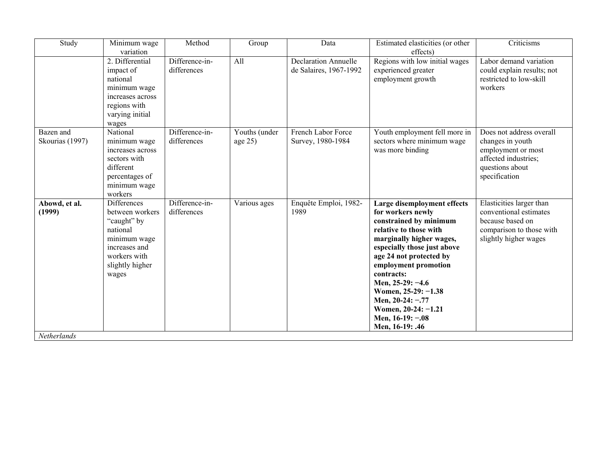| Study                                  | Minimum wage<br>variation                                                                                                                     | Method                        | Group                      | Data                                                  | Estimated elasticities (or other<br>effects)                                                                                                                                                                                                                                                                                                                   | Criticisms                                                                                                                     |
|----------------------------------------|-----------------------------------------------------------------------------------------------------------------------------------------------|-------------------------------|----------------------------|-------------------------------------------------------|----------------------------------------------------------------------------------------------------------------------------------------------------------------------------------------------------------------------------------------------------------------------------------------------------------------------------------------------------------------|--------------------------------------------------------------------------------------------------------------------------------|
|                                        | 2. Differential<br>impact of<br>national<br>minimum wage<br>increases across<br>regions with<br>varying initial<br>wages                      | Difference-in-<br>differences | All                        | <b>Declaration Annuelle</b><br>de Salaires, 1967-1992 | Regions with low initial wages<br>experienced greater<br>employment growth                                                                                                                                                                                                                                                                                     | Labor demand variation<br>could explain results; not<br>restricted to low-skill<br>workers                                     |
| Bazen and<br>Skourias (1997)           | National<br>minimum wage<br>increases across<br>sectors with<br>different<br>percentages of<br>minimum wage<br>workers                        | Difference-in-<br>differences | Youths (under<br>age $25)$ | French Labor Force<br>Survey, 1980-1984               | Youth employment fell more in<br>sectors where minimum wage<br>was more binding                                                                                                                                                                                                                                                                                | Does not address overall<br>changes in youth<br>employment or most<br>affected industries;<br>questions about<br>specification |
| Abowd, et al.<br>(1999)<br>Netherlands | <b>Differences</b><br>between workers<br>"caught" by<br>national<br>minimum wage<br>increases and<br>workers with<br>slightly higher<br>wages | Difference-in-<br>differences | Various ages               | Enquête Emploi, 1982-<br>1989                         | Large disemployment effects<br>for workers newly<br>constrained by minimum<br>relative to those with<br>marginally higher wages,<br>especially those just above<br>age 24 not protected by<br>employment promotion<br>contracts:<br>Men, 25-29: -4.6<br>Women, 25-29: -1.38<br>Men, 20-24: -.77<br>Women, 20-24: -1.21<br>Men, $16-19: -08$<br>Men, 16-19: .46 | Elasticities larger than<br>conventional estimates<br>because based on<br>comparison to those with<br>slightly higher wages    |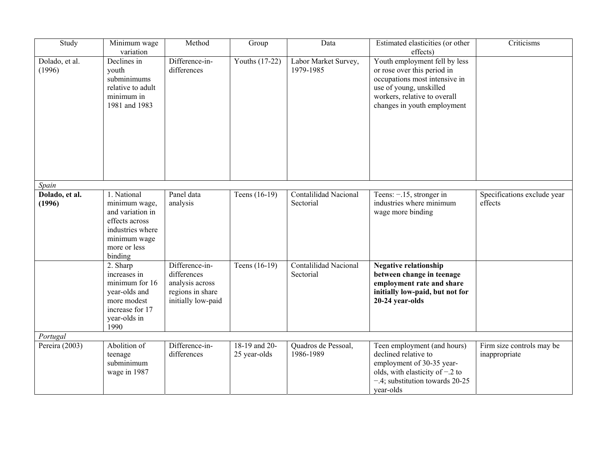| $\overline{\text{Study}}$ | Minimum wage<br>variation                                                                                                         | Method                                                                                     | Group                         | Data                                      | Estimated elasticities (or other<br>effects)                                                                                                                                            | Criticisms                                 |
|---------------------------|-----------------------------------------------------------------------------------------------------------------------------------|--------------------------------------------------------------------------------------------|-------------------------------|-------------------------------------------|-----------------------------------------------------------------------------------------------------------------------------------------------------------------------------------------|--------------------------------------------|
| Dolado, et al.<br>(1996)  | Declines in<br>youth<br>subminimums<br>relative to adult<br>minimum in<br>1981 and 1983                                           | Difference-in-<br>differences                                                              | Youths (17-22)                | Labor Market Survey,<br>1979-1985         | Youth employment fell by less<br>or rose over this period in<br>occupations most intensive in<br>use of young, unskilled<br>workers, relative to overall<br>changes in youth employment |                                            |
| Spain                     |                                                                                                                                   |                                                                                            |                               |                                           |                                                                                                                                                                                         |                                            |
| Dolado, et al.<br>(1996)  | 1. National<br>minimum wage,<br>and variation in<br>effects across<br>industries where<br>minimum wage<br>more or less<br>binding | Panel data<br>analysis                                                                     | Teens (16-19)                 | <b>Contalilidad Nacional</b><br>Sectorial | Teens: $-15$ , stronger in<br>industries where minimum<br>wage more binding                                                                                                             | Specifications exclude year<br>effects     |
|                           | 2. Sharp<br>increases in<br>minimum for 16<br>year-olds and<br>more modest<br>increase for 17<br>year-olds in<br>1990             | Difference-in-<br>differences<br>analysis across<br>regions in share<br>initially low-paid | Teens (16-19)                 | <b>Contalilidad Nacional</b><br>Sectorial | <b>Negative relationship</b><br>between change in teenage<br>employment rate and share<br>initially low-paid, but not for<br>20-24 year-olds                                            |                                            |
| Portugal                  |                                                                                                                                   |                                                                                            |                               |                                           |                                                                                                                                                                                         |                                            |
| Pereira (2003)            | Abolition of<br>teenage<br>subminimum<br>wage in 1987                                                                             | Difference-in-<br>differences                                                              | 18-19 and 20-<br>25 year-olds | Quadros de Pessoal,<br>1986-1989          | Teen employment (and hours)<br>declined relative to<br>employment of 30-35 year-<br>olds, with elasticity of $-.2$ to<br>$-.4$ ; substitution towards 20-25<br>year-olds                | Firm size controls may be<br>inappropriate |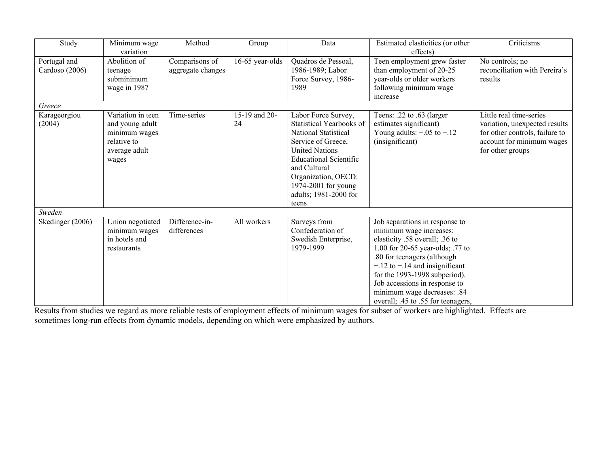| Study                          | Minimum wage<br>variation                                                                      | Method                                                  | Group               | Data                                                                                                                                                                                                                                                           | Estimated elasticities (or other<br>effects)                                                                                                                                                                                                                                                                                                | Criticisms                                                                                                                                  |
|--------------------------------|------------------------------------------------------------------------------------------------|---------------------------------------------------------|---------------------|----------------------------------------------------------------------------------------------------------------------------------------------------------------------------------------------------------------------------------------------------------------|---------------------------------------------------------------------------------------------------------------------------------------------------------------------------------------------------------------------------------------------------------------------------------------------------------------------------------------------|---------------------------------------------------------------------------------------------------------------------------------------------|
| Portugal and<br>Cardoso (2006) | Abolition of<br>teenage<br>subminimum<br>wage in 1987                                          | $\overline{\text{Comparisons of}}$<br>aggregate changes | 16-65 year-olds     | Quadros de Pessoal,<br>1986-1989; Labor<br>Force Survey, 1986-<br>1989                                                                                                                                                                                         | Teen employment grew faster<br>than employment of 20-25<br>year-olds or older workers<br>following minimum wage<br>increase                                                                                                                                                                                                                 | No controls; no<br>reconciliation with Pereira's<br>results                                                                                 |
| Greece                         |                                                                                                |                                                         |                     |                                                                                                                                                                                                                                                                |                                                                                                                                                                                                                                                                                                                                             |                                                                                                                                             |
| Karageorgiou<br>(2004)         | Variation in teen<br>and young adult<br>minimum wages<br>relative to<br>average adult<br>wages | Time-series                                             | 15-19 and 20-<br>24 | Labor Force Survey,<br>Statistical Yearbooks of<br><b>National Statistical</b><br>Service of Greece,<br><b>United Nations</b><br><b>Educational Scientific</b><br>and Cultural<br>Organization, OECD:<br>1974-2001 for young<br>adults; 1981-2000 for<br>teens | Teens: .22 to .63 (larger<br>estimates significant)<br>Young adults: $-.05$ to $-.12$<br>(insignificant)                                                                                                                                                                                                                                    | Little real time-series<br>variation, unexpected results<br>for other controls, failure to<br>account for minimum wages<br>for other groups |
| Sweden                         |                                                                                                |                                                         |                     |                                                                                                                                                                                                                                                                |                                                                                                                                                                                                                                                                                                                                             |                                                                                                                                             |
| Skedinger (2006)               | Union negotiated<br>minimum wages<br>in hotels and<br>restaurants                              | Difference-in-<br>differences                           | All workers         | Surveys from<br>Confederation of<br>Swedish Enterprise,<br>1979-1999                                                                                                                                                                                           | Job separations in response to<br>minimum wage increases:<br>elasticity .58 overall; .36 to<br>1.00 for 20-65 year-olds; $.77$ to<br>.80 for teenagers (although<br>$-12$ to $-14$ and insignificant<br>for the 1993-1998 subperiod).<br>Job accessions in response to<br>minimum wage decreases: .84<br>overall; .45 to .55 for teenagers, |                                                                                                                                             |

Results from studies we regard as more reliable tests of employment effects of minimum wages for subset of workers are highlighted. Effects are sometimes long-run effects from dynamic models, depending on which were emphasized by authors.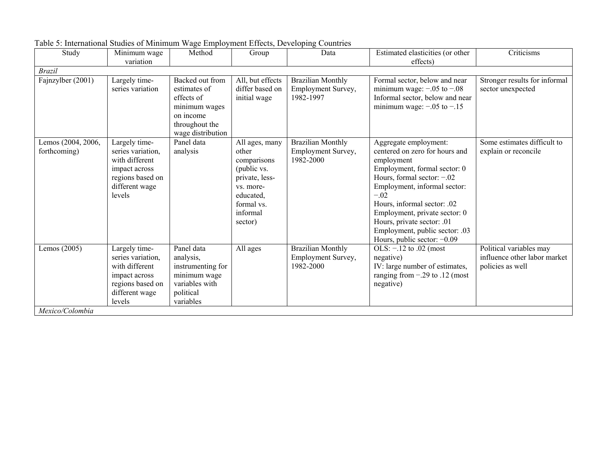| Study                              | Minimum wage<br>variation                                                                                             | Method                                                                                                             | Group                                                                                                                                  | Data                                                        | Estimated elasticities (or other<br>effects)                                                                                                                                                                                                                                                                                                     | Criticisms                                                                  |
|------------------------------------|-----------------------------------------------------------------------------------------------------------------------|--------------------------------------------------------------------------------------------------------------------|----------------------------------------------------------------------------------------------------------------------------------------|-------------------------------------------------------------|--------------------------------------------------------------------------------------------------------------------------------------------------------------------------------------------------------------------------------------------------------------------------------------------------------------------------------------------------|-----------------------------------------------------------------------------|
| <b>Brazil</b>                      |                                                                                                                       |                                                                                                                    |                                                                                                                                        |                                                             |                                                                                                                                                                                                                                                                                                                                                  |                                                                             |
| Fajnzylber (2001)                  | Largely time-<br>series variation                                                                                     | Backed out from<br>estimates of<br>effects of<br>minimum wages<br>on income<br>throughout the<br>wage distribution | All, but effects<br>differ based on<br>initial wage                                                                                    | <b>Brazilian Monthly</b><br>Employment Survey,<br>1982-1997 | Formal sector, below and near<br>minimum wage: $-.05$ to $-.08$<br>Informal sector, below and near<br>minimum wage: $-.05$ to $-.15$                                                                                                                                                                                                             | Stronger results for informal<br>sector unexpected                          |
| Lemos (2004, 2006,<br>forthcoming) | Largely time-<br>series variation,<br>with different<br>impact across<br>regions based on<br>different wage<br>levels | Panel data<br>analysis                                                                                             | All ages, many<br>other<br>comparisons<br>(public vs.<br>private, less-<br>vs. more-<br>educated,<br>formal vs.<br>informal<br>sector) | <b>Brazilian Monthly</b><br>Employment Survey,<br>1982-2000 | Aggregate employment:<br>centered on zero for hours and<br>employment<br>Employment, formal sector: 0<br>Hours, formal sector: $-.02$<br>Employment, informal sector:<br>$-.02$<br>Hours, informal sector: .02<br>Employment, private sector: 0<br>Hours, private sector: .01<br>Employment, public sector: .03<br>Hours, public sector: $-0.09$ | Some estimates difficult to<br>explain or reconcile                         |
| Lemos (2005)<br>Mexico/Colombia    | Largely time-<br>series variation,<br>with different<br>impact across<br>regions based on<br>different wage<br>levels | Panel data<br>analysis,<br>instrumenting for<br>minimum wage<br>variables with<br>political<br>variables           | All ages                                                                                                                               | <b>Brazilian Monthly</b><br>Employment Survey,<br>1982-2000 | OLS: $-.12$ to .02 (most<br>negative)<br>IV: large number of estimates,<br>ranging from $-.29$ to .12 (most<br>negative)                                                                                                                                                                                                                         | Political variables may<br>influence other labor market<br>policies as well |

Table 5: International Studies of Minimum Wage Employment Effects, Developing Countries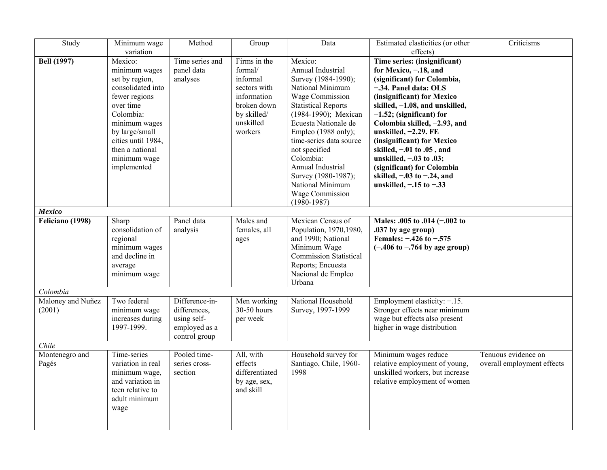| Study                       | Minimum wage<br>variation                                                                                                                                                                                             | Method                                                                          | Group                                                                                                                    | Data                                                                                                                                                                                                                                                                                                                                                           | Estimated elasticities (or other<br>effects)                                                                                                                                                                                                                                                                                                                                                                                                                               | Criticisms                                        |
|-----------------------------|-----------------------------------------------------------------------------------------------------------------------------------------------------------------------------------------------------------------------|---------------------------------------------------------------------------------|--------------------------------------------------------------------------------------------------------------------------|----------------------------------------------------------------------------------------------------------------------------------------------------------------------------------------------------------------------------------------------------------------------------------------------------------------------------------------------------------------|----------------------------------------------------------------------------------------------------------------------------------------------------------------------------------------------------------------------------------------------------------------------------------------------------------------------------------------------------------------------------------------------------------------------------------------------------------------------------|---------------------------------------------------|
| <b>Bell</b> (1997)          | Mexico:<br>minimum wages<br>set by region,<br>consolidated into<br>fewer regions<br>over time<br>Colombia:<br>minimum wages<br>by large/small<br>cities until 1984,<br>then a national<br>minimum wage<br>implemented | Time series and<br>panel data<br>analyses                                       | Firms in the<br>formal/<br>informal<br>sectors with<br>information<br>broken down<br>by skilled/<br>unskilled<br>workers | Mexico:<br>Annual Industrial<br>Survey (1984-1990);<br>National Minimum<br>Wage Commission<br><b>Statistical Reports</b><br>(1984-1990); Mexican<br>Ecuesta Nationale de<br>Empleo (1988 only);<br>time-series data source<br>not specified<br>Colombia:<br>Annual Industrial<br>Survey (1980-1987);<br>National Minimum<br>Wage Commission<br>$(1980 - 1987)$ | Time series: (insignificant)<br>for Mexico, $-.18$ , and<br>(significant) for Colombia,<br>-.34. Panel data: OLS<br>(insignificant) for Mexico<br>skilled, -1.08, and unskilled,<br>$-1.52$ ; (significant) for<br>Colombia skilled, -2.93, and<br>unskilled, $-2.29$ . FE<br>(insignificant) for Mexico<br>skilled, $-.01$ to $.05$ , and<br>unskilled, $-.03$ to $.03$ ;<br>(significant) for Colombia<br>skilled, $-.03$ to $-.24$ , and<br>unskilled, $-.15$ to $-.33$ |                                                   |
| Mexico                      |                                                                                                                                                                                                                       |                                                                                 |                                                                                                                          |                                                                                                                                                                                                                                                                                                                                                                |                                                                                                                                                                                                                                                                                                                                                                                                                                                                            |                                                   |
| Feliciano (1998)            | Sharp<br>consolidation of<br>regional<br>minimum wages<br>and decline in<br>average<br>minimum wage                                                                                                                   | Panel data<br>analysis                                                          | Males and<br>females, all<br>ages                                                                                        | Mexican Census of<br>Population, 1970, 1980,<br>and 1990; National<br>Minimum Wage<br><b>Commission Statistical</b><br>Reports; Encuesta<br>Nacional de Empleo<br>Urbana                                                                                                                                                                                       | Males: .005 to .014 (-.002 to<br>.037 by age group)<br>Females: -.426 to -.575<br>$(-.406 \text{ to } -.764 \text{ by age group})$                                                                                                                                                                                                                                                                                                                                         |                                                   |
| Colombia                    |                                                                                                                                                                                                                       |                                                                                 |                                                                                                                          |                                                                                                                                                                                                                                                                                                                                                                |                                                                                                                                                                                                                                                                                                                                                                                                                                                                            |                                                   |
| Maloney and Nuñez<br>(2001) | Two federal<br>minimum wage<br>increases during<br>1997-1999.                                                                                                                                                         | Difference-in-<br>differences,<br>using self-<br>employed as a<br>control group | Men working<br>30-50 hours<br>per week                                                                                   | National Household<br>Survey, 1997-1999                                                                                                                                                                                                                                                                                                                        | Employment elasticity: $-.15$ .<br>Stronger effects near minimum<br>wage but effects also present<br>higher in wage distribution                                                                                                                                                                                                                                                                                                                                           |                                                   |
| Chile                       |                                                                                                                                                                                                                       |                                                                                 |                                                                                                                          |                                                                                                                                                                                                                                                                                                                                                                |                                                                                                                                                                                                                                                                                                                                                                                                                                                                            |                                                   |
| Montenegro and<br>Pagés     | Time-series<br>variation in real<br>minimum wage,<br>and variation in<br>teen relative to<br>adult minimum<br>wage                                                                                                    | Pooled time-<br>series cross-<br>section                                        | All, with<br>effects<br>differentiated<br>by age, sex,<br>and skill                                                      | Household survey for<br>Santiago, Chile, 1960-<br>1998                                                                                                                                                                                                                                                                                                         | Minimum wages reduce<br>relative employment of young,<br>unskilled workers, but increase<br>relative employment of women                                                                                                                                                                                                                                                                                                                                                   | Tenuous evidence on<br>overall employment effects |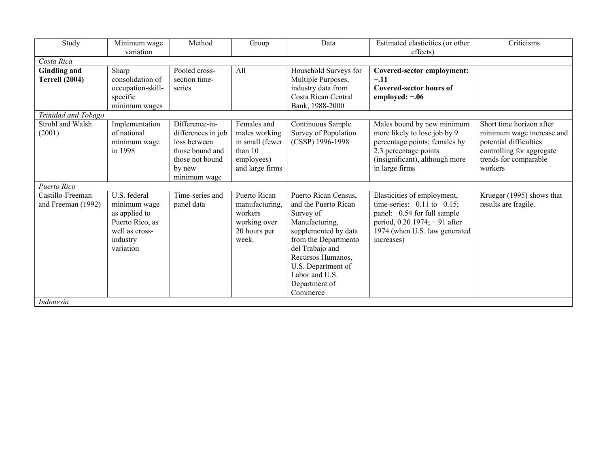| Study                                        | Minimum wage              | Method             | Group           | Data                                        | Estimated elasticities (or other     | Criticisms                |
|----------------------------------------------|---------------------------|--------------------|-----------------|---------------------------------------------|--------------------------------------|---------------------------|
|                                              | variation                 |                    |                 |                                             | effects)                             |                           |
| Costa Rica                                   |                           | Pooled cross-      | All             |                                             |                                      |                           |
| <b>Gindling and</b><br><b>Terrell (2004)</b> | Sharp<br>consolidation of | section time-      |                 | Household Surveys for<br>Multiple Purposes, | Covered-sector employment:<br>$-.11$ |                           |
|                                              | occupation-skill-         | series             |                 | industry data from                          | Covered-sector hours of              |                           |
|                                              | specific                  |                    |                 | Costa Rican Central                         | employed: $-.06$                     |                           |
|                                              | minimum wages             |                    |                 | Bank, 1988-2000                             |                                      |                           |
| Trinidad and Tobago                          |                           |                    |                 |                                             |                                      |                           |
| Strobl and Walsh                             | Implementation            | Difference-in-     | Females and     | Continuous Sample                           | Males bound by new minimum           | Short time horizon after  |
| (2001)                                       | of national               | differences in job | males working   | Survey of Population                        | more likely to lose job by 9         | minimum wage increase and |
|                                              | minimum wage              | loss between       | in small (fewer | (CSSP) 1996-1998                            | percentage points; females by        | potential difficulties    |
|                                              | in 1998                   | those bound and    | than $10$       |                                             | 2.3 percentage points                | controlling for aggregate |
|                                              |                           | those not bound    | employees)      |                                             | (insignificant), although more       | trends for comparable     |
|                                              |                           | by new             | and large firms |                                             | in large firms                       | workers                   |
|                                              |                           | minimum wage       |                 |                                             |                                      |                           |
| Puerto Rico                                  |                           |                    |                 |                                             |                                      |                           |
| Castillo-Freeman                             | U.S. federal              | Time-series and    | Puerto Rican    | Puerto Rican Census,                        | Elasticities of employment,          | Krueger (1995) shows that |
| and Freeman (1992)                           | minimum wage              | panel data         | manufacturing.  | and the Puerto Rican                        | time-series: $-0.11$ to $-0.15$ ;    | results are fragile.      |
|                                              | as applied to             |                    | workers         | Survey of                                   | panel: $-0.54$ for full sample       |                           |
|                                              | Puerto Rico, as           |                    | working over    | Manufacturing,                              | period, 0.20 1974; -.91 after        |                           |
|                                              | well as cross-            |                    | 20 hours per    | supplemented by data                        | 1974 (when U.S. law generated        |                           |
|                                              | industry                  |                    | week.           | from the Departmento                        | increases)                           |                           |
|                                              | variation                 |                    |                 | del Trabajo and                             |                                      |                           |
|                                              |                           |                    |                 | Recursos Humanos,                           |                                      |                           |
|                                              |                           |                    |                 | U.S. Department of                          |                                      |                           |
|                                              |                           |                    |                 | Labor and U.S.                              |                                      |                           |
|                                              |                           |                    |                 | Department of                               |                                      |                           |
| <i>Indonesia</i>                             |                           |                    |                 | Commerce                                    |                                      |                           |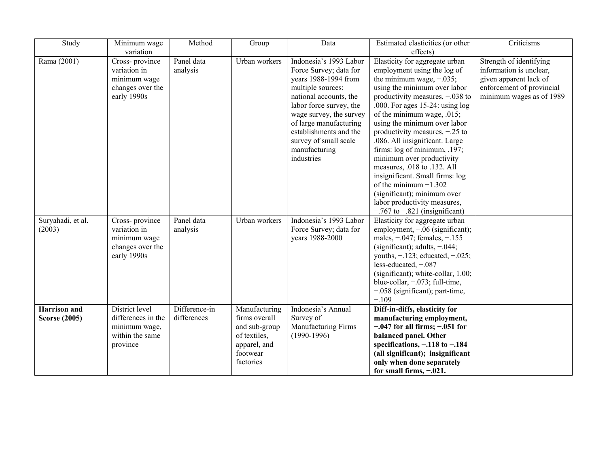| Study                                       | Minimum wage                                                                                   | Method                       | Group                                                                                                    | Data                                                                                                                                                                                                                                                                                      | Estimated elasticities (or other                                                                                                                                                                                                                                                                                                                                                                                                                                                                                                                                                                                         | Criticisms                                                                                                                            |
|---------------------------------------------|------------------------------------------------------------------------------------------------|------------------------------|----------------------------------------------------------------------------------------------------------|-------------------------------------------------------------------------------------------------------------------------------------------------------------------------------------------------------------------------------------------------------------------------------------------|--------------------------------------------------------------------------------------------------------------------------------------------------------------------------------------------------------------------------------------------------------------------------------------------------------------------------------------------------------------------------------------------------------------------------------------------------------------------------------------------------------------------------------------------------------------------------------------------------------------------------|---------------------------------------------------------------------------------------------------------------------------------------|
| Rama (2001)                                 | variation<br>Cross-province<br>variation in<br>minimum wage<br>changes over the<br>early 1990s | Panel data<br>analysis       | Urban workers                                                                                            | Indonesia's 1993 Labor<br>Force Survey; data for<br>years 1988-1994 from<br>multiple sources:<br>national accounts, the<br>labor force survey, the<br>wage survey, the survey<br>of large manufacturing<br>establishments and the<br>survey of small scale<br>manufacturing<br>industries | effects)<br>Elasticity for aggregate urban<br>employment using the log of<br>the minimum wage, $-.035$ ;<br>using the minimum over labor<br>productivity measures, $-.038$ to<br>.000. For ages $15-24$ : using $log$<br>of the minimum wage, .015;<br>using the minimum over labor<br>productivity measures, $-.25$ to<br>.086. All insignificant. Large<br>firms: log of minimum, .197;<br>minimum over productivity<br>measures, .018 to .132. All<br>insignificant. Small firms: log<br>of the minimum $-1.302$<br>(significant); minimum over<br>labor productivity measures,<br>$-.767$ to $-.821$ (insignificant) | Strength of identifying<br>information is unclear,<br>given apparent lack of<br>enforcement of provincial<br>minimum wages as of 1989 |
| Suryahadi, et al.<br>(2003)                 | Cross-province<br>variation in<br>minimum wage<br>changes over the<br>early 1990s              | Panel data<br>analysis       | Urban workers                                                                                            | Indonesia's 1993 Labor<br>Force Survey; data for<br>years 1988-2000                                                                                                                                                                                                                       | Elasticity for aggregate urban<br>employment, $-.06$ (significant);<br>males, $-.047$ ; females, $-.155$<br>(significant); adults, $-.044$ ;<br>youths, $-.123$ ; educated, $-.025$ ;<br>less-educated, $-.087$<br>(significant); white-collar, 1.00;<br>blue-collar, $-.073$ ; full-time,<br>$-.058$ (significant); part-time,<br>$-.109$                                                                                                                                                                                                                                                                               |                                                                                                                                       |
| <b>Harrison</b> and<br><b>Scorse (2005)</b> | District level<br>differences in the<br>minimum wage,<br>within the same<br>province           | Difference-in<br>differences | Manufacturing<br>firms overall<br>and sub-group<br>of textiles,<br>apparel, and<br>footwear<br>factories | Indonesia's Annual<br>Survey of<br>Manufacturing Firms<br>$(1990-1996)$                                                                                                                                                                                                                   | Diff-in-diffs, elasticity for<br>manufacturing employment,<br>$-.047$ for all firms; $-.051$ for<br>balanced panel. Other<br>specifications, $-.118$ to $-.184$<br>(all significant); insignificant<br>only when done separately<br>for small firms, $-.021$ .                                                                                                                                                                                                                                                                                                                                                           |                                                                                                                                       |